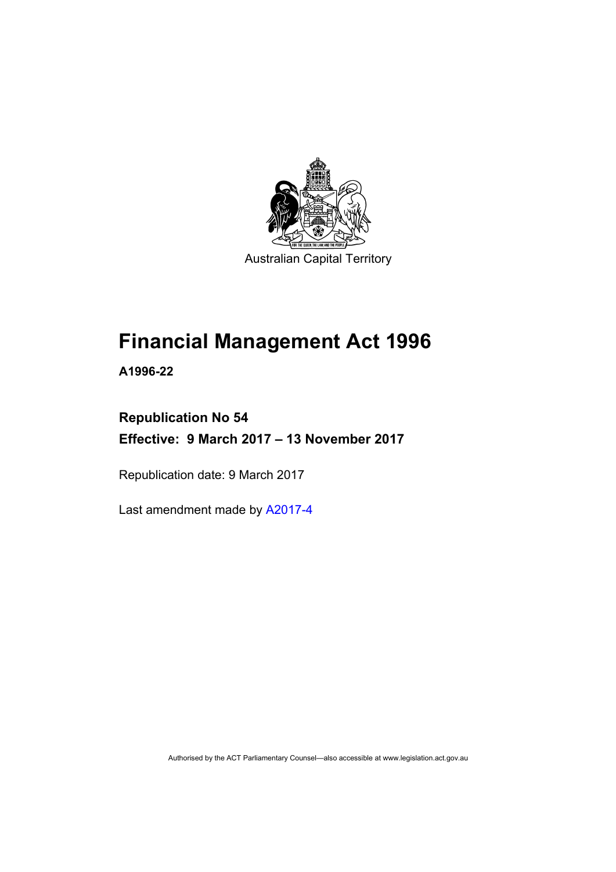

Australian Capital Territory

# **Financial Management Act 1996**

**A1996-22** 

## **Republication No 54 Effective: 9 March 2017 – 13 November 2017**

Republication date: 9 March 2017

Last amendment made by [A2017-4](http://www.legislation.act.gov.au/a/2017-4/default.asp)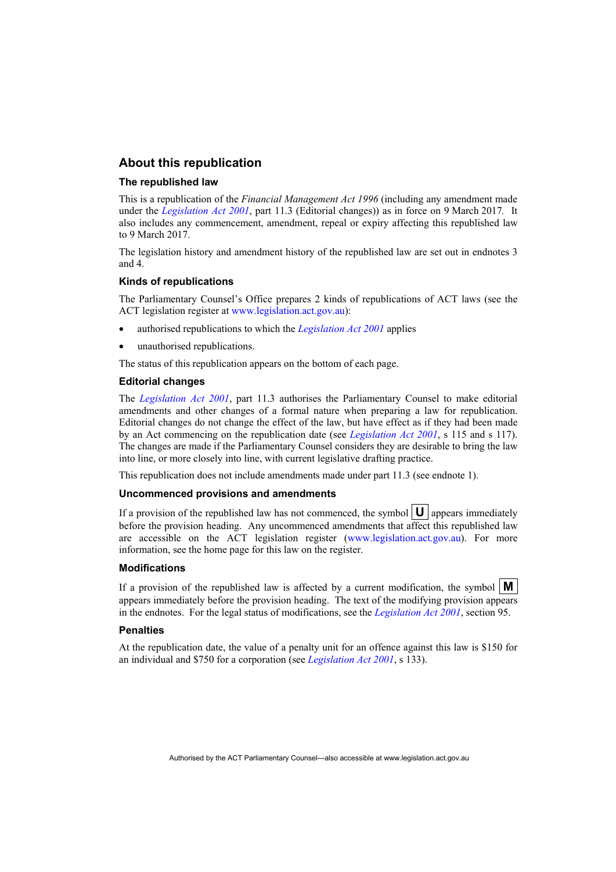#### **About this republication**

#### **The republished law**

This is a republication of the *Financial Management Act 1996* (including any amendment made under the *[Legislation Act 2001](http://www.legislation.act.gov.au/a/2001-14)*, part 11.3 (Editorial changes)) as in force on 9 March 2017*.* It also includes any commencement, amendment, repeal or expiry affecting this republished law to 9 March 2017.

The legislation history and amendment history of the republished law are set out in endnotes 3 and 4.

#### **Kinds of republications**

The Parliamentary Counsel's Office prepares 2 kinds of republications of ACT laws (see the ACT legislation register at [www.legislation.act.gov.au](http://www.legislation.act.gov.au/)):

- authorised republications to which the *[Legislation Act 2001](http://www.legislation.act.gov.au/a/2001-14)* applies
- unauthorised republications.

The status of this republication appears on the bottom of each page.

#### **Editorial changes**

The *[Legislation Act 2001](http://www.legislation.act.gov.au/a/2001-14)*, part 11.3 authorises the Parliamentary Counsel to make editorial amendments and other changes of a formal nature when preparing a law for republication. Editorial changes do not change the effect of the law, but have effect as if they had been made by an Act commencing on the republication date (see *[Legislation Act 2001](http://www.legislation.act.gov.au/a/2001-14)*, s 115 and s 117). The changes are made if the Parliamentary Counsel considers they are desirable to bring the law into line, or more closely into line, with current legislative drafting practice.

This republication does not include amendments made under part 11.3 (see endnote 1).

#### **Uncommenced provisions and amendments**

If a provision of the republished law has not commenced, the symbol  $\mathbf{U}$  appears immediately before the provision heading. Any uncommenced amendments that affect this republished law are accessible on the ACT legislation register [\(www.legislation.act.gov.au\)](http://www.legislation.act.gov.au/). For more information, see the home page for this law on the register.

#### **Modifications**

If a provision of the republished law is affected by a current modification, the symbol  $\mathbf{M}$ appears immediately before the provision heading. The text of the modifying provision appears in the endnotes. For the legal status of modifications, see the *[Legislation Act 2001](http://www.legislation.act.gov.au/a/2001-14)*, section 95.

#### **Penalties**

At the republication date, the value of a penalty unit for an offence against this law is \$150 for an individual and \$750 for a corporation (see *[Legislation Act 2001](http://www.legislation.act.gov.au/a/2001-14)*, s 133).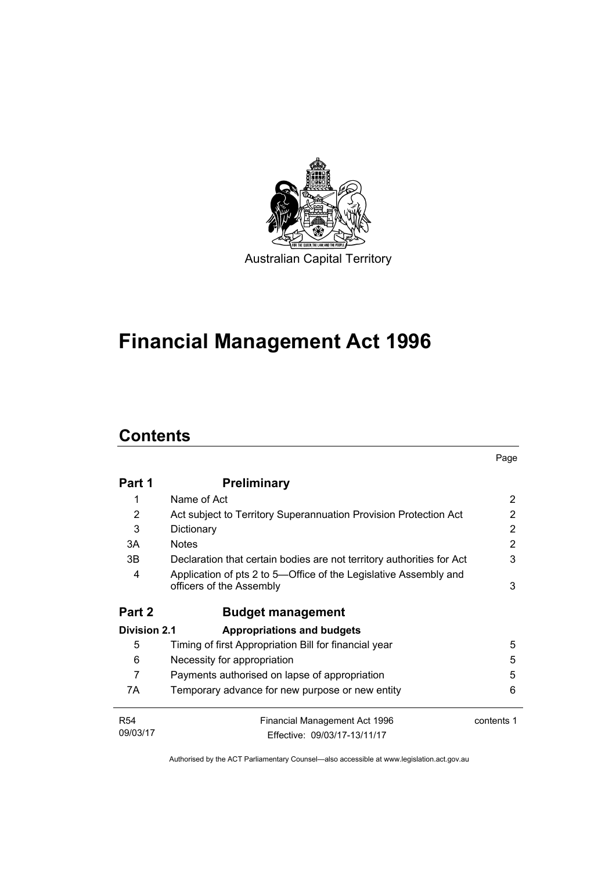

# **Financial Management Act 1996**

# **Contents**

|                     |                                                                                              | Page       |
|---------------------|----------------------------------------------------------------------------------------------|------------|
| Part 1              | <b>Preliminary</b>                                                                           |            |
| 1                   | Name of Act                                                                                  | 2          |
| 2                   | Act subject to Territory Superannuation Provision Protection Act                             | 2          |
| 3                   | Dictionary                                                                                   | 2          |
| 3A                  | <b>Notes</b>                                                                                 | 2          |
| 3В.                 | Declaration that certain bodies are not territory authorities for Act                        | 3          |
| 4                   | Application of pts 2 to 5—Office of the Legislative Assembly and<br>officers of the Assembly | 3          |
| Part 2              | <b>Budget management</b>                                                                     |            |
| <b>Division 2.1</b> | <b>Appropriations and budgets</b>                                                            |            |
| 5                   | Timing of first Appropriation Bill for financial year                                        | 5          |
| 6                   | Necessity for appropriation                                                                  | 5          |
| 7                   | Payments authorised on lapse of appropriation                                                | 5          |
| 7A                  | Temporary advance for new purpose or new entity                                              | 6          |
| <b>R54</b>          | Financial Management Act 1996                                                                | contents 1 |
| 09/03/17            | Effective: 09/03/17-13/11/17                                                                 |            |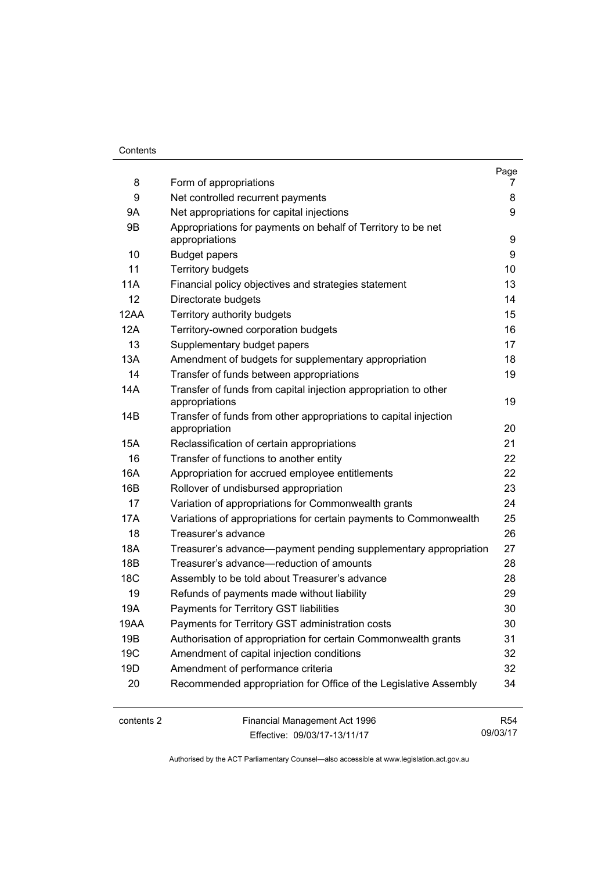#### **Contents**

| 8               | Form of appropriations                                                            | Page<br>7 |
|-----------------|-----------------------------------------------------------------------------------|-----------|
| 9               | Net controlled recurrent payments                                                 | 8         |
| 9Α              | Net appropriations for capital injections                                         | 9         |
| 9B              | Appropriations for payments on behalf of Territory to be net                      |           |
|                 | appropriations                                                                    | 9         |
| 10              | <b>Budget papers</b>                                                              | 9         |
| 11              | <b>Territory budgets</b>                                                          | 10        |
| 11A             | Financial policy objectives and strategies statement                              | 13        |
| 12              | Directorate budgets                                                               | 14        |
| 12AA            | Territory authority budgets                                                       | 15        |
| 12A             | Territory-owned corporation budgets                                               | 16        |
| 13              | Supplementary budget papers                                                       | 17        |
| 13A             | Amendment of budgets for supplementary appropriation                              | 18        |
| 14              | Transfer of funds between appropriations                                          | 19        |
| 14A             | Transfer of funds from capital injection appropriation to other<br>appropriations | 19        |
| 14B             | Transfer of funds from other appropriations to capital injection<br>appropriation | 20        |
| 15A             | Reclassification of certain appropriations                                        | 21        |
| 16              | Transfer of functions to another entity                                           | 22        |
| 16A             | Appropriation for accrued employee entitlements                                   | 22        |
| 16B             | Rollover of undisbursed appropriation                                             | 23        |
| 17              | Variation of appropriations for Commonwealth grants                               | 24        |
| 17A             | Variations of appropriations for certain payments to Commonwealth                 | 25        |
| 18              | Treasurer's advance                                                               | 26        |
| 18A             | Treasurer's advance—payment pending supplementary appropriation                   | 27        |
| 18B             | Treasurer's advance—reduction of amounts                                          | 28        |
| 18 <sub>C</sub> | Assembly to be told about Treasurer's advance                                     | 28        |
| 19              | Refunds of payments made without liability                                        | 29        |
| 19A             | Payments for Territory GST liabilities                                            | 30        |
| 19AA            | Payments for Territory GST administration costs                                   | 30        |
| 19B             | Authorisation of appropriation for certain Commonwealth grants                    | 31        |
| 19C             | Amendment of capital injection conditions                                         | 32        |
| 19D             | Amendment of performance criteria                                                 | 32        |
| 20              | Recommended appropriation for Office of the Legislative Assembly                  | 34        |

contents 2 Financial Management Act 1996 Effective: 09/03/17-13/11/17

R54 09/03/17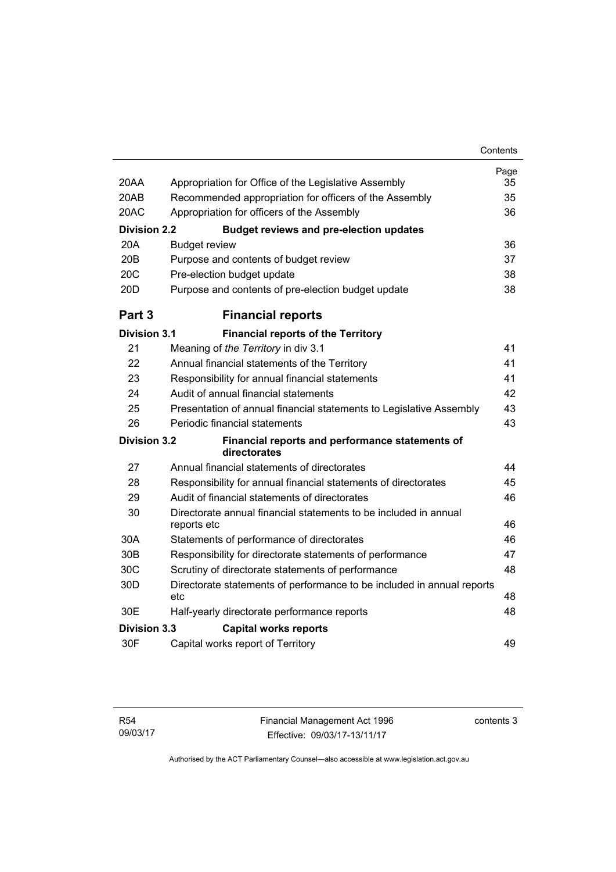| 20AA                | Appropriation for Office of the Legislative Assembly                   | Page<br>35 |
|---------------------|------------------------------------------------------------------------|------------|
| 20AB                | Recommended appropriation for officers of the Assembly                 | 35         |
| 20AC                | Appropriation for officers of the Assembly                             | 36         |
| <b>Division 2.2</b> | <b>Budget reviews and pre-election updates</b>                         |            |
| 20A                 | <b>Budget review</b>                                                   | 36         |
| 20B                 | Purpose and contents of budget review                                  | 37         |
| 20C                 | Pre-election budget update                                             | 38         |
| 20D                 | Purpose and contents of pre-election budget update                     | 38         |
| Part <sub>3</sub>   | <b>Financial reports</b>                                               |            |
| <b>Division 3.1</b> | <b>Financial reports of the Territory</b>                              |            |
| 21                  | Meaning of the Territory in div 3.1                                    | 41         |
| 22                  | Annual financial statements of the Territory                           | 41         |
| 23                  | Responsibility for annual financial statements                         | 41         |
| 24                  | Audit of annual financial statements                                   | 42         |
| 25                  | Presentation of annual financial statements to Legislative Assembly    | 43         |
| 26                  | Periodic financial statements                                          | 43         |
| <b>Division 3.2</b> | Financial reports and performance statements of<br>directorates        |            |
| 27                  | Annual financial statements of directorates                            | 44         |
| 28                  | Responsibility for annual financial statements of directorates         | 45         |
| 29                  | Audit of financial statements of directorates                          | 46         |
| 30                  | Directorate annual financial statements to be included in annual       |            |
| 30A                 | reports etc<br>Statements of performance of directorates               | 46<br>46   |
| 30 <sub>B</sub>     | Responsibility for directorate statements of performance               | 47         |
| 30C                 | Scrutiny of directorate statements of performance                      | 48         |
| 30D                 | Directorate statements of performance to be included in annual reports |            |
|                     | etc                                                                    | 48         |
| 30E                 | Half-yearly directorate performance reports                            | 48         |
| <b>Division 3.3</b> | <b>Capital works reports</b>                                           |            |
| 30F                 | Capital works report of Territory                                      | 49         |

contents 3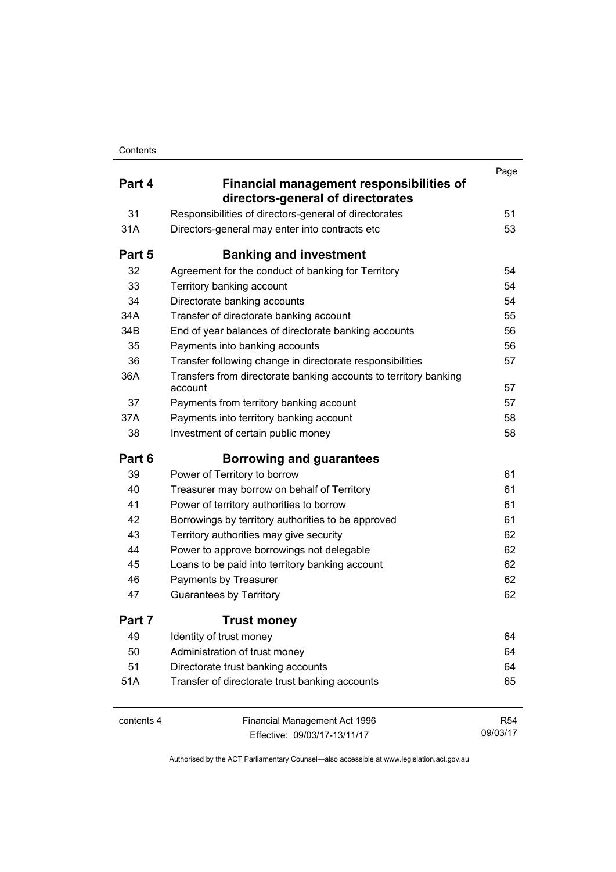|            |                                                                               | Page            |
|------------|-------------------------------------------------------------------------------|-----------------|
| Part 4     | Financial management responsibilities of<br>directors-general of directorates |                 |
| 31         | Responsibilities of directors-general of directorates                         | 51              |
| 31A        | Directors-general may enter into contracts etc                                | 53              |
| Part 5     | <b>Banking and investment</b>                                                 |                 |
| 32         | Agreement for the conduct of banking for Territory                            | 54              |
| 33         | Territory banking account                                                     | 54              |
| 34         | Directorate banking accounts                                                  | 54              |
| 34A        | Transfer of directorate banking account                                       | 55              |
| 34B        | End of year balances of directorate banking accounts                          | 56              |
| 35         | Payments into banking accounts                                                | 56              |
| 36         | Transfer following change in directorate responsibilities                     | 57              |
| 36A        | Transfers from directorate banking accounts to territory banking<br>account   | 57              |
| 37         | Payments from territory banking account                                       | 57              |
| 37A        | Payments into territory banking account                                       | 58              |
| 38         | Investment of certain public money                                            | 58              |
| Part 6     | <b>Borrowing and guarantees</b>                                               |                 |
| 39         | Power of Territory to borrow                                                  | 61              |
| 40         | Treasurer may borrow on behalf of Territory                                   | 61              |
| 41         | Power of territory authorities to borrow                                      | 61              |
| 42         | Borrowings by territory authorities to be approved                            | 61              |
| 43         | Territory authorities may give security                                       | 62              |
| 44         | Power to approve borrowings not delegable                                     | 62              |
| 45         | Loans to be paid into territory banking account                               | 62              |
| 46         | Payments by Treasurer                                                         | 62              |
| 47         | <b>Guarantees by Territory</b>                                                | 62              |
| Part 7     | <b>Trust money</b>                                                            |                 |
| 49         | Identity of trust money                                                       | 64              |
| 50         | Administration of trust money                                                 | 64              |
| 51         | Directorate trust banking accounts                                            | 64              |
| 51A        | Transfer of directorate trust banking accounts                                | 65              |
| contents 4 | Financial Management Act 1996                                                 | R <sub>54</sub> |
|            | Effective: 09/03/17-13/11/17                                                  | 09/03/17        |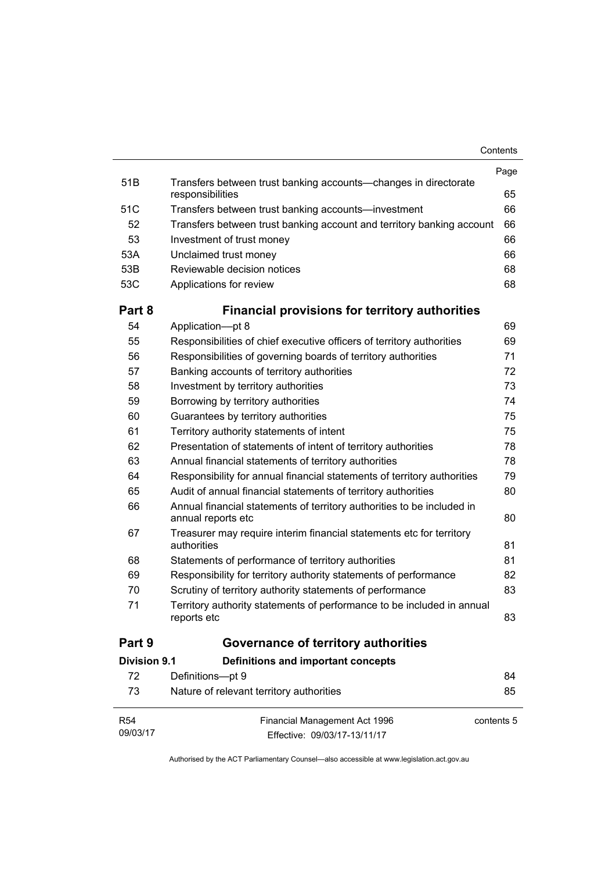| Contents |
|----------|
|----------|

| <b>R54</b><br>09/03/17 | Financial Management Act 1996<br>Effective: 09/03/17-13/11/17                                | contents 5 |
|------------------------|----------------------------------------------------------------------------------------------|------------|
| 73                     | Nature of relevant territory authorities                                                     | 85         |
| 72                     | Definitions-pt 9                                                                             | 84         |
| <b>Division 9.1</b>    | Definitions and important concepts                                                           |            |
| Part 9                 | Governance of territory authorities                                                          |            |
| 71                     | Territory authority statements of performance to be included in annual<br>reports etc        | 83         |
| 70                     | Scrutiny of territory authority statements of performance                                    | 83         |
| 69                     | Responsibility for territory authority statements of performance                             | 82         |
| 68                     | Statements of performance of territory authorities                                           | 81         |
| 67                     | Treasurer may require interim financial statements etc for territory<br>authorities          | 81         |
| 66                     | Annual financial statements of territory authorities to be included in<br>annual reports etc | 80         |
| 65                     | Audit of annual financial statements of territory authorities                                | 80         |
| 64                     | Responsibility for annual financial statements of territory authorities                      | 79         |
| 63                     | Annual financial statements of territory authorities                                         | 78         |
| 62                     | Presentation of statements of intent of territory authorities                                | 78         |
| 61                     | Territory authority statements of intent                                                     | 75         |
| 60                     | Guarantees by territory authorities                                                          | 75         |
| 59                     | Borrowing by territory authorities                                                           | 74         |
| 58                     | Investment by territory authorities                                                          | 73         |
| 57                     | Banking accounts of territory authorities                                                    | 72         |
| 56                     | Responsibilities of governing boards of territory authorities                                | 71         |
| 55                     | Responsibilities of chief executive officers of territory authorities                        | 69         |
| 54                     | Application-pt 8                                                                             | 69         |
| Part 8                 | <b>Financial provisions for territory authorities</b>                                        |            |
| 53C                    | Applications for review                                                                      | 68         |
| 53B                    | Reviewable decision notices                                                                  | 68         |
| 53A                    | Unclaimed trust money                                                                        | 66         |
| 53                     | Investment of trust money                                                                    | 66         |
| 52                     | Transfers between trust banking account and territory banking account                        | 66         |
| 51C                    | Transfers between trust banking accounts-investment                                          | 66         |
| 51 <sub>B</sub>        | Transfers between trust banking accounts—changes in directorate<br>responsibilities          | 65         |
|                        |                                                                                              | Page       |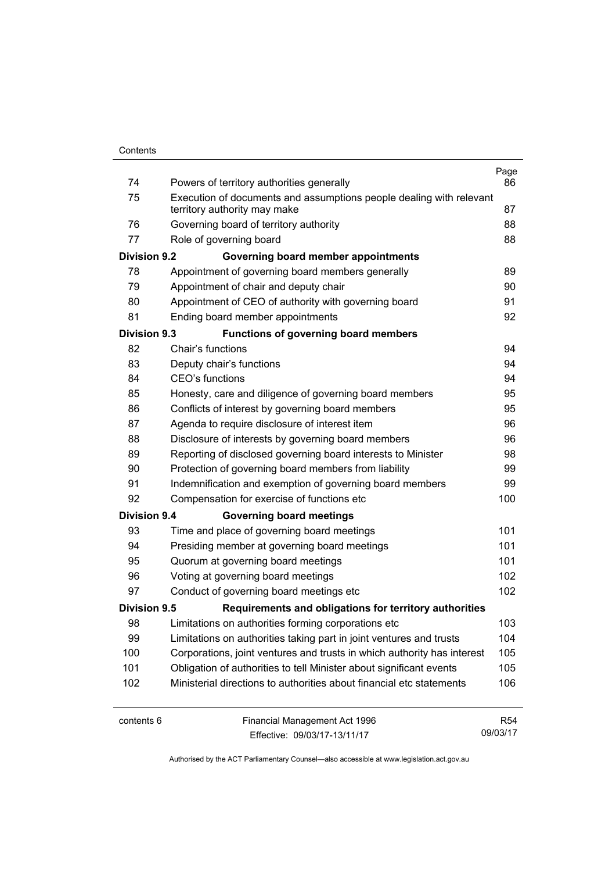| 74                  | Powers of territory authorities generally                               | Page<br>86 |
|---------------------|-------------------------------------------------------------------------|------------|
| 75                  | Execution of documents and assumptions people dealing with relevant     |            |
|                     | territory authority may make                                            | 87         |
| 76                  | Governing board of territory authority                                  | 88         |
| 77                  | Role of governing board                                                 | 88         |
| <b>Division 9.2</b> | Governing board member appointments                                     |            |
| 78                  | Appointment of governing board members generally                        | 89         |
| 79                  | Appointment of chair and deputy chair                                   | 90         |
| 80                  | Appointment of CEO of authority with governing board                    | 91         |
| 81                  | Ending board member appointments                                        | 92         |
| <b>Division 9.3</b> | <b>Functions of governing board members</b>                             |            |
| 82                  | Chair's functions                                                       | 94         |
| 83                  | Deputy chair's functions                                                | 94         |
| 84                  | CEO's functions                                                         | 94         |
| 85                  | Honesty, care and diligence of governing board members                  | 95         |
| 86                  | Conflicts of interest by governing board members                        | 95         |
| 87                  | Agenda to require disclosure of interest item                           | 96         |
| 88                  | Disclosure of interests by governing board members                      | 96         |
| 89                  | Reporting of disclosed governing board interests to Minister            | 98         |
| 90                  | Protection of governing board members from liability                    | 99         |
| 91                  | Indemnification and exemption of governing board members                | 99         |
| 92                  | Compensation for exercise of functions etc                              | 100        |
| <b>Division 9.4</b> | <b>Governing board meetings</b>                                         |            |
| 93                  | Time and place of governing board meetings                              | 101        |
| 94                  | Presiding member at governing board meetings                            | 101        |
| 95                  | Quorum at governing board meetings                                      | 101        |
| 96                  | Voting at governing board meetings                                      | 102        |
| 97                  | Conduct of governing board meetings etc                                 | 102        |
| Division 9.5        | Requirements and obligations for territory authorities                  |            |
| 98                  | Limitations on authorities forming corporations etc                     | 103        |
| 99                  | Limitations on authorities taking part in joint ventures and trusts     | 104        |
| 100                 | Corporations, joint ventures and trusts in which authority has interest | 105        |
| 101                 | Obligation of authorities to tell Minister about significant events     | 105        |
| 102                 | Ministerial directions to authorities about financial etc statements    | 106        |
| contents 6          | Financial Management Act 1996                                           | <b>R54</b> |

Effective: 09/03/17-13/11/17

09/03/17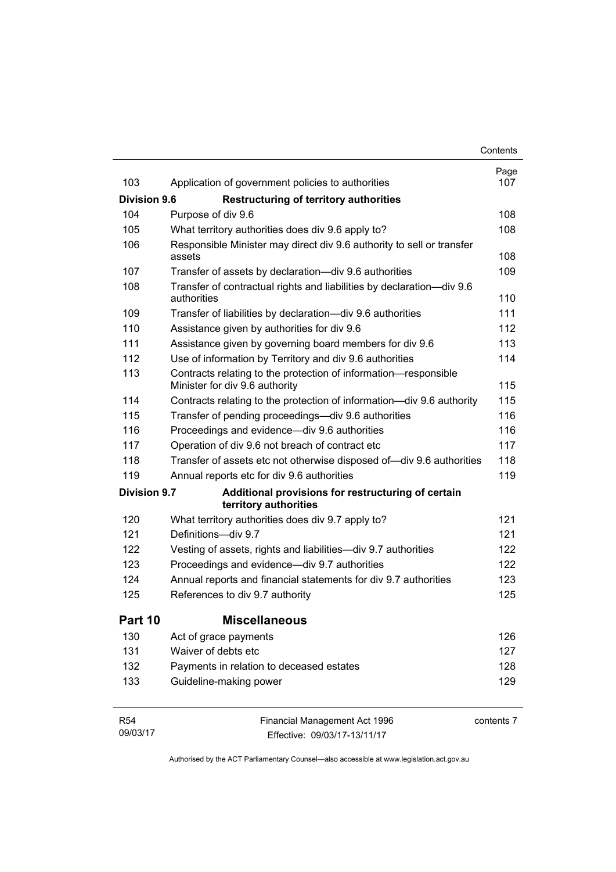|                     |                                                                                                   | Contents    |
|---------------------|---------------------------------------------------------------------------------------------------|-------------|
| 103                 |                                                                                                   | Page<br>107 |
|                     | Application of government policies to authorities                                                 |             |
| <b>Division 9.6</b> | <b>Restructuring of territory authorities</b>                                                     |             |
| 104                 | Purpose of div 9.6                                                                                | 108         |
| 105                 | What territory authorities does div 9.6 apply to?                                                 | 108         |
| 106                 | Responsible Minister may direct div 9.6 authority to sell or transfer<br>assets                   | 108         |
| 107                 | Transfer of assets by declaration-div 9.6 authorities                                             | 109         |
| 108                 | Transfer of contractual rights and liabilities by declaration-div 9.6<br>authorities              | 110         |
| 109                 | Transfer of liabilities by declaration-div 9.6 authorities                                        | 111         |
| 110                 | Assistance given by authorities for div 9.6                                                       | 112         |
| 111                 | Assistance given by governing board members for div 9.6                                           | 113         |
| 112                 | Use of information by Territory and div 9.6 authorities                                           | 114         |
| 113                 | Contracts relating to the protection of information-responsible<br>Minister for div 9.6 authority | 115         |
| 114                 | Contracts relating to the protection of information—div 9.6 authority                             | 115         |
| 115                 | Transfer of pending proceedings—div 9.6 authorities                                               | 116         |
| 116                 | Proceedings and evidence—div 9.6 authorities                                                      | 116         |
| 117                 | Operation of div 9.6 not breach of contract etc                                                   | 117         |
| 118                 | Transfer of assets etc not otherwise disposed of-div 9.6 authorities                              | 118         |
| 119                 | Annual reports etc for div 9.6 authorities                                                        | 119         |
| <b>Division 9.7</b> | Additional provisions for restructuring of certain<br>territory authorities                       |             |
| 120                 | What territory authorities does div 9.7 apply to?                                                 | 121         |
| 121                 | Definitions-div 9.7                                                                               | 121         |
| 122                 | Vesting of assets, rights and liabilities-div 9.7 authorities                                     | 122         |
| 123                 | Proceedings and evidence—div 9.7 authorities                                                      | 122         |
| 124                 | Annual reports and financial statements for div 9.7 authorities                                   | 123         |
| 125                 | References to div 9.7 authority                                                                   | 125         |
| Part 10             | <b>Miscellaneous</b>                                                                              |             |
| 130                 | Act of grace payments                                                                             | 126         |
| 131                 | Waiver of debts etc                                                                               | 127         |
| 132                 | Payments in relation to deceased estates                                                          | 128         |
| 133                 | Guideline-making power                                                                            | 129         |
| <b>R54</b>          | Financial Management Act 1996                                                                     | contents 7  |

09/03/17

iancial Management Act 199 Effective: 09/03/17-13/11/17 contents 7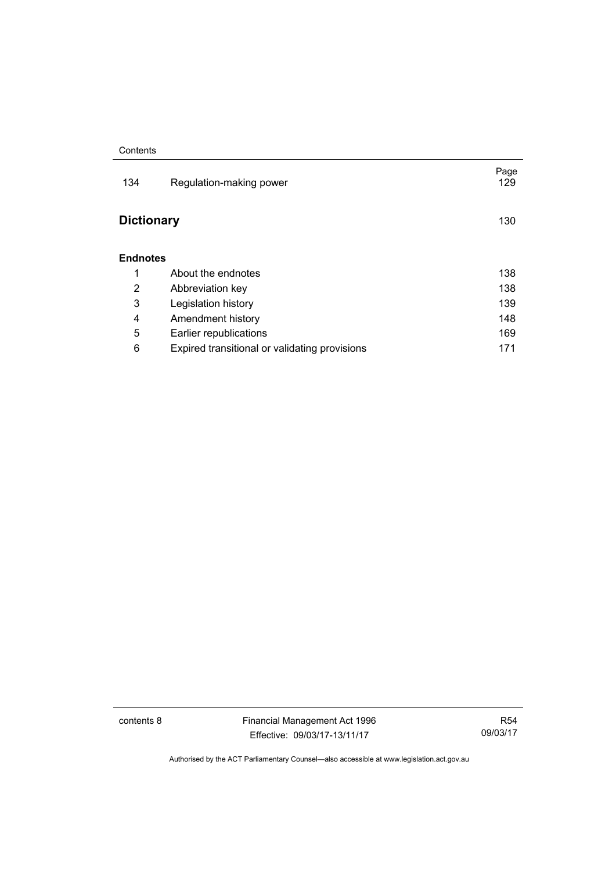| 134               | Regulation-making power                       | Page<br>129 |
|-------------------|-----------------------------------------------|-------------|
| <b>Dictionary</b> |                                               | 130         |
| <b>Endnotes</b>   |                                               |             |
| 1                 | About the endnotes                            | 138         |
| 2                 | Abbreviation key                              | 138         |
| 3                 | Legislation history                           | 139         |
| 4                 | Amendment history                             | 148         |
| 5                 | Earlier republications                        | 169         |
| 6                 | Expired transitional or validating provisions | 171         |

contents 8 Financial Management Act 1996 Effective: 09/03/17-13/11/17

R54 09/03/17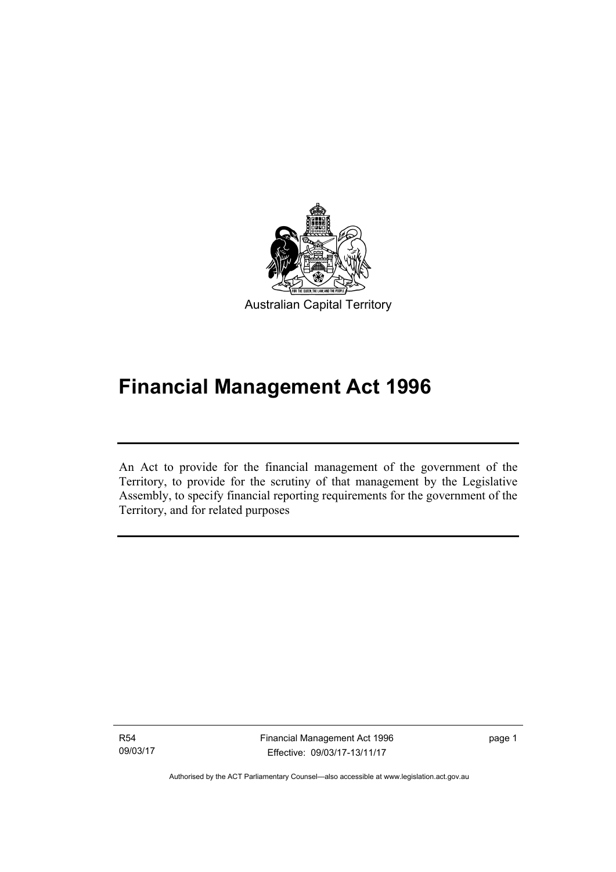

# **Financial Management Act 1996**

An Act to provide for the financial management of the government of the Territory, to provide for the scrutiny of that management by the Legislative Assembly, to specify financial reporting requirements for the government of the Territory, and for related purposes

R54 09/03/17

l

Financial Management Act 1996 Effective: 09/03/17-13/11/17

page 1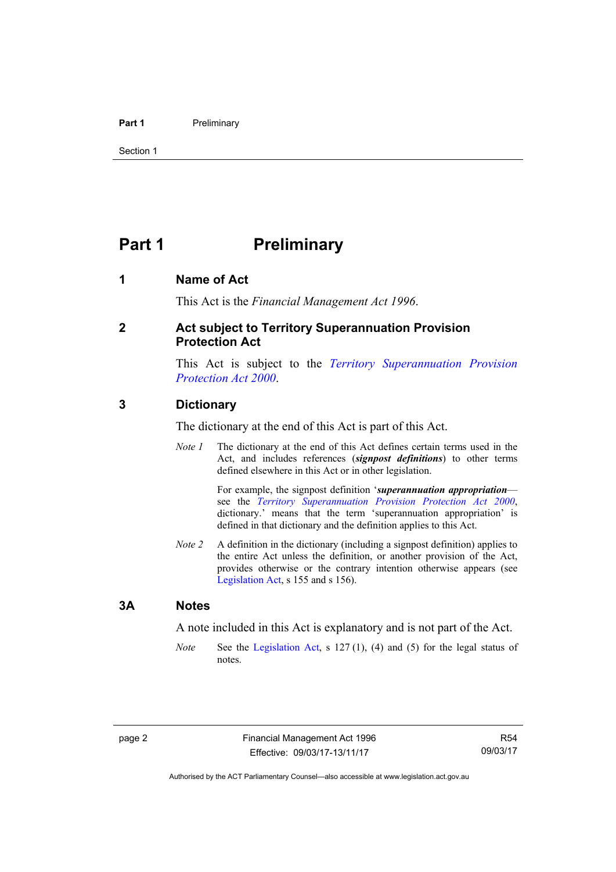#### **Part 1** Preliminary

Section 1

## <span id="page-11-0"></span>**Part 1** Preliminary

#### <span id="page-11-1"></span>**1 Name of Act**

This Act is the *Financial Management Act 1996*.

#### <span id="page-11-2"></span>**2 Act subject to Territory Superannuation Provision Protection Act**

This Act is subject to the *[Territory Superannuation Provision](http://www.legislation.act.gov.au/a/2000-21)  [Protection Act 2000](http://www.legislation.act.gov.au/a/2000-21)*.

#### <span id="page-11-3"></span>**3 Dictionary**

The dictionary at the end of this Act is part of this Act.

*Note 1* The dictionary at the end of this Act defines certain terms used in the Act, and includes references (*signpost definitions*) to other terms defined elsewhere in this Act or in other legislation.

> For example, the signpost definition '*superannuation appropriation* see the *[Territory Superannuation Provision Protection Act 2000](http://www.legislation.act.gov.au/a/2000-21)*, dictionary.' means that the term 'superannuation appropriation' is defined in that dictionary and the definition applies to this Act.

*Note 2* A definition in the dictionary (including a signpost definition) applies to the entire Act unless the definition, or another provision of the Act, provides otherwise or the contrary intention otherwise appears (see [Legislation Act,](http://www.legislation.act.gov.au/a/2001-14) s 155 and s 156).

#### <span id="page-11-4"></span>**3A Notes**

A note included in this Act is explanatory and is not part of the Act.

*Note* See the [Legislation Act,](http://www.legislation.act.gov.au/a/2001-14) s 127(1), (4) and (5) for the legal status of notes.

R54 09/03/17

Authorised by the ACT Parliamentary Counsel—also accessible at www.legislation.act.gov.au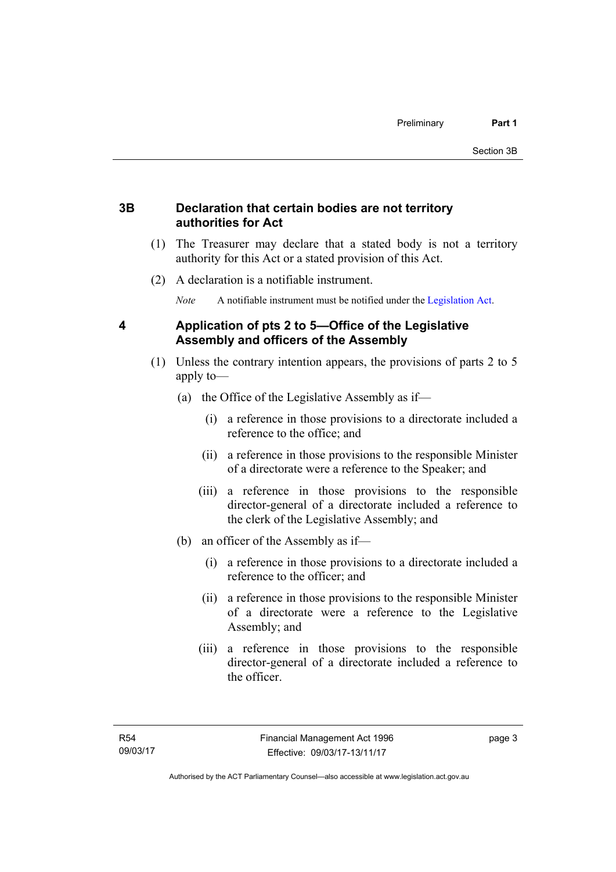## <span id="page-12-0"></span>**3B Declaration that certain bodies are not territory authorities for Act**

- (1) The Treasurer may declare that a stated body is not a territory authority for this Act or a stated provision of this Act.
- (2) A declaration is a notifiable instrument.

*Note* A notifiable instrument must be notified under the [Legislation Act](http://www.legislation.act.gov.au/a/2001-14).

## <span id="page-12-1"></span>**4 Application of pts 2 to 5—Office of the Legislative Assembly and officers of the Assembly**

- (1) Unless the contrary intention appears, the provisions of parts 2 to 5 apply to—
	- (a) the Office of the Legislative Assembly as if—
		- (i) a reference in those provisions to a directorate included a reference to the office; and
		- (ii) a reference in those provisions to the responsible Minister of a directorate were a reference to the Speaker; and
		- (iii) a reference in those provisions to the responsible director-general of a directorate included a reference to the clerk of the Legislative Assembly; and
	- (b) an officer of the Assembly as if—
		- (i) a reference in those provisions to a directorate included a reference to the officer; and
		- (ii) a reference in those provisions to the responsible Minister of a directorate were a reference to the Legislative Assembly; and
		- (iii) a reference in those provisions to the responsible director-general of a directorate included a reference to the officer.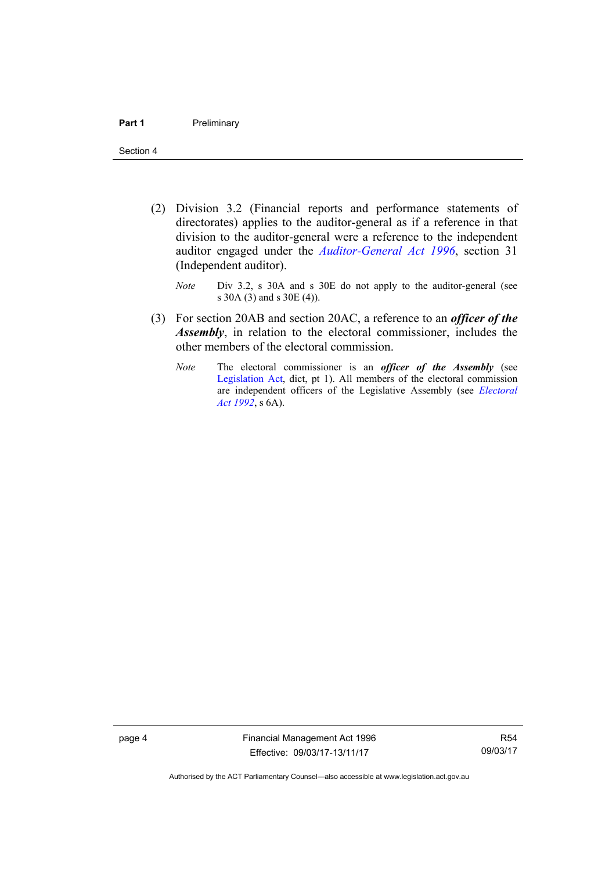- (2) Division 3.2 (Financial reports and performance statements of directorates) applies to the auditor-general as if a reference in that division to the auditor-general were a reference to the independent auditor engaged under the *[Auditor-General Act 1996](http://www.legislation.act.gov.au/a/1996-23)*, section 31 (Independent auditor).
	- *Note* Div 3.2, s 30A and s 30E do not apply to the auditor-general (see s 30A (3) and s 30E (4)).
- (3) For section 20AB and section 20AC, a reference to an *officer of the Assembly*, in relation to the electoral commissioner, includes the other members of the electoral commission.
	- *Note* The electoral commissioner is an *officer of the Assembly* (see [Legislation Act](http://www.legislation.act.gov.au/a/2001-14), dict, pt 1). All members of the electoral commission are independent officers of the Legislative Assembly (see *[Electoral](http://www.legislation.act.gov.au/a/1992-71)  [Act 1992](http://www.legislation.act.gov.au/a/1992-71)*, s 6A).

page 4 Financial Management Act 1996 Effective: 09/03/17-13/11/17

R54 09/03/17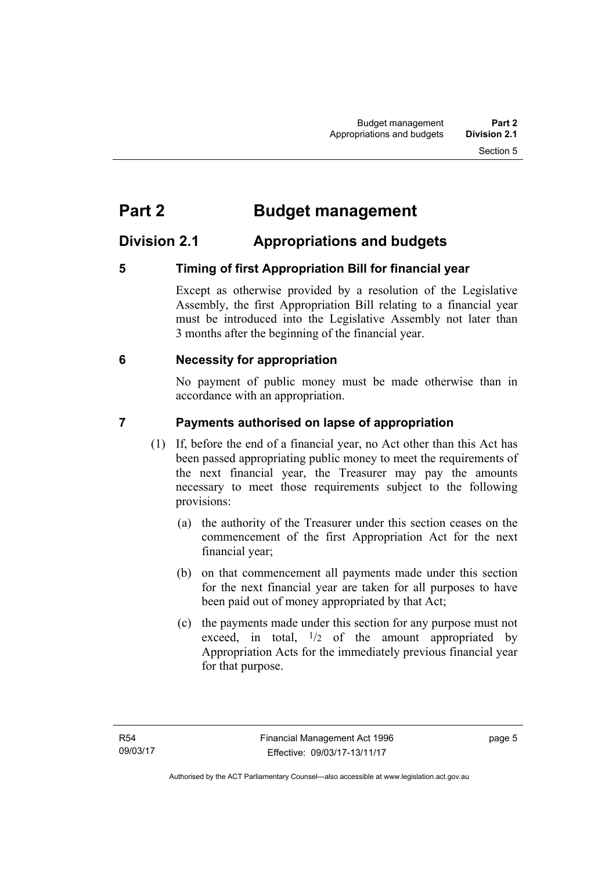## <span id="page-14-0"></span>**Part 2 Budget management**

## <span id="page-14-1"></span>**Division 2.1 Appropriations and budgets**

## <span id="page-14-2"></span>**5 Timing of first Appropriation Bill for financial year**

Except as otherwise provided by a resolution of the Legislative Assembly, the first Appropriation Bill relating to a financial year must be introduced into the Legislative Assembly not later than 3 months after the beginning of the financial year.

## <span id="page-14-3"></span> **6 Necessity for appropriation**

No payment of public money must be made otherwise than in accordance with an appropriation.

## <span id="page-14-4"></span>**7 Payments authorised on lapse of appropriation**

- (1) If, before the end of a financial year, no Act other than this Act has been passed appropriating public money to meet the requirements of the next financial year, the Treasurer may pay the amounts necessary to meet those requirements subject to the following provisions:
	- (a) the authority of the Treasurer under this section ceases on the commencement of the first Appropriation Act for the next financial year;
	- (b) on that commencement all payments made under this section for the next financial year are taken for all purposes to have been paid out of money appropriated by that Act;
	- (c) the payments made under this section for any purpose must not exceed, in total,  $\frac{1}{2}$  of the amount appropriated by Appropriation Acts for the immediately previous financial year for that purpose.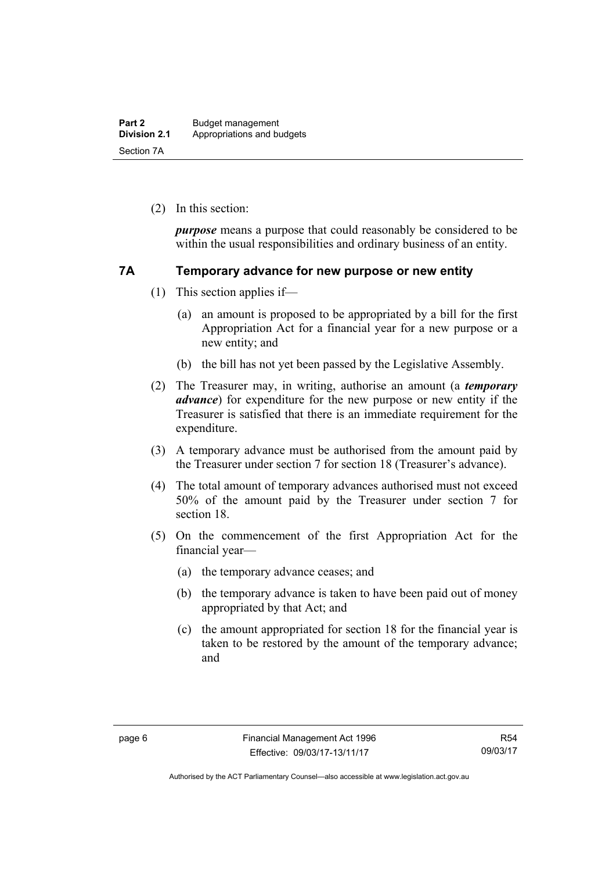(2) In this section:

*purpose* means a purpose that could reasonably be considered to be within the usual responsibilities and ordinary business of an entity.

#### <span id="page-15-0"></span>**7A Temporary advance for new purpose or new entity**

- (1) This section applies if—
	- (a) an amount is proposed to be appropriated by a bill for the first Appropriation Act for a financial year for a new purpose or a new entity; and
	- (b) the bill has not yet been passed by the Legislative Assembly.
- (2) The Treasurer may, in writing, authorise an amount (a *temporary advance*) for expenditure for the new purpose or new entity if the Treasurer is satisfied that there is an immediate requirement for the expenditure.
- (3) A temporary advance must be authorised from the amount paid by the Treasurer under section 7 for section 18 (Treasurer's advance).
- (4) The total amount of temporary advances authorised must not exceed 50% of the amount paid by the Treasurer under section 7 for section 18.
- (5) On the commencement of the first Appropriation Act for the financial year—
	- (a) the temporary advance ceases; and
	- (b) the temporary advance is taken to have been paid out of money appropriated by that Act; and
	- (c) the amount appropriated for section 18 for the financial year is taken to be restored by the amount of the temporary advance; and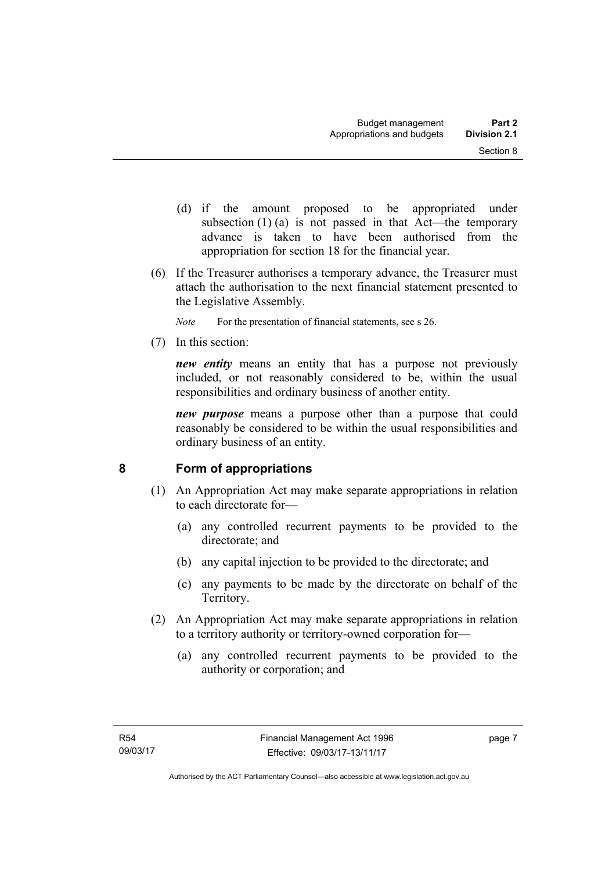- (d) if the amount proposed to be appropriated under subsection  $(1)$  (a) is not passed in that Act—the temporary advance is taken to have been authorised from the appropriation for section 18 for the financial year.
- (6) If the Treasurer authorises a temporary advance, the Treasurer must attach the authorisation to the next financial statement presented to the Legislative Assembly.
	- *Note* For the presentation of financial statements, see s 26.
- (7) In this section:

*new entity* means an entity that has a purpose not previously included, or not reasonably considered to be, within the usual responsibilities and ordinary business of another entity.

*new purpose* means a purpose other than a purpose that could reasonably be considered to be within the usual responsibilities and ordinary business of an entity.

### <span id="page-16-0"></span>**8 Form of appropriations**

- (1) An Appropriation Act may make separate appropriations in relation to each directorate for—
	- (a) any controlled recurrent payments to be provided to the directorate; and
	- (b) any capital injection to be provided to the directorate; and
	- (c) any payments to be made by the directorate on behalf of the Territory.
- (2) An Appropriation Act may make separate appropriations in relation to a territory authority or territory-owned corporation for—
	- (a) any controlled recurrent payments to be provided to the authority or corporation; and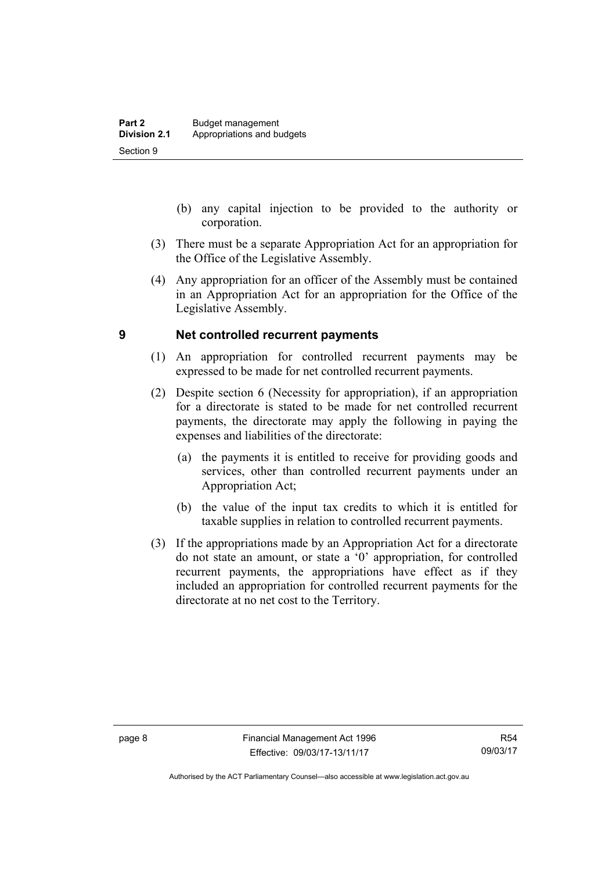- (b) any capital injection to be provided to the authority or corporation.
- (3) There must be a separate Appropriation Act for an appropriation for the Office of the Legislative Assembly.
- (4) Any appropriation for an officer of the Assembly must be contained in an Appropriation Act for an appropriation for the Office of the Legislative Assembly.

#### <span id="page-17-0"></span>**9 Net controlled recurrent payments**

- (1) An appropriation for controlled recurrent payments may be expressed to be made for net controlled recurrent payments.
- (2) Despite section 6 (Necessity for appropriation), if an appropriation for a directorate is stated to be made for net controlled recurrent payments, the directorate may apply the following in paying the expenses and liabilities of the directorate:
	- (a) the payments it is entitled to receive for providing goods and services, other than controlled recurrent payments under an Appropriation Act;
	- (b) the value of the input tax credits to which it is entitled for taxable supplies in relation to controlled recurrent payments.
- (3) If the appropriations made by an Appropriation Act for a directorate do not state an amount, or state a '0' appropriation, for controlled recurrent payments, the appropriations have effect as if they included an appropriation for controlled recurrent payments for the directorate at no net cost to the Territory.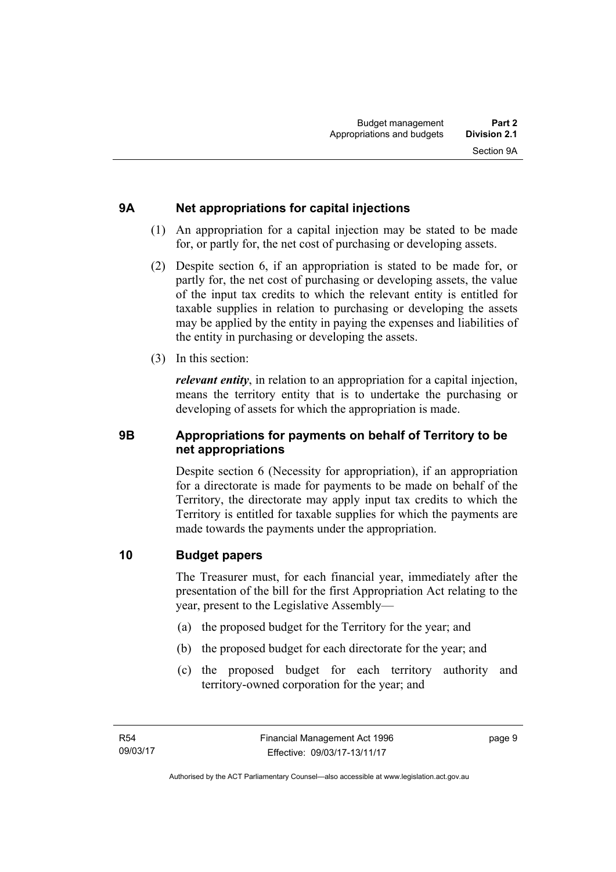## <span id="page-18-0"></span>**9A Net appropriations for capital injections**

- (1) An appropriation for a capital injection may be stated to be made for, or partly for, the net cost of purchasing or developing assets.
- (2) Despite section 6, if an appropriation is stated to be made for, or partly for, the net cost of purchasing or developing assets, the value of the input tax credits to which the relevant entity is entitled for taxable supplies in relation to purchasing or developing the assets may be applied by the entity in paying the expenses and liabilities of the entity in purchasing or developing the assets.
- (3) In this section:

*relevant entity*, in relation to an appropriation for a capital injection, means the territory entity that is to undertake the purchasing or developing of assets for which the appropriation is made.

### <span id="page-18-1"></span>**9B Appropriations for payments on behalf of Territory to be net appropriations**

Despite section 6 (Necessity for appropriation), if an appropriation for a directorate is made for payments to be made on behalf of the Territory, the directorate may apply input tax credits to which the Territory is entitled for taxable supplies for which the payments are made towards the payments under the appropriation.

### <span id="page-18-2"></span>**10 Budget papers**

The Treasurer must, for each financial year, immediately after the presentation of the bill for the first Appropriation Act relating to the year, present to the Legislative Assembly—

- (a) the proposed budget for the Territory for the year; and
- (b) the proposed budget for each directorate for the year; and
- (c) the proposed budget for each territory authority and territory-owned corporation for the year; and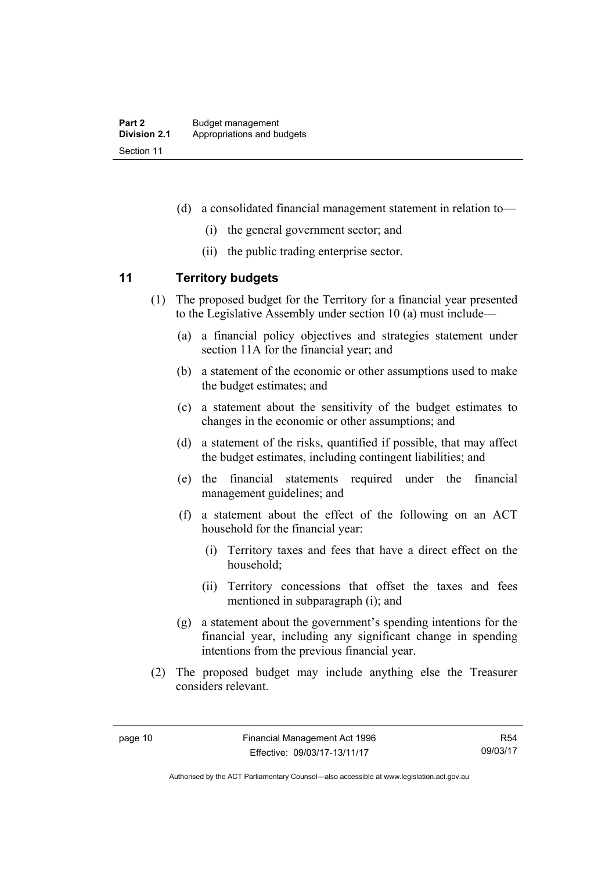- (d) a consolidated financial management statement in relation to—
	- (i) the general government sector; and
	- (ii) the public trading enterprise sector.

### <span id="page-19-0"></span>**11 Territory budgets**

- (1) The proposed budget for the Territory for a financial year presented to the Legislative Assembly under section 10 (a) must include—
	- (a) a financial policy objectives and strategies statement under section 11A for the financial year; and
	- (b) a statement of the economic or other assumptions used to make the budget estimates; and
	- (c) a statement about the sensitivity of the budget estimates to changes in the economic or other assumptions; and
	- (d) a statement of the risks, quantified if possible, that may affect the budget estimates, including contingent liabilities; and
	- (e) the financial statements required under the financial management guidelines; and
	- (f) a statement about the effect of the following on an ACT household for the financial year:
		- (i) Territory taxes and fees that have a direct effect on the household;
		- (ii) Territory concessions that offset the taxes and fees mentioned in subparagraph (i); and
	- (g) a statement about the government's spending intentions for the financial year, including any significant change in spending intentions from the previous financial year.
- (2) The proposed budget may include anything else the Treasurer considers relevant.

R54 09/03/17

Authorised by the ACT Parliamentary Counsel—also accessible at www.legislation.act.gov.au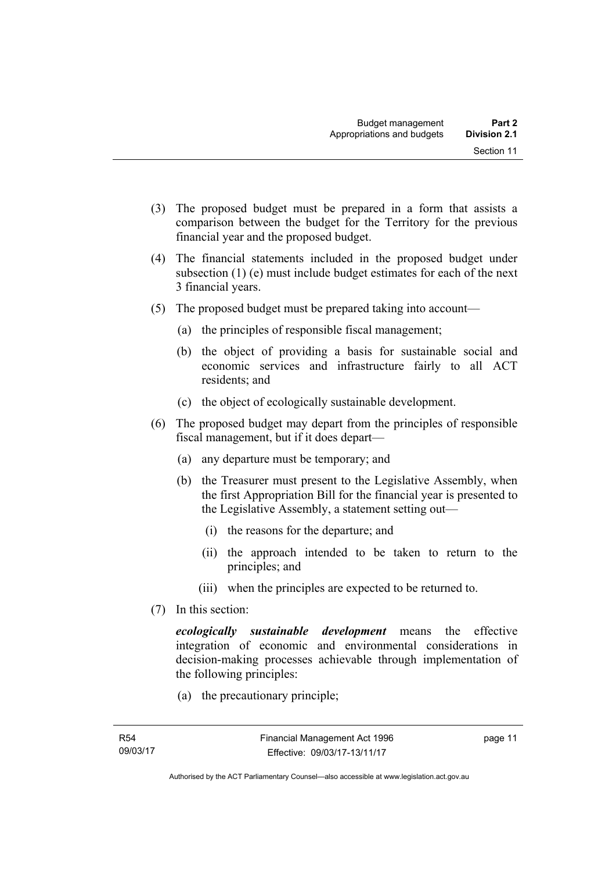- (3) The proposed budget must be prepared in a form that assists a comparison between the budget for the Territory for the previous financial year and the proposed budget.
- (4) The financial statements included in the proposed budget under subsection (1) (e) must include budget estimates for each of the next 3 financial years.
- (5) The proposed budget must be prepared taking into account—
	- (a) the principles of responsible fiscal management;
	- (b) the object of providing a basis for sustainable social and economic services and infrastructure fairly to all ACT residents; and
	- (c) the object of ecologically sustainable development.
- (6) The proposed budget may depart from the principles of responsible fiscal management, but if it does depart—
	- (a) any departure must be temporary; and
	- (b) the Treasurer must present to the Legislative Assembly, when the first Appropriation Bill for the financial year is presented to the Legislative Assembly, a statement setting out—
		- (i) the reasons for the departure; and
		- (ii) the approach intended to be taken to return to the principles; and
		- (iii) when the principles are expected to be returned to.
- (7) In this section:

*ecologically sustainable development* means the effective integration of economic and environmental considerations in decision-making processes achievable through implementation of the following principles:

(a) the precautionary principle;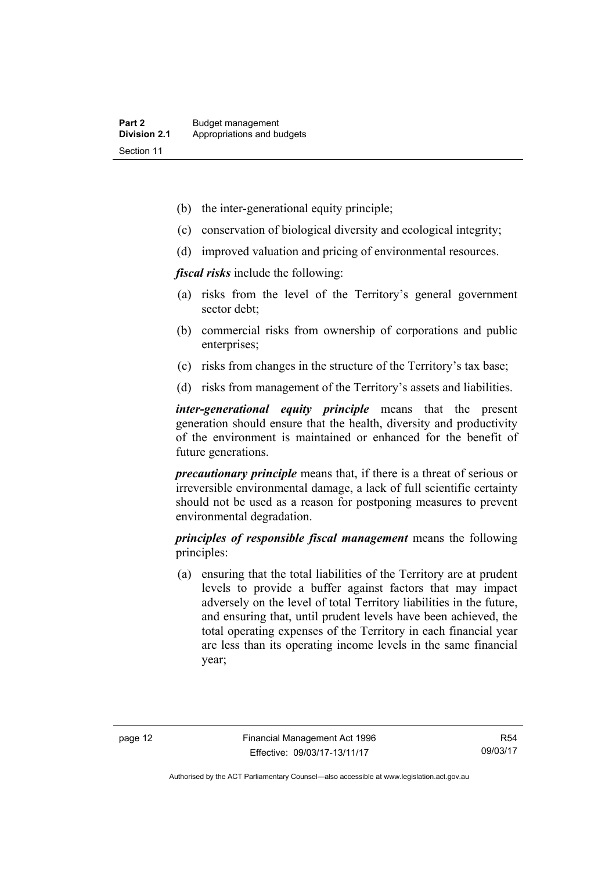- (b) the inter-generational equity principle;
- (c) conservation of biological diversity and ecological integrity;
- (d) improved valuation and pricing of environmental resources.

*fiscal risks* include the following:

- (a) risks from the level of the Territory's general government sector debt;
- (b) commercial risks from ownership of corporations and public enterprises;
- (c) risks from changes in the structure of the Territory's tax base;
- (d) risks from management of the Territory's assets and liabilities.

*inter-generational equity principle* means that the present generation should ensure that the health, diversity and productivity of the environment is maintained or enhanced for the benefit of future generations.

*precautionary principle* means that, if there is a threat of serious or irreversible environmental damage, a lack of full scientific certainty should not be used as a reason for postponing measures to prevent environmental degradation.

*principles of responsible fiscal management* means the following principles:

 (a) ensuring that the total liabilities of the Territory are at prudent levels to provide a buffer against factors that may impact adversely on the level of total Territory liabilities in the future, and ensuring that, until prudent levels have been achieved, the total operating expenses of the Territory in each financial year are less than its operating income levels in the same financial year;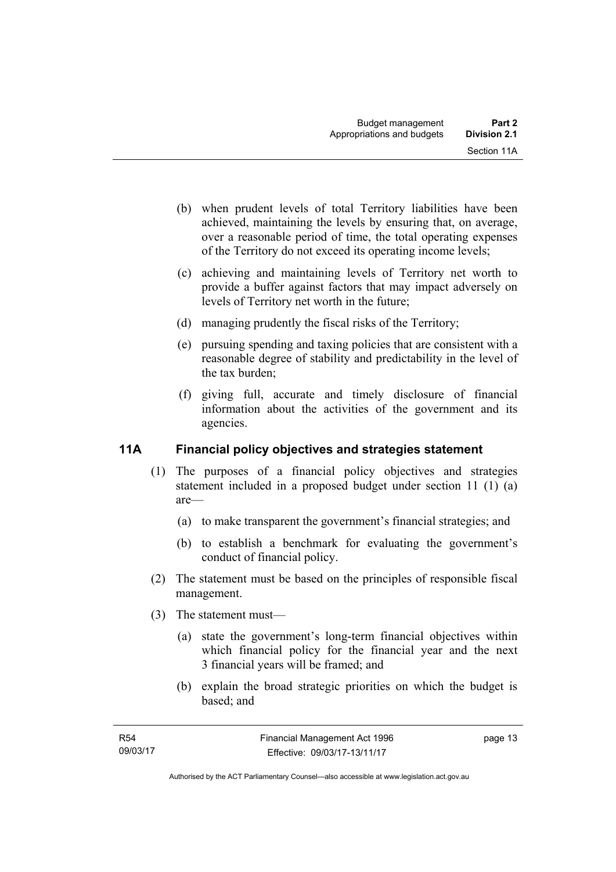- (b) when prudent levels of total Territory liabilities have been achieved, maintaining the levels by ensuring that, on average, over a reasonable period of time, the total operating expenses of the Territory do not exceed its operating income levels;
- (c) achieving and maintaining levels of Territory net worth to provide a buffer against factors that may impact adversely on levels of Territory net worth in the future;
- (d) managing prudently the fiscal risks of the Territory;
- (e) pursuing spending and taxing policies that are consistent with a reasonable degree of stability and predictability in the level of the tax burden;
- (f) giving full, accurate and timely disclosure of financial information about the activities of the government and its agencies.

## <span id="page-22-0"></span>**11A Financial policy objectives and strategies statement**

- (1) The purposes of a financial policy objectives and strategies statement included in a proposed budget under section 11 (1) (a) are—
	- (a) to make transparent the government's financial strategies; and
	- (b) to establish a benchmark for evaluating the government's conduct of financial policy.
- (2) The statement must be based on the principles of responsible fiscal management.
- (3) The statement must—
	- (a) state the government's long-term financial objectives within which financial policy for the financial year and the next 3 financial years will be framed; and
	- (b) explain the broad strategic priorities on which the budget is based; and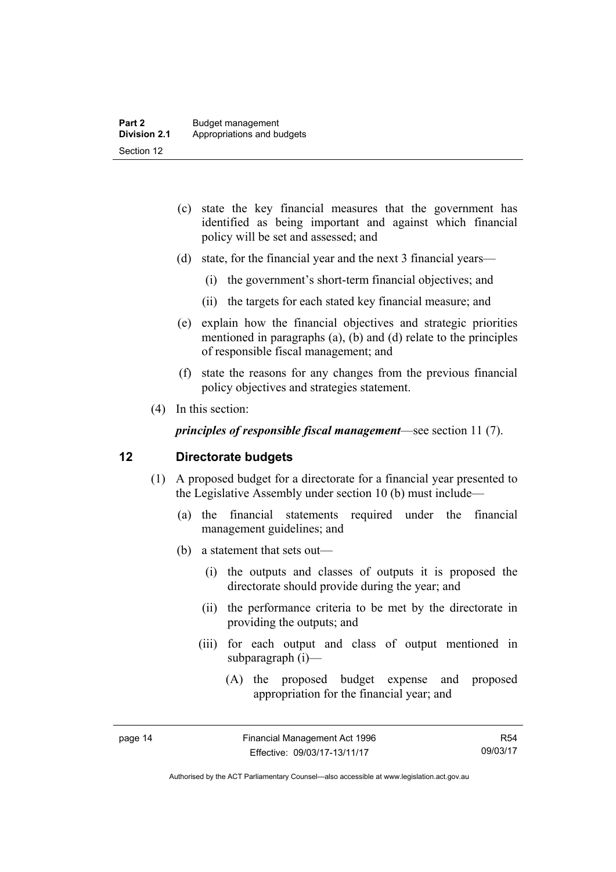- (c) state the key financial measures that the government has identified as being important and against which financial policy will be set and assessed; and
- (d) state, for the financial year and the next 3 financial years—
	- (i) the government's short-term financial objectives; and
	- (ii) the targets for each stated key financial measure; and
- (e) explain how the financial objectives and strategic priorities mentioned in paragraphs (a), (b) and (d) relate to the principles of responsible fiscal management; and
- (f) state the reasons for any changes from the previous financial policy objectives and strategies statement.
- (4) In this section:

*principles of responsible fiscal management*—see section 11 (7).

#### <span id="page-23-0"></span>**12 Directorate budgets**

- (1) A proposed budget for a directorate for a financial year presented to the Legislative Assembly under section 10 (b) must include—
	- (a) the financial statements required under the financial management guidelines; and
	- (b) a statement that sets out—
		- (i) the outputs and classes of outputs it is proposed the directorate should provide during the year; and
		- (ii) the performance criteria to be met by the directorate in providing the outputs; and
		- (iii) for each output and class of output mentioned in subparagraph (i)—
			- (A) the proposed budget expense and proposed appropriation for the financial year; and

R54 09/03/17

Authorised by the ACT Parliamentary Counsel—also accessible at www.legislation.act.gov.au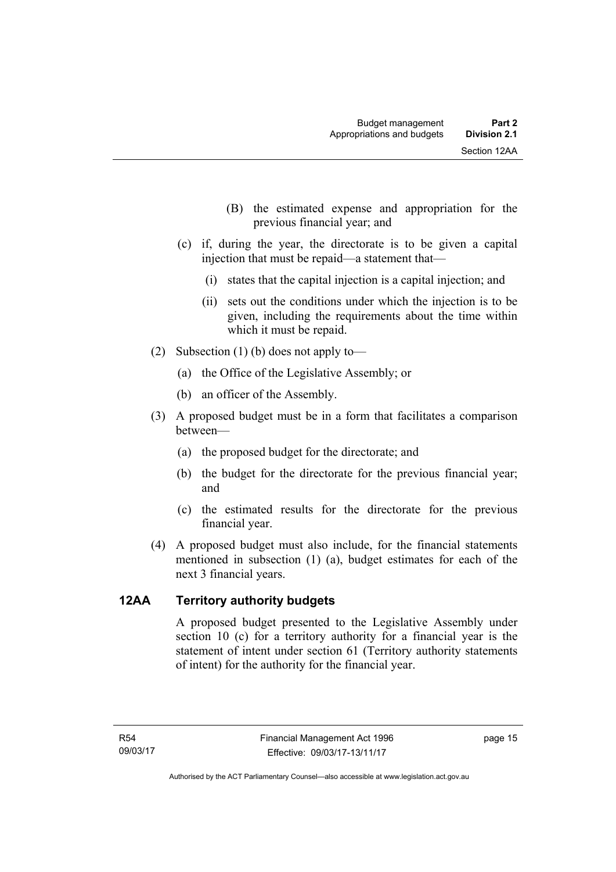- (B) the estimated expense and appropriation for the previous financial year; and
- (c) if, during the year, the directorate is to be given a capital injection that must be repaid—a statement that—
	- (i) states that the capital injection is a capital injection; and
	- (ii) sets out the conditions under which the injection is to be given, including the requirements about the time within which it must be repaid.
- (2) Subsection (1) (b) does not apply to—
	- (a) the Office of the Legislative Assembly; or
	- (b) an officer of the Assembly.
- (3) A proposed budget must be in a form that facilitates a comparison between—
	- (a) the proposed budget for the directorate; and
	- (b) the budget for the directorate for the previous financial year; and
	- (c) the estimated results for the directorate for the previous financial year.
- (4) A proposed budget must also include, for the financial statements mentioned in subsection (1) (a), budget estimates for each of the next 3 financial years.

### <span id="page-24-0"></span>**12AA Territory authority budgets**

A proposed budget presented to the Legislative Assembly under section 10 (c) for a territory authority for a financial year is the statement of intent under section 61 (Territory authority statements of intent) for the authority for the financial year.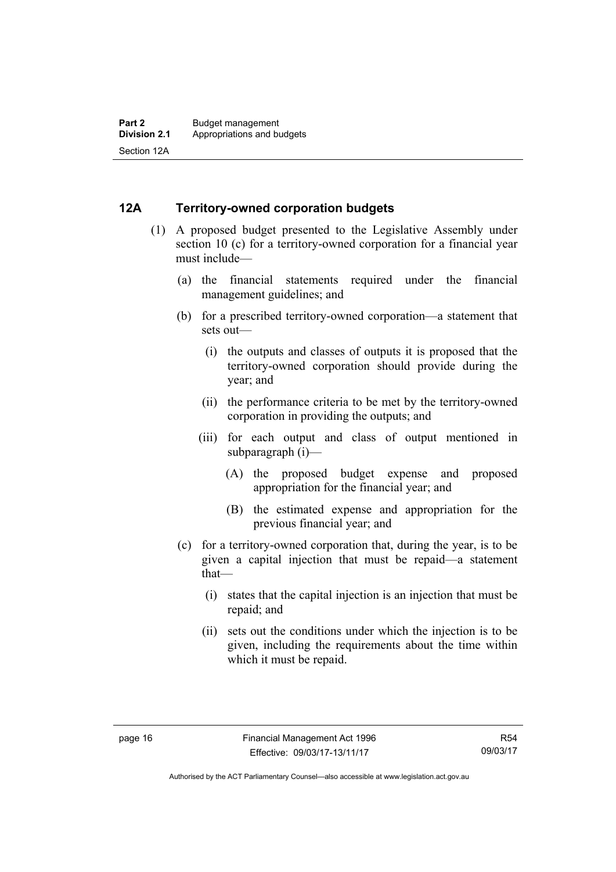#### <span id="page-25-0"></span>**12A Territory-owned corporation budgets**

- (1) A proposed budget presented to the Legislative Assembly under section 10 (c) for a territory-owned corporation for a financial year must include—
	- (a) the financial statements required under the financial management guidelines; and
	- (b) for a prescribed territory-owned corporation—a statement that sets out—
		- (i) the outputs and classes of outputs it is proposed that the territory-owned corporation should provide during the year; and
		- (ii) the performance criteria to be met by the territory-owned corporation in providing the outputs; and
		- (iii) for each output and class of output mentioned in subparagraph (i)—
			- (A) the proposed budget expense and proposed appropriation for the financial year; and
			- (B) the estimated expense and appropriation for the previous financial year; and
	- (c) for a territory-owned corporation that, during the year, is to be given a capital injection that must be repaid—a statement that—
		- (i) states that the capital injection is an injection that must be repaid; and
		- (ii) sets out the conditions under which the injection is to be given, including the requirements about the time within which it must be repaid.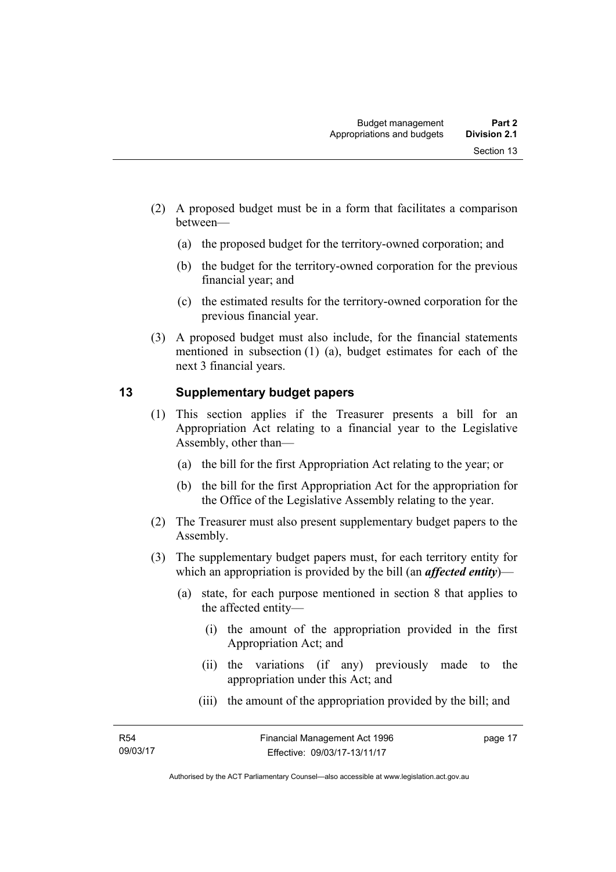- (2) A proposed budget must be in a form that facilitates a comparison between—
	- (a) the proposed budget for the territory-owned corporation; and
	- (b) the budget for the territory-owned corporation for the previous financial year; and
	- (c) the estimated results for the territory-owned corporation for the previous financial year.
- (3) A proposed budget must also include, for the financial statements mentioned in subsection (1) (a), budget estimates for each of the next 3 financial years.

### <span id="page-26-0"></span>**13 Supplementary budget papers**

- (1) This section applies if the Treasurer presents a bill for an Appropriation Act relating to a financial year to the Legislative Assembly, other than—
	- (a) the bill for the first Appropriation Act relating to the year; or
	- (b) the bill for the first Appropriation Act for the appropriation for the Office of the Legislative Assembly relating to the year.
- (2) The Treasurer must also present supplementary budget papers to the Assembly.
- (3) The supplementary budget papers must, for each territory entity for which an appropriation is provided by the bill (an *affected entity*)—
	- (a) state, for each purpose mentioned in section 8 that applies to the affected entity—
		- (i) the amount of the appropriation provided in the first Appropriation Act; and
		- (ii) the variations (if any) previously made to the appropriation under this Act; and
		- (iii) the amount of the appropriation provided by the bill; and

page 17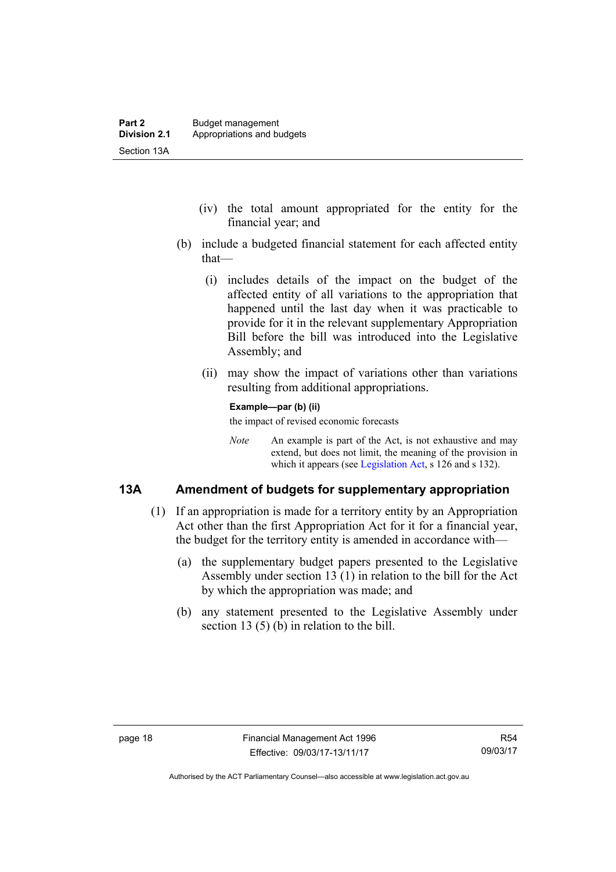- (iv) the total amount appropriated for the entity for the financial year; and
- (b) include a budgeted financial statement for each affected entity that—
	- (i) includes details of the impact on the budget of the affected entity of all variations to the appropriation that happened until the last day when it was practicable to provide for it in the relevant supplementary Appropriation Bill before the bill was introduced into the Legislative Assembly; and
	- (ii) may show the impact of variations other than variations resulting from additional appropriations.

#### **Example—par (b) (ii)**

the impact of revised economic forecasts

*Note* An example is part of the Act, is not exhaustive and may extend, but does not limit, the meaning of the provision in which it appears (see [Legislation Act,](http://www.legislation.act.gov.au/a/2001-14) s 126 and s 132).

#### <span id="page-27-0"></span>**13A Amendment of budgets for supplementary appropriation**

- (1) If an appropriation is made for a territory entity by an Appropriation Act other than the first Appropriation Act for it for a financial year, the budget for the territory entity is amended in accordance with—
	- (a) the supplementary budget papers presented to the Legislative Assembly under section 13 (1) in relation to the bill for the Act by which the appropriation was made; and
	- (b) any statement presented to the Legislative Assembly under section 13 (5) (b) in relation to the bill.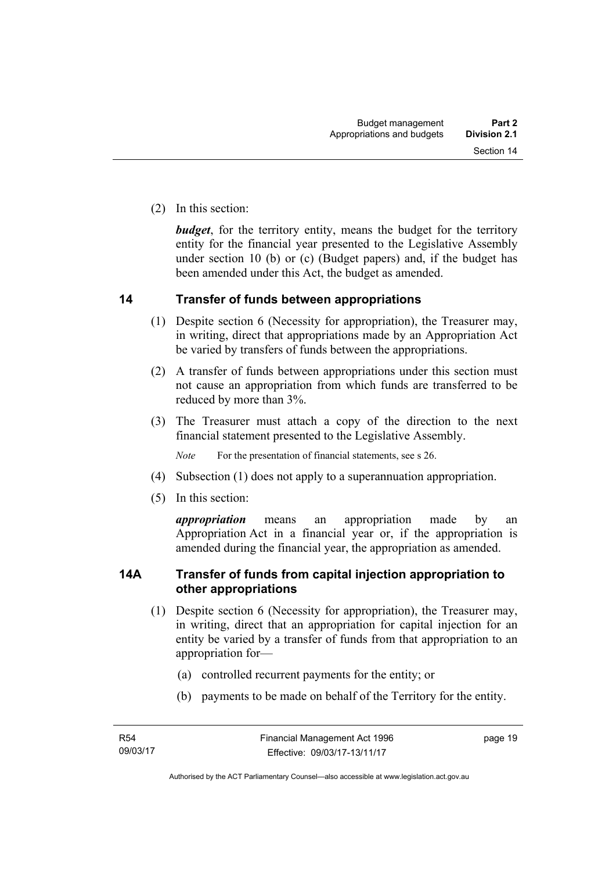(2) In this section:

*budget*, for the territory entity, means the budget for the territory entity for the financial year presented to the Legislative Assembly under section 10 (b) or (c) (Budget papers) and, if the budget has been amended under this Act, the budget as amended.

#### <span id="page-28-0"></span>**14 Transfer of funds between appropriations**

- (1) Despite section 6 (Necessity for appropriation), the Treasurer may, in writing, direct that appropriations made by an Appropriation Act be varied by transfers of funds between the appropriations.
- (2) A transfer of funds between appropriations under this section must not cause an appropriation from which funds are transferred to be reduced by more than 3%.
- (3) The Treasurer must attach a copy of the direction to the next financial statement presented to the Legislative Assembly.

*Note* For the presentation of financial statements, see s 26.

- (4) Subsection (1) does not apply to a superannuation appropriation.
- (5) In this section:

*appropriation* means an appropriation made by an Appropriation Act in a financial year or, if the appropriation is amended during the financial year, the appropriation as amended.

### <span id="page-28-1"></span>**14A Transfer of funds from capital injection appropriation to other appropriations**

- (1) Despite section 6 (Necessity for appropriation), the Treasurer may, in writing, direct that an appropriation for capital injection for an entity be varied by a transfer of funds from that appropriation to an appropriation for—
	- (a) controlled recurrent payments for the entity; or
	- (b) payments to be made on behalf of the Territory for the entity.

page 19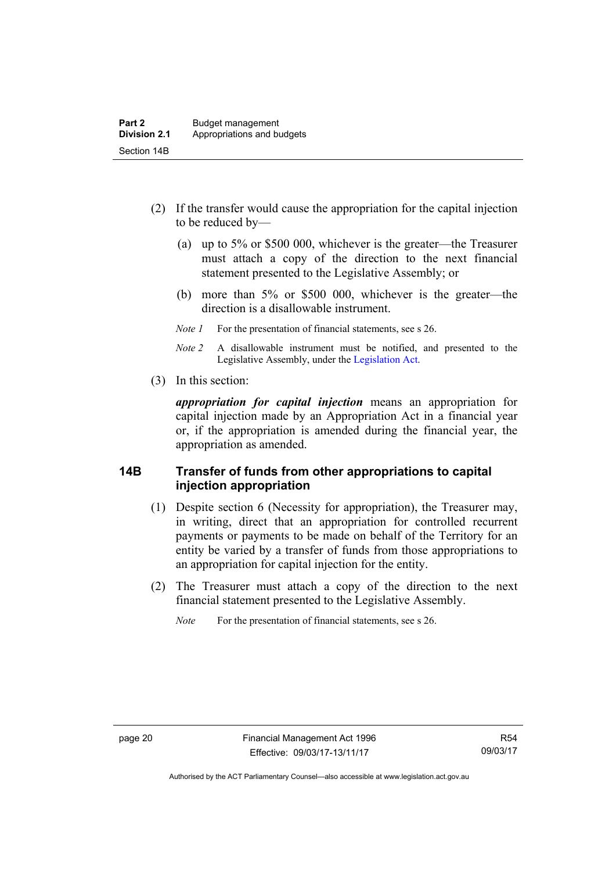- (2) If the transfer would cause the appropriation for the capital injection to be reduced by—
	- (a) up to 5% or \$500 000, whichever is the greater—the Treasurer must attach a copy of the direction to the next financial statement presented to the Legislative Assembly; or
	- (b) more than 5% or \$500 000, whichever is the greater—the direction is a disallowable instrument.
	- *Note 1* For the presentation of financial statements, see s 26.
	- *Note 2* A disallowable instrument must be notified, and presented to the Legislative Assembly, under the [Legislation Act.](http://www.legislation.act.gov.au/a/2001-14)
- (3) In this section:

*appropriation for capital injection* means an appropriation for capital injection made by an Appropriation Act in a financial year or, if the appropriation is amended during the financial year, the appropriation as amended.

#### <span id="page-29-0"></span>**14B Transfer of funds from other appropriations to capital injection appropriation**

- (1) Despite section 6 (Necessity for appropriation), the Treasurer may, in writing, direct that an appropriation for controlled recurrent payments or payments to be made on behalf of the Territory for an entity be varied by a transfer of funds from those appropriations to an appropriation for capital injection for the entity.
- (2) The Treasurer must attach a copy of the direction to the next financial statement presented to the Legislative Assembly.

*Note* For the presentation of financial statements, see s 26.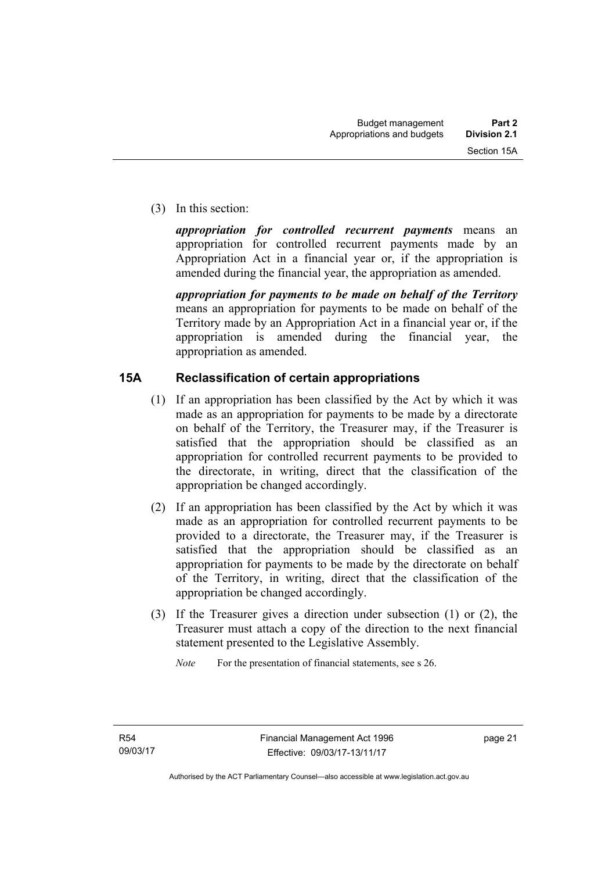(3) In this section:

*appropriation for controlled recurrent payments* means an appropriation for controlled recurrent payments made by an Appropriation Act in a financial year or, if the appropriation is amended during the financial year, the appropriation as amended.

*appropriation for payments to be made on behalf of the Territory* means an appropriation for payments to be made on behalf of the Territory made by an Appropriation Act in a financial year or, if the appropriation is amended during the financial year, the appropriation as amended.

### <span id="page-30-0"></span>**15A Reclassification of certain appropriations**

- (1) If an appropriation has been classified by the Act by which it was made as an appropriation for payments to be made by a directorate on behalf of the Territory, the Treasurer may, if the Treasurer is satisfied that the appropriation should be classified as an appropriation for controlled recurrent payments to be provided to the directorate, in writing, direct that the classification of the appropriation be changed accordingly.
- (2) If an appropriation has been classified by the Act by which it was made as an appropriation for controlled recurrent payments to be provided to a directorate, the Treasurer may, if the Treasurer is satisfied that the appropriation should be classified as an appropriation for payments to be made by the directorate on behalf of the Territory, in writing, direct that the classification of the appropriation be changed accordingly.
- (3) If the Treasurer gives a direction under subsection (1) or (2), the Treasurer must attach a copy of the direction to the next financial statement presented to the Legislative Assembly.

*Note* For the presentation of financial statements, see s 26.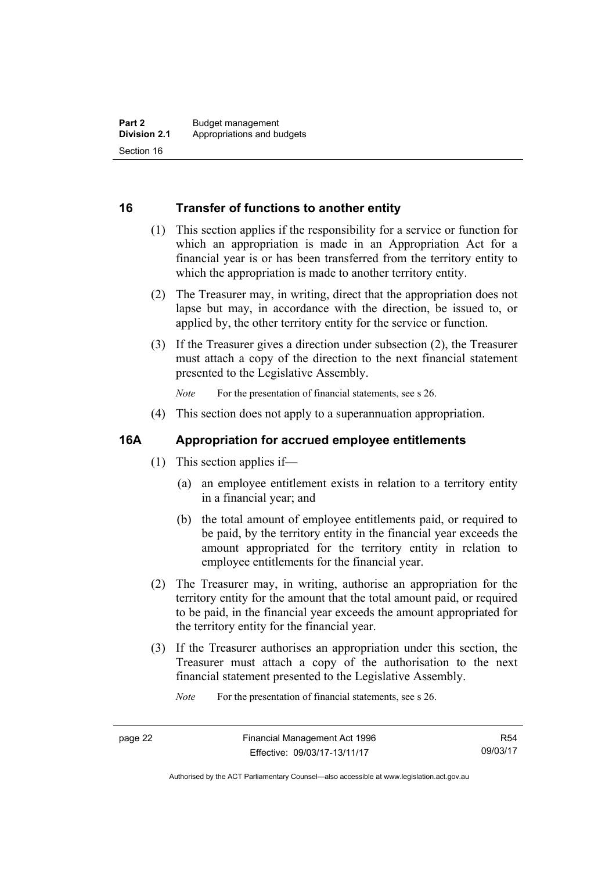### <span id="page-31-0"></span>**16 Transfer of functions to another entity**

- (1) This section applies if the responsibility for a service or function for which an appropriation is made in an Appropriation Act for a financial year is or has been transferred from the territory entity to which the appropriation is made to another territory entity.
- (2) The Treasurer may, in writing, direct that the appropriation does not lapse but may, in accordance with the direction, be issued to, or applied by, the other territory entity for the service or function.
- (3) If the Treasurer gives a direction under subsection (2), the Treasurer must attach a copy of the direction to the next financial statement presented to the Legislative Assembly.

*Note* For the presentation of financial statements, see s 26.

(4) This section does not apply to a superannuation appropriation.

#### <span id="page-31-1"></span>**16A Appropriation for accrued employee entitlements**

- (1) This section applies if—
	- (a) an employee entitlement exists in relation to a territory entity in a financial year; and
	- (b) the total amount of employee entitlements paid, or required to be paid, by the territory entity in the financial year exceeds the amount appropriated for the territory entity in relation to employee entitlements for the financial year.
- (2) The Treasurer may, in writing, authorise an appropriation for the territory entity for the amount that the total amount paid, or required to be paid, in the financial year exceeds the amount appropriated for the territory entity for the financial year.
- (3) If the Treasurer authorises an appropriation under this section, the Treasurer must attach a copy of the authorisation to the next financial statement presented to the Legislative Assembly.

*Note* For the presentation of financial statements, see s 26.

Authorised by the ACT Parliamentary Counsel—also accessible at www.legislation.act.gov.au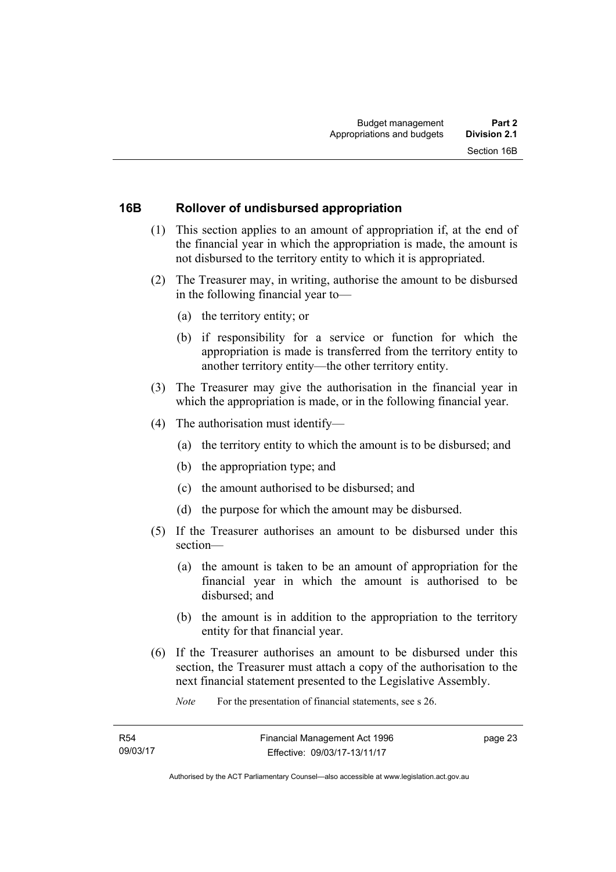#### <span id="page-32-0"></span>**16B Rollover of undisbursed appropriation**

- (1) This section applies to an amount of appropriation if, at the end of the financial year in which the appropriation is made, the amount is not disbursed to the territory entity to which it is appropriated.
- (2) The Treasurer may, in writing, authorise the amount to be disbursed in the following financial year to—
	- (a) the territory entity; or
	- (b) if responsibility for a service or function for which the appropriation is made is transferred from the territory entity to another territory entity—the other territory entity.
- (3) The Treasurer may give the authorisation in the financial year in which the appropriation is made, or in the following financial year.
- (4) The authorisation must identify—
	- (a) the territory entity to which the amount is to be disbursed; and
	- (b) the appropriation type; and
	- (c) the amount authorised to be disbursed; and
	- (d) the purpose for which the amount may be disbursed.
- (5) If the Treasurer authorises an amount to be disbursed under this section—
	- (a) the amount is taken to be an amount of appropriation for the financial year in which the amount is authorised to be disbursed; and
	- (b) the amount is in addition to the appropriation to the territory entity for that financial year.
- (6) If the Treasurer authorises an amount to be disbursed under this section, the Treasurer must attach a copy of the authorisation to the next financial statement presented to the Legislative Assembly.

*Note* For the presentation of financial statements, see s 26.

page 23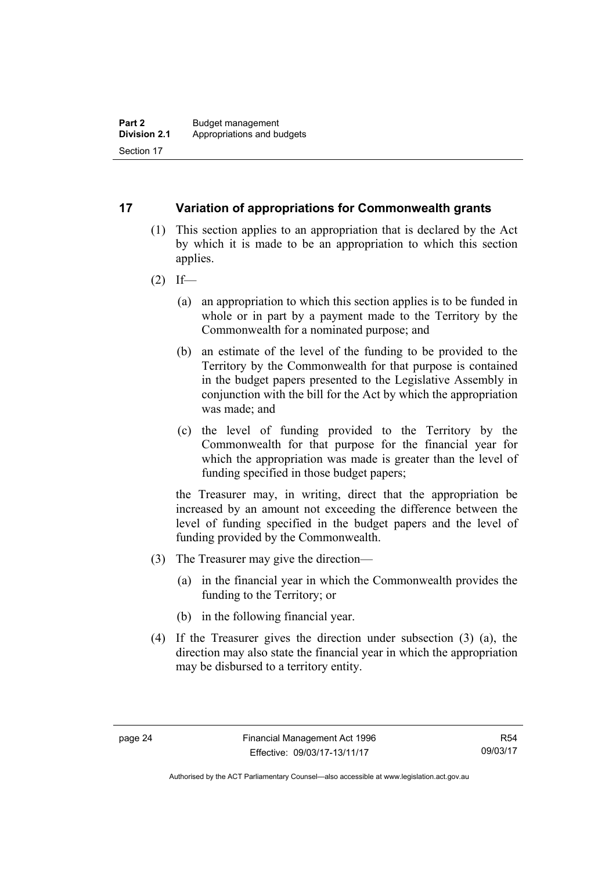### <span id="page-33-0"></span>**17 Variation of appropriations for Commonwealth grants**

- (1) This section applies to an appropriation that is declared by the Act by which it is made to be an appropriation to which this section applies.
- $(2)$  If—
	- (a) an appropriation to which this section applies is to be funded in whole or in part by a payment made to the Territory by the Commonwealth for a nominated purpose; and
	- (b) an estimate of the level of the funding to be provided to the Territory by the Commonwealth for that purpose is contained in the budget papers presented to the Legislative Assembly in conjunction with the bill for the Act by which the appropriation was made; and
	- (c) the level of funding provided to the Territory by the Commonwealth for that purpose for the financial year for which the appropriation was made is greater than the level of funding specified in those budget papers;

the Treasurer may, in writing, direct that the appropriation be increased by an amount not exceeding the difference between the level of funding specified in the budget papers and the level of funding provided by the Commonwealth.

- (3) The Treasurer may give the direction—
	- (a) in the financial year in which the Commonwealth provides the funding to the Territory; or
	- (b) in the following financial year.
- (4) If the Treasurer gives the direction under subsection (3) (a), the direction may also state the financial year in which the appropriation may be disbursed to a territory entity.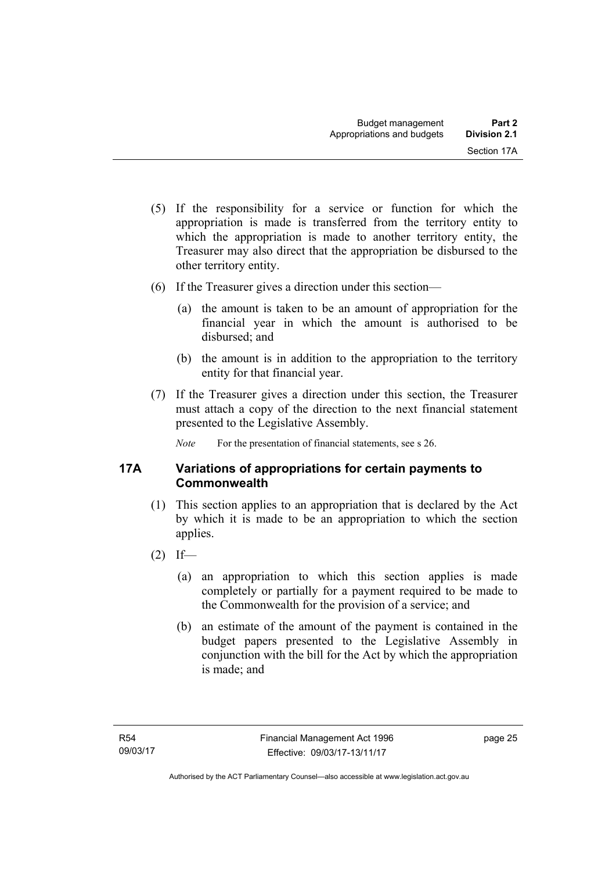- (5) If the responsibility for a service or function for which the appropriation is made is transferred from the territory entity to which the appropriation is made to another territory entity, the Treasurer may also direct that the appropriation be disbursed to the other territory entity.
- (6) If the Treasurer gives a direction under this section—
	- (a) the amount is taken to be an amount of appropriation for the financial year in which the amount is authorised to be disbursed<sup>-</sup> and
	- (b) the amount is in addition to the appropriation to the territory entity for that financial year.
- (7) If the Treasurer gives a direction under this section, the Treasurer must attach a copy of the direction to the next financial statement presented to the Legislative Assembly.

*Note* For the presentation of financial statements, see s 26.

### <span id="page-34-0"></span>**17A Variations of appropriations for certain payments to Commonwealth**

- (1) This section applies to an appropriation that is declared by the Act by which it is made to be an appropriation to which the section applies.
- $(2)$  If—
	- (a) an appropriation to which this section applies is made completely or partially for a payment required to be made to the Commonwealth for the provision of a service; and
	- (b) an estimate of the amount of the payment is contained in the budget papers presented to the Legislative Assembly in conjunction with the bill for the Act by which the appropriation is made; and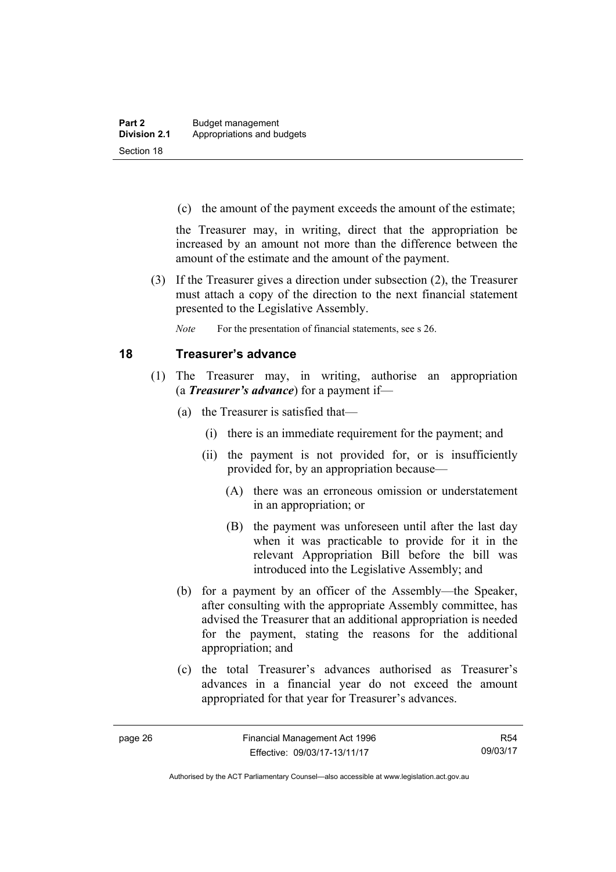(c) the amount of the payment exceeds the amount of the estimate;

the Treasurer may, in writing, direct that the appropriation be increased by an amount not more than the difference between the amount of the estimate and the amount of the payment.

 (3) If the Treasurer gives a direction under subsection (2), the Treasurer must attach a copy of the direction to the next financial statement presented to the Legislative Assembly.

*Note* For the presentation of financial statements, see s 26.

#### <span id="page-35-0"></span>**18 Treasurer's advance**

- (1) The Treasurer may, in writing, authorise an appropriation (a *Treasurer's advance*) for a payment if—
	- (a) the Treasurer is satisfied that—
		- (i) there is an immediate requirement for the payment; and
		- (ii) the payment is not provided for, or is insufficiently provided for, by an appropriation because—
			- (A) there was an erroneous omission or understatement in an appropriation; or
			- (B) the payment was unforeseen until after the last day when it was practicable to provide for it in the relevant Appropriation Bill before the bill was introduced into the Legislative Assembly; and
	- (b) for a payment by an officer of the Assembly—the Speaker, after consulting with the appropriate Assembly committee, has advised the Treasurer that an additional appropriation is needed for the payment, stating the reasons for the additional appropriation; and
	- (c) the total Treasurer's advances authorised as Treasurer's advances in a financial year do not exceed the amount appropriated for that year for Treasurer's advances.

R54 09/03/17

Authorised by the ACT Parliamentary Counsel—also accessible at www.legislation.act.gov.au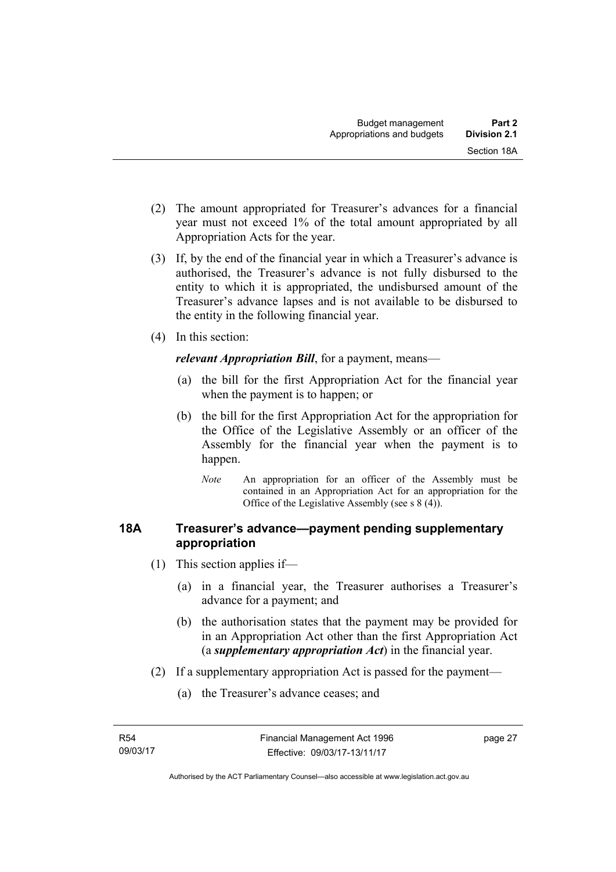- (2) The amount appropriated for Treasurer's advances for a financial year must not exceed 1% of the total amount appropriated by all Appropriation Acts for the year.
- (3) If, by the end of the financial year in which a Treasurer's advance is authorised, the Treasurer's advance is not fully disbursed to the entity to which it is appropriated, the undisbursed amount of the Treasurer's advance lapses and is not available to be disbursed to the entity in the following financial year.
- (4) In this section:

*relevant Appropriation Bill*, for a payment, means—

- (a) the bill for the first Appropriation Act for the financial year when the payment is to happen; or
- (b) the bill for the first Appropriation Act for the appropriation for the Office of the Legislative Assembly or an officer of the Assembly for the financial year when the payment is to happen.
	- *Note* An appropriation for an officer of the Assembly must be contained in an Appropriation Act for an appropriation for the Office of the Legislative Assembly (see s 8 (4)).

## **18A Treasurer's advance—payment pending supplementary appropriation**

- (1) This section applies if—
	- (a) in a financial year, the Treasurer authorises a Treasurer's advance for a payment; and
	- (b) the authorisation states that the payment may be provided for in an Appropriation Act other than the first Appropriation Act (a *supplementary appropriation Act*) in the financial year.
- (2) If a supplementary appropriation Act is passed for the payment—
	- (a) the Treasurer's advance ceases; and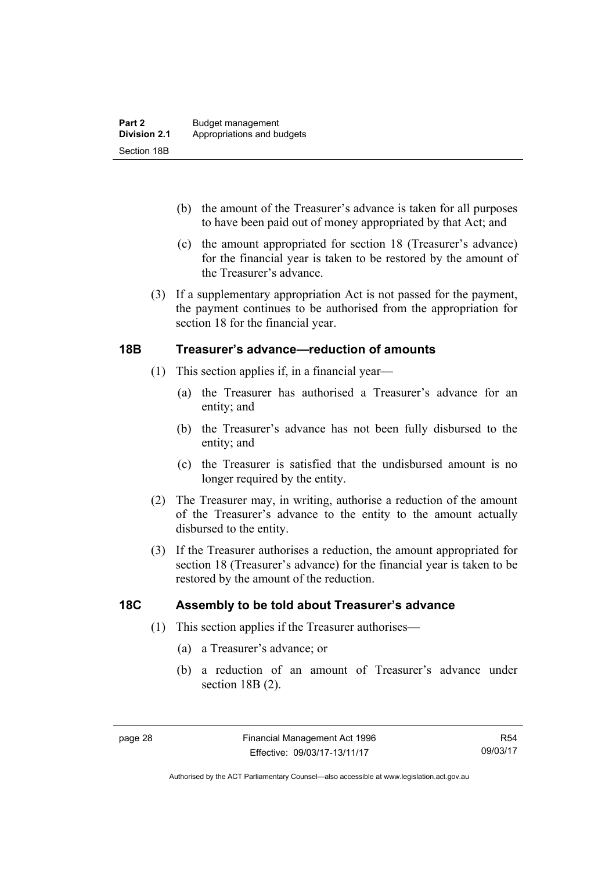- (b) the amount of the Treasurer's advance is taken for all purposes to have been paid out of money appropriated by that Act; and
- (c) the amount appropriated for section 18 (Treasurer's advance) for the financial year is taken to be restored by the amount of the Treasurer's advance.
- (3) If a supplementary appropriation Act is not passed for the payment, the payment continues to be authorised from the appropriation for section 18 for the financial year.

## **18B Treasurer's advance—reduction of amounts**

- (1) This section applies if, in a financial year—
	- (a) the Treasurer has authorised a Treasurer's advance for an entity; and
	- (b) the Treasurer's advance has not been fully disbursed to the entity; and
	- (c) the Treasurer is satisfied that the undisbursed amount is no longer required by the entity.
- (2) The Treasurer may, in writing, authorise a reduction of the amount of the Treasurer's advance to the entity to the amount actually disbursed to the entity.
- (3) If the Treasurer authorises a reduction, the amount appropriated for section 18 (Treasurer's advance) for the financial year is taken to be restored by the amount of the reduction.

## **18C Assembly to be told about Treasurer's advance**

- (1) This section applies if the Treasurer authorises—
	- (a) a Treasurer's advance; or
	- (b) a reduction of an amount of Treasurer's advance under section 18B (2).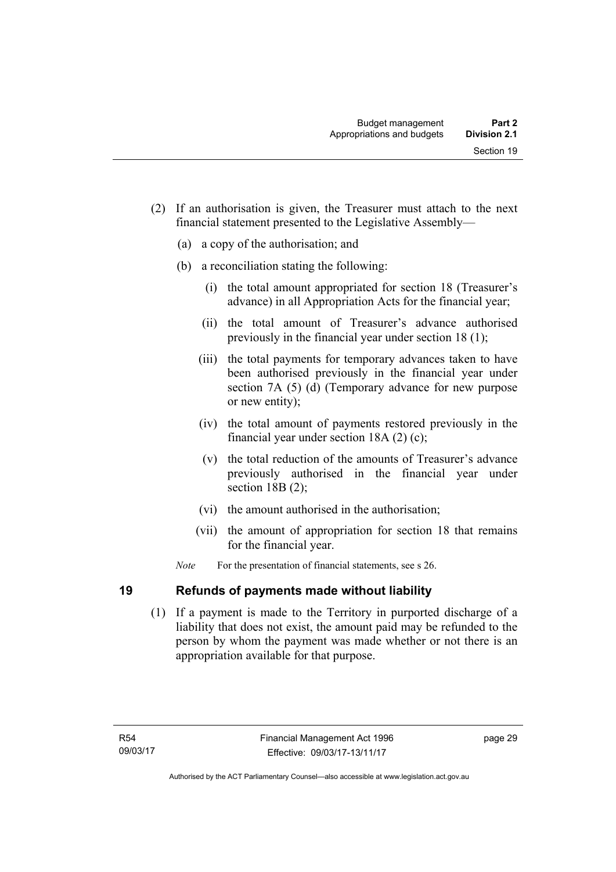- (2) If an authorisation is given, the Treasurer must attach to the next financial statement presented to the Legislative Assembly—
	- (a) a copy of the authorisation; and
	- (b) a reconciliation stating the following:
		- (i) the total amount appropriated for section 18 (Treasurer's advance) in all Appropriation Acts for the financial year;
		- (ii) the total amount of Treasurer's advance authorised previously in the financial year under section 18 (1);
		- (iii) the total payments for temporary advances taken to have been authorised previously in the financial year under section 7A (5) (d) (Temporary advance for new purpose or new entity);
		- (iv) the total amount of payments restored previously in the financial year under section 18A (2) (c);
		- (v) the total reduction of the amounts of Treasurer's advance previously authorised in the financial year under section 18B (2):
		- (vi) the amount authorised in the authorisation;
		- (vii) the amount of appropriation for section 18 that remains for the financial year.
	- *Note* For the presentation of financial statements, see s 26.

## **19 Refunds of payments made without liability**

 (1) If a payment is made to the Territory in purported discharge of a liability that does not exist, the amount paid may be refunded to the person by whom the payment was made whether or not there is an appropriation available for that purpose.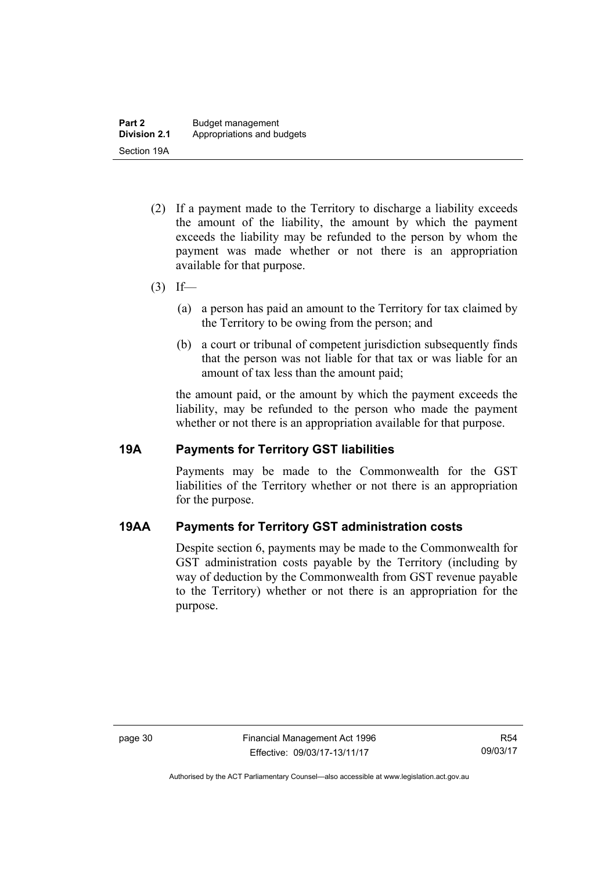- (2) If a payment made to the Territory to discharge a liability exceeds the amount of the liability, the amount by which the payment exceeds the liability may be refunded to the person by whom the payment was made whether or not there is an appropriation available for that purpose.
- $(3)$  If—
	- (a) a person has paid an amount to the Territory for tax claimed by the Territory to be owing from the person; and
	- (b) a court or tribunal of competent jurisdiction subsequently finds that the person was not liable for that tax or was liable for an amount of tax less than the amount paid;

the amount paid, or the amount by which the payment exceeds the liability, may be refunded to the person who made the payment whether or not there is an appropriation available for that purpose.

## **19A Payments for Territory GST liabilities**

Payments may be made to the Commonwealth for the GST liabilities of the Territory whether or not there is an appropriation for the purpose.

## **19AA Payments for Territory GST administration costs**

Despite section 6, payments may be made to the Commonwealth for GST administration costs payable by the Territory (including by way of deduction by the Commonwealth from GST revenue payable to the Territory) whether or not there is an appropriation for the purpose.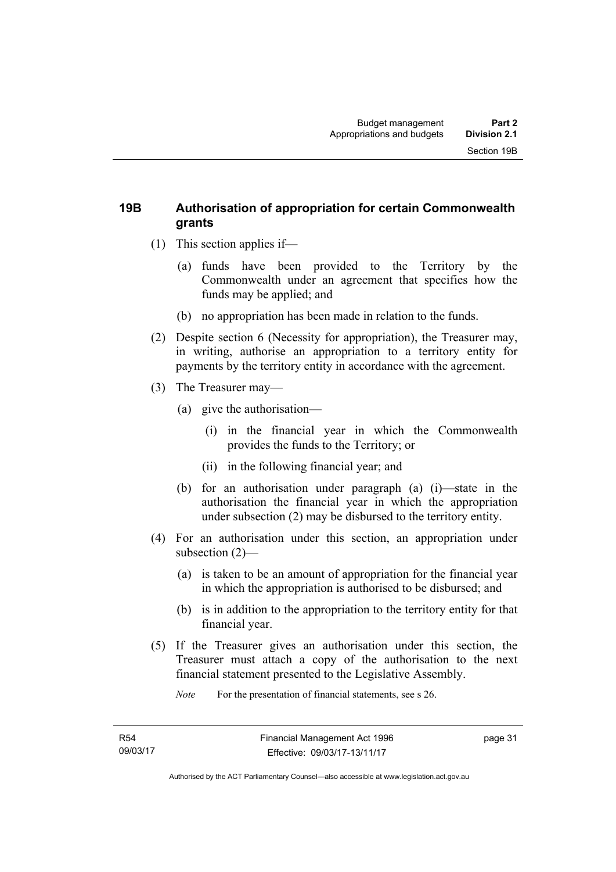## **19B Authorisation of appropriation for certain Commonwealth grants**

- (1) This section applies if—
	- (a) funds have been provided to the Territory by the Commonwealth under an agreement that specifies how the funds may be applied; and
	- (b) no appropriation has been made in relation to the funds.
- (2) Despite section 6 (Necessity for appropriation), the Treasurer may, in writing, authorise an appropriation to a territory entity for payments by the territory entity in accordance with the agreement.
- (3) The Treasurer may—
	- (a) give the authorisation—
		- (i) in the financial year in which the Commonwealth provides the funds to the Territory; or
		- (ii) in the following financial year; and
	- (b) for an authorisation under paragraph (a) (i)—state in the authorisation the financial year in which the appropriation under subsection (2) may be disbursed to the territory entity.
- (4) For an authorisation under this section, an appropriation under subsection (2)—
	- (a) is taken to be an amount of appropriation for the financial year in which the appropriation is authorised to be disbursed; and
	- (b) is in addition to the appropriation to the territory entity for that financial year.
- (5) If the Treasurer gives an authorisation under this section, the Treasurer must attach a copy of the authorisation to the next financial statement presented to the Legislative Assembly.

*Note* For the presentation of financial statements, see s 26.

page 31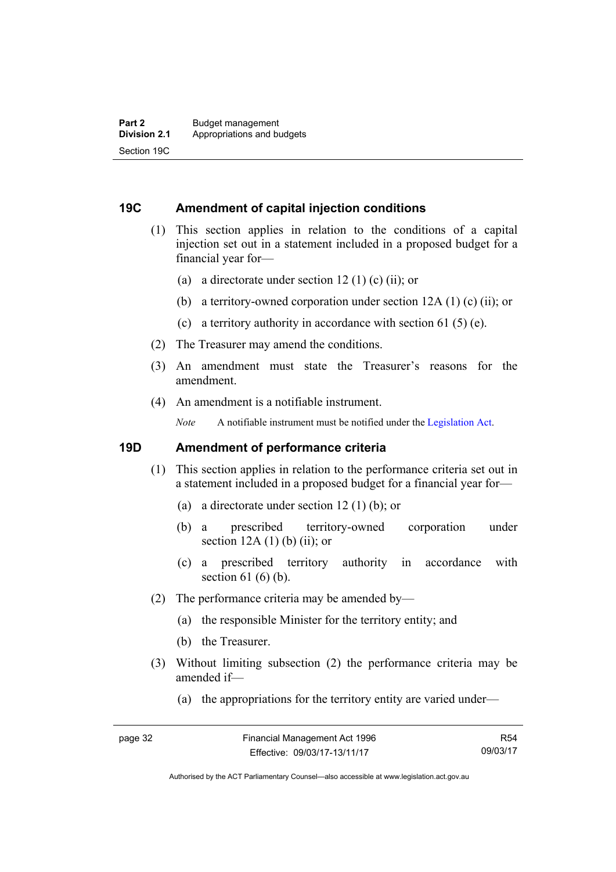### **19C Amendment of capital injection conditions**

- (1) This section applies in relation to the conditions of a capital injection set out in a statement included in a proposed budget for a financial year for—
	- (a) a directorate under section 12 (1) (c) (ii); or
	- (b) a territory-owned corporation under section 12A (1) (c) (ii); or
	- (c) a territory authority in accordance with section 61 (5) (e).
- (2) The Treasurer may amend the conditions.
- (3) An amendment must state the Treasurer's reasons for the amendment.
- (4) An amendment is a notifiable instrument.

*Note* A notifiable instrument must be notified under the [Legislation Act](http://www.legislation.act.gov.au/a/2001-14).

### **19D Amendment of performance criteria**

- (1) This section applies in relation to the performance criteria set out in a statement included in a proposed budget for a financial year for—
	- (a) a directorate under section 12 (1) (b); or
	- (b) a prescribed territory-owned corporation under section  $12A(1)$  (b) (ii); or
	- (c) a prescribed territory authority in accordance with section  $61(6)(b)$ .
- (2) The performance criteria may be amended by—
	- (a) the responsible Minister for the territory entity; and
	- (b) the Treasurer.
- (3) Without limiting subsection (2) the performance criteria may be amended if—
	- (a) the appropriations for the territory entity are varied under—

R54 09/03/17

Authorised by the ACT Parliamentary Counsel—also accessible at www.legislation.act.gov.au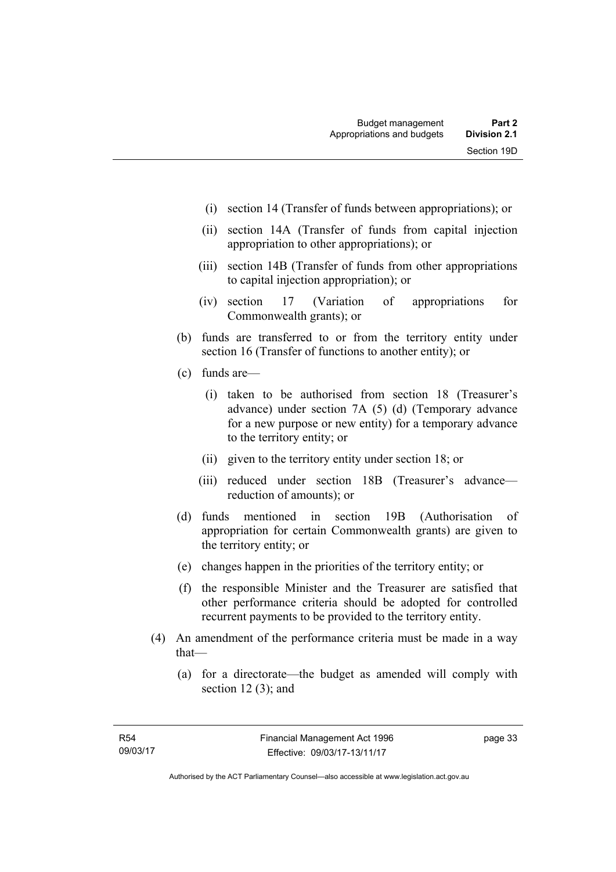- (i) section 14 (Transfer of funds between appropriations); or
- (ii) section 14A (Transfer of funds from capital injection appropriation to other appropriations); or
- (iii) section 14B (Transfer of funds from other appropriations to capital injection appropriation); or
- (iv) section 17 (Variation of appropriations for Commonwealth grants); or
- (b) funds are transferred to or from the territory entity under section 16 (Transfer of functions to another entity); or
- (c) funds are—
	- (i) taken to be authorised from section 18 (Treasurer's advance) under section 7A (5) (d) (Temporary advance for a new purpose or new entity) for a temporary advance to the territory entity; or
	- (ii) given to the territory entity under section 18; or
	- (iii) reduced under section 18B (Treasurer's advance reduction of amounts); or
- (d) funds mentioned in section 19B (Authorisation of appropriation for certain Commonwealth grants) are given to the territory entity; or
- (e) changes happen in the priorities of the territory entity; or
- (f) the responsible Minister and the Treasurer are satisfied that other performance criteria should be adopted for controlled recurrent payments to be provided to the territory entity.
- (4) An amendment of the performance criteria must be made in a way that—
	- (a) for a directorate—the budget as amended will comply with section  $12(3)$ ; and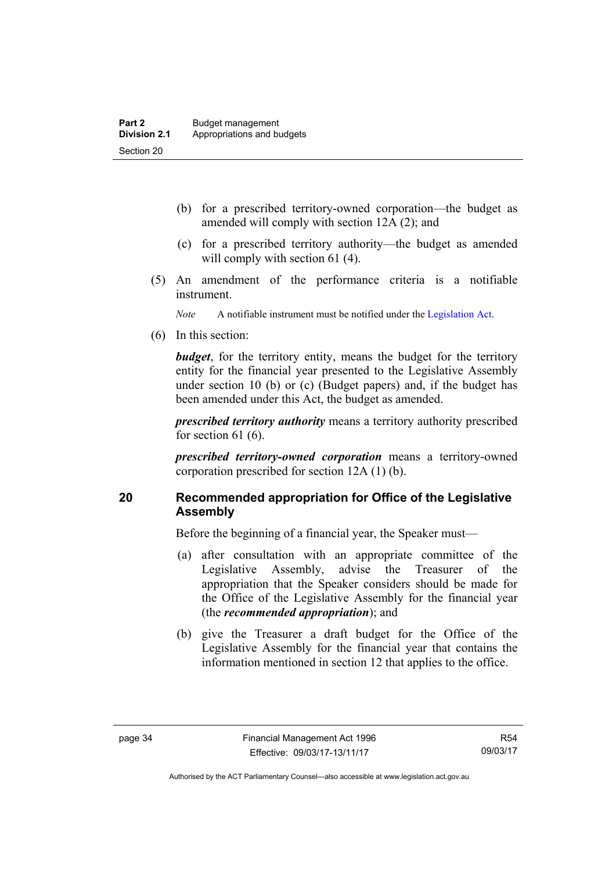- (b) for a prescribed territory-owned corporation—the budget as amended will comply with section 12A (2); and
- (c) for a prescribed territory authority—the budget as amended will comply with section 61 (4).
- (5) An amendment of the performance criteria is a notifiable instrument.

*Note* A notifiable instrument must be notified under the [Legislation Act](http://www.legislation.act.gov.au/a/2001-14).

(6) In this section:

*budget*, for the territory entity, means the budget for the territory entity for the financial year presented to the Legislative Assembly under section 10 (b) or (c) (Budget papers) and, if the budget has been amended under this Act, the budget as amended.

*prescribed territory authority* means a territory authority prescribed for section 61 (6).

*prescribed territory-owned corporation* means a territory-owned corporation prescribed for section 12A (1) (b).

## **20 Recommended appropriation for Office of the Legislative Assembly**

Before the beginning of a financial year, the Speaker must—

- (a) after consultation with an appropriate committee of the Legislative Assembly, advise the Treasurer of the appropriation that the Speaker considers should be made for the Office of the Legislative Assembly for the financial year (the *recommended appropriation*); and
- (b) give the Treasurer a draft budget for the Office of the Legislative Assembly for the financial year that contains the information mentioned in section 12 that applies to the office.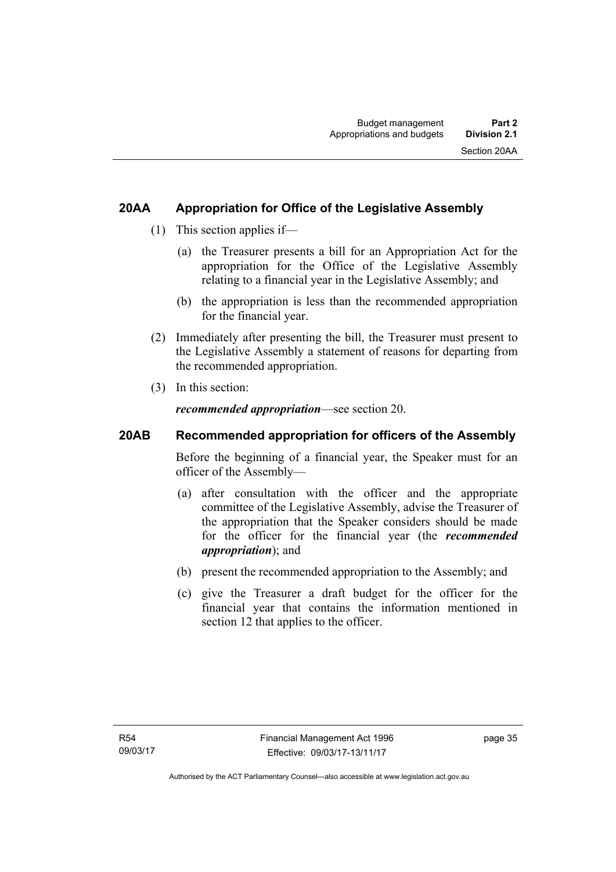## **20AA Appropriation for Office of the Legislative Assembly**

- (1) This section applies if—
	- (a) the Treasurer presents a bill for an Appropriation Act for the appropriation for the Office of the Legislative Assembly relating to a financial year in the Legislative Assembly; and
	- (b) the appropriation is less than the recommended appropriation for the financial year.
- (2) Immediately after presenting the bill, the Treasurer must present to the Legislative Assembly a statement of reasons for departing from the recommended appropriation.
- (3) In this section:

*recommended appropriation*—see section 20.

## **20AB Recommended appropriation for officers of the Assembly**

Before the beginning of a financial year, the Speaker must for an officer of the Assembly—

- (a) after consultation with the officer and the appropriate committee of the Legislative Assembly, advise the Treasurer of the appropriation that the Speaker considers should be made for the officer for the financial year (the *recommended appropriation*); and
- (b) present the recommended appropriation to the Assembly; and
- (c) give the Treasurer a draft budget for the officer for the financial year that contains the information mentioned in section 12 that applies to the officer.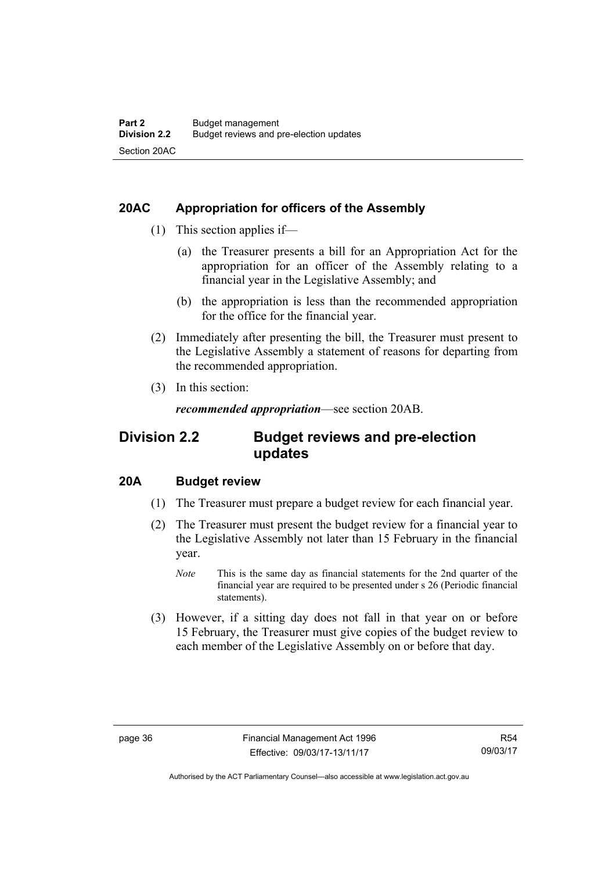## **20AC Appropriation for officers of the Assembly**

- (1) This section applies if—
	- (a) the Treasurer presents a bill for an Appropriation Act for the appropriation for an officer of the Assembly relating to a financial year in the Legislative Assembly; and
	- (b) the appropriation is less than the recommended appropriation for the office for the financial year.
- (2) Immediately after presenting the bill, the Treasurer must present to the Legislative Assembly a statement of reasons for departing from the recommended appropriation.
- (3) In this section:

*recommended appropriation*—see section 20AB.

## **Division 2.2 Budget reviews and pre-election updates**

## **20A Budget review**

- (1) The Treasurer must prepare a budget review for each financial year.
- (2) The Treasurer must present the budget review for a financial year to the Legislative Assembly not later than 15 February in the financial year.
	- *Note* This is the same day as financial statements for the 2nd quarter of the financial year are required to be presented under s 26 (Periodic financial statements).
- (3) However, if a sitting day does not fall in that year on or before 15 February, the Treasurer must give copies of the budget review to each member of the Legislative Assembly on or before that day.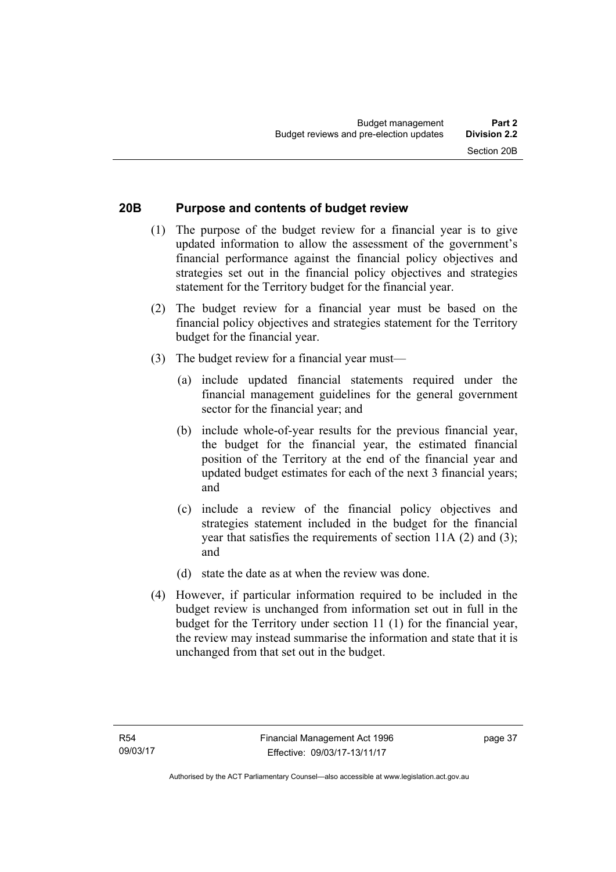## **20B Purpose and contents of budget review**

- (1) The purpose of the budget review for a financial year is to give updated information to allow the assessment of the government's financial performance against the financial policy objectives and strategies set out in the financial policy objectives and strategies statement for the Territory budget for the financial year.
- (2) The budget review for a financial year must be based on the financial policy objectives and strategies statement for the Territory budget for the financial year.
- (3) The budget review for a financial year must—
	- (a) include updated financial statements required under the financial management guidelines for the general government sector for the financial year; and
	- (b) include whole-of-year results for the previous financial year, the budget for the financial year, the estimated financial position of the Territory at the end of the financial year and updated budget estimates for each of the next 3 financial years; and
	- (c) include a review of the financial policy objectives and strategies statement included in the budget for the financial year that satisfies the requirements of section 11A (2) and (3); and
	- (d) state the date as at when the review was done.
- (4) However, if particular information required to be included in the budget review is unchanged from information set out in full in the budget for the Territory under section 11 (1) for the financial year, the review may instead summarise the information and state that it is unchanged from that set out in the budget.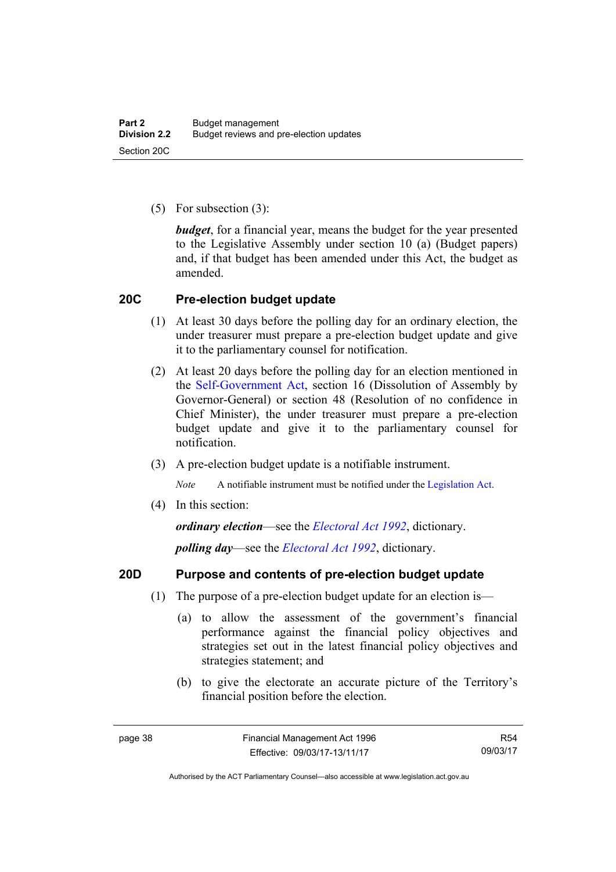(5) For subsection (3):

*budget*, for a financial year, means the budget for the year presented to the Legislative Assembly under section 10 (a) (Budget papers) and, if that budget has been amended under this Act, the budget as amended.

## **20C Pre-election budget update**

- (1) At least 30 days before the polling day for an ordinary election, the under treasurer must prepare a pre-election budget update and give it to the parliamentary counsel for notification.
- (2) At least 20 days before the polling day for an election mentioned in the [Self-Government Act,](http://www.comlaw.gov.au/Series/C2004A03699) section 16 (Dissolution of Assembly by Governor-General) or section 48 (Resolution of no confidence in Chief Minister), the under treasurer must prepare a pre-election budget update and give it to the parliamentary counsel for notification.
- (3) A pre-election budget update is a notifiable instrument.

*Note* A notifiable instrument must be notified under the [Legislation Act](http://www.legislation.act.gov.au/a/2001-14).

(4) In this section:

*ordinary election*—see the *[Electoral Act 1992](http://www.legislation.act.gov.au/a/1992-71)*, dictionary.

*polling day*—see the *[Electoral Act 1992](http://www.legislation.act.gov.au/a/1992-71)*, dictionary.

### **20D Purpose and contents of pre-election budget update**

- (1) The purpose of a pre-election budget update for an election is—
	- (a) to allow the assessment of the government's financial performance against the financial policy objectives and strategies set out in the latest financial policy objectives and strategies statement; and
	- (b) to give the electorate an accurate picture of the Territory's financial position before the election.

R54 09/03/17

Authorised by the ACT Parliamentary Counsel—also accessible at www.legislation.act.gov.au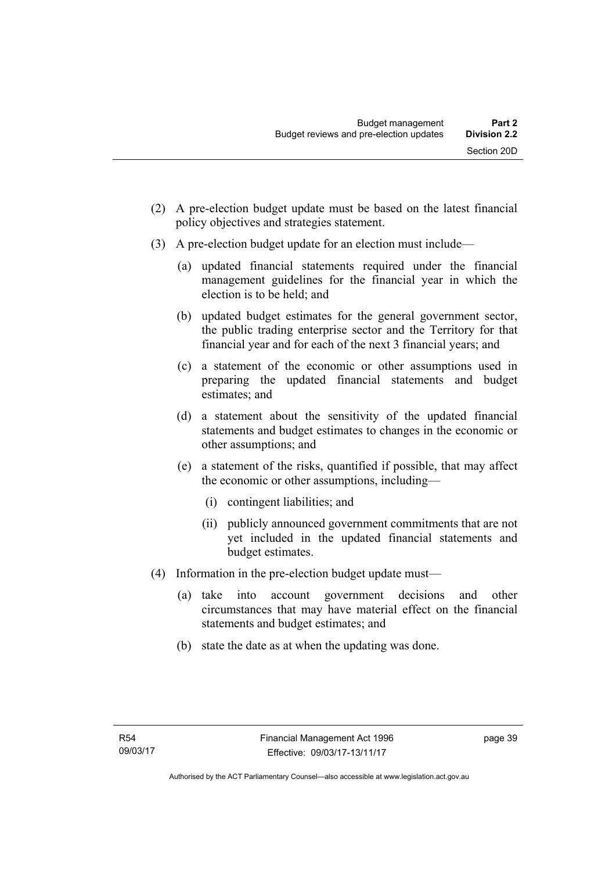- (2) A pre-election budget update must be based on the latest financial policy objectives and strategies statement.
- (3) A pre-election budget update for an election must include—
	- (a) updated financial statements required under the financial management guidelines for the financial year in which the election is to be held; and
	- (b) updated budget estimates for the general government sector, the public trading enterprise sector and the Territory for that financial year and for each of the next 3 financial years; and
	- (c) a statement of the economic or other assumptions used in preparing the updated financial statements and budget estimates; and
	- (d) a statement about the sensitivity of the updated financial statements and budget estimates to changes in the economic or other assumptions; and
	- (e) a statement of the risks, quantified if possible, that may affect the economic or other assumptions, including—
		- (i) contingent liabilities; and
		- (ii) publicly announced government commitments that are not yet included in the updated financial statements and budget estimates.
- (4) Information in the pre-election budget update must—
	- (a) take into account government decisions and other circumstances that may have material effect on the financial statements and budget estimates; and
	- (b) state the date as at when the updating was done.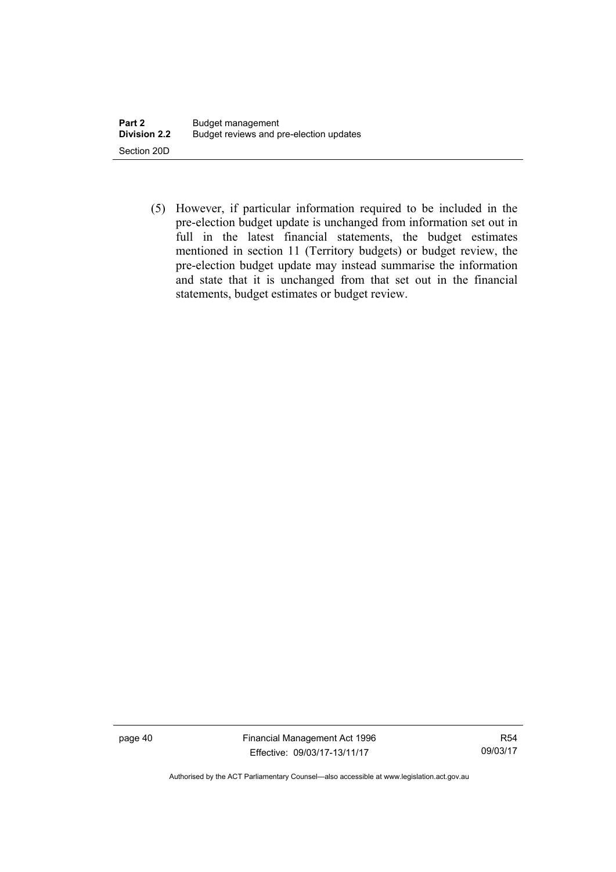(5) However, if particular information required to be included in the pre-election budget update is unchanged from information set out in full in the latest financial statements, the budget estimates mentioned in section 11 (Territory budgets) or budget review, the pre-election budget update may instead summarise the information and state that it is unchanged from that set out in the financial statements, budget estimates or budget review.

page 40 Financial Management Act 1996 Effective: 09/03/17-13/11/17

R54 09/03/17

Authorised by the ACT Parliamentary Counsel—also accessible at www.legislation.act.gov.au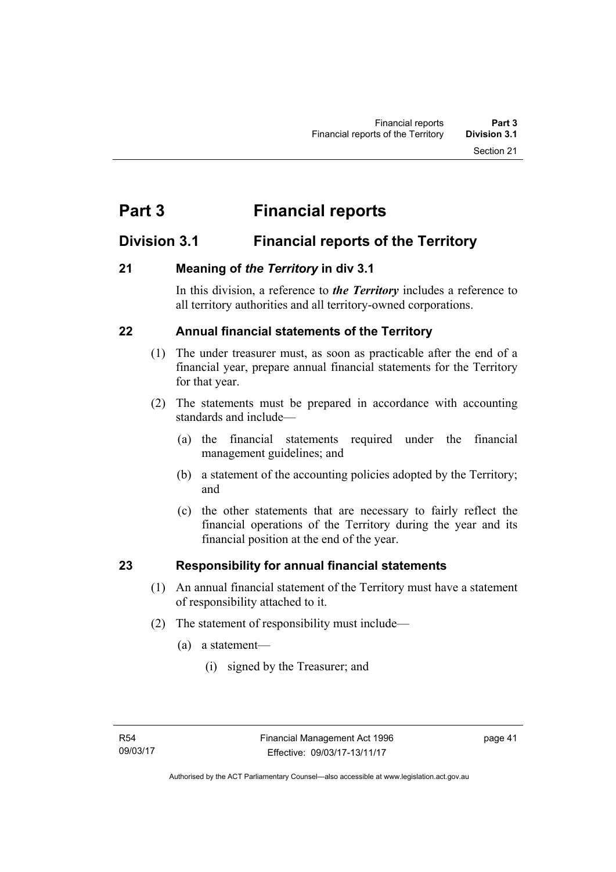# **Part 3 Financial reports**

## **Division 3.1 Financial reports of the Territory**

## **21 Meaning of** *the Territory* **in div 3.1**

In this division, a reference to *the Territory* includes a reference to all territory authorities and all territory-owned corporations.

## **22 Annual financial statements of the Territory**

- (1) The under treasurer must, as soon as practicable after the end of a financial year, prepare annual financial statements for the Territory for that year.
- (2) The statements must be prepared in accordance with accounting standards and include—
	- (a) the financial statements required under the financial management guidelines; and
	- (b) a statement of the accounting policies adopted by the Territory; and
	- (c) the other statements that are necessary to fairly reflect the financial operations of the Territory during the year and its financial position at the end of the year.

## **23 Responsibility for annual financial statements**

- (1) An annual financial statement of the Territory must have a statement of responsibility attached to it.
- (2) The statement of responsibility must include—
	- (a) a statement—
		- (i) signed by the Treasurer; and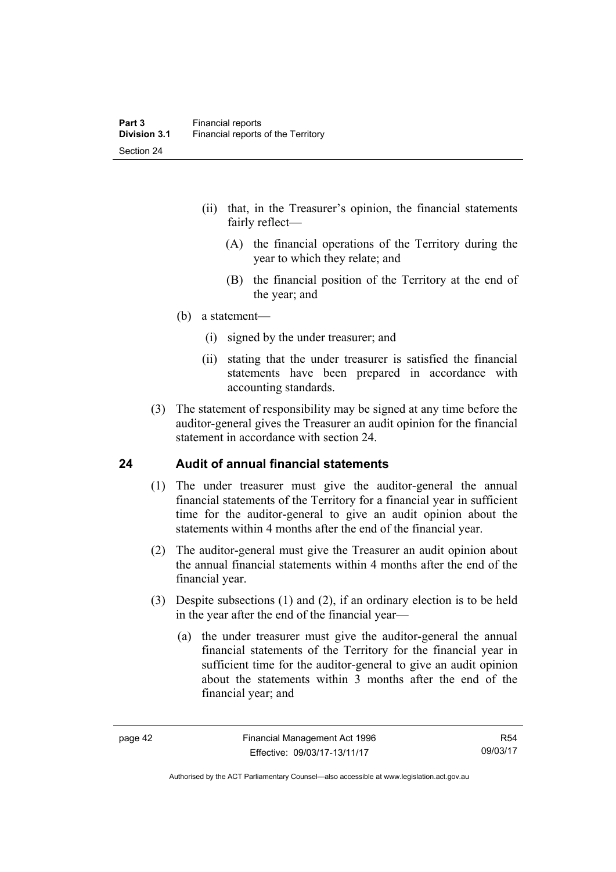- (ii) that, in the Treasurer's opinion, the financial statements fairly reflect—
	- (A) the financial operations of the Territory during the year to which they relate; and
	- (B) the financial position of the Territory at the end of the year; and
- (b) a statement—
	- (i) signed by the under treasurer; and
	- (ii) stating that the under treasurer is satisfied the financial statements have been prepared in accordance with accounting standards.
- (3) The statement of responsibility may be signed at any time before the auditor-general gives the Treasurer an audit opinion for the financial statement in accordance with section 24.

## **24 Audit of annual financial statements**

- (1) The under treasurer must give the auditor-general the annual financial statements of the Territory for a financial year in sufficient time for the auditor-general to give an audit opinion about the statements within 4 months after the end of the financial year.
- (2) The auditor-general must give the Treasurer an audit opinion about the annual financial statements within 4 months after the end of the financial year.
- (3) Despite subsections (1) and (2), if an ordinary election is to be held in the year after the end of the financial year—
	- (a) the under treasurer must give the auditor-general the annual financial statements of the Territory for the financial year in sufficient time for the auditor-general to give an audit opinion about the statements within 3 months after the end of the financial year; and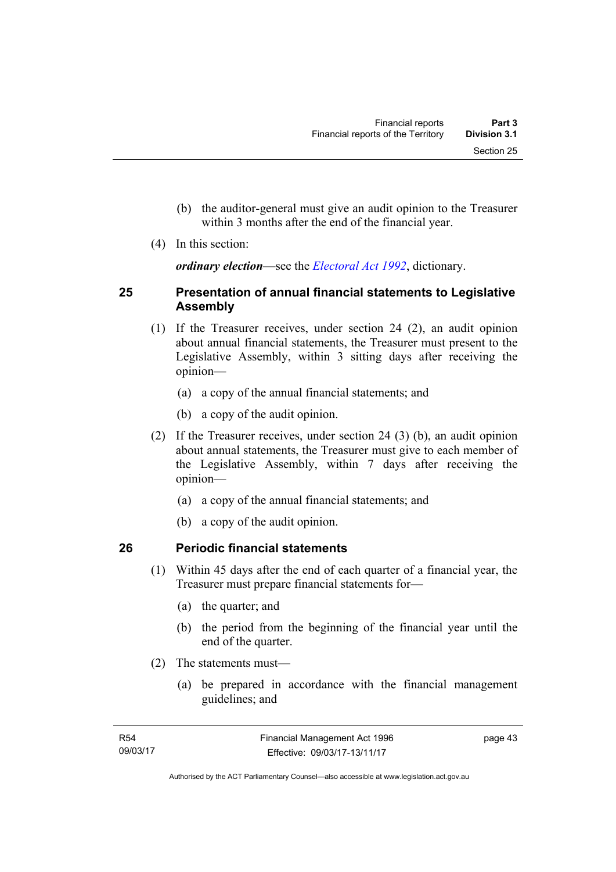- (b) the auditor-general must give an audit opinion to the Treasurer within 3 months after the end of the financial year.
- (4) In this section:

*ordinary election*—see the *[Electoral Act 1992](http://www.legislation.act.gov.au/a/1992-71)*, dictionary.

## **25 Presentation of annual financial statements to Legislative Assembly**

- (1) If the Treasurer receives, under section 24 (2), an audit opinion about annual financial statements, the Treasurer must present to the Legislative Assembly, within 3 sitting days after receiving the opinion—
	- (a) a copy of the annual financial statements; and
	- (b) a copy of the audit opinion.
- (2) If the Treasurer receives, under section 24 (3) (b), an audit opinion about annual statements, the Treasurer must give to each member of the Legislative Assembly, within 7 days after receiving the opinion—
	- (a) a copy of the annual financial statements; and
	- (b) a copy of the audit opinion.

## **26 Periodic financial statements**

- (1) Within 45 days after the end of each quarter of a financial year, the Treasurer must prepare financial statements for—
	- (a) the quarter; and
	- (b) the period from the beginning of the financial year until the end of the quarter.
- (2) The statements must—
	- (a) be prepared in accordance with the financial management guidelines; and

page 43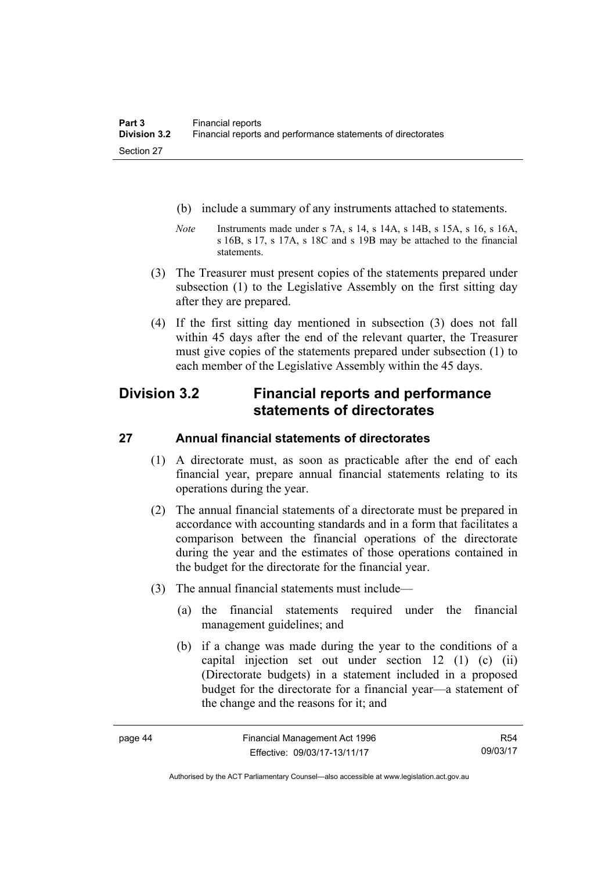- (b) include a summary of any instruments attached to statements.
- *Note* Instruments made under s 7A, s 14, s 14A, s 14B, s 15A, s 16, s 16A, s 16B, s 17, s 17A, s 18C and s 19B may be attached to the financial statements.
- (3) The Treasurer must present copies of the statements prepared under subsection (1) to the Legislative Assembly on the first sitting day after they are prepared.
- (4) If the first sitting day mentioned in subsection (3) does not fall within 45 days after the end of the relevant quarter, the Treasurer must give copies of the statements prepared under subsection (1) to each member of the Legislative Assembly within the 45 days.

## **Division 3.2 Financial reports and performance statements of directorates**

## **27 Annual financial statements of directorates**

- (1) A directorate must, as soon as practicable after the end of each financial year, prepare annual financial statements relating to its operations during the year.
- (2) The annual financial statements of a directorate must be prepared in accordance with accounting standards and in a form that facilitates a comparison between the financial operations of the directorate during the year and the estimates of those operations contained in the budget for the directorate for the financial year.
- (3) The annual financial statements must include—
	- (a) the financial statements required under the financial management guidelines; and
	- (b) if a change was made during the year to the conditions of a capital injection set out under section 12 (1) (c) (ii) (Directorate budgets) in a statement included in a proposed budget for the directorate for a financial year—a statement of the change and the reasons for it; and

R54 09/03/17

Authorised by the ACT Parliamentary Counsel—also accessible at www.legislation.act.gov.au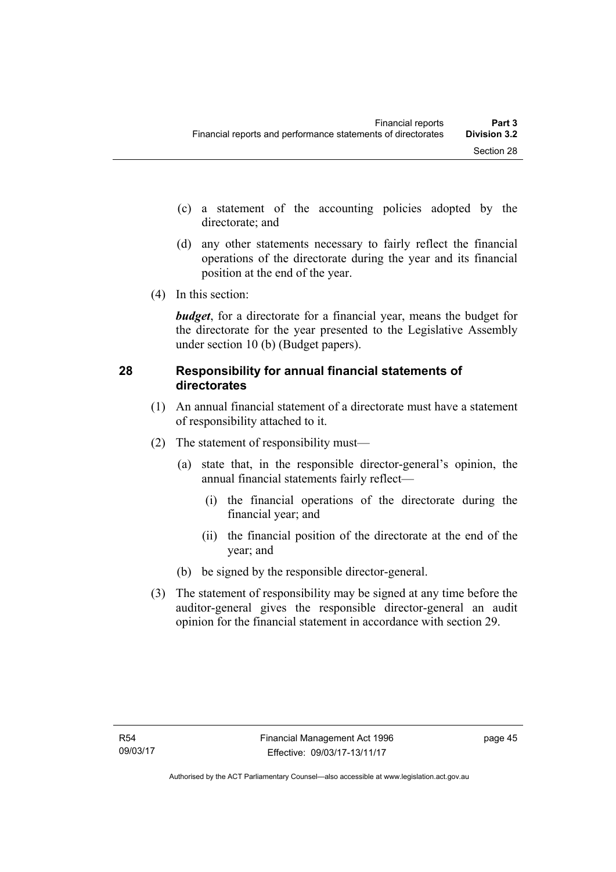- (c) a statement of the accounting policies adopted by the directorate; and
- (d) any other statements necessary to fairly reflect the financial operations of the directorate during the year and its financial position at the end of the year.
- (4) In this section:

*budget*, for a directorate for a financial year, means the budget for the directorate for the year presented to the Legislative Assembly under section 10 (b) (Budget papers).

## **28 Responsibility for annual financial statements of directorates**

- (1) An annual financial statement of a directorate must have a statement of responsibility attached to it.
- (2) The statement of responsibility must—
	- (a) state that, in the responsible director-general's opinion, the annual financial statements fairly reflect—
		- (i) the financial operations of the directorate during the financial year; and
		- (ii) the financial position of the directorate at the end of the year; and
	- (b) be signed by the responsible director-general.
- (3) The statement of responsibility may be signed at any time before the auditor-general gives the responsible director-general an audit opinion for the financial statement in accordance with section 29.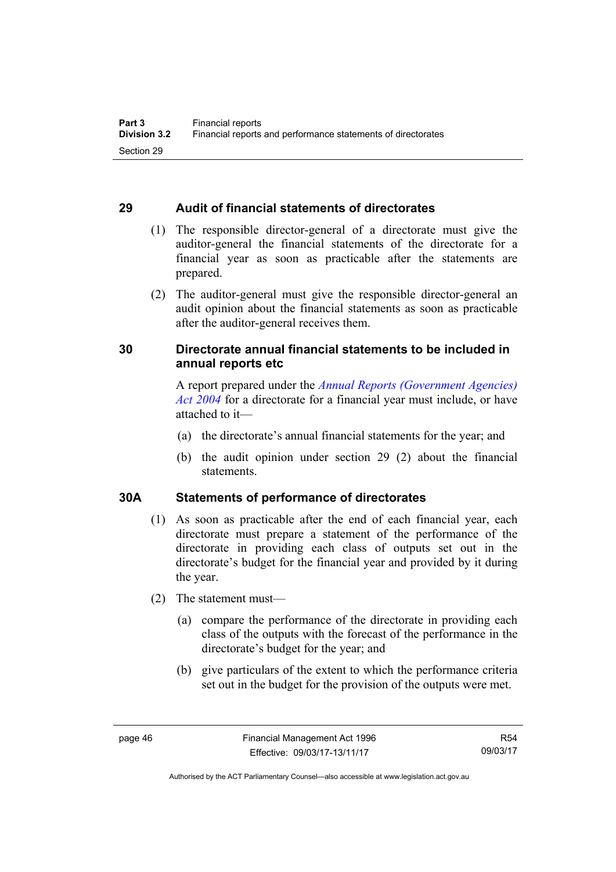## **29 Audit of financial statements of directorates**

- (1) The responsible director-general of a directorate must give the auditor-general the financial statements of the directorate for a financial year as soon as practicable after the statements are prepared.
- (2) The auditor-general must give the responsible director-general an audit opinion about the financial statements as soon as practicable after the auditor-general receives them.

## **30 Directorate annual financial statements to be included in annual reports etc**

A report prepared under the *[Annual Reports \(Government Agencies\)](http://www.legislation.act.gov.au/a/2004-8)  [Act 2004](http://www.legislation.act.gov.au/a/2004-8)* for a directorate for a financial year must include, or have attached to it—

- (a) the directorate's annual financial statements for the year; and
- (b) the audit opinion under section 29 (2) about the financial statements.

## **30A Statements of performance of directorates**

- (1) As soon as practicable after the end of each financial year, each directorate must prepare a statement of the performance of the directorate in providing each class of outputs set out in the directorate's budget for the financial year and provided by it during the year.
- (2) The statement must—
	- (a) compare the performance of the directorate in providing each class of the outputs with the forecast of the performance in the directorate's budget for the year; and
	- (b) give particulars of the extent to which the performance criteria set out in the budget for the provision of the outputs were met.

Authorised by the ACT Parliamentary Counsel—also accessible at www.legislation.act.gov.au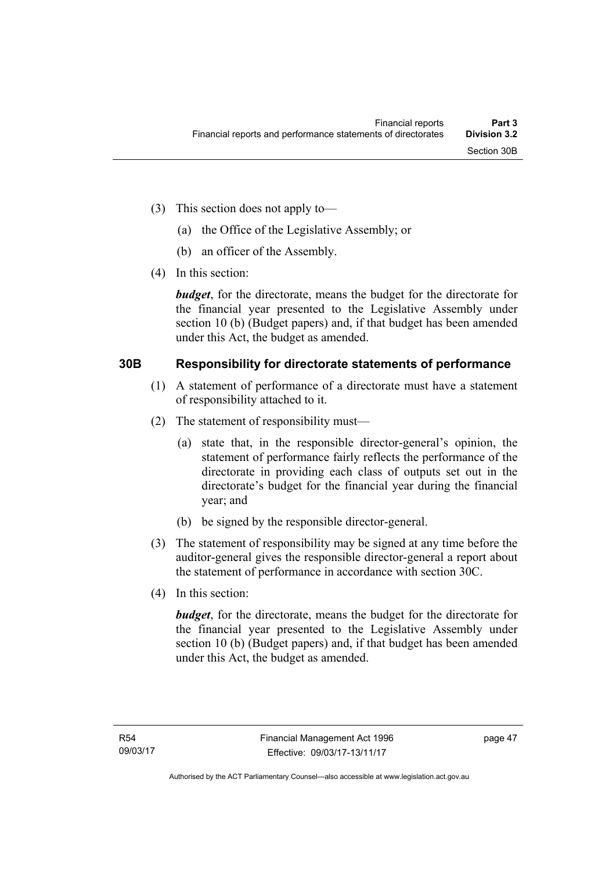- (3) This section does not apply to—
	- (a) the Office of the Legislative Assembly; or
	- (b) an officer of the Assembly.
- (4) In this section:

*budget*, for the directorate, means the budget for the directorate for the financial year presented to the Legislative Assembly under section 10 (b) (Budget papers) and, if that budget has been amended under this Act, the budget as amended.

## **30B Responsibility for directorate statements of performance**

- (1) A statement of performance of a directorate must have a statement of responsibility attached to it.
- (2) The statement of responsibility must—
	- (a) state that, in the responsible director-general's opinion, the statement of performance fairly reflects the performance of the directorate in providing each class of outputs set out in the directorate's budget for the financial year during the financial year; and
	- (b) be signed by the responsible director-general.
- (3) The statement of responsibility may be signed at any time before the auditor-general gives the responsible director-general a report about the statement of performance in accordance with section 30C.
- (4) In this section:

*budget*, for the directorate, means the budget for the directorate for the financial year presented to the Legislative Assembly under section 10 (b) (Budget papers) and, if that budget has been amended under this Act, the budget as amended.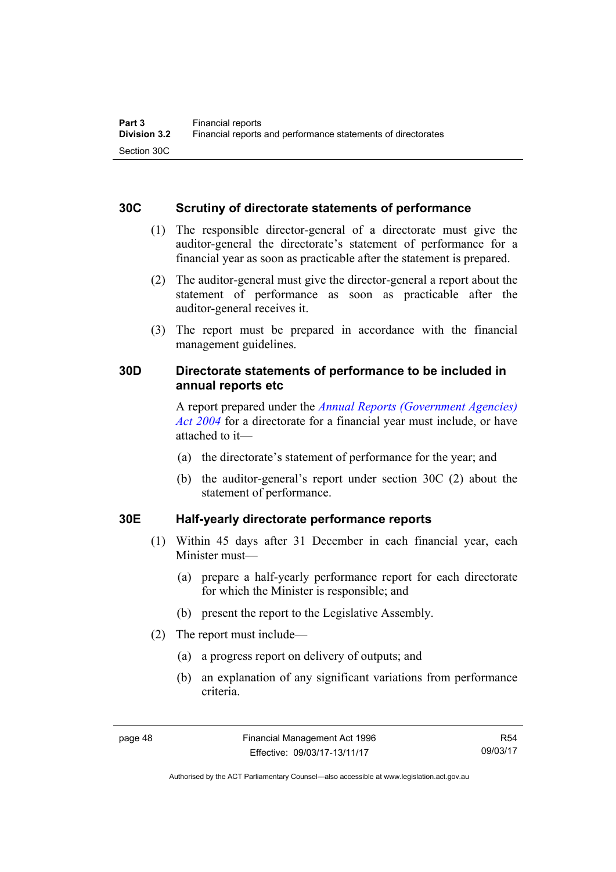## **30C Scrutiny of directorate statements of performance**

- (1) The responsible director-general of a directorate must give the auditor-general the directorate's statement of performance for a financial year as soon as practicable after the statement is prepared.
- (2) The auditor-general must give the director-general a report about the statement of performance as soon as practicable after the auditor-general receives it.
- (3) The report must be prepared in accordance with the financial management guidelines.

## **30D Directorate statements of performance to be included in annual reports etc**

A report prepared under the *[Annual Reports \(Government Agencies\)](http://www.legislation.act.gov.au/a/2004-8)  [Act 2004](http://www.legislation.act.gov.au/a/2004-8)* for a directorate for a financial year must include, or have attached to it—

- (a) the directorate's statement of performance for the year; and
- (b) the auditor-general's report under section 30C (2) about the statement of performance.

## **30E Half-yearly directorate performance reports**

- (1) Within 45 days after 31 December in each financial year, each Minister must—
	- (a) prepare a half-yearly performance report for each directorate for which the Minister is responsible; and
	- (b) present the report to the Legislative Assembly.
- (2) The report must include—
	- (a) a progress report on delivery of outputs; and
	- (b) an explanation of any significant variations from performance criteria.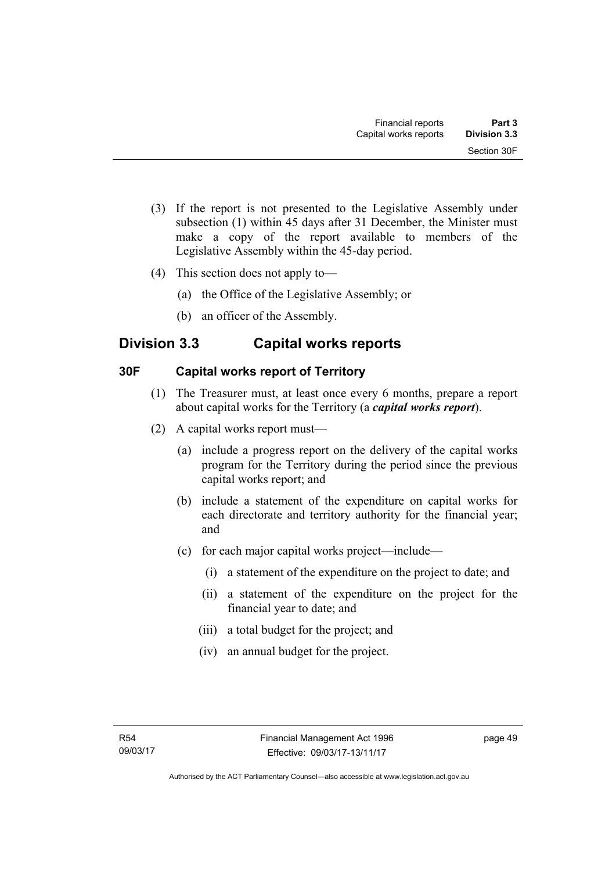- (3) If the report is not presented to the Legislative Assembly under subsection (1) within 45 days after 31 December, the Minister must make a copy of the report available to members of the Legislative Assembly within the 45-day period.
- (4) This section does not apply to—
	- (a) the Office of the Legislative Assembly; or
	- (b) an officer of the Assembly.

## **Division 3.3 Capital works reports**

## **30F Capital works report of Territory**

- (1) The Treasurer must, at least once every 6 months, prepare a report about capital works for the Territory (a *capital works report*).
- (2) A capital works report must—
	- (a) include a progress report on the delivery of the capital works program for the Territory during the period since the previous capital works report; and
	- (b) include a statement of the expenditure on capital works for each directorate and territory authority for the financial year; and
	- (c) for each major capital works project—include—
		- (i) a statement of the expenditure on the project to date; and
		- (ii) a statement of the expenditure on the project for the financial year to date; and
		- (iii) a total budget for the project; and
		- (iv) an annual budget for the project.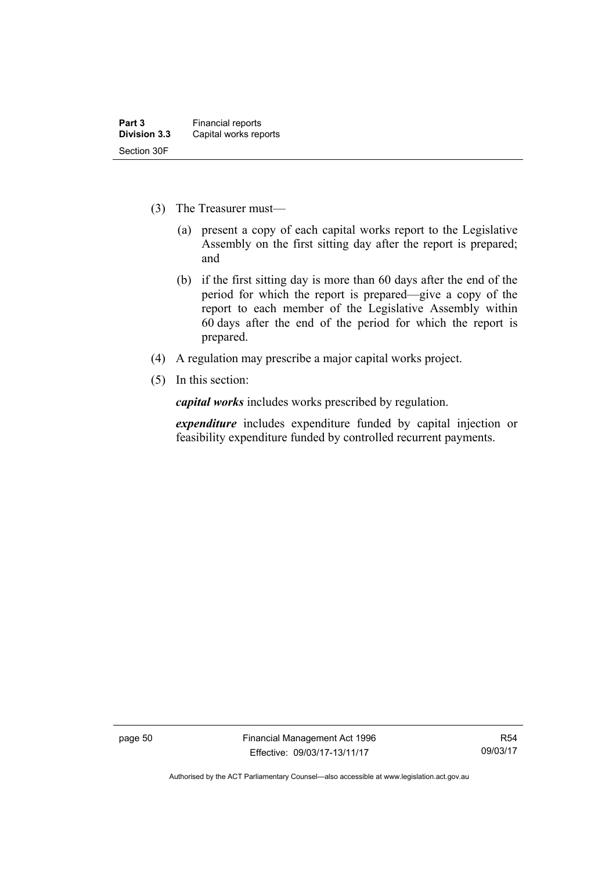- (3) The Treasurer must—
	- (a) present a copy of each capital works report to the Legislative Assembly on the first sitting day after the report is prepared; and
	- (b) if the first sitting day is more than 60 days after the end of the period for which the report is prepared—give a copy of the report to each member of the Legislative Assembly within 60 days after the end of the period for which the report is prepared.
- (4) A regulation may prescribe a major capital works project.
- (5) In this section:

*capital works* includes works prescribed by regulation.

*expenditure* includes expenditure funded by capital injection or feasibility expenditure funded by controlled recurrent payments.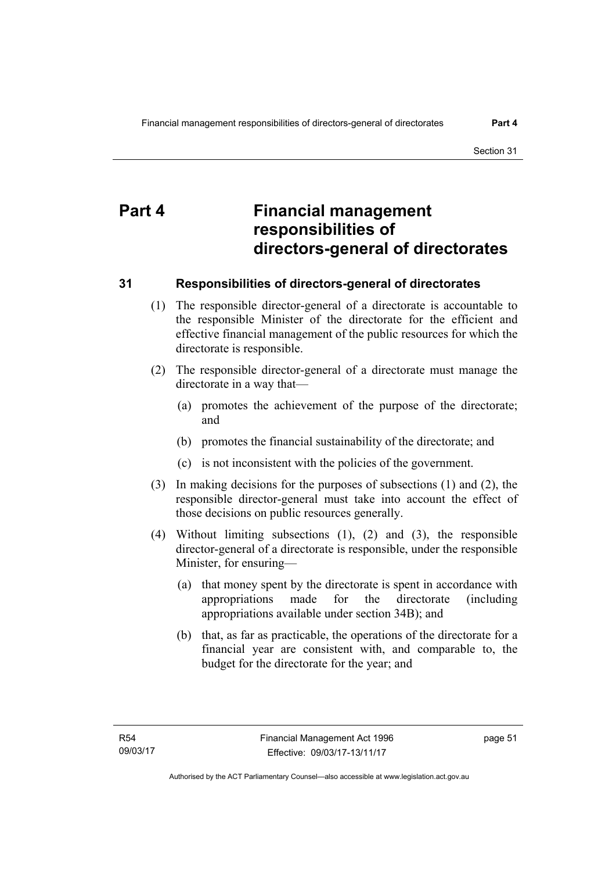# **Part 4 Financial management responsibilities of directors-general of directorates**

## **31 Responsibilities of directors-general of directorates**

- (1) The responsible director-general of a directorate is accountable to the responsible Minister of the directorate for the efficient and effective financial management of the public resources for which the directorate is responsible.
- (2) The responsible director-general of a directorate must manage the directorate in a way that—
	- (a) promotes the achievement of the purpose of the directorate; and
	- (b) promotes the financial sustainability of the directorate; and
	- (c) is not inconsistent with the policies of the government.
- (3) In making decisions for the purposes of subsections (1) and (2), the responsible director-general must take into account the effect of those decisions on public resources generally.
- (4) Without limiting subsections (1), (2) and (3), the responsible director-general of a directorate is responsible, under the responsible Minister, for ensuring—
	- (a) that money spent by the directorate is spent in accordance with appropriations made for the directorate (including appropriations available under section 34B); and
	- (b) that, as far as practicable, the operations of the directorate for a financial year are consistent with, and comparable to, the budget for the directorate for the year; and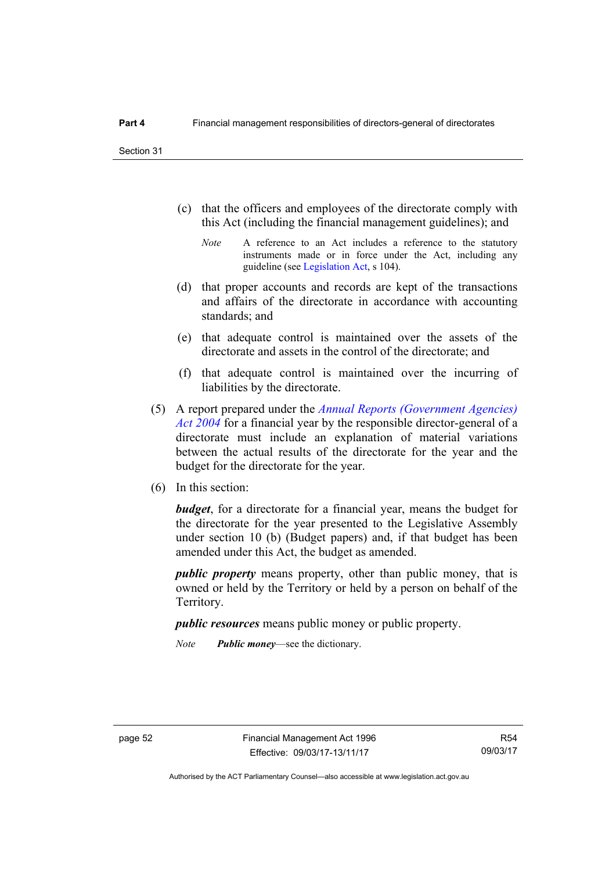- (c) that the officers and employees of the directorate comply with this Act (including the financial management guidelines); and
	- *Note* A reference to an Act includes a reference to the statutory instruments made or in force under the Act, including any guideline (see [Legislation Act](http://www.legislation.act.gov.au/a/2001-14), s 104).
- (d) that proper accounts and records are kept of the transactions and affairs of the directorate in accordance with accounting standards; and
- (e) that adequate control is maintained over the assets of the directorate and assets in the control of the directorate; and
- (f) that adequate control is maintained over the incurring of liabilities by the directorate.
- (5) A report prepared under the *[Annual Reports \(Government Agencies\)](http://www.legislation.act.gov.au/a/2004-8)  [Act 2004](http://www.legislation.act.gov.au/a/2004-8)* for a financial year by the responsible director-general of a directorate must include an explanation of material variations between the actual results of the directorate for the year and the budget for the directorate for the year.
- (6) In this section:

*budget*, for a directorate for a financial year, means the budget for the directorate for the year presented to the Legislative Assembly under section 10 (b) (Budget papers) and, if that budget has been amended under this Act, the budget as amended.

*public property* means property, other than public money, that is owned or held by the Territory or held by a person on behalf of the Territory.

*public resources* means public money or public property.

*Note Public money*—see the dictionary.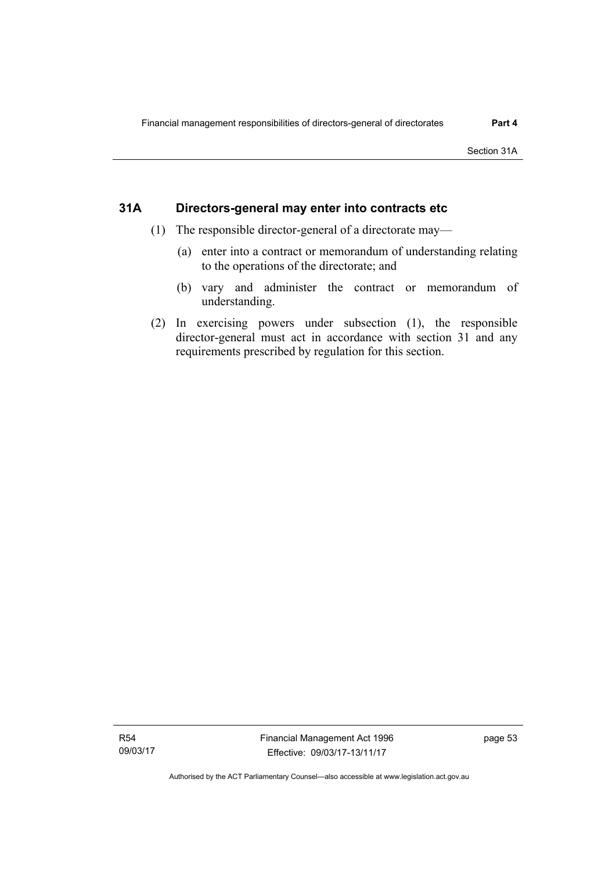## **31A Directors-general may enter into contracts etc**

- (1) The responsible director-general of a directorate may—
	- (a) enter into a contract or memorandum of understanding relating to the operations of the directorate; and
	- (b) vary and administer the contract or memorandum of understanding.
- (2) In exercising powers under subsection (1), the responsible director-general must act in accordance with section 31 and any requirements prescribed by regulation for this section.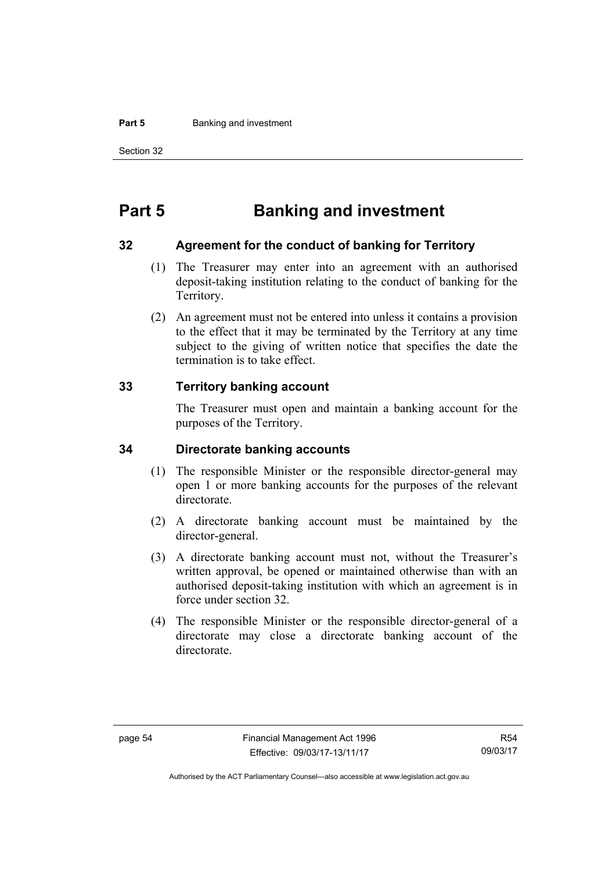#### **Part 5 Banking and investment**

Section 32

# **Part 5 Banking and investment**

## **32 Agreement for the conduct of banking for Territory**

- (1) The Treasurer may enter into an agreement with an authorised deposit-taking institution relating to the conduct of banking for the Territory.
- (2) An agreement must not be entered into unless it contains a provision to the effect that it may be terminated by the Territory at any time subject to the giving of written notice that specifies the date the termination is to take effect.

## **33 Territory banking account**

The Treasurer must open and maintain a banking account for the purposes of the Territory.

## **34 Directorate banking accounts**

- (1) The responsible Minister or the responsible director-general may open 1 or more banking accounts for the purposes of the relevant directorate.
- (2) A directorate banking account must be maintained by the director-general.
- (3) A directorate banking account must not, without the Treasurer's written approval, be opened or maintained otherwise than with an authorised deposit-taking institution with which an agreement is in force under section 32.
- (4) The responsible Minister or the responsible director-general of a directorate may close a directorate banking account of the directorate.

Authorised by the ACT Parliamentary Counsel—also accessible at www.legislation.act.gov.au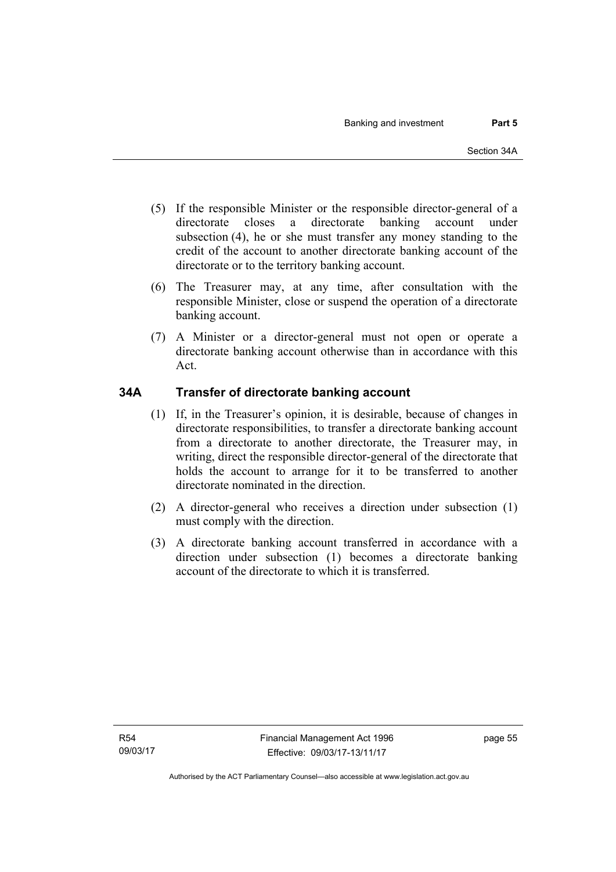- (5) If the responsible Minister or the responsible director-general of a directorate closes a directorate banking account under subsection (4), he or she must transfer any money standing to the credit of the account to another directorate banking account of the directorate or to the territory banking account.
- (6) The Treasurer may, at any time, after consultation with the responsible Minister, close or suspend the operation of a directorate banking account.
- (7) A Minister or a director-general must not open or operate a directorate banking account otherwise than in accordance with this Act.

## **34A Transfer of directorate banking account**

- (1) If, in the Treasurer's opinion, it is desirable, because of changes in directorate responsibilities, to transfer a directorate banking account from a directorate to another directorate, the Treasurer may, in writing, direct the responsible director-general of the directorate that holds the account to arrange for it to be transferred to another directorate nominated in the direction.
- (2) A director-general who receives a direction under subsection (1) must comply with the direction.
- (3) A directorate banking account transferred in accordance with a direction under subsection (1) becomes a directorate banking account of the directorate to which it is transferred.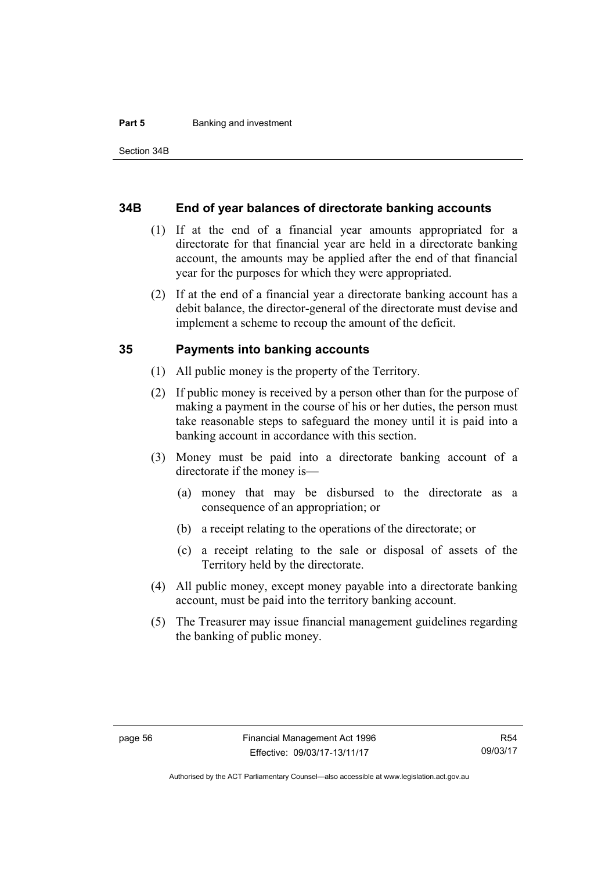#### **Part 5 Banking and investment**

#### **34B End of year balances of directorate banking accounts**

- (1) If at the end of a financial year amounts appropriated for a directorate for that financial year are held in a directorate banking account, the amounts may be applied after the end of that financial year for the purposes for which they were appropriated.
- (2) If at the end of a financial year a directorate banking account has a debit balance, the director-general of the directorate must devise and implement a scheme to recoup the amount of the deficit.

#### **35 Payments into banking accounts**

- (1) All public money is the property of the Territory.
- (2) If public money is received by a person other than for the purpose of making a payment in the course of his or her duties, the person must take reasonable steps to safeguard the money until it is paid into a banking account in accordance with this section.
- (3) Money must be paid into a directorate banking account of a directorate if the money is—
	- (a) money that may be disbursed to the directorate as a consequence of an appropriation; or
	- (b) a receipt relating to the operations of the directorate; or
	- (c) a receipt relating to the sale or disposal of assets of the Territory held by the directorate.
- (4) All public money, except money payable into a directorate banking account, must be paid into the territory banking account.
- (5) The Treasurer may issue financial management guidelines regarding the banking of public money.

Authorised by the ACT Parliamentary Counsel—also accessible at www.legislation.act.gov.au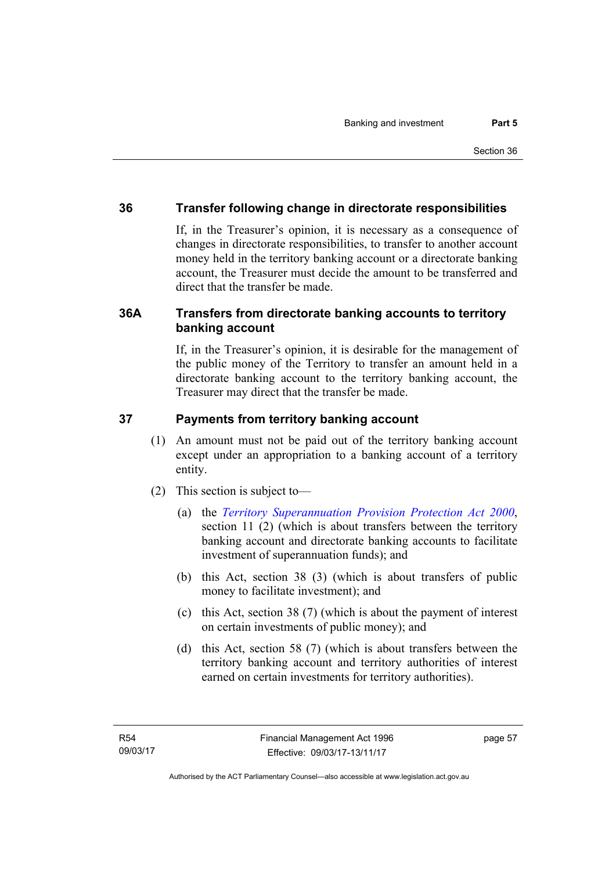## **36 Transfer following change in directorate responsibilities**

If, in the Treasurer's opinion, it is necessary as a consequence of changes in directorate responsibilities, to transfer to another account money held in the territory banking account or a directorate banking account, the Treasurer must decide the amount to be transferred and direct that the transfer be made.

## **36A Transfers from directorate banking accounts to territory banking account**

If, in the Treasurer's opinion, it is desirable for the management of the public money of the Territory to transfer an amount held in a directorate banking account to the territory banking account, the Treasurer may direct that the transfer be made.

## **37 Payments from territory banking account**

- (1) An amount must not be paid out of the territory banking account except under an appropriation to a banking account of a territory entity.
- (2) This section is subject to—
	- (a) the *[Territory Superannuation Provision Protection Act 2000](http://www.legislation.act.gov.au/a/2000-21)*, section 11 (2) (which is about transfers between the territory banking account and directorate banking accounts to facilitate investment of superannuation funds); and
	- (b) this Act, section 38 (3) (which is about transfers of public money to facilitate investment); and
	- (c) this Act, section 38 (7) (which is about the payment of interest on certain investments of public money); and
	- (d) this Act, section 58 (7) (which is about transfers between the territory banking account and territory authorities of interest earned on certain investments for territory authorities).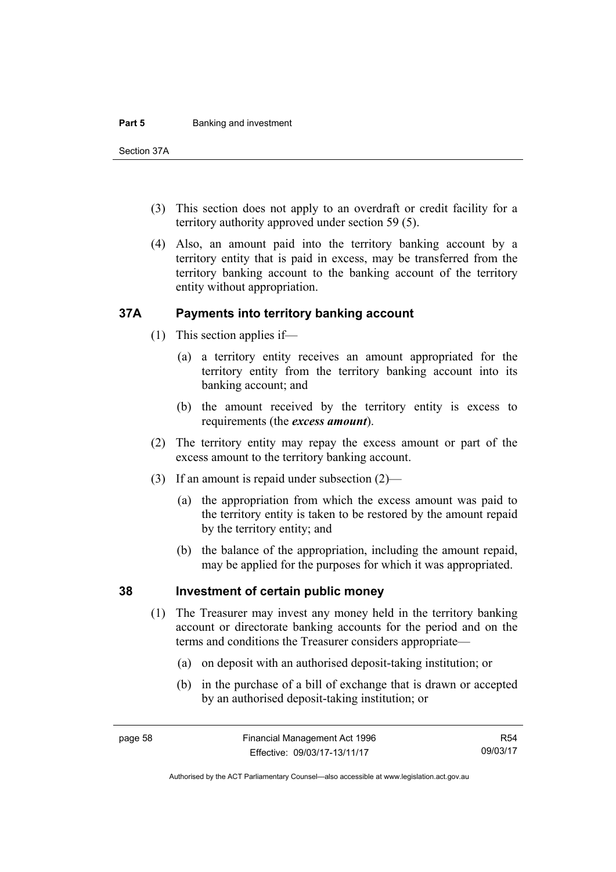#### **Part 5 Banking and investment**

Section 37A

- (3) This section does not apply to an overdraft or credit facility for a territory authority approved under section 59 (5).
- (4) Also, an amount paid into the territory banking account by a territory entity that is paid in excess, may be transferred from the territory banking account to the banking account of the territory entity without appropriation.

## **37A Payments into territory banking account**

- (1) This section applies if—
	- (a) a territory entity receives an amount appropriated for the territory entity from the territory banking account into its banking account; and
	- (b) the amount received by the territory entity is excess to requirements (the *excess amount*).
- (2) The territory entity may repay the excess amount or part of the excess amount to the territory banking account.
- (3) If an amount is repaid under subsection (2)—
	- (a) the appropriation from which the excess amount was paid to the territory entity is taken to be restored by the amount repaid by the territory entity; and
	- (b) the balance of the appropriation, including the amount repaid, may be applied for the purposes for which it was appropriated.

### **38 Investment of certain public money**

- (1) The Treasurer may invest any money held in the territory banking account or directorate banking accounts for the period and on the terms and conditions the Treasurer considers appropriate—
	- (a) on deposit with an authorised deposit-taking institution; or
	- (b) in the purchase of a bill of exchange that is drawn or accepted by an authorised deposit-taking institution; or

Authorised by the ACT Parliamentary Counsel—also accessible at www.legislation.act.gov.au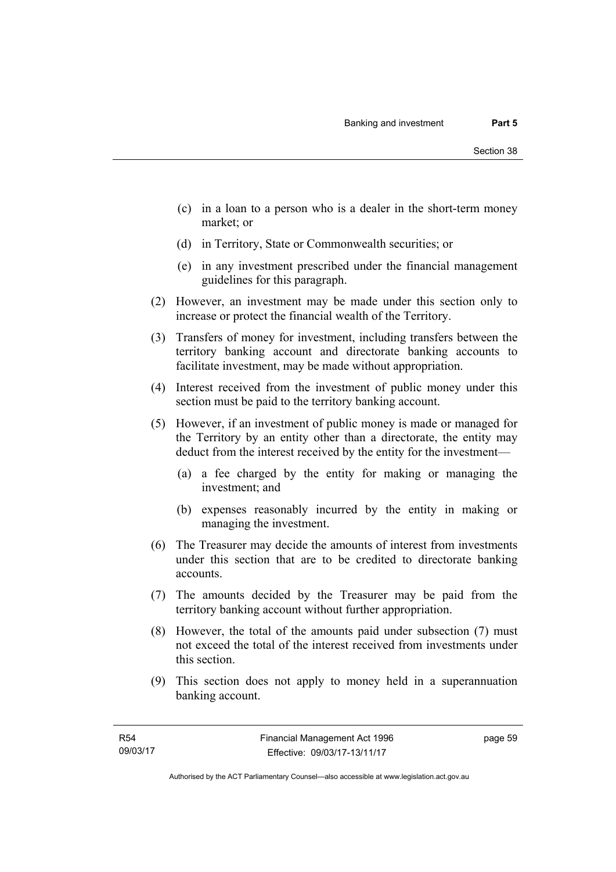- (c) in a loan to a person who is a dealer in the short-term money market; or
- (d) in Territory, State or Commonwealth securities; or
- (e) in any investment prescribed under the financial management guidelines for this paragraph.
- (2) However, an investment may be made under this section only to increase or protect the financial wealth of the Territory.
- (3) Transfers of money for investment, including transfers between the territory banking account and directorate banking accounts to facilitate investment, may be made without appropriation.
- (4) Interest received from the investment of public money under this section must be paid to the territory banking account.
- (5) However, if an investment of public money is made or managed for the Territory by an entity other than a directorate, the entity may deduct from the interest received by the entity for the investment—
	- (a) a fee charged by the entity for making or managing the investment; and
	- (b) expenses reasonably incurred by the entity in making or managing the investment.
- (6) The Treasurer may decide the amounts of interest from investments under this section that are to be credited to directorate banking accounts.
- (7) The amounts decided by the Treasurer may be paid from the territory banking account without further appropriation.
- (8) However, the total of the amounts paid under subsection (7) must not exceed the total of the interest received from investments under this section.
- (9) This section does not apply to money held in a superannuation banking account.

page 59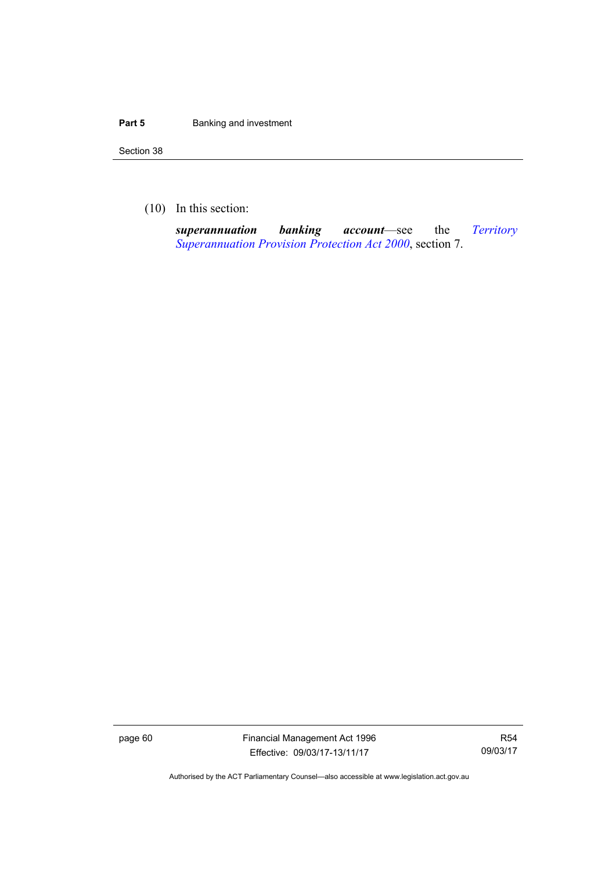#### **Part 5 Banking and investment**

Section 38

(10) In this section:

*superannuation banking account*—see the *[Territory](http://www.legislation.act.gov.au/a/2000-21)  [Superannuation Provision Protection Act 2000](http://www.legislation.act.gov.au/a/2000-21)*, section 7.

page 60 Financial Management Act 1996 Effective: 09/03/17-13/11/17

R54 09/03/17

Authorised by the ACT Parliamentary Counsel—also accessible at www.legislation.act.gov.au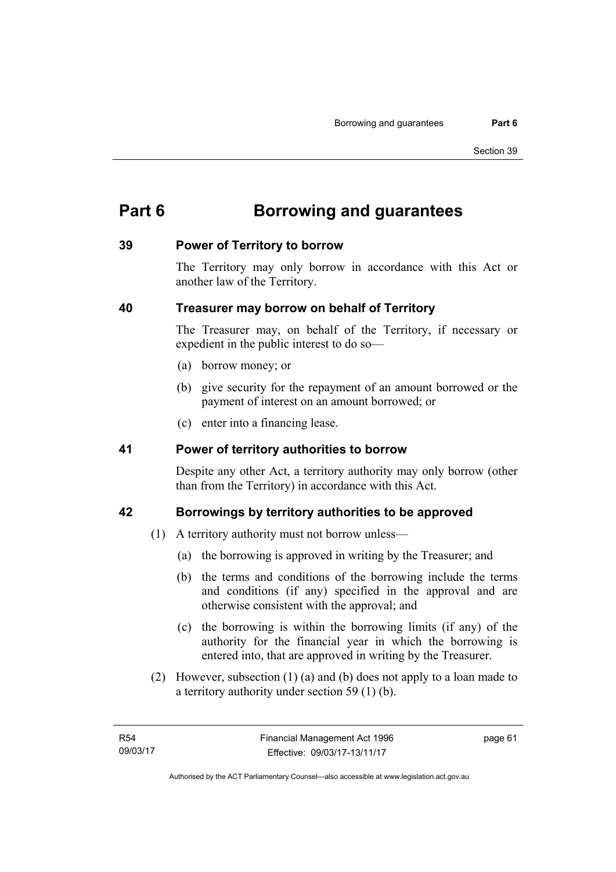# **Part 6 Borrowing and guarantees**

## **39 Power of Territory to borrow**

The Territory may only borrow in accordance with this Act or another law of the Territory.

## **40 Treasurer may borrow on behalf of Territory**

The Treasurer may, on behalf of the Territory, if necessary or expedient in the public interest to do so—

- (a) borrow money; or
- (b) give security for the repayment of an amount borrowed or the payment of interest on an amount borrowed; or
- (c) enter into a financing lease.

## **41 Power of territory authorities to borrow**

Despite any other Act, a territory authority may only borrow (other than from the Territory) in accordance with this Act.

## **42 Borrowings by territory authorities to be approved**

- (1) A territory authority must not borrow unless—
	- (a) the borrowing is approved in writing by the Treasurer; and
	- (b) the terms and conditions of the borrowing include the terms and conditions (if any) specified in the approval and are otherwise consistent with the approval; and
	- (c) the borrowing is within the borrowing limits (if any) of the authority for the financial year in which the borrowing is entered into, that are approved in writing by the Treasurer.
- (2) However, subsection (1) (a) and (b) does not apply to a loan made to a territory authority under section 59 (1) (b).

page 61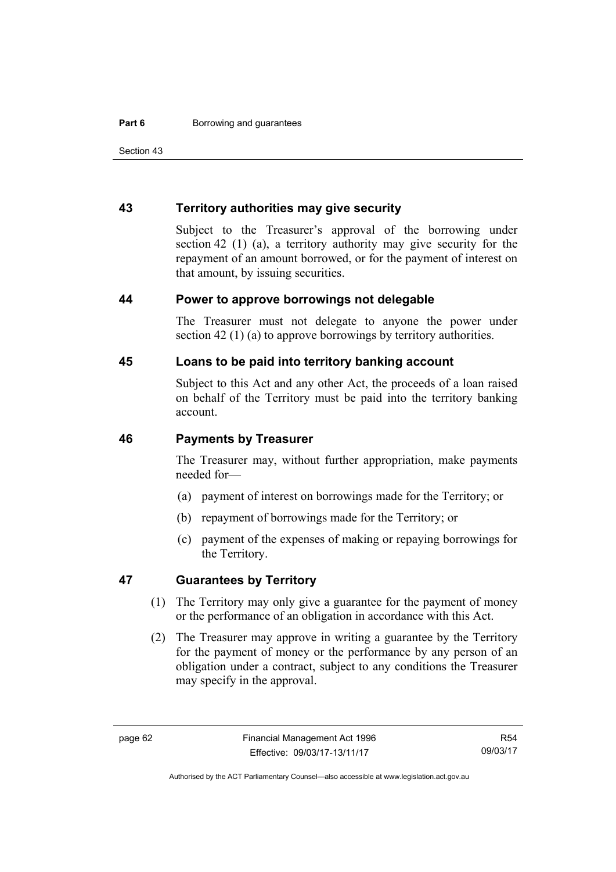Section 43

## **43 Territory authorities may give security**

Subject to the Treasurer's approval of the borrowing under section 42 (1) (a), a territory authority may give security for the repayment of an amount borrowed, or for the payment of interest on that amount, by issuing securities.

### **44 Power to approve borrowings not delegable**

The Treasurer must not delegate to anyone the power under section 42 (1) (a) to approve borrowings by territory authorities.

## **45 Loans to be paid into territory banking account**

Subject to this Act and any other Act, the proceeds of a loan raised on behalf of the Territory must be paid into the territory banking account.

### **46 Payments by Treasurer**

The Treasurer may, without further appropriation, make payments needed for—

- (a) payment of interest on borrowings made for the Territory; or
- (b) repayment of borrowings made for the Territory; or
- (c) payment of the expenses of making or repaying borrowings for the Territory.

## **47 Guarantees by Territory**

- (1) The Territory may only give a guarantee for the payment of money or the performance of an obligation in accordance with this Act.
- (2) The Treasurer may approve in writing a guarantee by the Territory for the payment of money or the performance by any person of an obligation under a contract, subject to any conditions the Treasurer may specify in the approval.

R54 09/03/17

Authorised by the ACT Parliamentary Counsel—also accessible at www.legislation.act.gov.au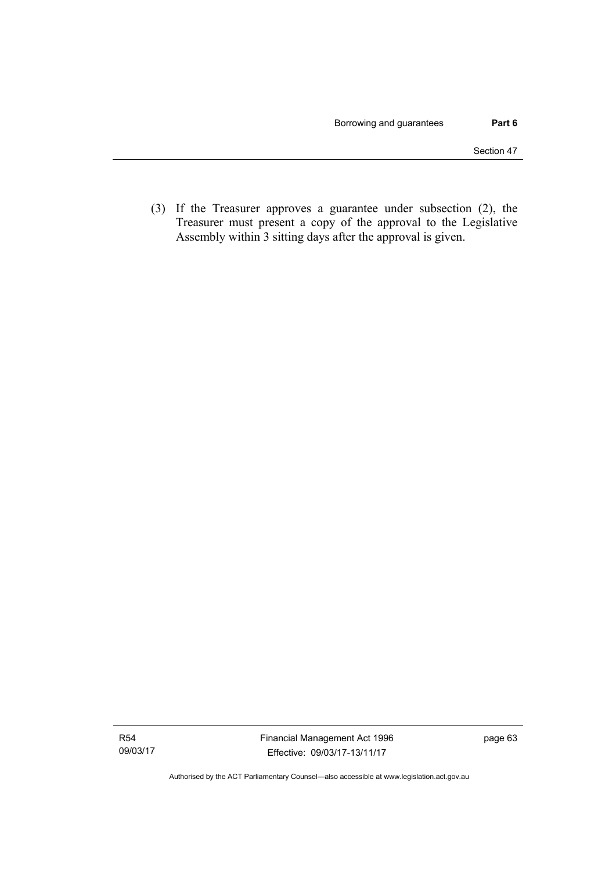(3) If the Treasurer approves a guarantee under subsection (2), the Treasurer must present a copy of the approval to the Legislative Assembly within 3 sitting days after the approval is given.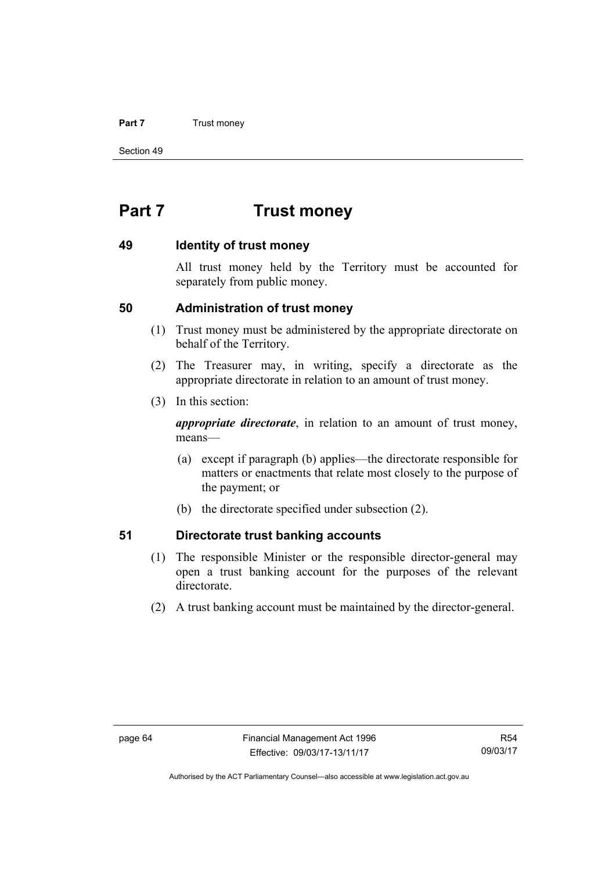#### **Part 7** Trust money

Section 49

# **Part 7 Trust money**

## **49 Identity of trust money**

All trust money held by the Territory must be accounted for separately from public money.

## **50 Administration of trust money**

- (1) Trust money must be administered by the appropriate directorate on behalf of the Territory.
- (2) The Treasurer may, in writing, specify a directorate as the appropriate directorate in relation to an amount of trust money.
- (3) In this section:

*appropriate directorate*, in relation to an amount of trust money, means—

- (a) except if paragraph (b) applies—the directorate responsible for matters or enactments that relate most closely to the purpose of the payment; or
- (b) the directorate specified under subsection (2).

## **51 Directorate trust banking accounts**

- (1) The responsible Minister or the responsible director-general may open a trust banking account for the purposes of the relevant directorate.
- (2) A trust banking account must be maintained by the director-general.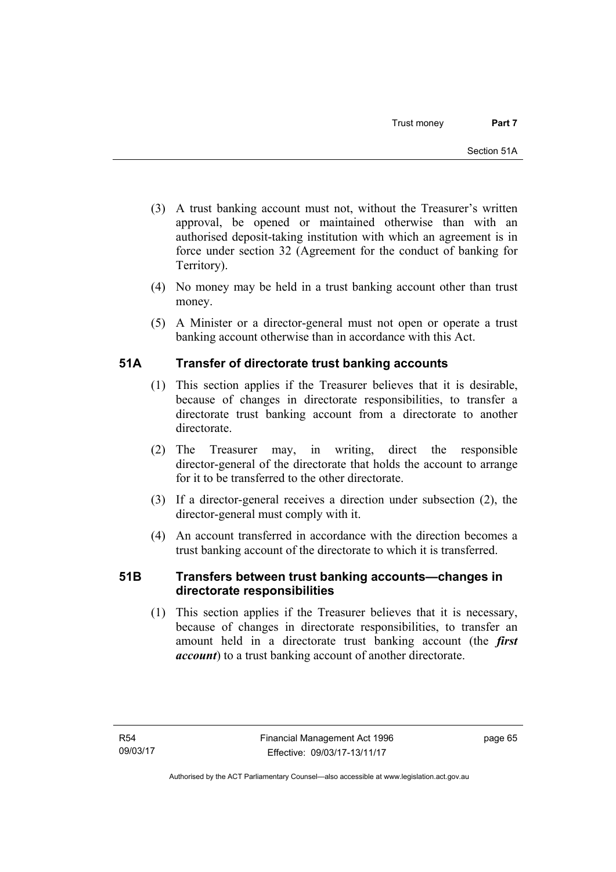- (3) A trust banking account must not, without the Treasurer's written approval, be opened or maintained otherwise than with an authorised deposit-taking institution with which an agreement is in force under section 32 (Agreement for the conduct of banking for Territory).
- (4) No money may be held in a trust banking account other than trust money.
- (5) A Minister or a director-general must not open or operate a trust banking account otherwise than in accordance with this Act.

# **51A Transfer of directorate trust banking accounts**

- (1) This section applies if the Treasurer believes that it is desirable, because of changes in directorate responsibilities, to transfer a directorate trust banking account from a directorate to another directorate.
- (2) The Treasurer may, in writing, direct the responsible director-general of the directorate that holds the account to arrange for it to be transferred to the other directorate.
- (3) If a director-general receives a direction under subsection (2), the director-general must comply with it.
- (4) An account transferred in accordance with the direction becomes a trust banking account of the directorate to which it is transferred.

# **51B Transfers between trust banking accounts—changes in directorate responsibilities**

 (1) This section applies if the Treasurer believes that it is necessary, because of changes in directorate responsibilities, to transfer an amount held in a directorate trust banking account (the *first account*) to a trust banking account of another directorate.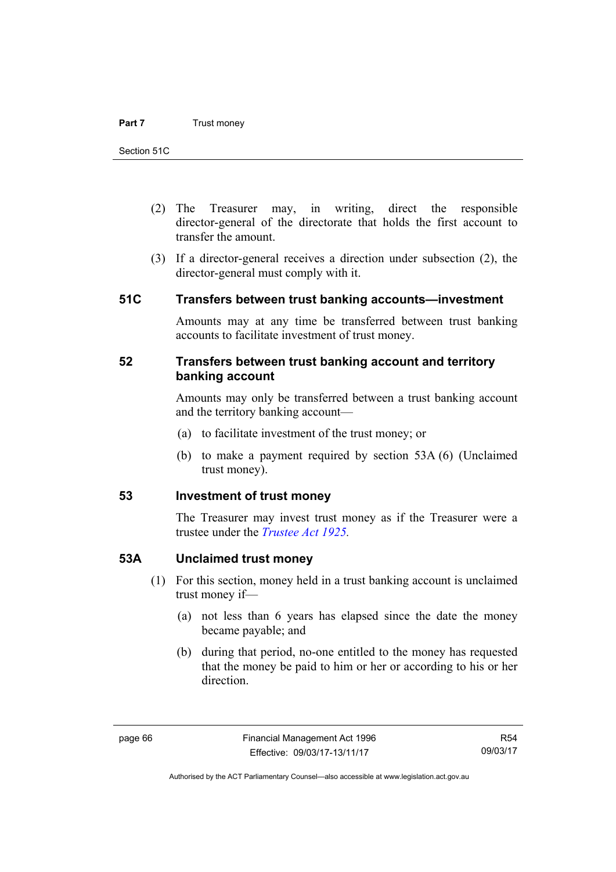- (2) The Treasurer may, in writing, direct the responsible director-general of the directorate that holds the first account to transfer the amount.
- (3) If a director-general receives a direction under subsection (2), the director-general must comply with it.

## **51C Transfers between trust banking accounts—investment**

Amounts may at any time be transferred between trust banking accounts to facilitate investment of trust money.

## **52 Transfers between trust banking account and territory banking account**

Amounts may only be transferred between a trust banking account and the territory banking account—

- (a) to facilitate investment of the trust money; or
- (b) to make a payment required by section 53A (6) (Unclaimed trust money).

## **53 Investment of trust money**

The Treasurer may invest trust money as if the Treasurer were a trustee under the *[Trustee Act 1925](http://www.legislation.act.gov.au/a/1925-14).*

## **53A Unclaimed trust money**

- (1) For this section, money held in a trust banking account is unclaimed trust money if—
	- (a) not less than 6 years has elapsed since the date the money became payable; and
	- (b) during that period, no-one entitled to the money has requested that the money be paid to him or her or according to his or her direction.

R54 09/03/17

Authorised by the ACT Parliamentary Counsel—also accessible at www.legislation.act.gov.au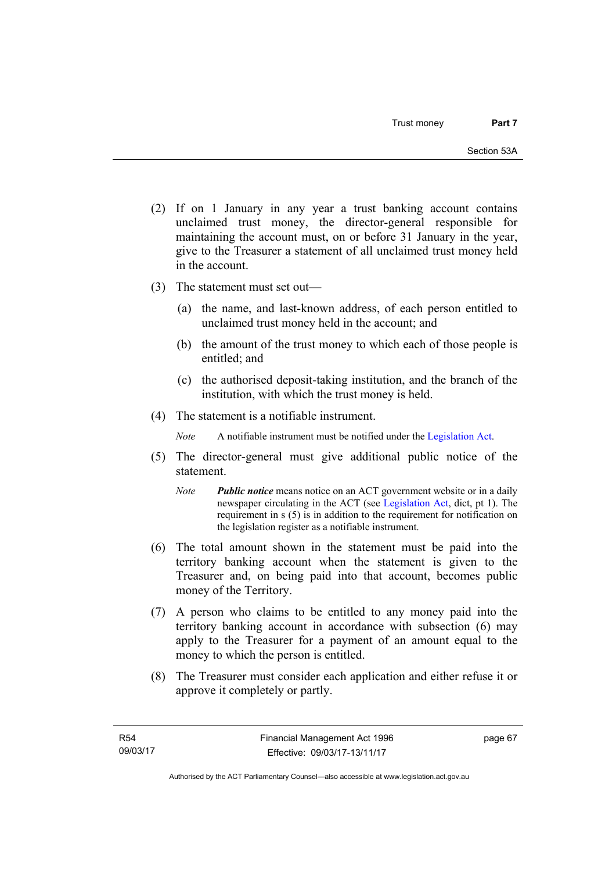- (2) If on 1 January in any year a trust banking account contains unclaimed trust money, the director-general responsible for maintaining the account must, on or before 31 January in the year, give to the Treasurer a statement of all unclaimed trust money held in the account.
- (3) The statement must set out—
	- (a) the name, and last-known address, of each person entitled to unclaimed trust money held in the account; and
	- (b) the amount of the trust money to which each of those people is entitled; and
	- (c) the authorised deposit-taking institution, and the branch of the institution, with which the trust money is held.
- (4) The statement is a notifiable instrument.

*Note* A notifiable instrument must be notified under the [Legislation Act](http://www.legislation.act.gov.au/a/2001-14).

- (5) The director-general must give additional public notice of the statement.
	- *Note Public notice* means notice on an ACT government website or in a daily newspaper circulating in the ACT (see [Legislation Act,](http://www.legislation.act.gov.au/a/2001-14) dict, pt 1). The requirement in s (5) is in addition to the requirement for notification on the legislation register as a notifiable instrument.
- (6) The total amount shown in the statement must be paid into the territory banking account when the statement is given to the Treasurer and, on being paid into that account, becomes public money of the Territory.
- (7) A person who claims to be entitled to any money paid into the territory banking account in accordance with subsection (6) may apply to the Treasurer for a payment of an amount equal to the money to which the person is entitled.
- (8) The Treasurer must consider each application and either refuse it or approve it completely or partly.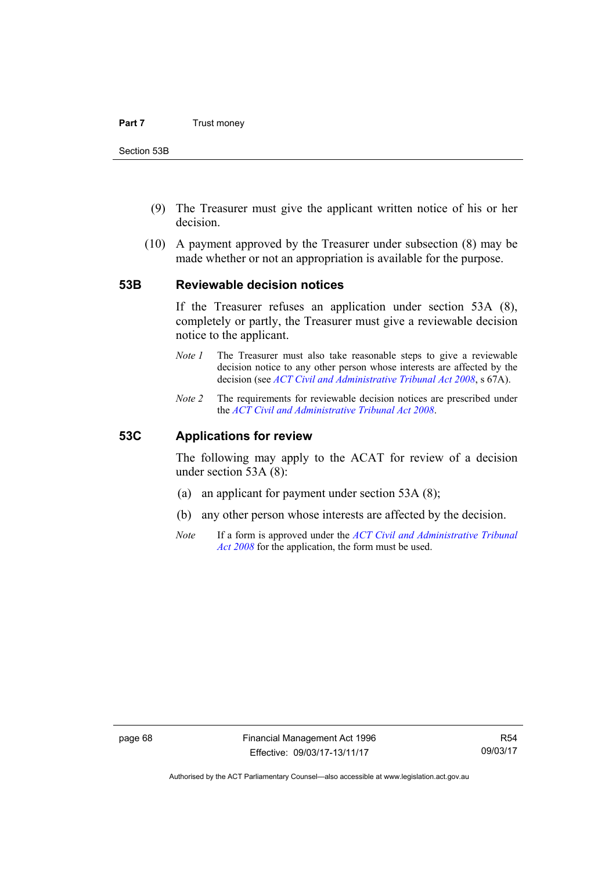- (9) The Treasurer must give the applicant written notice of his or her decision.
- (10) A payment approved by the Treasurer under subsection (8) may be made whether or not an appropriation is available for the purpose.

### **53B Reviewable decision notices**

If the Treasurer refuses an application under section 53A (8), completely or partly, the Treasurer must give a reviewable decision notice to the applicant.

- *Note 1* The Treasurer must also take reasonable steps to give a reviewable decision notice to any other person whose interests are affected by the decision (see *[ACT Civil and Administrative Tribunal Act 2008](http://www.legislation.act.gov.au/a/2008-35)*, s 67A).
- *Note 2* The requirements for reviewable decision notices are prescribed under the *[ACT Civil and Administrative Tribunal Act 2008](http://www.legislation.act.gov.au/a/2008-35)*.

### **53C Applications for review**

The following may apply to the ACAT for review of a decision under section 53A (8):

- (a) an applicant for payment under section 53A (8);
- (b) any other person whose interests are affected by the decision.
- *Note* If a form is approved under the *[ACT Civil and Administrative Tribunal](http://www.legislation.act.gov.au/a/2008-35)  [Act 2008](http://www.legislation.act.gov.au/a/2008-35)* for the application, the form must be used.

Authorised by the ACT Parliamentary Counsel—also accessible at www.legislation.act.gov.au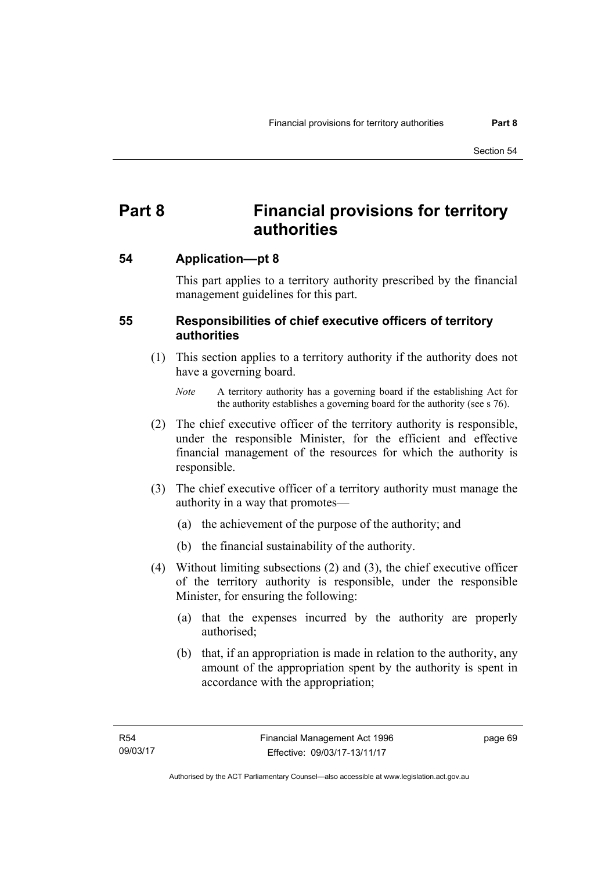# **Part 8 Financial provisions for territory authorities**

## **54 Application––pt 8**

This part applies to a territory authority prescribed by the financial management guidelines for this part.

## **55 Responsibilities of chief executive officers of territory authorities**

- (1) This section applies to a territory authority if the authority does not have a governing board.
	- *Note* A territory authority has a governing board if the establishing Act for the authority establishes a governing board for the authority (see s 76).
- (2) The chief executive officer of the territory authority is responsible, under the responsible Minister, for the efficient and effective financial management of the resources for which the authority is responsible.
- (3) The chief executive officer of a territory authority must manage the authority in a way that promotes—
	- (a) the achievement of the purpose of the authority; and
	- (b) the financial sustainability of the authority.
- (4) Without limiting subsections (2) and (3), the chief executive officer of the territory authority is responsible, under the responsible Minister, for ensuring the following:
	- (a) that the expenses incurred by the authority are properly authorised;
	- (b) that, if an appropriation is made in relation to the authority, any amount of the appropriation spent by the authority is spent in accordance with the appropriation;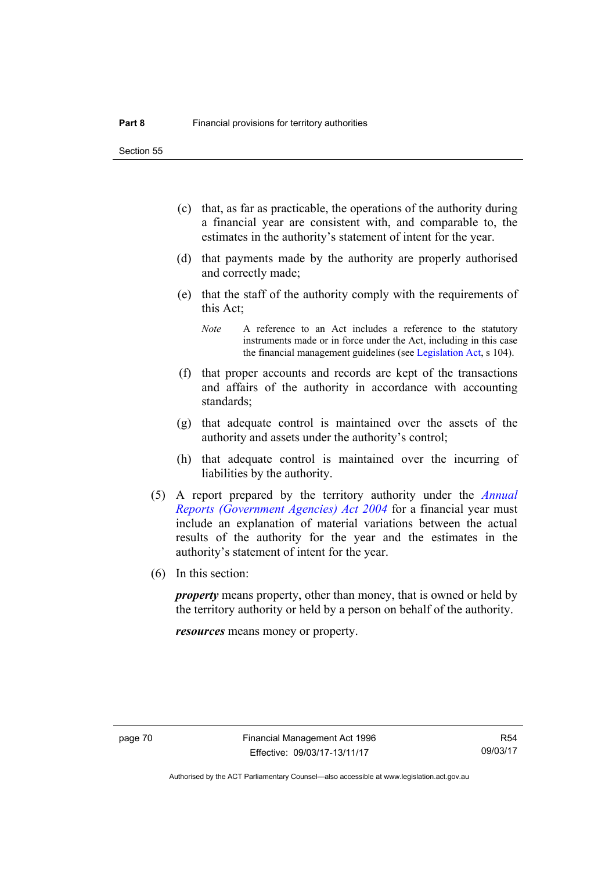Section 55

- (c) that, as far as practicable, the operations of the authority during a financial year are consistent with, and comparable to, the estimates in the authority's statement of intent for the year.
- (d) that payments made by the authority are properly authorised and correctly made;
- (e) that the staff of the authority comply with the requirements of this Act;
	- *Note* A reference to an Act includes a reference to the statutory instruments made or in force under the Act, including in this case the financial management guidelines (see [Legislation Act,](http://www.legislation.act.gov.au/a/2001-14) s 104).
- (f) that proper accounts and records are kept of the transactions and affairs of the authority in accordance with accounting standards;
- (g) that adequate control is maintained over the assets of the authority and assets under the authority's control;
- (h) that adequate control is maintained over the incurring of liabilities by the authority.
- (5) A report prepared by the territory authority under the *[Annual](http://www.legislation.act.gov.au/a/2004-8)  [Reports \(Government Agencies\) Act 2004](http://www.legislation.act.gov.au/a/2004-8)* for a financial year must include an explanation of material variations between the actual results of the authority for the year and the estimates in the authority's statement of intent for the year.
- (6) In this section:

*property* means property, other than money, that is owned or held by the territory authority or held by a person on behalf of the authority.

*resources* means money or property.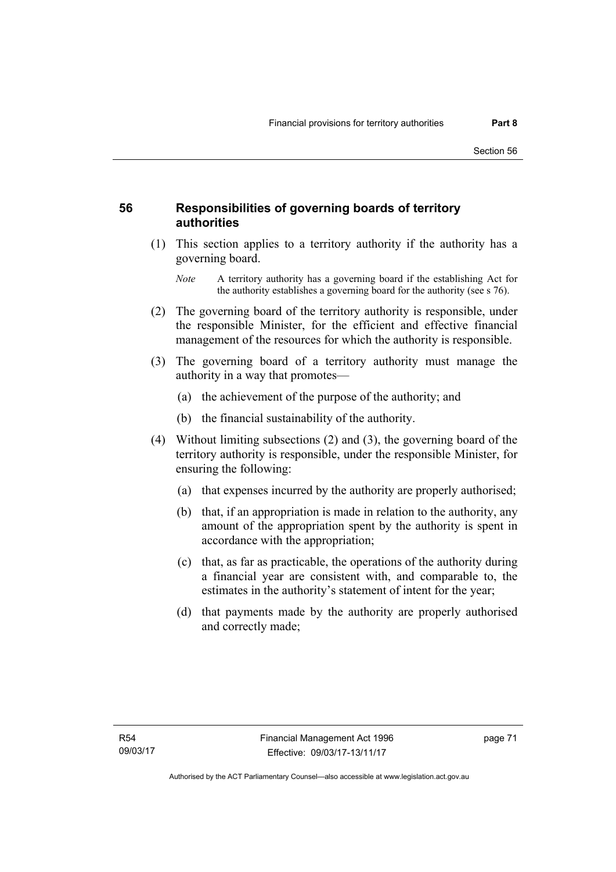## **56 Responsibilities of governing boards of territory authorities**

 (1) This section applies to a territory authority if the authority has a governing board.

- (2) The governing board of the territory authority is responsible, under the responsible Minister, for the efficient and effective financial management of the resources for which the authority is responsible.
- (3) The governing board of a territory authority must manage the authority in a way that promotes—
	- (a) the achievement of the purpose of the authority; and
	- (b) the financial sustainability of the authority.
- (4) Without limiting subsections (2) and (3), the governing board of the territory authority is responsible, under the responsible Minister, for ensuring the following:
	- (a) that expenses incurred by the authority are properly authorised;
	- (b) that, if an appropriation is made in relation to the authority, any amount of the appropriation spent by the authority is spent in accordance with the appropriation;
	- (c) that, as far as practicable, the operations of the authority during a financial year are consistent with, and comparable to, the estimates in the authority's statement of intent for the year;
	- (d) that payments made by the authority are properly authorised and correctly made;

*Note* A territory authority has a governing board if the establishing Act for the authority establishes a governing board for the authority (see s 76).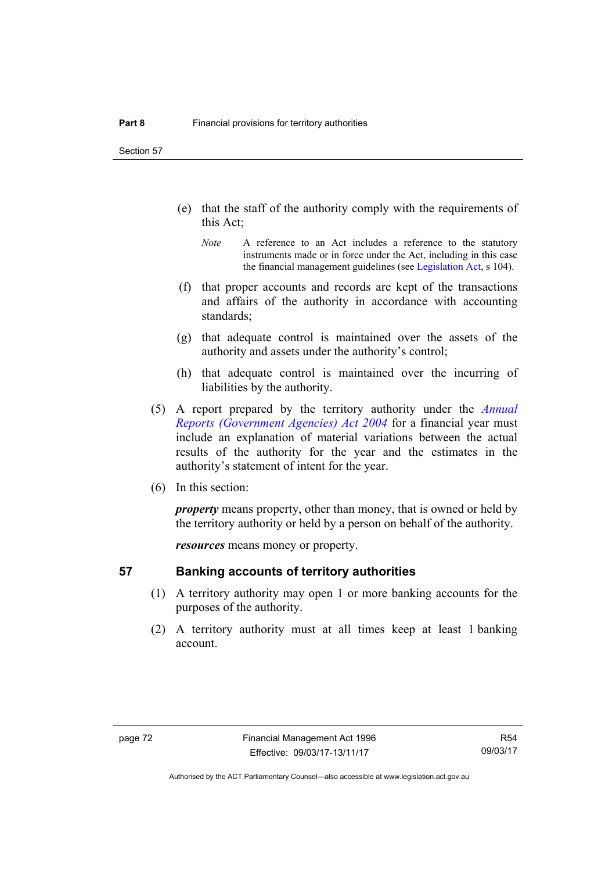Section 57

- (e) that the staff of the authority comply with the requirements of this Act;
	- *Note* A reference to an Act includes a reference to the statutory instruments made or in force under the Act, including in this case the financial management guidelines (see [Legislation Act,](http://www.legislation.act.gov.au/a/2001-14) s 104).
- (f) that proper accounts and records are kept of the transactions and affairs of the authority in accordance with accounting standards;
- (g) that adequate control is maintained over the assets of the authority and assets under the authority's control;
- (h) that adequate control is maintained over the incurring of liabilities by the authority.
- (5) A report prepared by the territory authority under the *[Annual](http://www.legislation.act.gov.au/a/2004-8)  [Reports \(Government Agencies\) Act 2004](http://www.legislation.act.gov.au/a/2004-8)* for a financial year must include an explanation of material variations between the actual results of the authority for the year and the estimates in the authority's statement of intent for the year.
- (6) In this section:

*property* means property, other than money, that is owned or held by the territory authority or held by a person on behalf of the authority.

*resources* means money or property.

## **57 Banking accounts of territory authorities**

- (1) A territory authority may open 1 or more banking accounts for the purposes of the authority.
- (2) A territory authority must at all times keep at least 1 banking account.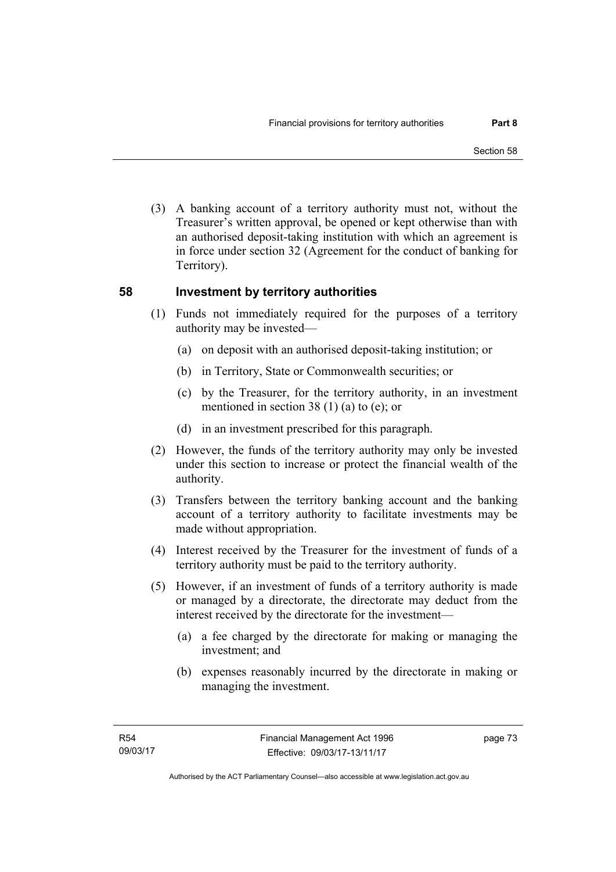(3) A banking account of a territory authority must not, without the Treasurer's written approval, be opened or kept otherwise than with an authorised deposit-taking institution with which an agreement is in force under section 32 (Agreement for the conduct of banking for Territory).

## **58 Investment by territory authorities**

- (1) Funds not immediately required for the purposes of a territory authority may be invested—
	- (a) on deposit with an authorised deposit-taking institution; or
	- (b) in Territory, State or Commonwealth securities; or
	- (c) by the Treasurer, for the territory authority, in an investment mentioned in section 38 (1) (a) to (e); or
	- (d) in an investment prescribed for this paragraph.
- (2) However, the funds of the territory authority may only be invested under this section to increase or protect the financial wealth of the authority.
- (3) Transfers between the territory banking account and the banking account of a territory authority to facilitate investments may be made without appropriation.
- (4) Interest received by the Treasurer for the investment of funds of a territory authority must be paid to the territory authority.
- (5) However, if an investment of funds of a territory authority is made or managed by a directorate, the directorate may deduct from the interest received by the directorate for the investment—
	- (a) a fee charged by the directorate for making or managing the investment; and
	- (b) expenses reasonably incurred by the directorate in making or managing the investment.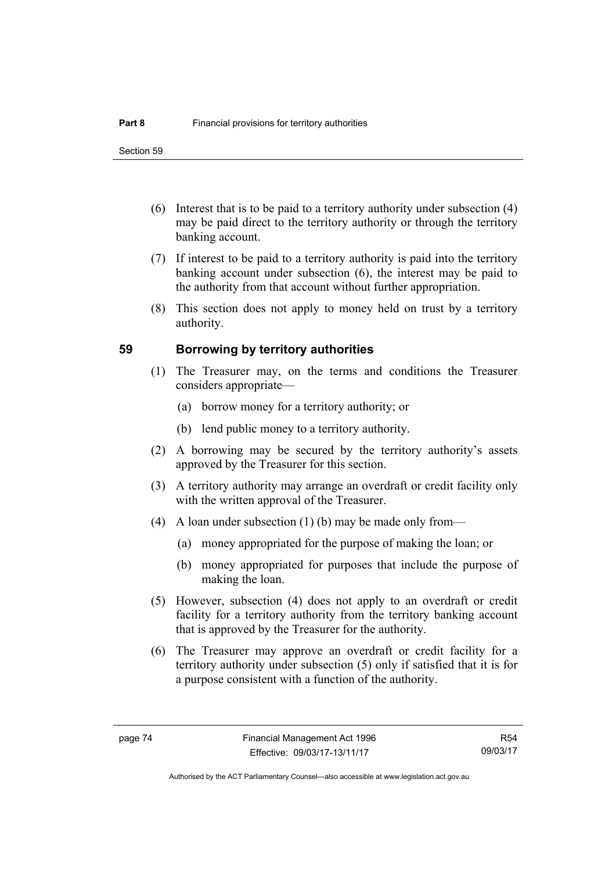- (6) Interest that is to be paid to a territory authority under subsection (4) may be paid direct to the territory authority or through the territory banking account.
- (7) If interest to be paid to a territory authority is paid into the territory banking account under subsection (6), the interest may be paid to the authority from that account without further appropriation.
- (8) This section does not apply to money held on trust by a territory authority.

## **59 Borrowing by territory authorities**

- (1) The Treasurer may, on the terms and conditions the Treasurer considers appropriate—
	- (a) borrow money for a territory authority; or
	- (b) lend public money to a territory authority.
- (2) A borrowing may be secured by the territory authority's assets approved by the Treasurer for this section.
- (3) A territory authority may arrange an overdraft or credit facility only with the written approval of the Treasurer.
- (4) A loan under subsection (1) (b) may be made only from—
	- (a) money appropriated for the purpose of making the loan; or
	- (b) money appropriated for purposes that include the purpose of making the loan.
- (5) However, subsection (4) does not apply to an overdraft or credit facility for a territory authority from the territory banking account that is approved by the Treasurer for the authority.
- (6) The Treasurer may approve an overdraft or credit facility for a territory authority under subsection (5) only if satisfied that it is for a purpose consistent with a function of the authority.

R54 09/03/17

Authorised by the ACT Parliamentary Counsel—also accessible at www.legislation.act.gov.au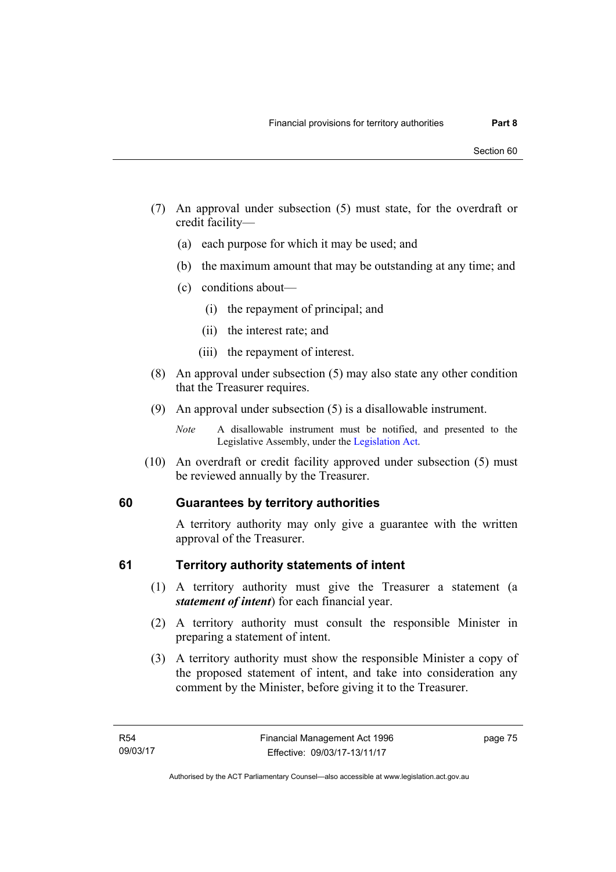- (7) An approval under subsection (5) must state, for the overdraft or credit facility—
	- (a) each purpose for which it may be used; and
	- (b) the maximum amount that may be outstanding at any time; and
	- (c) conditions about—
		- (i) the repayment of principal; and
		- (ii) the interest rate; and
		- (iii) the repayment of interest.
- (8) An approval under subsection (5) may also state any other condition that the Treasurer requires.
- (9) An approval under subsection (5) is a disallowable instrument.

 (10) An overdraft or credit facility approved under subsection (5) must be reviewed annually by the Treasurer.

## **60 Guarantees by territory authorities**

A territory authority may only give a guarantee with the written approval of the Treasurer.

## **61 Territory authority statements of intent**

- (1) A territory authority must give the Treasurer a statement (a *statement of intent*) for each financial year.
- (2) A territory authority must consult the responsible Minister in preparing a statement of intent.
- (3) A territory authority must show the responsible Minister a copy of the proposed statement of intent, and take into consideration any comment by the Minister, before giving it to the Treasurer.

*Note* A disallowable instrument must be notified, and presented to the Legislative Assembly, under the [Legislation Act.](http://www.legislation.act.gov.au/a/2001-14)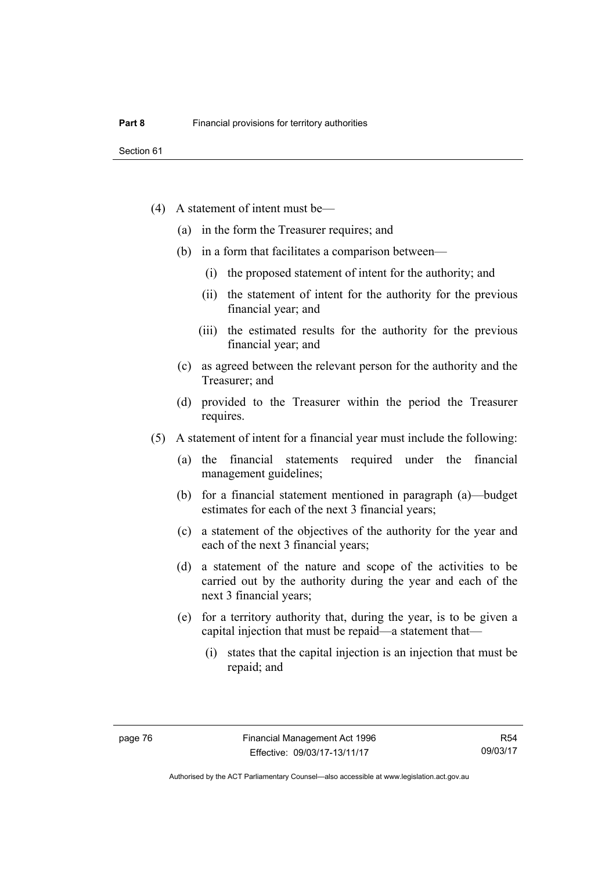- (4) A statement of intent must be—
	- (a) in the form the Treasurer requires; and
	- (b) in a form that facilitates a comparison between—
		- (i) the proposed statement of intent for the authority; and
		- (ii) the statement of intent for the authority for the previous financial year; and
		- (iii) the estimated results for the authority for the previous financial year; and
	- (c) as agreed between the relevant person for the authority and the Treasurer; and
	- (d) provided to the Treasurer within the period the Treasurer requires.
- (5) A statement of intent for a financial year must include the following:
	- (a) the financial statements required under the financial management guidelines;
	- (b) for a financial statement mentioned in paragraph (a)—budget estimates for each of the next 3 financial years;
	- (c) a statement of the objectives of the authority for the year and each of the next 3 financial years;
	- (d) a statement of the nature and scope of the activities to be carried out by the authority during the year and each of the next 3 financial years;
	- (e) for a territory authority that, during the year, is to be given a capital injection that must be repaid—a statement that—
		- (i) states that the capital injection is an injection that must be repaid; and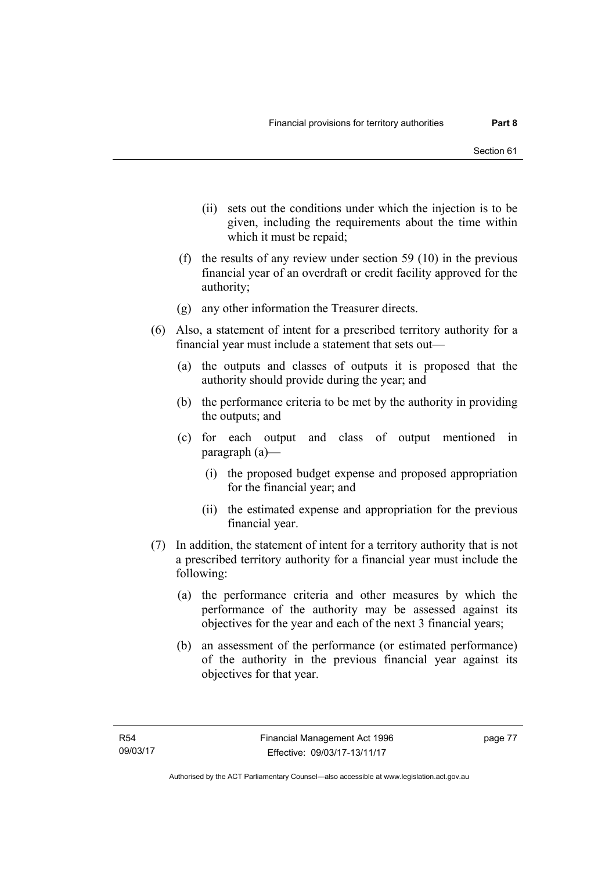- (ii) sets out the conditions under which the injection is to be given, including the requirements about the time within which it must be repaid;
- (f) the results of any review under section 59 (10) in the previous financial year of an overdraft or credit facility approved for the authority;
- (g) any other information the Treasurer directs.
- (6) Also, a statement of intent for a prescribed territory authority for a financial year must include a statement that sets out—
	- (a) the outputs and classes of outputs it is proposed that the authority should provide during the year; and
	- (b) the performance criteria to be met by the authority in providing the outputs; and
	- (c) for each output and class of output mentioned in paragraph (a)—
		- (i) the proposed budget expense and proposed appropriation for the financial year; and
		- (ii) the estimated expense and appropriation for the previous financial year.
- (7) In addition, the statement of intent for a territory authority that is not a prescribed territory authority for a financial year must include the following:
	- (a) the performance criteria and other measures by which the performance of the authority may be assessed against its objectives for the year and each of the next 3 financial years;
	- (b) an assessment of the performance (or estimated performance) of the authority in the previous financial year against its objectives for that year.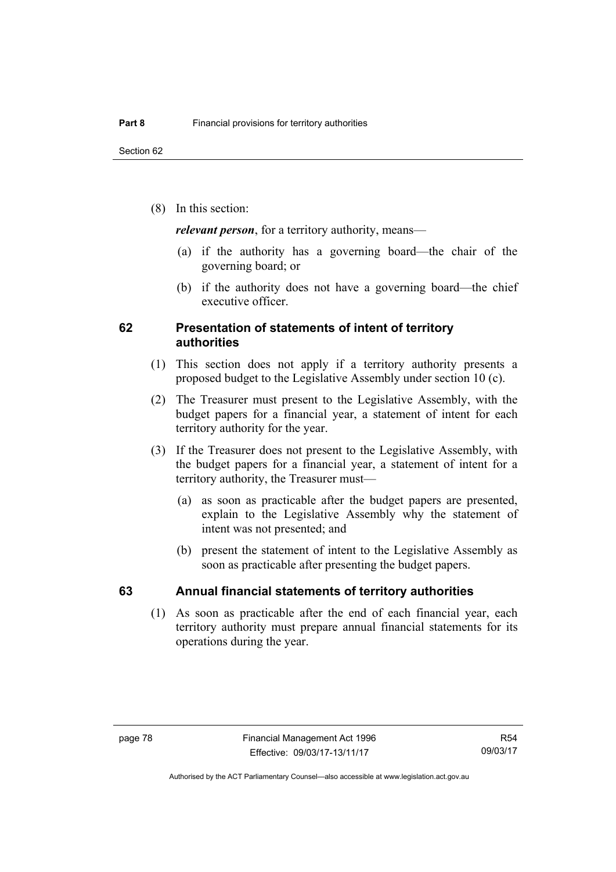(8) In this section:

*relevant person*, for a territory authority, means—

- (a) if the authority has a governing board—the chair of the governing board; or
- (b) if the authority does not have a governing board—the chief executive officer.

## **62 Presentation of statements of intent of territory authorities**

- (1) This section does not apply if a territory authority presents a proposed budget to the Legislative Assembly under section 10 (c).
- (2) The Treasurer must present to the Legislative Assembly, with the budget papers for a financial year, a statement of intent for each territory authority for the year.
- (3) If the Treasurer does not present to the Legislative Assembly, with the budget papers for a financial year, a statement of intent for a territory authority, the Treasurer must—
	- (a) as soon as practicable after the budget papers are presented, explain to the Legislative Assembly why the statement of intent was not presented; and
	- (b) present the statement of intent to the Legislative Assembly as soon as practicable after presenting the budget papers.

## **63 Annual financial statements of territory authorities**

 (1) As soon as practicable after the end of each financial year, each territory authority must prepare annual financial statements for its operations during the year.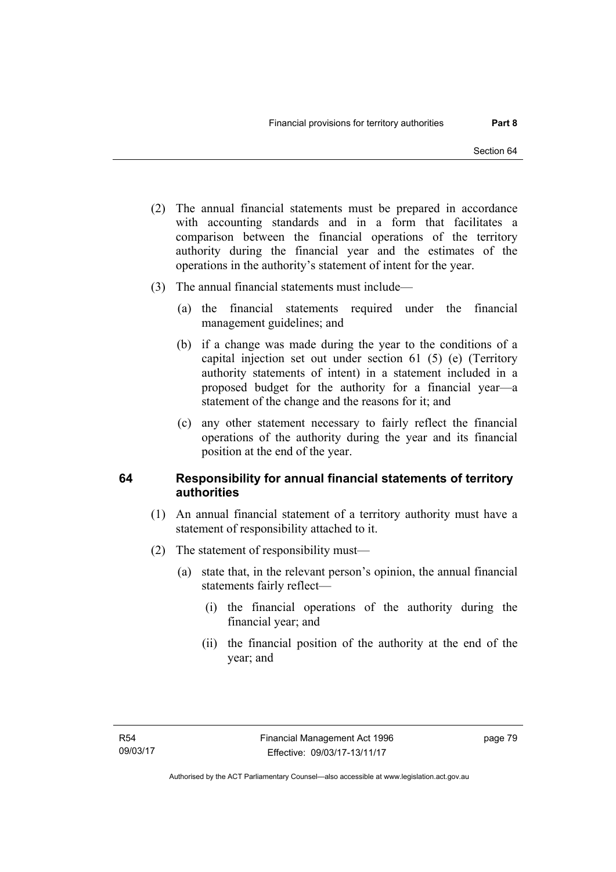- (2) The annual financial statements must be prepared in accordance with accounting standards and in a form that facilitates a comparison between the financial operations of the territory authority during the financial year and the estimates of the operations in the authority's statement of intent for the year.
- (3) The annual financial statements must include—
	- (a) the financial statements required under the financial management guidelines; and
	- (b) if a change was made during the year to the conditions of a capital injection set out under section 61 (5) (e) (Territory authority statements of intent) in a statement included in a proposed budget for the authority for a financial year—a statement of the change and the reasons for it; and
	- (c) any other statement necessary to fairly reflect the financial operations of the authority during the year and its financial position at the end of the year.

## **64 Responsibility for annual financial statements of territory authorities**

- (1) An annual financial statement of a territory authority must have a statement of responsibility attached to it.
- (2) The statement of responsibility must—
	- (a) state that, in the relevant person's opinion, the annual financial statements fairly reflect—
		- (i) the financial operations of the authority during the financial year; and
		- (ii) the financial position of the authority at the end of the year; and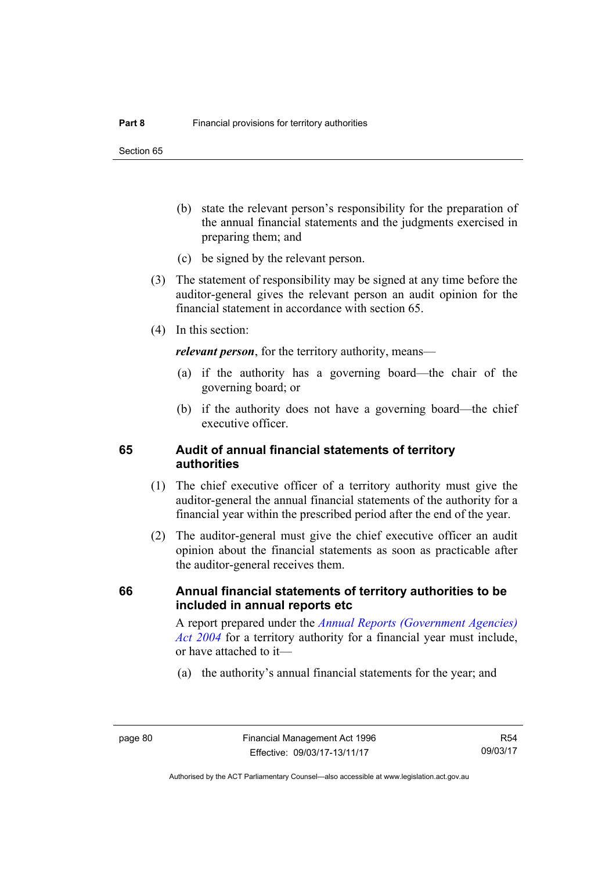Section 65

- (b) state the relevant person's responsibility for the preparation of the annual financial statements and the judgments exercised in preparing them; and
- (c) be signed by the relevant person.
- (3) The statement of responsibility may be signed at any time before the auditor-general gives the relevant person an audit opinion for the financial statement in accordance with section 65.
- (4) In this section:

*relevant person*, for the territory authority, means—

- (a) if the authority has a governing board—the chair of the governing board; or
- (b) if the authority does not have a governing board—the chief executive officer.

## **65 Audit of annual financial statements of territory authorities**

- (1) The chief executive officer of a territory authority must give the auditor-general the annual financial statements of the authority for a financial year within the prescribed period after the end of the year.
- (2) The auditor-general must give the chief executive officer an audit opinion about the financial statements as soon as practicable after the auditor-general receives them.

## **66 Annual financial statements of territory authorities to be included in annual reports etc**

A report prepared under the *[Annual Reports \(Government Agencies\)](http://www.legislation.act.gov.au/a/2004-8)  [Act 2004](http://www.legislation.act.gov.au/a/2004-8)* for a territory authority for a financial year must include, or have attached to it—

(a) the authority's annual financial statements for the year; and

R54 09/03/17

Authorised by the ACT Parliamentary Counsel—also accessible at www.legislation.act.gov.au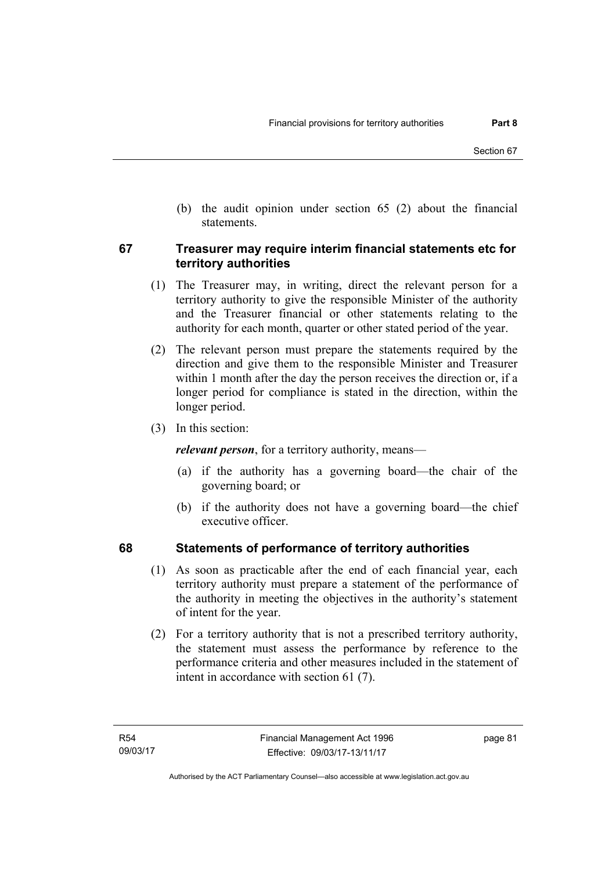(b) the audit opinion under section 65 (2) about the financial statements.

## **67 Treasurer may require interim financial statements etc for territory authorities**

- (1) The Treasurer may, in writing, direct the relevant person for a territory authority to give the responsible Minister of the authority and the Treasurer financial or other statements relating to the authority for each month, quarter or other stated period of the year.
- (2) The relevant person must prepare the statements required by the direction and give them to the responsible Minister and Treasurer within 1 month after the day the person receives the direction or, if a longer period for compliance is stated in the direction, within the longer period.
- (3) In this section:

*relevant person*, for a territory authority, means—

- (a) if the authority has a governing board—the chair of the governing board; or
- (b) if the authority does not have a governing board—the chief executive officer.

## **68 Statements of performance of territory authorities**

- (1) As soon as practicable after the end of each financial year, each territory authority must prepare a statement of the performance of the authority in meeting the objectives in the authority's statement of intent for the year.
- (2) For a territory authority that is not a prescribed territory authority, the statement must assess the performance by reference to the performance criteria and other measures included in the statement of intent in accordance with section 61 (7).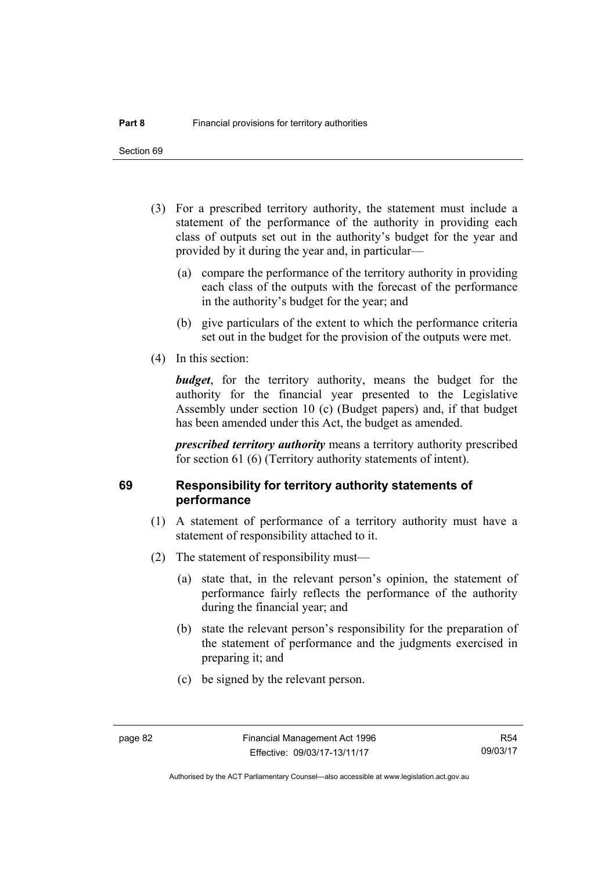Section 69

- (3) For a prescribed territory authority, the statement must include a statement of the performance of the authority in providing each class of outputs set out in the authority's budget for the year and provided by it during the year and, in particular—
	- (a) compare the performance of the territory authority in providing each class of the outputs with the forecast of the performance in the authority's budget for the year; and
	- (b) give particulars of the extent to which the performance criteria set out in the budget for the provision of the outputs were met.
- (4) In this section:

*budget*, for the territory authority, means the budget for the authority for the financial year presented to the Legislative Assembly under section 10 (c) (Budget papers) and, if that budget has been amended under this Act, the budget as amended.

*prescribed territory authority* means a territory authority prescribed for section 61 (6) (Territory authority statements of intent).

## **69 Responsibility for territory authority statements of performance**

- (1) A statement of performance of a territory authority must have a statement of responsibility attached to it.
- (2) The statement of responsibility must—
	- (a) state that, in the relevant person's opinion, the statement of performance fairly reflects the performance of the authority during the financial year; and
	- (b) state the relevant person's responsibility for the preparation of the statement of performance and the judgments exercised in preparing it; and
	- (c) be signed by the relevant person.

Authorised by the ACT Parliamentary Counsel—also accessible at www.legislation.act.gov.au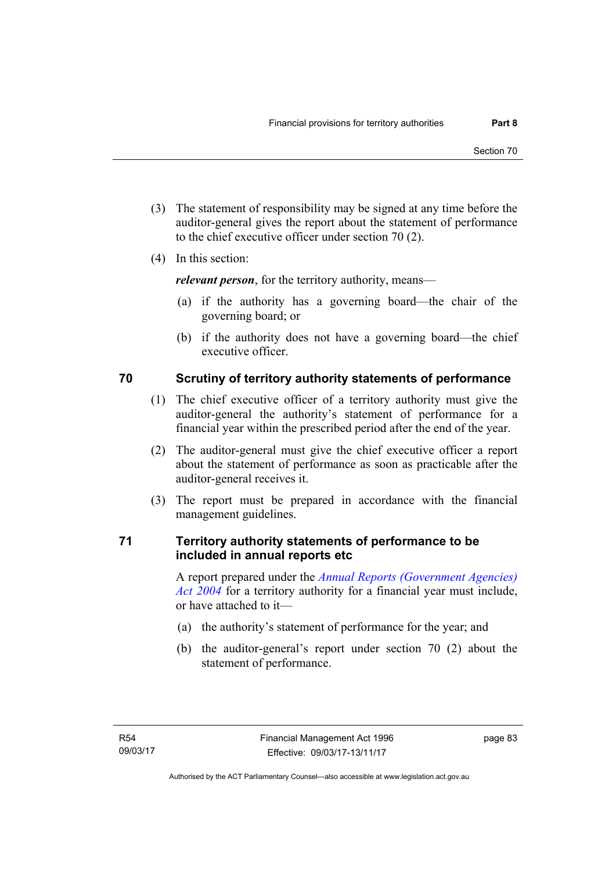- (3) The statement of responsibility may be signed at any time before the auditor-general gives the report about the statement of performance to the chief executive officer under section 70 (2).
- (4) In this section:

*relevant person*, for the territory authority, means—

- (a) if the authority has a governing board—the chair of the governing board; or
- (b) if the authority does not have a governing board—the chief executive officer.

# **70 Scrutiny of territory authority statements of performance**

- (1) The chief executive officer of a territory authority must give the auditor-general the authority's statement of performance for a financial year within the prescribed period after the end of the year.
- (2) The auditor-general must give the chief executive officer a report about the statement of performance as soon as practicable after the auditor-general receives it.
- (3) The report must be prepared in accordance with the financial management guidelines.

## **71 Territory authority statements of performance to be included in annual reports etc**

A report prepared under the *[Annual Reports \(Government Agencies\)](http://www.legislation.act.gov.au/a/2004-8)  [Act 2004](http://www.legislation.act.gov.au/a/2004-8)* for a territory authority for a financial year must include, or have attached to it—

- (a) the authority's statement of performance for the year; and
- (b) the auditor-general's report under section 70 (2) about the statement of performance.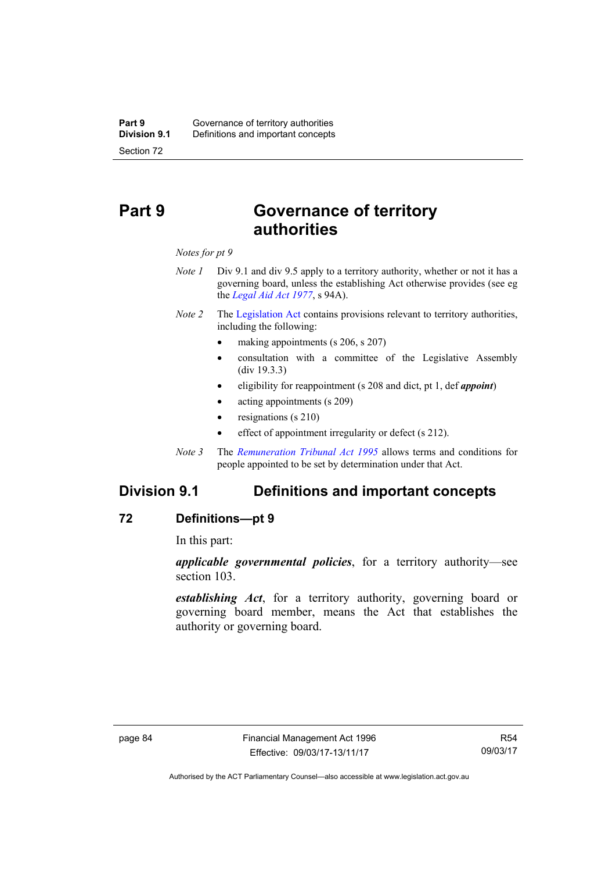# **Part 9 Governance of territory authorities**

*Notes for pt 9* 

- *Note 1* Div 9.1 and div 9.5 apply to a territory authority, whether or not it has a governing board, unless the establishing Act otherwise provides (see eg the *[Legal Aid Act 1977](http://www.legislation.act.gov.au/a/1977-31)*, s 94A).
- *Note 2* The [Legislation Act](http://www.legislation.act.gov.au/a/2001-14) contains provisions relevant to territory authorities, including the following:
	- making appointments (s 206, s 207)
	- consultation with a committee of the Legislative Assembly (div 19.3.3)
	- eligibility for reappointment (s 208 and dict, pt 1, def *appoint*)
	- acting appointments (s 209)
	- resignations (s 210)
	- effect of appointment irregularity or defect (s 212).
- *Note 3* The *[Remuneration Tribunal Act 1995](http://www.legislation.act.gov.au/a/1995-55)* allows terms and conditions for people appointed to be set by determination under that Act.

# **Division 9.1 Definitions and important concepts**

## **72 Definitions—pt 9**

In this part:

*applicable governmental policies*, for a territory authority—see section 103.

*establishing Act*, for a territory authority, governing board or governing board member, means the Act that establishes the authority or governing board.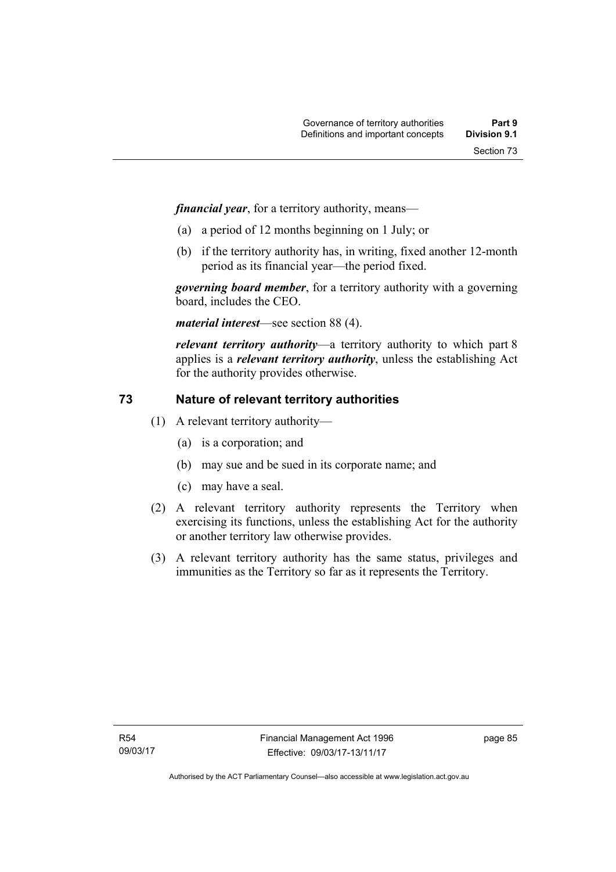*financial year*, for a territory authority, means—

- (a) a period of 12 months beginning on 1 July; or
- (b) if the territory authority has, in writing, fixed another 12-month period as its financial year—the period fixed.

*governing board member*, for a territory authority with a governing board, includes the CEO.

*material interest*—see section 88 (4).

*relevant territory authority*—a territory authority to which part 8 applies is a *relevant territory authority*, unless the establishing Act for the authority provides otherwise.

# **73 Nature of relevant territory authorities**

- (1) A relevant territory authority—
	- (a) is a corporation; and
	- (b) may sue and be sued in its corporate name; and
	- (c) may have a seal.
- (2) A relevant territory authority represents the Territory when exercising its functions, unless the establishing Act for the authority or another territory law otherwise provides.
- (3) A relevant territory authority has the same status, privileges and immunities as the Territory so far as it represents the Territory.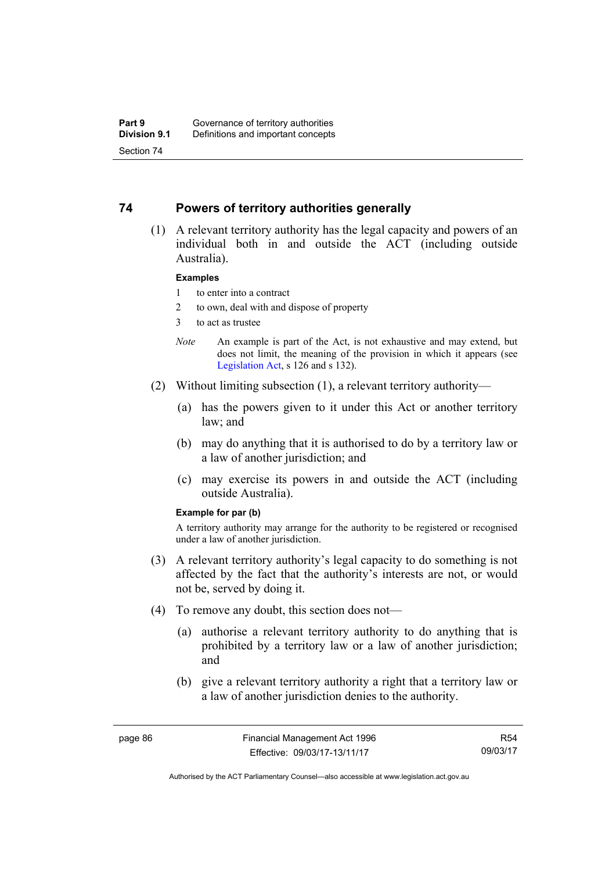## **74 Powers of territory authorities generally**

 (1) A relevant territory authority has the legal capacity and powers of an individual both in and outside the ACT (including outside Australia).

### **Examples**

- 1 to enter into a contract
- 2 to own, deal with and dispose of property
- 3 to act as trustee
- *Note* An example is part of the Act, is not exhaustive and may extend, but does not limit, the meaning of the provision in which it appears (see [Legislation Act,](http://www.legislation.act.gov.au/a/2001-14) s 126 and s 132).
- (2) Without limiting subsection (1), a relevant territory authority—
	- (a) has the powers given to it under this Act or another territory law; and
	- (b) may do anything that it is authorised to do by a territory law or a law of another jurisdiction; and
	- (c) may exercise its powers in and outside the ACT (including outside Australia).

#### **Example for par (b)**

A territory authority may arrange for the authority to be registered or recognised under a law of another jurisdiction.

- (3) A relevant territory authority's legal capacity to do something is not affected by the fact that the authority's interests are not, or would not be, served by doing it.
- (4) To remove any doubt, this section does not—
	- (a) authorise a relevant territory authority to do anything that is prohibited by a territory law or a law of another jurisdiction; and
	- (b) give a relevant territory authority a right that a territory law or a law of another jurisdiction denies to the authority.

R54 09/03/17

Authorised by the ACT Parliamentary Counsel—also accessible at www.legislation.act.gov.au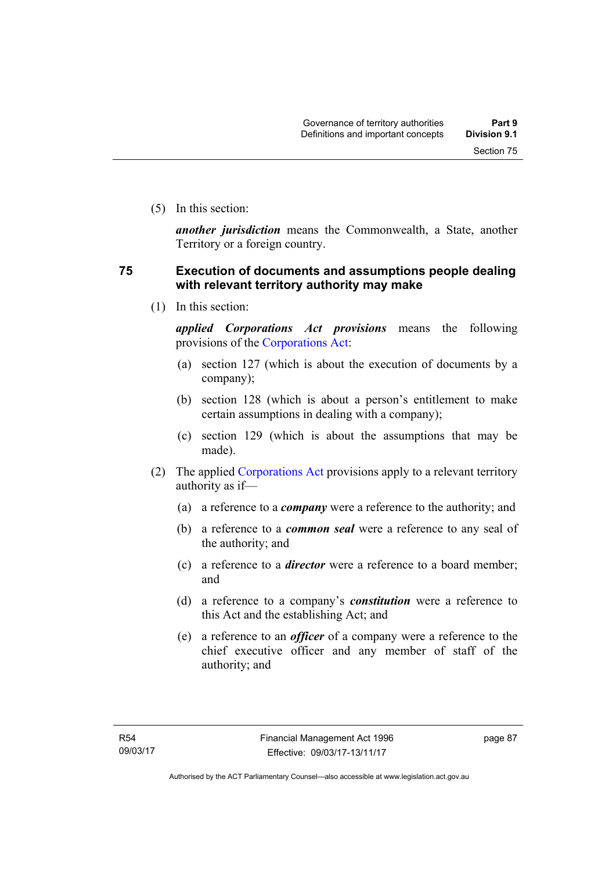(5) In this section:

*another jurisdiction* means the Commonwealth, a State, another Territory or a foreign country.

## **75 Execution of documents and assumptions people dealing with relevant territory authority may make**

(1) In this section:

*applied Corporations Act provisions* means the following provisions of the [Corporations Act:](http://www.comlaw.gov.au/Series/C2004A00818)

- (a) section 127 (which is about the execution of documents by a company);
- (b) section 128 (which is about a person's entitlement to make certain assumptions in dealing with a company);
- (c) section 129 (which is about the assumptions that may be made).
- (2) The applied [Corporations Act](http://www.comlaw.gov.au/Series/C2004A00818) provisions apply to a relevant territory authority as if—
	- (a) a reference to a *company* were a reference to the authority; and
	- (b) a reference to a *common seal* were a reference to any seal of the authority; and
	- (c) a reference to a *director* were a reference to a board member; and
	- (d) a reference to a company's *constitution* were a reference to this Act and the establishing Act; and
	- (e) a reference to an *officer* of a company were a reference to the chief executive officer and any member of staff of the authority; and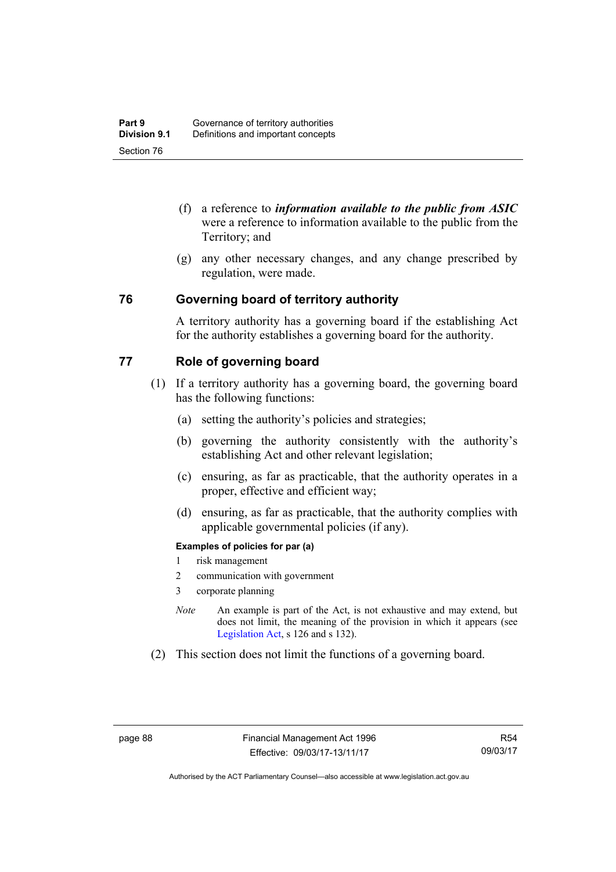- (f) a reference to *information available to the public from ASIC*  were a reference to information available to the public from the Territory; and
- (g) any other necessary changes, and any change prescribed by regulation, were made.

## **76 Governing board of territory authority**

A territory authority has a governing board if the establishing Act for the authority establishes a governing board for the authority.

## **77 Role of governing board**

- (1) If a territory authority has a governing board, the governing board has the following functions:
	- (a) setting the authority's policies and strategies;
	- (b) governing the authority consistently with the authority's establishing Act and other relevant legislation;
	- (c) ensuring, as far as practicable, that the authority operates in a proper, effective and efficient way;
	- (d) ensuring, as far as practicable, that the authority complies with applicable governmental policies (if any).

## **Examples of policies for par (a)**

- 1 risk management
- 2 communication with government
- 3 corporate planning
- *Note* An example is part of the Act, is not exhaustive and may extend, but does not limit, the meaning of the provision in which it appears (see [Legislation Act,](http://www.legislation.act.gov.au/a/2001-14) s 126 and s 132).
- (2) This section does not limit the functions of a governing board.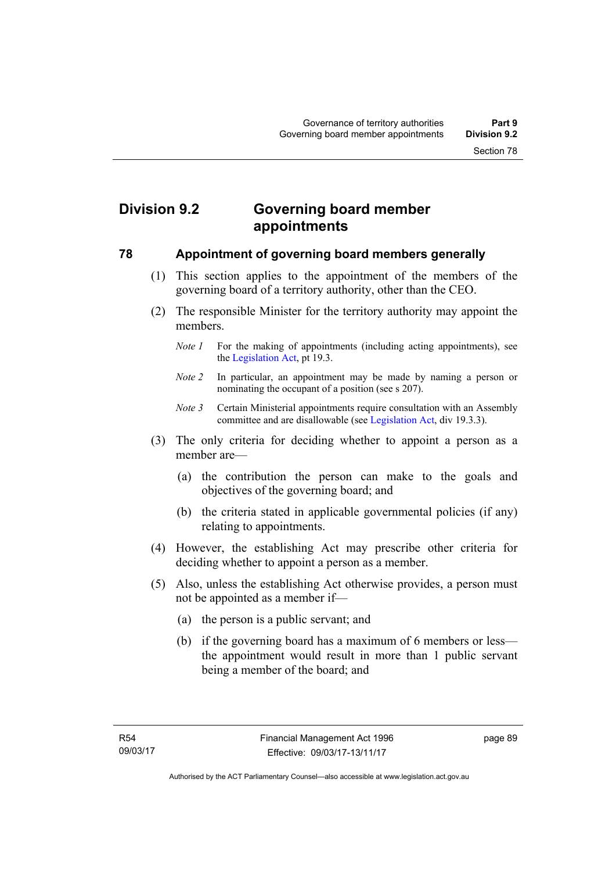# **Division 9.2 Governing board member appointments**

## **78 Appointment of governing board members generally**

- (1) This section applies to the appointment of the members of the governing board of a territory authority, other than the CEO.
- (2) The responsible Minister for the territory authority may appoint the members.
	- *Note 1* For the making of appointments (including acting appointments), see the [Legislation Act,](http://www.legislation.act.gov.au/a/2001-14) pt 19.3.
	- *Note 2* In particular, an appointment may be made by naming a person or nominating the occupant of a position (see s 207).
	- *Note 3* Certain Ministerial appointments require consultation with an Assembly committee and are disallowable (see [Legislation Act,](http://www.legislation.act.gov.au/a/2001-14) div 19.3.3).
- (3) The only criteria for deciding whether to appoint a person as a member are—
	- (a) the contribution the person can make to the goals and objectives of the governing board; and
	- (b) the criteria stated in applicable governmental policies (if any) relating to appointments.
- (4) However, the establishing Act may prescribe other criteria for deciding whether to appoint a person as a member.
- (5) Also, unless the establishing Act otherwise provides, a person must not be appointed as a member if—
	- (a) the person is a public servant; and
	- (b) if the governing board has a maximum of 6 members or less the appointment would result in more than 1 public servant being a member of the board; and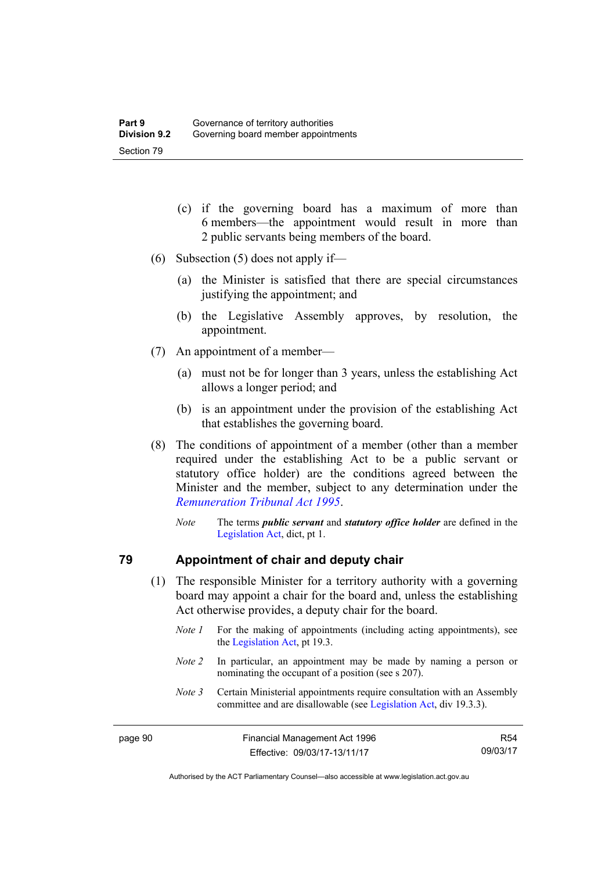- (c) if the governing board has a maximum of more than 6 members—the appointment would result in more than 2 public servants being members of the board.
- (6) Subsection (5) does not apply if—
	- (a) the Minister is satisfied that there are special circumstances justifying the appointment; and
	- (b) the Legislative Assembly approves, by resolution, the appointment.
- (7) An appointment of a member—
	- (a) must not be for longer than 3 years, unless the establishing Act allows a longer period; and
	- (b) is an appointment under the provision of the establishing Act that establishes the governing board.
- (8) The conditions of appointment of a member (other than a member required under the establishing Act to be a public servant or statutory office holder) are the conditions agreed between the Minister and the member, subject to any determination under the *[Remuneration Tribunal Act 1995](http://www.legislation.act.gov.au/a/1995-55)*.
	- *Note* The terms *public servant* and *statutory office holder* are defined in the [Legislation Act,](http://www.legislation.act.gov.au/a/2001-14) dict, pt 1.

## **79 Appointment of chair and deputy chair**

- (1) The responsible Minister for a territory authority with a governing board may appoint a chair for the board and, unless the establishing Act otherwise provides, a deputy chair for the board.
	- *Note 1* For the making of appointments (including acting appointments), see the [Legislation Act,](http://www.legislation.act.gov.au/a/2001-14) pt 19.3.
	- *Note 2* In particular, an appointment may be made by naming a person or nominating the occupant of a position (see s 207).
	- *Note 3* Certain Ministerial appointments require consultation with an Assembly committee and are disallowable (see [Legislation Act,](http://www.legislation.act.gov.au/a/2001-14) div 19.3.3).

R54 09/03/17

Authorised by the ACT Parliamentary Counsel—also accessible at www.legislation.act.gov.au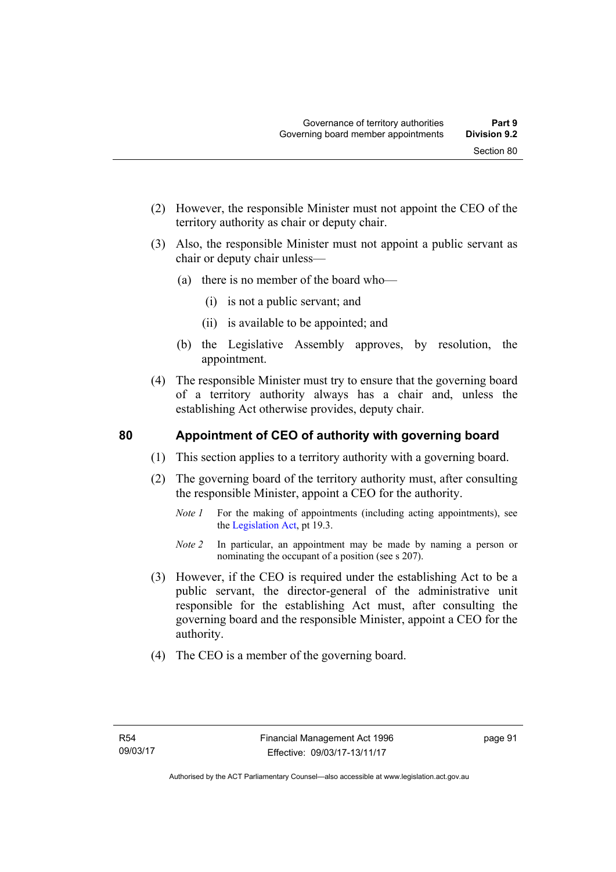- (2) However, the responsible Minister must not appoint the CEO of the territory authority as chair or deputy chair.
- (3) Also, the responsible Minister must not appoint a public servant as chair or deputy chair unless—
	- (a) there is no member of the board who—
		- (i) is not a public servant; and
		- (ii) is available to be appointed; and
	- (b) the Legislative Assembly approves, by resolution, the appointment.
- (4) The responsible Minister must try to ensure that the governing board of a territory authority always has a chair and, unless the establishing Act otherwise provides, deputy chair.

## **80 Appointment of CEO of authority with governing board**

- (1) This section applies to a territory authority with a governing board.
- (2) The governing board of the territory authority must, after consulting the responsible Minister, appoint a CEO for the authority.
	- *Note 1* For the making of appointments (including acting appointments), see the [Legislation Act,](http://www.legislation.act.gov.au/a/2001-14) pt 19.3.
	- *Note 2* In particular, an appointment may be made by naming a person or nominating the occupant of a position (see s 207).
- (3) However, if the CEO is required under the establishing Act to be a public servant, the director-general of the administrative unit responsible for the establishing Act must, after consulting the governing board and the responsible Minister, appoint a CEO for the authority.
- (4) The CEO is a member of the governing board.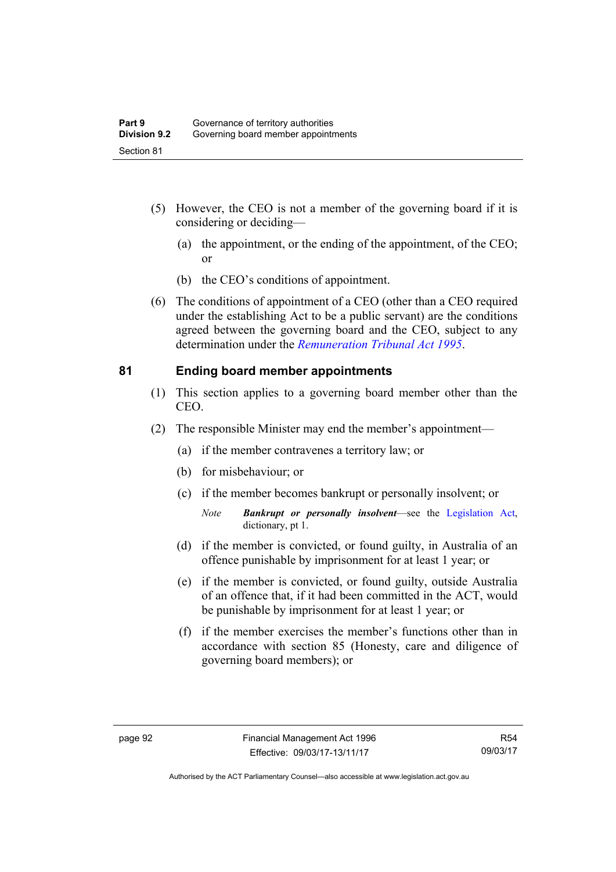- (5) However, the CEO is not a member of the governing board if it is considering or deciding—
	- (a) the appointment, or the ending of the appointment, of the CEO; or
	- (b) the CEO's conditions of appointment.
- (6) The conditions of appointment of a CEO (other than a CEO required under the establishing Act to be a public servant) are the conditions agreed between the governing board and the CEO, subject to any determination under the *[Remuneration Tribunal Act 1995](http://www.legislation.act.gov.au/a/1995-55)*.

## **81 Ending board member appointments**

- (1) This section applies to a governing board member other than the CEO.
- (2) The responsible Minister may end the member's appointment—
	- (a) if the member contravenes a territory law; or
	- (b) for misbehaviour; or
	- (c) if the member becomes bankrupt or personally insolvent; or
		- *Note Bankrupt or personally insolvent*—see the [Legislation Act,](http://www.legislation.act.gov.au/a/2001-14) dictionary, pt 1.
	- (d) if the member is convicted, or found guilty, in Australia of an offence punishable by imprisonment for at least 1 year; or
	- (e) if the member is convicted, or found guilty, outside Australia of an offence that, if it had been committed in the ACT, would be punishable by imprisonment for at least 1 year; or
	- (f) if the member exercises the member's functions other than in accordance with section 85 (Honesty, care and diligence of governing board members); or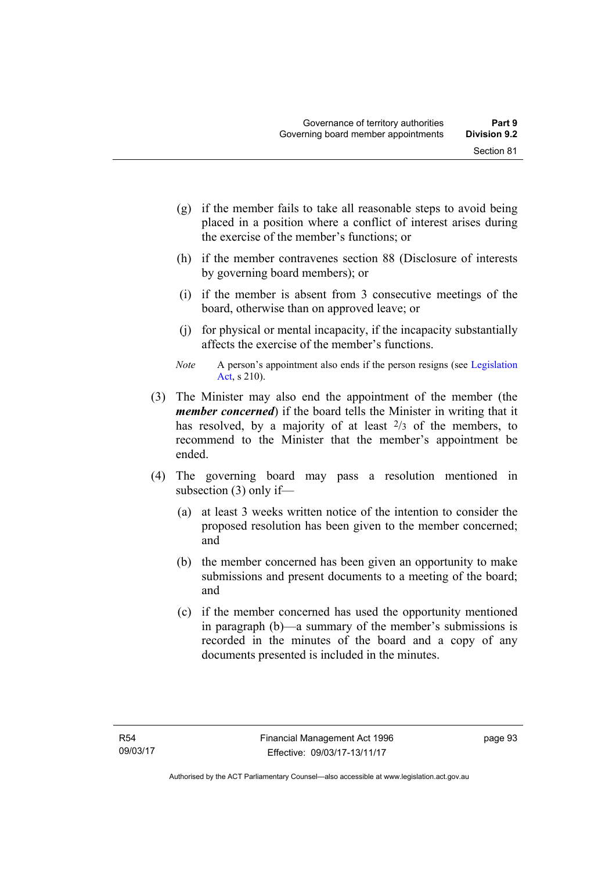- (g) if the member fails to take all reasonable steps to avoid being placed in a position where a conflict of interest arises during the exercise of the member's functions; or
- (h) if the member contravenes section 88 (Disclosure of interests by governing board members); or
- (i) if the member is absent from 3 consecutive meetings of the board, otherwise than on approved leave; or
- (j) for physical or mental incapacity, if the incapacity substantially affects the exercise of the member's functions.
- *Note* A person's appointment also ends if the person resigns (see Legislation [Act](http://www.legislation.act.gov.au/a/2001-14), s 210).
- (3) The Minister may also end the appointment of the member (the *member concerned*) if the board tells the Minister in writing that it has resolved, by a majority of at least  $2/3$  of the members, to recommend to the Minister that the member's appointment be ended.
- (4) The governing board may pass a resolution mentioned in subsection (3) only if—
	- (a) at least 3 weeks written notice of the intention to consider the proposed resolution has been given to the member concerned; and
	- (b) the member concerned has been given an opportunity to make submissions and present documents to a meeting of the board; and
	- (c) if the member concerned has used the opportunity mentioned in paragraph (b)—a summary of the member's submissions is recorded in the minutes of the board and a copy of any documents presented is included in the minutes.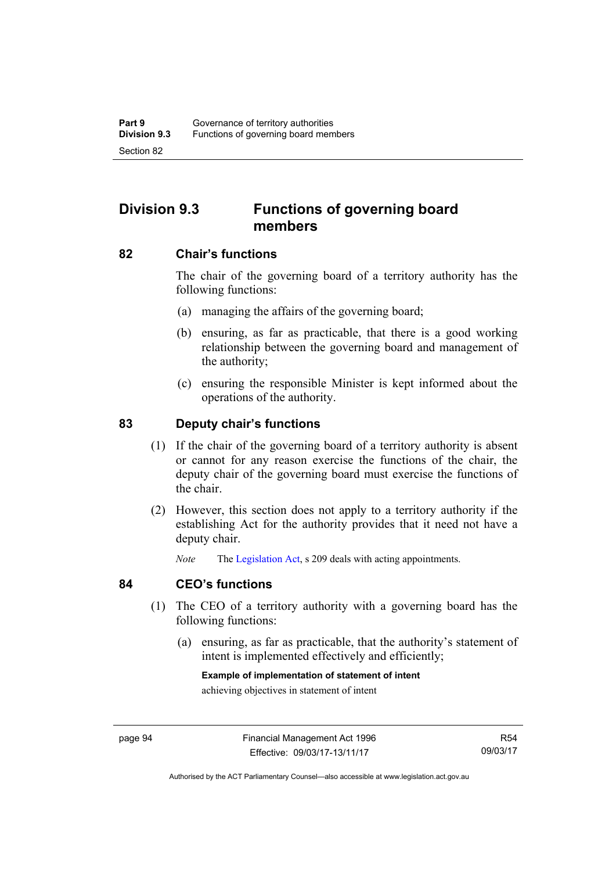# **Division 9.3 Functions of governing board members**

## **82 Chair's functions**

The chair of the governing board of a territory authority has the following functions:

- (a) managing the affairs of the governing board;
- (b) ensuring, as far as practicable, that there is a good working relationship between the governing board and management of the authority;
- (c) ensuring the responsible Minister is kept informed about the operations of the authority.

## **83 Deputy chair's functions**

- (1) If the chair of the governing board of a territory authority is absent or cannot for any reason exercise the functions of the chair, the deputy chair of the governing board must exercise the functions of the chair.
- (2) However, this section does not apply to a territory authority if the establishing Act for the authority provides that it need not have a deputy chair.

*Note* The [Legislation Act,](http://www.legislation.act.gov.au/a/2001-14) s 209 deals with acting appointments.

## **84 CEO's functions**

- (1) The CEO of a territory authority with a governing board has the following functions:
	- (a) ensuring, as far as practicable, that the authority's statement of intent is implemented effectively and efficiently;

## **Example of implementation of statement of intent**

achieving objectives in statement of intent

R54 09/03/17

Authorised by the ACT Parliamentary Counsel—also accessible at www.legislation.act.gov.au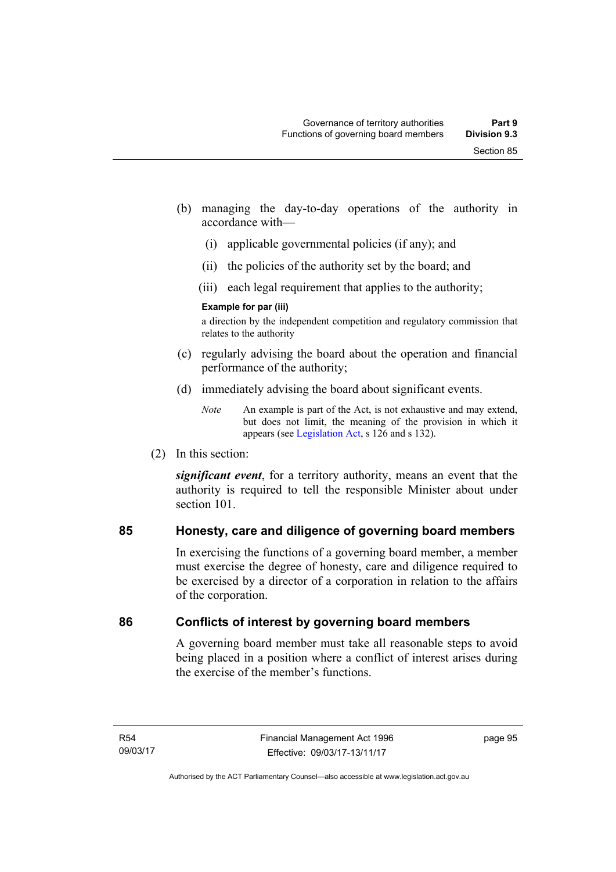- (b) managing the day-to-day operations of the authority in accordance with—
	- (i) applicable governmental policies (if any); and
	- (ii) the policies of the authority set by the board; and
	- (iii) each legal requirement that applies to the authority;

## **Example for par (iii)**

a direction by the independent competition and regulatory commission that relates to the authority

- (c) regularly advising the board about the operation and financial performance of the authority;
- (d) immediately advising the board about significant events.

(2) In this section:

*significant event*, for a territory authority, means an event that the authority is required to tell the responsible Minister about under section 101

## **85 Honesty, care and diligence of governing board members**

In exercising the functions of a governing board member, a member must exercise the degree of honesty, care and diligence required to be exercised by a director of a corporation in relation to the affairs of the corporation.

## **86 Conflicts of interest by governing board members**

A governing board member must take all reasonable steps to avoid being placed in a position where a conflict of interest arises during the exercise of the member's functions.

*Note* An example is part of the Act, is not exhaustive and may extend, but does not limit, the meaning of the provision in which it appears (see [Legislation Act,](http://www.legislation.act.gov.au/a/2001-14) s 126 and s 132).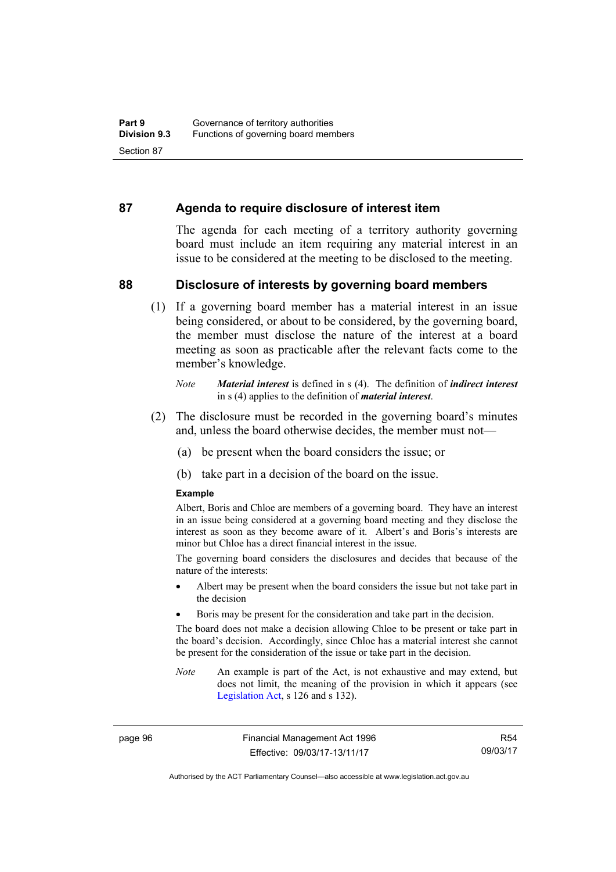## **87 Agenda to require disclosure of interest item**

The agenda for each meeting of a territory authority governing board must include an item requiring any material interest in an issue to be considered at the meeting to be disclosed to the meeting.

## **88 Disclosure of interests by governing board members**

(1) If a governing board member has a material interest in an issue being considered, or about to be considered, by the governing board, the member must disclose the nature of the interest at a board meeting as soon as practicable after the relevant facts come to the member's knowledge.

- (2) The disclosure must be recorded in the governing board's minutes and, unless the board otherwise decides, the member must not—
	- (a) be present when the board considers the issue; or
	- (b) take part in a decision of the board on the issue.

#### **Example**

Albert, Boris and Chloe are members of a governing board. They have an interest in an issue being considered at a governing board meeting and they disclose the interest as soon as they become aware of it. Albert's and Boris's interests are minor but Chloe has a direct financial interest in the issue.

The governing board considers the disclosures and decides that because of the nature of the interests:

- Albert may be present when the board considers the issue but not take part in the decision
- Boris may be present for the consideration and take part in the decision.

The board does not make a decision allowing Chloe to be present or take part in the board's decision. Accordingly, since Chloe has a material interest she cannot be present for the consideration of the issue or take part in the decision.

*Note* An example is part of the Act, is not exhaustive and may extend, but does not limit, the meaning of the provision in which it appears (see [Legislation Act,](http://www.legislation.act.gov.au/a/2001-14) s 126 and s 132).

page 96 Financial Management Act 1996 Effective: 09/03/17-13/11/17

*Note Material interest* is defined in s (4). The definition of *indirect interest* in s (4) applies to the definition of *material interest*.

Authorised by the ACT Parliamentary Counsel—also accessible at www.legislation.act.gov.au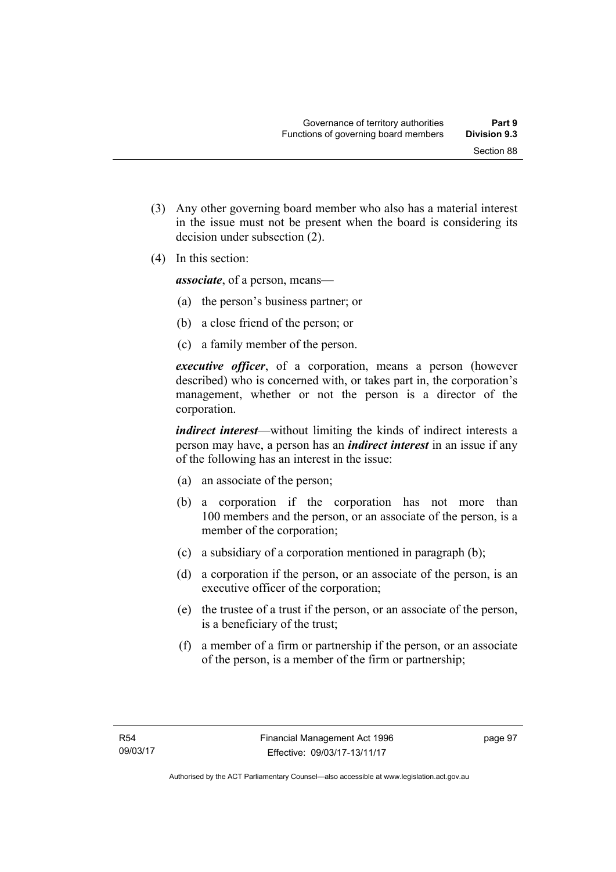- (3) Any other governing board member who also has a material interest in the issue must not be present when the board is considering its decision under subsection (2).
- (4) In this section:

*associate*, of a person, means—

- (a) the person's business partner; or
- (b) a close friend of the person; or
- (c) a family member of the person.

*executive officer*, of a corporation, means a person (however described) who is concerned with, or takes part in, the corporation's management, whether or not the person is a director of the corporation.

*indirect interest*—without limiting the kinds of indirect interests a person may have, a person has an *indirect interest* in an issue if any of the following has an interest in the issue:

- (a) an associate of the person;
- (b) a corporation if the corporation has not more than 100 members and the person, or an associate of the person, is a member of the corporation;
- (c) a subsidiary of a corporation mentioned in paragraph (b);
- (d) a corporation if the person, or an associate of the person, is an executive officer of the corporation;
- (e) the trustee of a trust if the person, or an associate of the person, is a beneficiary of the trust;
- (f) a member of a firm or partnership if the person, or an associate of the person, is a member of the firm or partnership;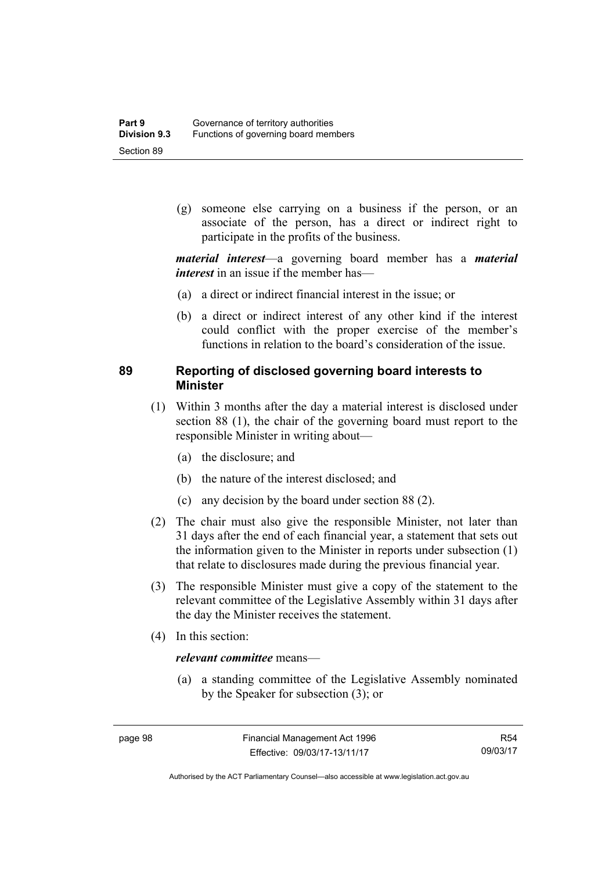(g) someone else carrying on a business if the person, or an associate of the person, has a direct or indirect right to participate in the profits of the business.

*material interest*—a governing board member has a *material interest* in an issue if the member has—

- (a) a direct or indirect financial interest in the issue; or
- (b) a direct or indirect interest of any other kind if the interest could conflict with the proper exercise of the member's functions in relation to the board's consideration of the issue.

## **89 Reporting of disclosed governing board interests to Minister**

- (1) Within 3 months after the day a material interest is disclosed under section 88 (1), the chair of the governing board must report to the responsible Minister in writing about—
	- (a) the disclosure; and
	- (b) the nature of the interest disclosed; and
	- (c) any decision by the board under section 88 (2).
- (2) The chair must also give the responsible Minister, not later than 31 days after the end of each financial year, a statement that sets out the information given to the Minister in reports under subsection (1) that relate to disclosures made during the previous financial year.
- (3) The responsible Minister must give a copy of the statement to the relevant committee of the Legislative Assembly within 31 days after the day the Minister receives the statement.
- (4) In this section:

## *relevant committee* means—

 (a) a standing committee of the Legislative Assembly nominated by the Speaker for subsection (3); or

Authorised by the ACT Parliamentary Counsel—also accessible at www.legislation.act.gov.au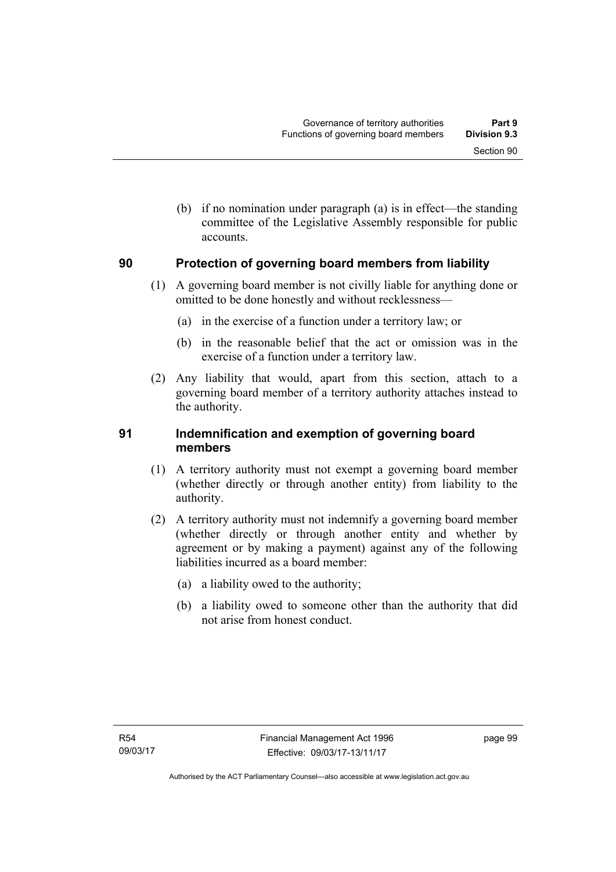Section 90

 (b) if no nomination under paragraph (a) is in effect—the standing committee of the Legislative Assembly responsible for public accounts.

# **90 Protection of governing board members from liability**

- (1) A governing board member is not civilly liable for anything done or omitted to be done honestly and without recklessness—
	- (a) in the exercise of a function under a territory law; or
	- (b) in the reasonable belief that the act or omission was in the exercise of a function under a territory law.
- (2) Any liability that would, apart from this section, attach to a governing board member of a territory authority attaches instead to the authority.

## **91 Indemnification and exemption of governing board members**

- (1) A territory authority must not exempt a governing board member (whether directly or through another entity) from liability to the authority.
- (2) A territory authority must not indemnify a governing board member (whether directly or through another entity and whether by agreement or by making a payment) against any of the following liabilities incurred as a board member:
	- (a) a liability owed to the authority;
	- (b) a liability owed to someone other than the authority that did not arise from honest conduct.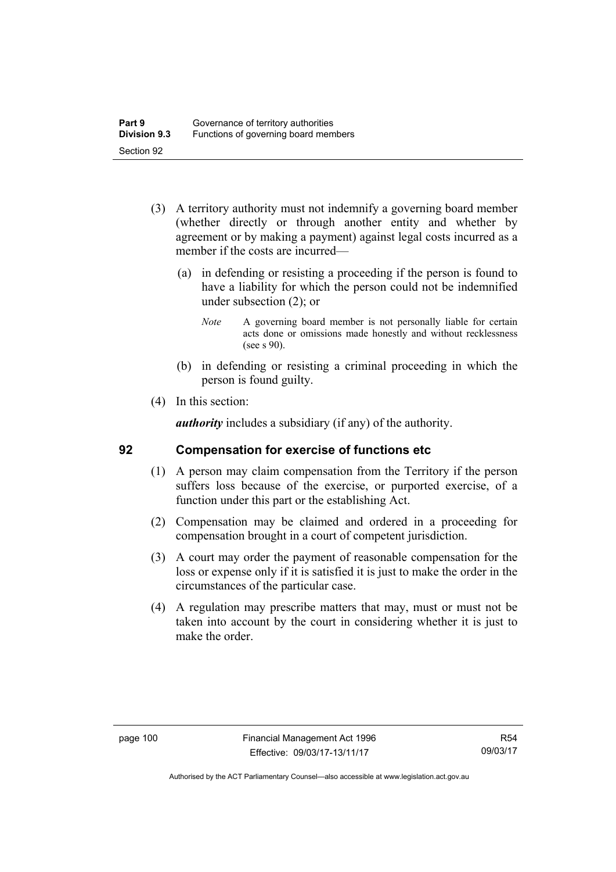- (3) A territory authority must not indemnify a governing board member (whether directly or through another entity and whether by agreement or by making a payment) against legal costs incurred as a member if the costs are incurred—
	- (a) in defending or resisting a proceeding if the person is found to have a liability for which the person could not be indemnified under subsection (2); or
		- *Note* A governing board member is not personally liable for certain acts done or omissions made honestly and without recklessness (see s 90).
	- (b) in defending or resisting a criminal proceeding in which the person is found guilty.
- (4) In this section:

*authority* includes a subsidiary (if any) of the authority.

## **92 Compensation for exercise of functions etc**

- (1) A person may claim compensation from the Territory if the person suffers loss because of the exercise, or purported exercise, of a function under this part or the establishing Act.
- (2) Compensation may be claimed and ordered in a proceeding for compensation brought in a court of competent jurisdiction.
- (3) A court may order the payment of reasonable compensation for the loss or expense only if it is satisfied it is just to make the order in the circumstances of the particular case.
- (4) A regulation may prescribe matters that may, must or must not be taken into account by the court in considering whether it is just to make the order.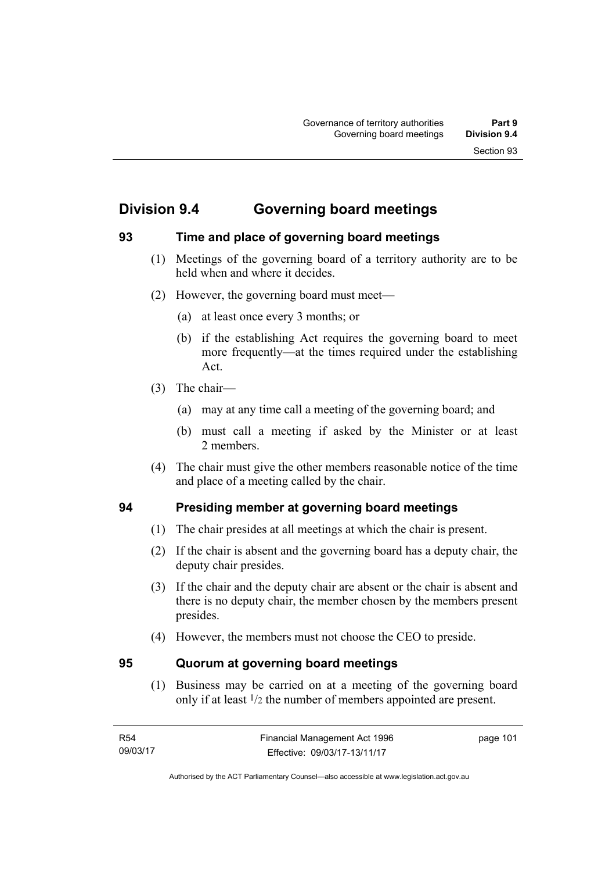# **Division 9.4 Governing board meetings**

## **93 Time and place of governing board meetings**

- (1) Meetings of the governing board of a territory authority are to be held when and where it decides.
- (2) However, the governing board must meet—
	- (a) at least once every 3 months; or
	- (b) if the establishing Act requires the governing board to meet more frequently—at the times required under the establishing Act.
- (3) The chair—
	- (a) may at any time call a meeting of the governing board; and
	- (b) must call a meeting if asked by the Minister or at least 2 members.
- (4) The chair must give the other members reasonable notice of the time and place of a meeting called by the chair.

## **94 Presiding member at governing board meetings**

- (1) The chair presides at all meetings at which the chair is present.
- (2) If the chair is absent and the governing board has a deputy chair, the deputy chair presides.
- (3) If the chair and the deputy chair are absent or the chair is absent and there is no deputy chair, the member chosen by the members present presides.
- (4) However, the members must not choose the CEO to preside.

## **95 Quorum at governing board meetings**

(1) Business may be carried on at a meeting of the governing board only if at least 1/2 the number of members appointed are present.

page 101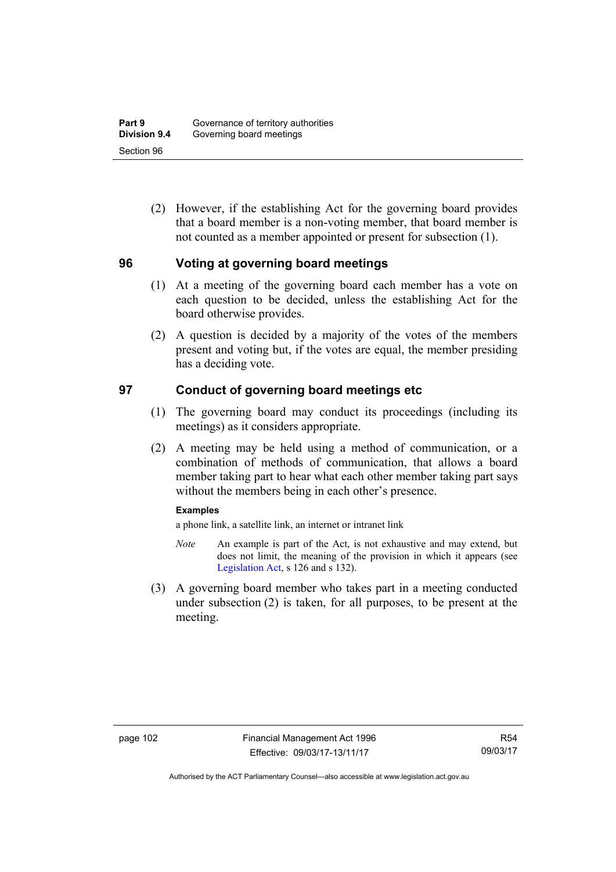(2) However, if the establishing Act for the governing board provides that a board member is a non-voting member, that board member is not counted as a member appointed or present for subsection (1).

#### **96 Voting at governing board meetings**

- (1) At a meeting of the governing board each member has a vote on each question to be decided, unless the establishing Act for the board otherwise provides.
- (2) A question is decided by a majority of the votes of the members present and voting but, if the votes are equal, the member presiding has a deciding vote.

## **97 Conduct of governing board meetings etc**

- (1) The governing board may conduct its proceedings (including its meetings) as it considers appropriate.
- (2) A meeting may be held using a method of communication, or a combination of methods of communication, that allows a board member taking part to hear what each other member taking part says without the members being in each other's presence.

#### **Examples**

a phone link, a satellite link, an internet or intranet link

- *Note* An example is part of the Act, is not exhaustive and may extend, but does not limit, the meaning of the provision in which it appears (see [Legislation Act,](http://www.legislation.act.gov.au/a/2001-14) s 126 and s 132).
- (3) A governing board member who takes part in a meeting conducted under subsection (2) is taken, for all purposes, to be present at the meeting.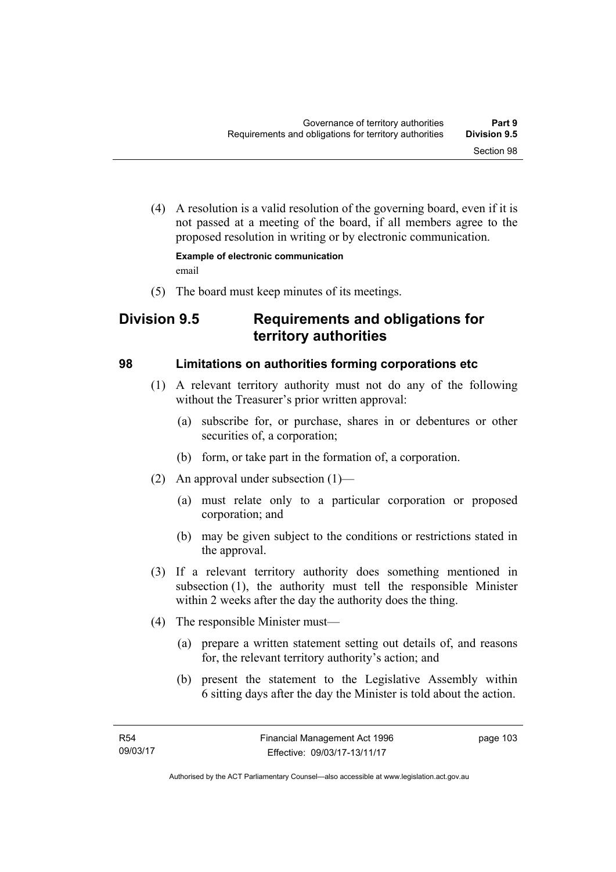(4) A resolution is a valid resolution of the governing board, even if it is not passed at a meeting of the board, if all members agree to the proposed resolution in writing or by electronic communication.

**Example of electronic communication**  email

(5) The board must keep minutes of its meetings.

# **Division 9.5 Requirements and obligations for territory authorities**

#### **98 Limitations on authorities forming corporations etc**

- (1) A relevant territory authority must not do any of the following without the Treasurer's prior written approval:
	- (a) subscribe for, or purchase, shares in or debentures or other securities of, a corporation;
	- (b) form, or take part in the formation of, a corporation.
- (2) An approval under subsection (1)—
	- (a) must relate only to a particular corporation or proposed corporation; and
	- (b) may be given subject to the conditions or restrictions stated in the approval.
- (3) If a relevant territory authority does something mentioned in subsection (1), the authority must tell the responsible Minister within 2 weeks after the day the authority does the thing.
- (4) The responsible Minister must—
	- (a) prepare a written statement setting out details of, and reasons for, the relevant territory authority's action; and
	- (b) present the statement to the Legislative Assembly within 6 sitting days after the day the Minister is told about the action.

page 103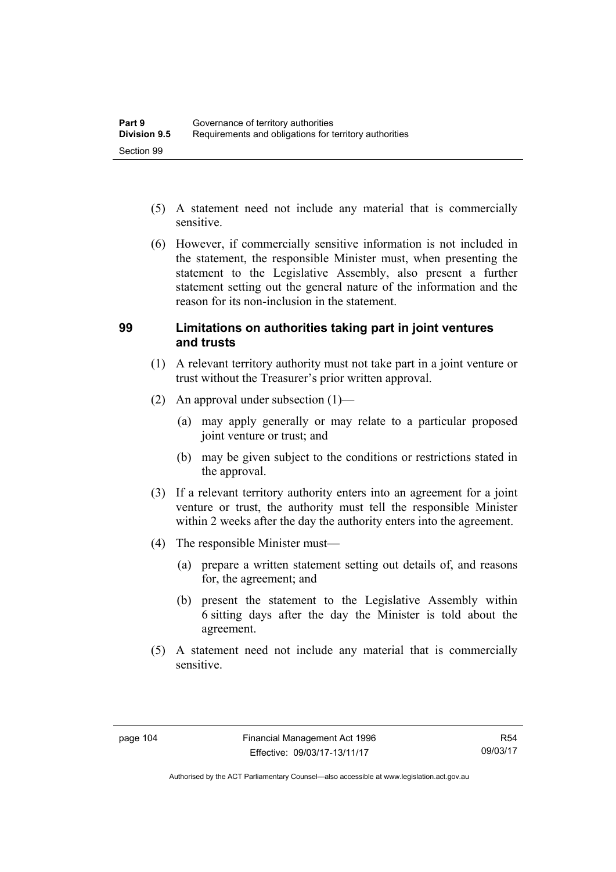- (5) A statement need not include any material that is commercially sensitive.
- (6) However, if commercially sensitive information is not included in the statement, the responsible Minister must, when presenting the statement to the Legislative Assembly, also present a further statement setting out the general nature of the information and the reason for its non-inclusion in the statement.

#### **99 Limitations on authorities taking part in joint ventures and trusts**

- (1) A relevant territory authority must not take part in a joint venture or trust without the Treasurer's prior written approval.
- (2) An approval under subsection (1)—
	- (a) may apply generally or may relate to a particular proposed joint venture or trust; and
	- (b) may be given subject to the conditions or restrictions stated in the approval.
- (3) If a relevant territory authority enters into an agreement for a joint venture or trust, the authority must tell the responsible Minister within 2 weeks after the day the authority enters into the agreement.
- (4) The responsible Minister must—
	- (a) prepare a written statement setting out details of, and reasons for, the agreement; and
	- (b) present the statement to the Legislative Assembly within 6 sitting days after the day the Minister is told about the agreement.
- (5) A statement need not include any material that is commercially sensitive.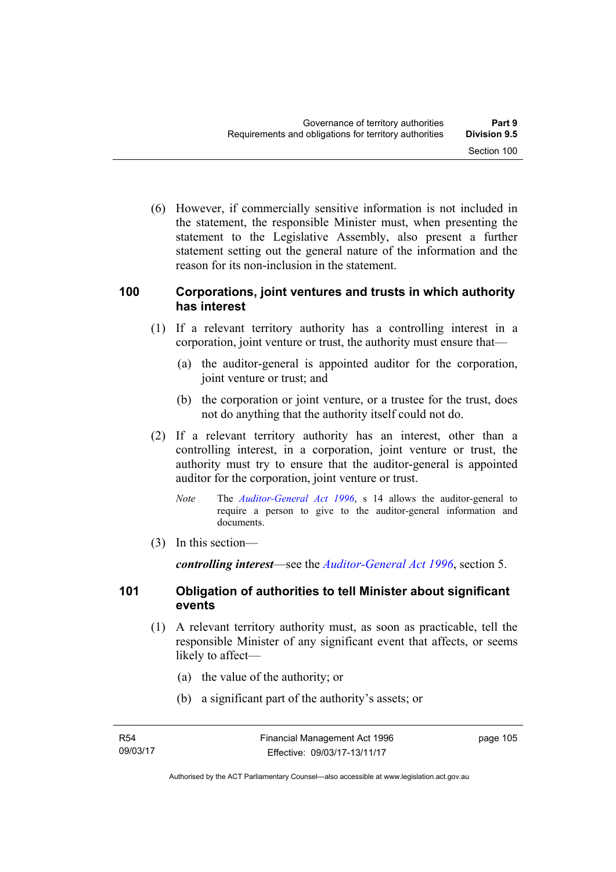(6) However, if commercially sensitive information is not included in the statement, the responsible Minister must, when presenting the statement to the Legislative Assembly, also present a further statement setting out the general nature of the information and the reason for its non-inclusion in the statement.

#### **100 Corporations, joint ventures and trusts in which authority has interest**

- (1) If a relevant territory authority has a controlling interest in a corporation, joint venture or trust, the authority must ensure that—
	- (a) the auditor-general is appointed auditor for the corporation, joint venture or trust; and
	- (b) the corporation or joint venture, or a trustee for the trust, does not do anything that the authority itself could not do.
- (2) If a relevant territory authority has an interest, other than a controlling interest, in a corporation, joint venture or trust, the authority must try to ensure that the auditor-general is appointed auditor for the corporation, joint venture or trust.
	- *Note* The *[Auditor-General Act 1996](http://www.legislation.act.gov.au/a/1996-23)*, s 14 allows the auditor-general to require a person to give to the auditor-general information and documents.
- (3) In this section—

*controlling interest*—see the *[Auditor-General Act 1996](http://www.legislation.act.gov.au/a/1996-23)*, section 5.

#### **101 Obligation of authorities to tell Minister about significant events**

- (1) A relevant territory authority must, as soon as practicable, tell the responsible Minister of any significant event that affects, or seems likely to affect—
	- (a) the value of the authority; or
	- (b) a significant part of the authority's assets; or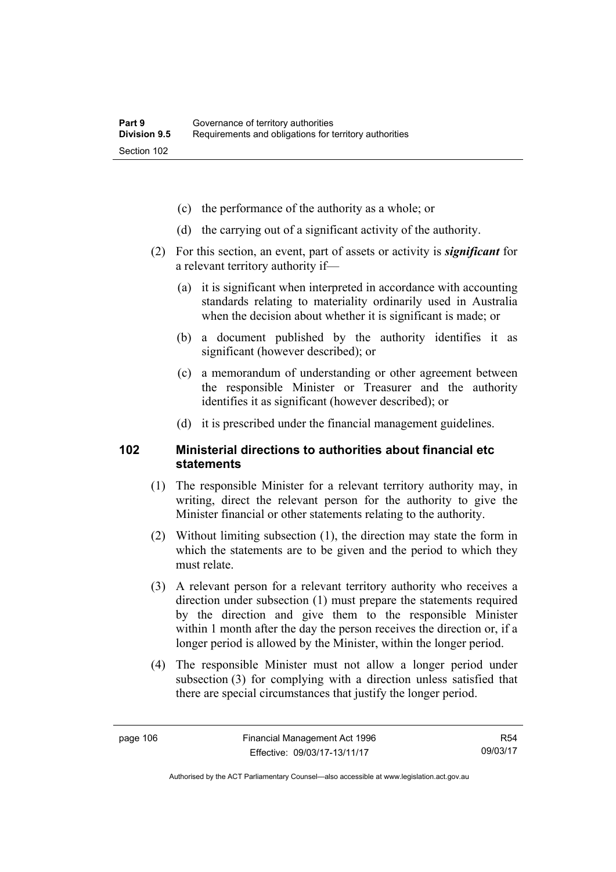- (c) the performance of the authority as a whole; or
- (d) the carrying out of a significant activity of the authority.
- (2) For this section, an event, part of assets or activity is *significant* for a relevant territory authority if—
	- (a) it is significant when interpreted in accordance with accounting standards relating to materiality ordinarily used in Australia when the decision about whether it is significant is made; or
	- (b) a document published by the authority identifies it as significant (however described); or
	- (c) a memorandum of understanding or other agreement between the responsible Minister or Treasurer and the authority identifies it as significant (however described); or
	- (d) it is prescribed under the financial management guidelines.

#### **102 Ministerial directions to authorities about financial etc statements**

- (1) The responsible Minister for a relevant territory authority may, in writing, direct the relevant person for the authority to give the Minister financial or other statements relating to the authority.
- (2) Without limiting subsection (1), the direction may state the form in which the statements are to be given and the period to which they must relate.
- (3) A relevant person for a relevant territory authority who receives a direction under subsection (1) must prepare the statements required by the direction and give them to the responsible Minister within 1 month after the day the person receives the direction or, if a longer period is allowed by the Minister, within the longer period.
- (4) The responsible Minister must not allow a longer period under subsection (3) for complying with a direction unless satisfied that there are special circumstances that justify the longer period.

R54 09/03/17

Authorised by the ACT Parliamentary Counsel—also accessible at www.legislation.act.gov.au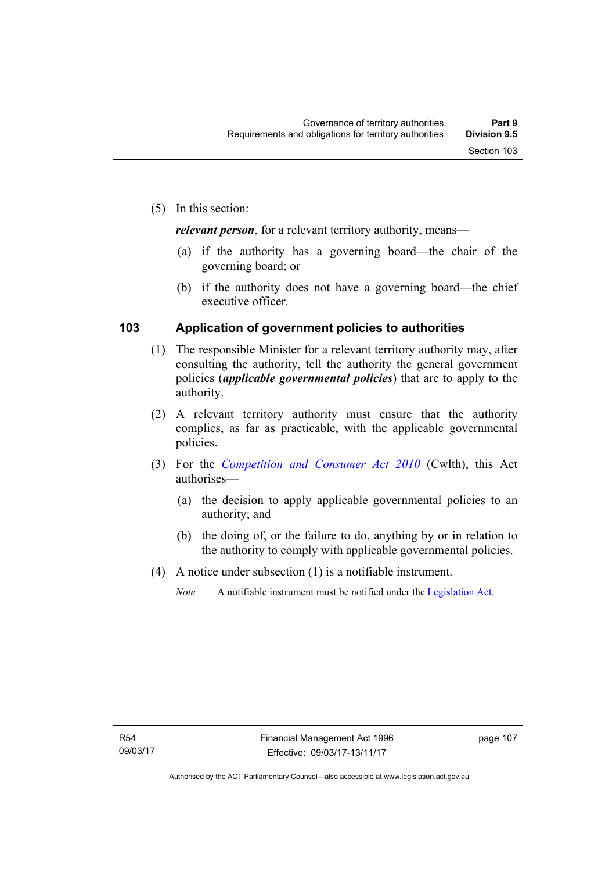(5) In this section:

*relevant person*, for a relevant territory authority, means—

- (a) if the authority has a governing board—the chair of the governing board; or
- (b) if the authority does not have a governing board—the chief executive officer.

#### **103 Application of government policies to authorities**

- (1) The responsible Minister for a relevant territory authority may, after consulting the authority, tell the authority the general government policies (*applicable governmental policies*) that are to apply to the authority.
- (2) A relevant territory authority must ensure that the authority complies, as far as practicable, with the applicable governmental policies.
- (3) For the *[Competition and Consumer Act 2010](http://www.comlaw.gov.au/Series/C2004A00109)* (Cwlth), this Act authorises—
	- (a) the decision to apply applicable governmental policies to an authority; and
	- (b) the doing of, or the failure to do, anything by or in relation to the authority to comply with applicable governmental policies.
- (4) A notice under subsection (1) is a notifiable instrument.
	- *Note* A notifiable instrument must be notified under the [Legislation Act](http://www.legislation.act.gov.au/a/2001-14).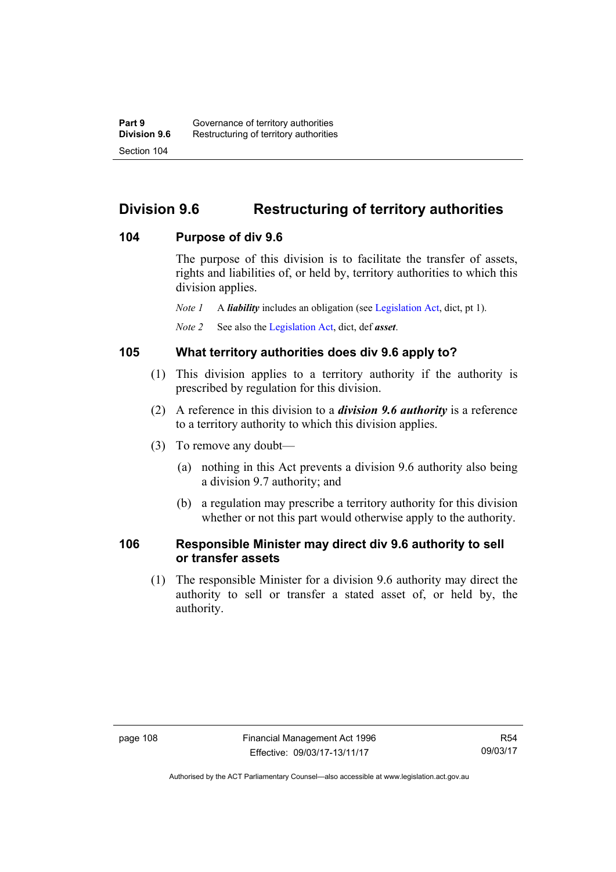# **Division 9.6 Restructuring of territory authorities**

#### **104 Purpose of div 9.6**

The purpose of this division is to facilitate the transfer of assets, rights and liabilities of, or held by, territory authorities to which this division applies.

*Note 1* A *liability* includes an obligation (see [Legislation Act,](http://www.legislation.act.gov.au/a/2001-14) dict, pt 1).

*Note 2* See also the [Legislation Act](http://www.legislation.act.gov.au/a/2001-14), dict, def *asset*.

## **105 What territory authorities does div 9.6 apply to?**

- (1) This division applies to a territory authority if the authority is prescribed by regulation for this division.
- (2) A reference in this division to a *division 9.6 authority* is a reference to a territory authority to which this division applies.
- (3) To remove any doubt—
	- (a) nothing in this Act prevents a division 9.6 authority also being a division 9.7 authority; and
	- (b) a regulation may prescribe a territory authority for this division whether or not this part would otherwise apply to the authority.

#### **106 Responsible Minister may direct div 9.6 authority to sell or transfer assets**

 (1) The responsible Minister for a division 9.6 authority may direct the authority to sell or transfer a stated asset of, or held by, the authority.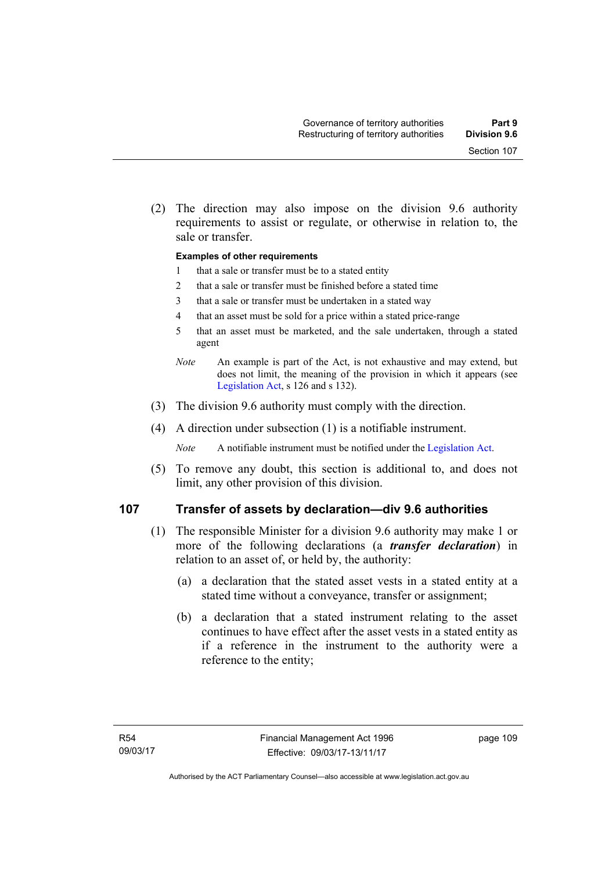Section 107

#### **Examples of other requirements**

sale or transfer.

- 1 that a sale or transfer must be to a stated entity
- 2 that a sale or transfer must be finished before a stated time
- 3 that a sale or transfer must be undertaken in a stated way
- 4 that an asset must be sold for a price within a stated price-range
- 5 that an asset must be marketed, and the sale undertaken, through a stated agent
- *Note* An example is part of the Act, is not exhaustive and may extend, but does not limit, the meaning of the provision in which it appears (see [Legislation Act,](http://www.legislation.act.gov.au/a/2001-14) s 126 and s 132).
- (3) The division 9.6 authority must comply with the direction.
- (4) A direction under subsection (1) is a notifiable instrument.

*Note* A notifiable instrument must be notified under the [Legislation Act](http://www.legislation.act.gov.au/a/2001-14).

 (5) To remove any doubt, this section is additional to, and does not limit, any other provision of this division.

#### **107 Transfer of assets by declaration—div 9.6 authorities**

- (1) The responsible Minister for a division 9.6 authority may make 1 or more of the following declarations (a *transfer declaration*) in relation to an asset of, or held by, the authority:
	- (a) a declaration that the stated asset vests in a stated entity at a stated time without a conveyance, transfer or assignment;
	- (b) a declaration that a stated instrument relating to the asset continues to have effect after the asset vests in a stated entity as if a reference in the instrument to the authority were a reference to the entity;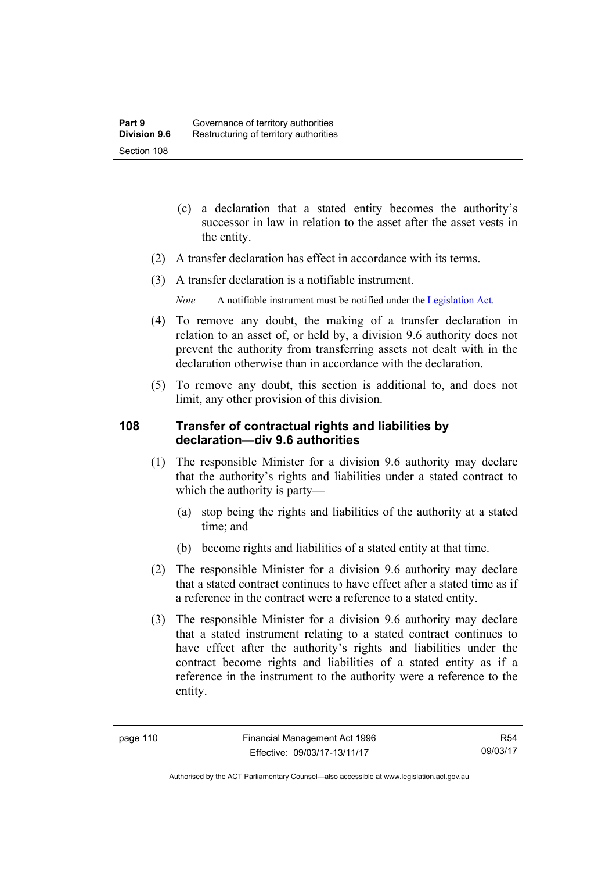- (c) a declaration that a stated entity becomes the authority's successor in law in relation to the asset after the asset vests in the entity.
- (2) A transfer declaration has effect in accordance with its terms.
- (3) A transfer declaration is a notifiable instrument.
	- *Note* A notifiable instrument must be notified under the [Legislation Act](http://www.legislation.act.gov.au/a/2001-14).
- (4) To remove any doubt, the making of a transfer declaration in relation to an asset of, or held by, a division 9.6 authority does not prevent the authority from transferring assets not dealt with in the declaration otherwise than in accordance with the declaration.
- (5) To remove any doubt, this section is additional to, and does not limit, any other provision of this division.

#### **108 Transfer of contractual rights and liabilities by declaration—div 9.6 authorities**

- (1) The responsible Minister for a division 9.6 authority may declare that the authority's rights and liabilities under a stated contract to which the authority is party—
	- (a) stop being the rights and liabilities of the authority at a stated time; and
	- (b) become rights and liabilities of a stated entity at that time.
- (2) The responsible Minister for a division 9.6 authority may declare that a stated contract continues to have effect after a stated time as if a reference in the contract were a reference to a stated entity.
- (3) The responsible Minister for a division 9.6 authority may declare that a stated instrument relating to a stated contract continues to have effect after the authority's rights and liabilities under the contract become rights and liabilities of a stated entity as if a reference in the instrument to the authority were a reference to the entity.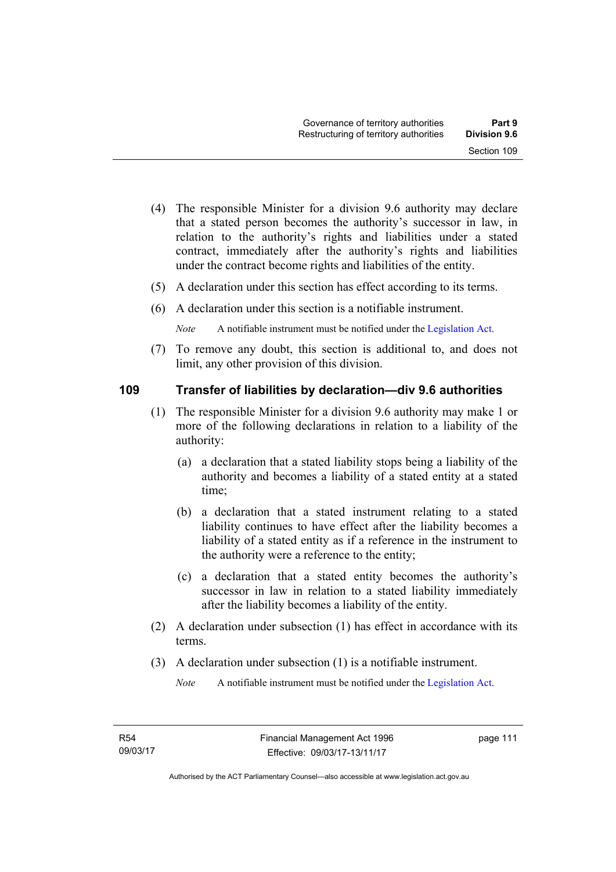- (4) The responsible Minister for a division 9.6 authority may declare that a stated person becomes the authority's successor in law, in relation to the authority's rights and liabilities under a stated contract, immediately after the authority's rights and liabilities under the contract become rights and liabilities of the entity.
- (5) A declaration under this section has effect according to its terms.
- (6) A declaration under this section is a notifiable instrument.

*Note* A notifiable instrument must be notified under the [Legislation Act](http://www.legislation.act.gov.au/a/2001-14).

 (7) To remove any doubt, this section is additional to, and does not limit, any other provision of this division.

#### **109 Transfer of liabilities by declaration—div 9.6 authorities**

- (1) The responsible Minister for a division 9.6 authority may make 1 or more of the following declarations in relation to a liability of the authority:
	- (a) a declaration that a stated liability stops being a liability of the authority and becomes a liability of a stated entity at a stated time;
	- (b) a declaration that a stated instrument relating to a stated liability continues to have effect after the liability becomes a liability of a stated entity as if a reference in the instrument to the authority were a reference to the entity;
	- (c) a declaration that a stated entity becomes the authority's successor in law in relation to a stated liability immediately after the liability becomes a liability of the entity.
- (2) A declaration under subsection (1) has effect in accordance with its terms.
- (3) A declaration under subsection (1) is a notifiable instrument.

*Note* A notifiable instrument must be notified under the [Legislation Act](http://www.legislation.act.gov.au/a/2001-14).

page 111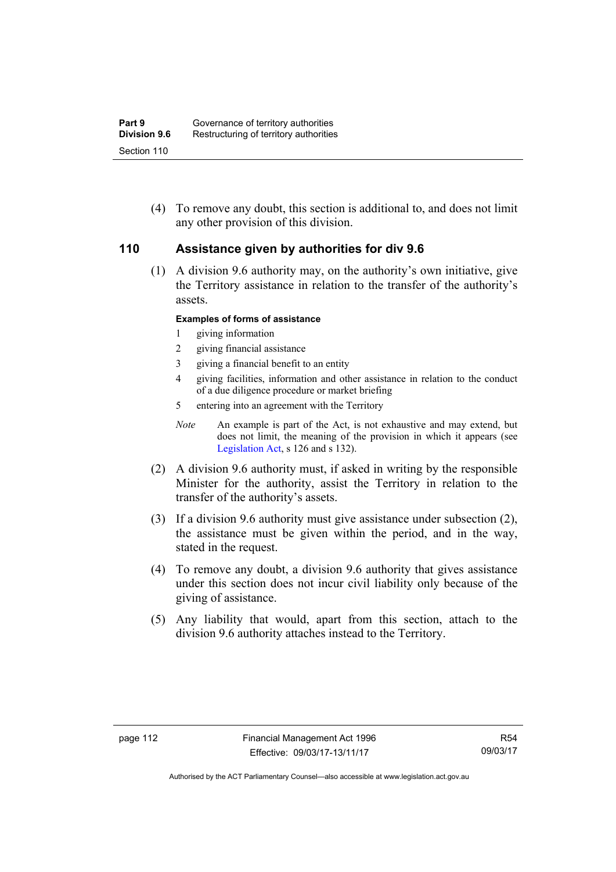(4) To remove any doubt, this section is additional to, and does not limit any other provision of this division.

#### **110 Assistance given by authorities for div 9.6**

(1) A division 9.6 authority may, on the authority's own initiative, give the Territory assistance in relation to the transfer of the authority's assets.

#### **Examples of forms of assistance**

- 1 giving information
- 2 giving financial assistance
- 3 giving a financial benefit to an entity
- 4 giving facilities, information and other assistance in relation to the conduct of a due diligence procedure or market briefing
- 5 entering into an agreement with the Territory
- *Note* An example is part of the Act, is not exhaustive and may extend, but does not limit, the meaning of the provision in which it appears (see [Legislation Act,](http://www.legislation.act.gov.au/a/2001-14) s 126 and s 132).
- (2) A division 9.6 authority must, if asked in writing by the responsible Minister for the authority, assist the Territory in relation to the transfer of the authority's assets.
- (3) If a division 9.6 authority must give assistance under subsection (2), the assistance must be given within the period, and in the way, stated in the request.
- (4) To remove any doubt, a division 9.6 authority that gives assistance under this section does not incur civil liability only because of the giving of assistance.
- (5) Any liability that would, apart from this section, attach to the division 9.6 authority attaches instead to the Territory.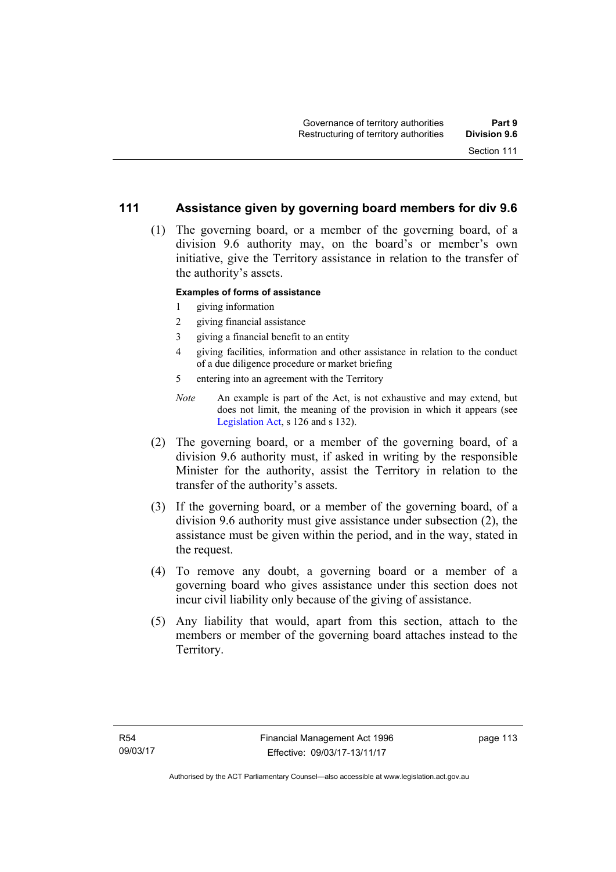#### **111 Assistance given by governing board members for div 9.6**

 (1) The governing board, or a member of the governing board, of a division 9.6 authority may, on the board's or member's own initiative, give the Territory assistance in relation to the transfer of the authority's assets.

#### **Examples of forms of assistance**

- 1 giving information
- 2 giving financial assistance
- 3 giving a financial benefit to an entity
- 4 giving facilities, information and other assistance in relation to the conduct of a due diligence procedure or market briefing
- 5 entering into an agreement with the Territory
- *Note* An example is part of the Act, is not exhaustive and may extend, but does not limit, the meaning of the provision in which it appears (see [Legislation Act,](http://www.legislation.act.gov.au/a/2001-14) s 126 and s 132).
- (2) The governing board, or a member of the governing board, of a division 9.6 authority must, if asked in writing by the responsible Minister for the authority, assist the Territory in relation to the transfer of the authority's assets.
- (3) If the governing board, or a member of the governing board, of a division 9.6 authority must give assistance under subsection (2), the assistance must be given within the period, and in the way, stated in the request.
- (4) To remove any doubt, a governing board or a member of a governing board who gives assistance under this section does not incur civil liability only because of the giving of assistance.
- (5) Any liability that would, apart from this section, attach to the members or member of the governing board attaches instead to the Territory.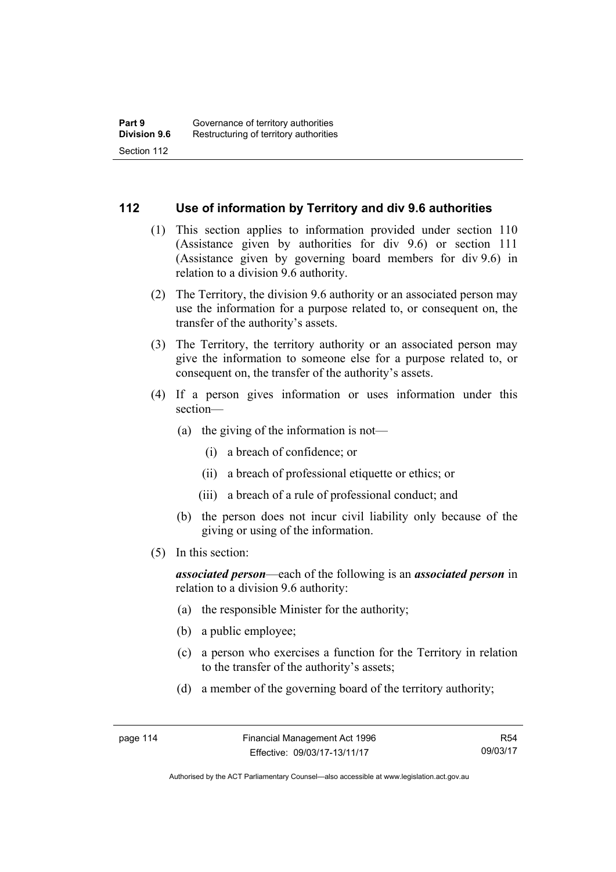#### **112 Use of information by Territory and div 9.6 authorities**

- (1) This section applies to information provided under section 110 (Assistance given by authorities for div 9.6) or section 111 (Assistance given by governing board members for div 9.6) in relation to a division 9.6 authority.
- (2) The Territory, the division 9.6 authority or an associated person may use the information for a purpose related to, or consequent on, the transfer of the authority's assets.
- (3) The Territory, the territory authority or an associated person may give the information to someone else for a purpose related to, or consequent on, the transfer of the authority's assets.
- (4) If a person gives information or uses information under this section—
	- (a) the giving of the information is not—
		- (i) a breach of confidence; or
		- (ii) a breach of professional etiquette or ethics; or
		- (iii) a breach of a rule of professional conduct; and
	- (b) the person does not incur civil liability only because of the giving or using of the information.
- (5) In this section:

*associated person*—each of the following is an *associated person* in relation to a division 9.6 authority:

- (a) the responsible Minister for the authority;
- (b) a public employee;
- (c) a person who exercises a function for the Territory in relation to the transfer of the authority's assets;
- (d) a member of the governing board of the territory authority;

R54 09/03/17

Authorised by the ACT Parliamentary Counsel—also accessible at www.legislation.act.gov.au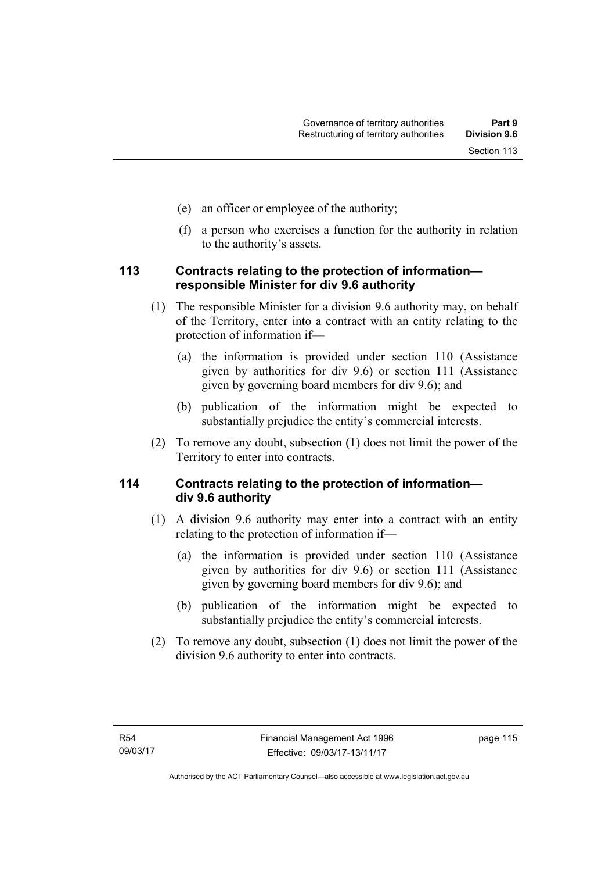- (e) an officer or employee of the authority;
- (f) a person who exercises a function for the authority in relation to the authority's assets.

#### **113 Contracts relating to the protection of information responsible Minister for div 9.6 authority**

- (1) The responsible Minister for a division 9.6 authority may, on behalf of the Territory, enter into a contract with an entity relating to the protection of information if—
	- (a) the information is provided under section 110 (Assistance given by authorities for div 9.6) or section 111 (Assistance given by governing board members for div 9.6); and
	- (b) publication of the information might be expected to substantially prejudice the entity's commercial interests.
- (2) To remove any doubt, subsection (1) does not limit the power of the Territory to enter into contracts.

## **114 Contracts relating to the protection of information div 9.6 authority**

- (1) A division 9.6 authority may enter into a contract with an entity relating to the protection of information if—
	- (a) the information is provided under section 110 (Assistance given by authorities for div 9.6) or section 111 (Assistance given by governing board members for div 9.6); and
	- (b) publication of the information might be expected to substantially prejudice the entity's commercial interests.
- (2) To remove any doubt, subsection (1) does not limit the power of the division 9.6 authority to enter into contracts.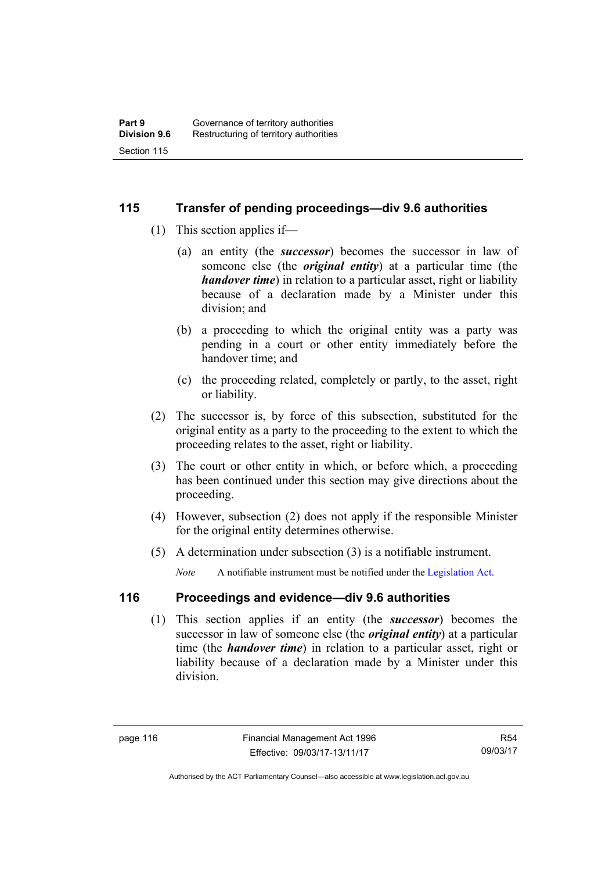#### **115 Transfer of pending proceedings—div 9.6 authorities**

- (1) This section applies if—
	- (a) an entity (the *successor*) becomes the successor in law of someone else (the *original entity*) at a particular time (the *handover time*) in relation to a particular asset, right or liability because of a declaration made by a Minister under this division; and
	- (b) a proceeding to which the original entity was a party was pending in a court or other entity immediately before the handover time; and
	- (c) the proceeding related, completely or partly, to the asset, right or liability.
- (2) The successor is, by force of this subsection, substituted for the original entity as a party to the proceeding to the extent to which the proceeding relates to the asset, right or liability.
- (3) The court or other entity in which, or before which, a proceeding has been continued under this section may give directions about the proceeding.
- (4) However, subsection (2) does not apply if the responsible Minister for the original entity determines otherwise.
- (5) A determination under subsection (3) is a notifiable instrument.

*Note* A notifiable instrument must be notified under the [Legislation Act](http://www.legislation.act.gov.au/a/2001-14).

# **116 Proceedings and evidence—div 9.6 authorities**

 (1) This section applies if an entity (the *successor*) becomes the successor in law of someone else (the *original entity*) at a particular time (the *handover time*) in relation to a particular asset, right or liability because of a declaration made by a Minister under this division.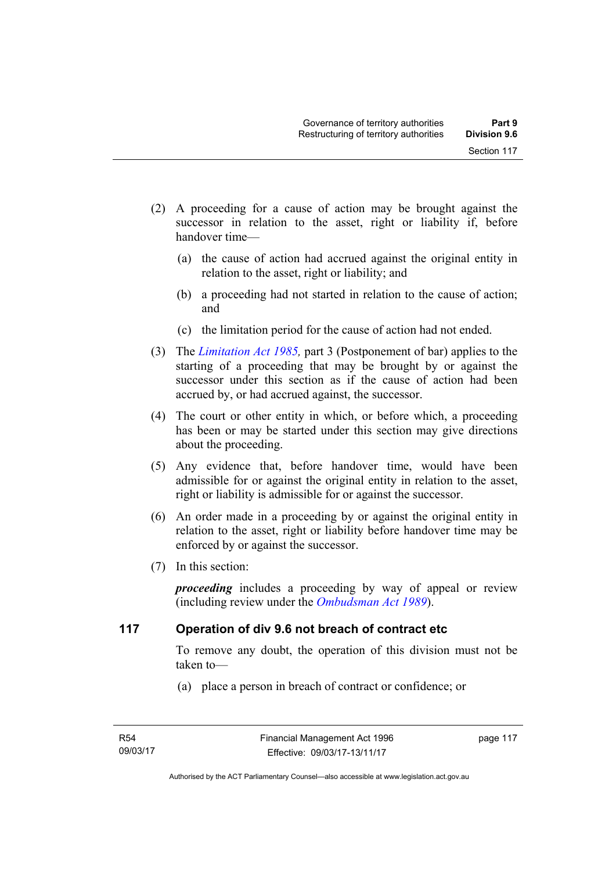- (2) A proceeding for a cause of action may be brought against the successor in relation to the asset, right or liability if, before handover time—
	- (a) the cause of action had accrued against the original entity in relation to the asset, right or liability; and
	- (b) a proceeding had not started in relation to the cause of action; and
	- (c) the limitation period for the cause of action had not ended.
- (3) The *[Limitation Act 1985](http://www.legislation.act.gov.au/a/1985-66),* part 3 (Postponement of bar) applies to the starting of a proceeding that may be brought by or against the successor under this section as if the cause of action had been accrued by, or had accrued against, the successor.
- (4) The court or other entity in which, or before which, a proceeding has been or may be started under this section may give directions about the proceeding.
- (5) Any evidence that, before handover time, would have been admissible for or against the original entity in relation to the asset, right or liability is admissible for or against the successor.
- (6) An order made in a proceeding by or against the original entity in relation to the asset, right or liability before handover time may be enforced by or against the successor.
- (7) In this section:

*proceeding* includes a proceeding by way of appeal or review (including review under the *[Ombudsman Act 1989](http://www.legislation.act.gov.au/a/alt_a1989-45co)*).

#### **117 Operation of div 9.6 not breach of contract etc**

To remove any doubt, the operation of this division must not be taken to—

(a) place a person in breach of contract or confidence; or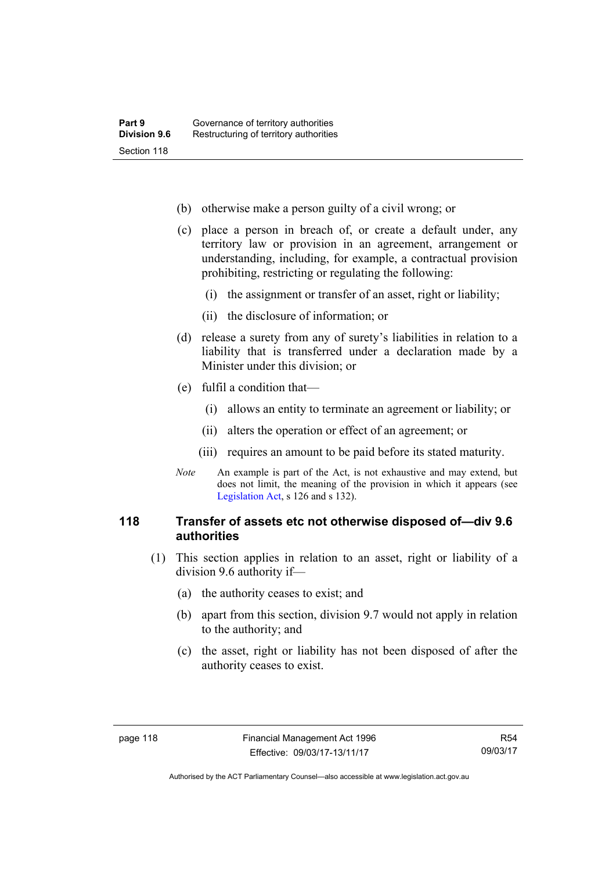- (b) otherwise make a person guilty of a civil wrong; or
- (c) place a person in breach of, or create a default under, any territory law or provision in an agreement, arrangement or understanding, including, for example, a contractual provision prohibiting, restricting or regulating the following:
	- (i) the assignment or transfer of an asset, right or liability;
	- (ii) the disclosure of information; or
- (d) release a surety from any of surety's liabilities in relation to a liability that is transferred under a declaration made by a Minister under this division; or
- (e) fulfil a condition that—
	- (i) allows an entity to terminate an agreement or liability; or
	- (ii) alters the operation or effect of an agreement; or
	- (iii) requires an amount to be paid before its stated maturity.
- *Note* An example is part of the Act, is not exhaustive and may extend, but does not limit, the meaning of the provision in which it appears (see [Legislation Act,](http://www.legislation.act.gov.au/a/2001-14) s 126 and s 132).

#### **118 Transfer of assets etc not otherwise disposed of—div 9.6 authorities**

- (1) This section applies in relation to an asset, right or liability of a division 9.6 authority if—
	- (a) the authority ceases to exist; and
	- (b) apart from this section, division 9.7 would not apply in relation to the authority; and
	- (c) the asset, right or liability has not been disposed of after the authority ceases to exist.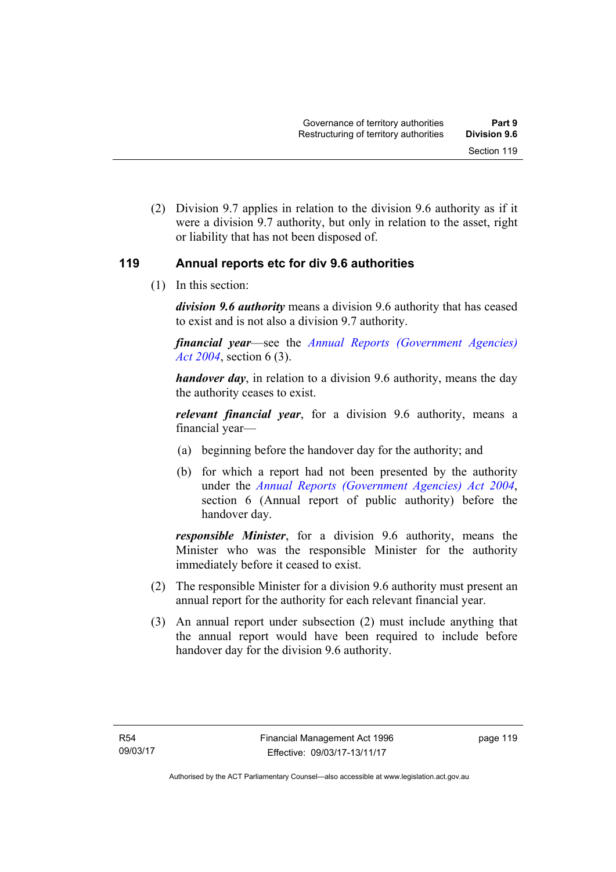(2) Division 9.7 applies in relation to the division 9.6 authority as if it were a division 9.7 authority, but only in relation to the asset, right or liability that has not been disposed of.

#### **119 Annual reports etc for div 9.6 authorities**

(1) In this section:

*division 9.6 authority* means a division 9.6 authority that has ceased to exist and is not also a division 9.7 authority.

*financial year*––see the *[Annual Reports \(Government Agencies\)](http://www.legislation.act.gov.au/a/2004-8)  [Act 2004](http://www.legislation.act.gov.au/a/2004-8)*, section 6 (3).

*handover day*, in relation to a division 9.6 authority, means the day the authority ceases to exist.

*relevant financial year*, for a division 9.6 authority, means a financial year—

- (a) beginning before the handover day for the authority; and
- (b) for which a report had not been presented by the authority under the *[Annual Reports \(Government Agencies\) Act 2004](http://www.legislation.act.gov.au/a/2004-8)*, section 6 (Annual report of public authority) before the handover day.

*responsible Minister*, for a division 9.6 authority, means the Minister who was the responsible Minister for the authority immediately before it ceased to exist.

- (2) The responsible Minister for a division 9.6 authority must present an annual report for the authority for each relevant financial year.
- (3) An annual report under subsection (2) must include anything that the annual report would have been required to include before handover day for the division 9.6 authority.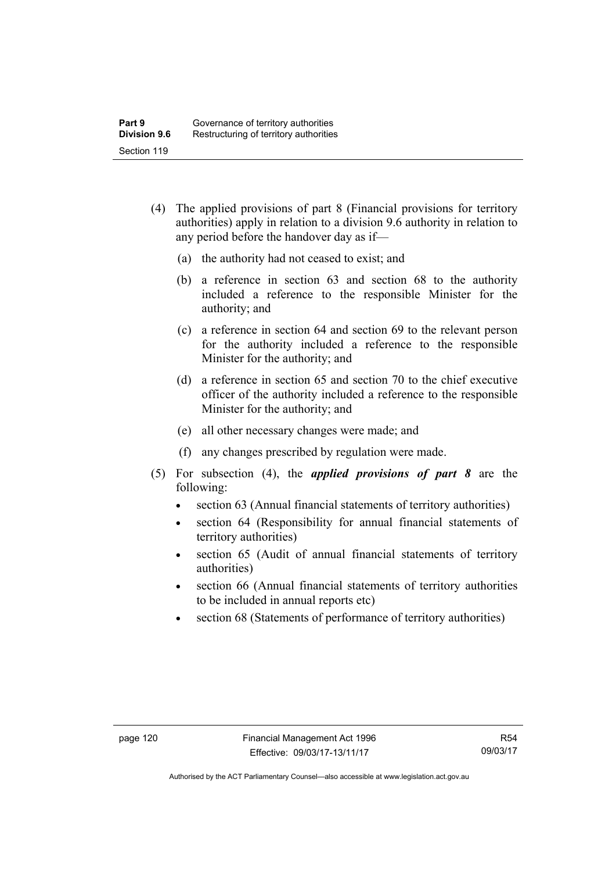- (4) The applied provisions of part 8 (Financial provisions for territory authorities) apply in relation to a division 9.6 authority in relation to any period before the handover day as if—
	- (a) the authority had not ceased to exist; and
	- (b) a reference in section 63 and section 68 to the authority included a reference to the responsible Minister for the authority; and
	- (c) a reference in section 64 and section 69 to the relevant person for the authority included a reference to the responsible Minister for the authority; and
	- (d) a reference in section 65 and section 70 to the chief executive officer of the authority included a reference to the responsible Minister for the authority; and
	- (e) all other necessary changes were made; and
	- (f) any changes prescribed by regulation were made.
- (5) For subsection (4), the *applied provisions of part 8* are the following:
	- section 63 (Annual financial statements of territory authorities)
	- section 64 (Responsibility for annual financial statements of territory authorities)
	- section 65 (Audit of annual financial statements of territory authorities)
	- section 66 (Annual financial statements of territory authorities to be included in annual reports etc)
	- section 68 (Statements of performance of territory authorities)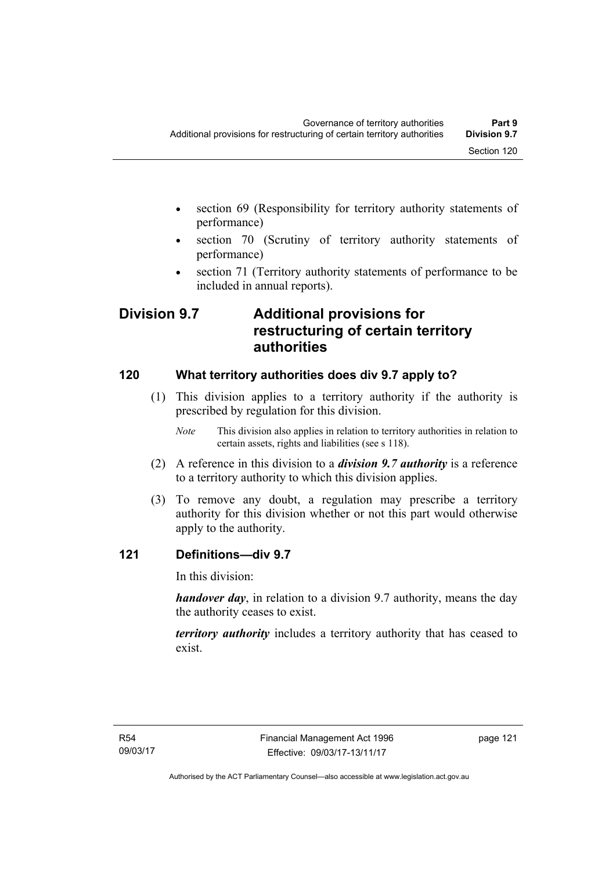- section 69 (Responsibility for territory authority statements of performance)
- section 70 (Scrutiny of territory authority statements of performance)
- section 71 (Territory authority statements of performance to be included in annual reports).

# **Division 9.7 Additional provisions for restructuring of certain territory authorities**

# **120 What territory authorities does div 9.7 apply to?**

- (1) This division applies to a territory authority if the authority is prescribed by regulation for this division.
	- *Note* This division also applies in relation to territory authorities in relation to certain assets, rights and liabilities (see s 118).
- (2) A reference in this division to a *division 9.7 authority* is a reference to a territory authority to which this division applies.
- (3) To remove any doubt, a regulation may prescribe a territory authority for this division whether or not this part would otherwise apply to the authority.

# **121 Definitions—div 9.7**

In this division:

*handover day*, in relation to a division 9.7 authority, means the day the authority ceases to exist.

*territory authority* includes a territory authority that has ceased to exist.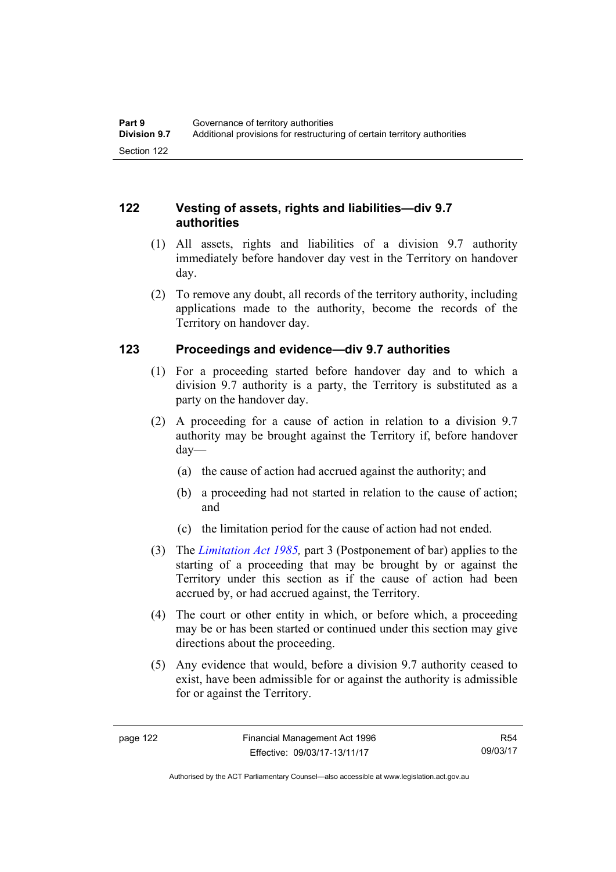## **122 Vesting of assets, rights and liabilities—div 9.7 authorities**

- (1) All assets, rights and liabilities of a division 9.7 authority immediately before handover day vest in the Territory on handover day.
- (2) To remove any doubt, all records of the territory authority, including applications made to the authority, become the records of the Territory on handover day.

# **123 Proceedings and evidence—div 9.7 authorities**

- (1) For a proceeding started before handover day and to which a division 9.7 authority is a party, the Territory is substituted as a party on the handover day.
- (2) A proceeding for a cause of action in relation to a division 9.7 authority may be brought against the Territory if, before handover day—
	- (a) the cause of action had accrued against the authority; and
	- (b) a proceeding had not started in relation to the cause of action; and
	- (c) the limitation period for the cause of action had not ended.
- (3) The *[Limitation Act 1985](http://www.legislation.act.gov.au/a/1985-66),* part 3 (Postponement of bar) applies to the starting of a proceeding that may be brought by or against the Territory under this section as if the cause of action had been accrued by, or had accrued against, the Territory.
- (4) The court or other entity in which, or before which, a proceeding may be or has been started or continued under this section may give directions about the proceeding.
- (5) Any evidence that would, before a division 9.7 authority ceased to exist, have been admissible for or against the authority is admissible for or against the Territory.

R54 09/03/17

Authorised by the ACT Parliamentary Counsel—also accessible at www.legislation.act.gov.au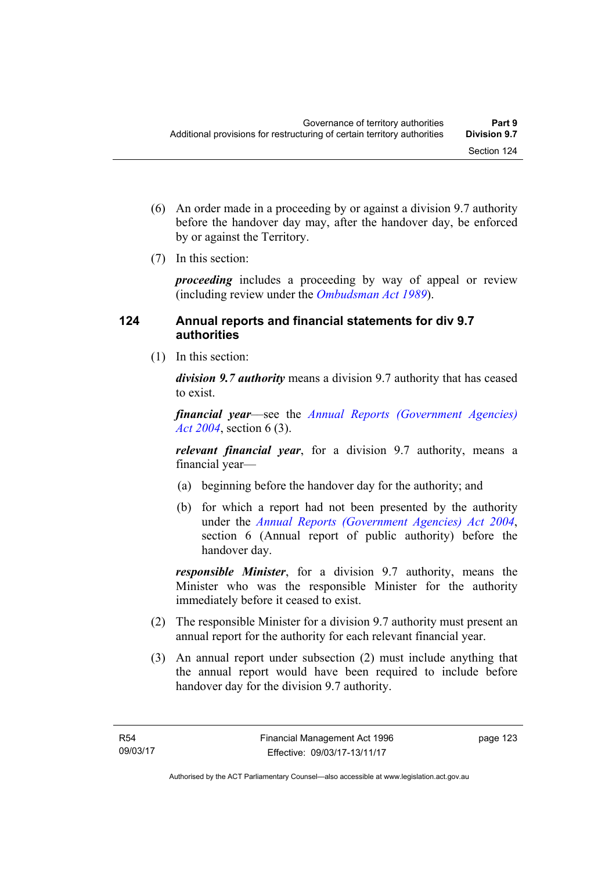- (6) An order made in a proceeding by or against a division 9.7 authority before the handover day may, after the handover day, be enforced by or against the Territory.
- (7) In this section:

*proceeding* includes a proceeding by way of appeal or review (including review under the *[Ombudsman Act 1989](http://www.legislation.act.gov.au/a/alt_a1989-45co)*).

## **124 Annual reports and financial statements for div 9.7 authorities**

(1) In this section:

*division 9.7 authority* means a division 9.7 authority that has ceased to exist.

*financial year*––see the *[Annual Reports \(Government Agencies\)](http://www.legislation.act.gov.au/a/2004-8)  [Act 2004](http://www.legislation.act.gov.au/a/2004-8)*, section 6 (3).

*relevant financial year*, for a division 9.7 authority, means a financial year—

- (a) beginning before the handover day for the authority; and
- (b) for which a report had not been presented by the authority under the *[Annual Reports \(Government Agencies\) Act 2004](http://www.legislation.act.gov.au/a/2004-8)*, section 6 (Annual report of public authority) before the handover day.

*responsible Minister*, for a division 9.7 authority, means the Minister who was the responsible Minister for the authority immediately before it ceased to exist.

- (2) The responsible Minister for a division 9.7 authority must present an annual report for the authority for each relevant financial year.
- (3) An annual report under subsection (2) must include anything that the annual report would have been required to include before handover day for the division 9.7 authority.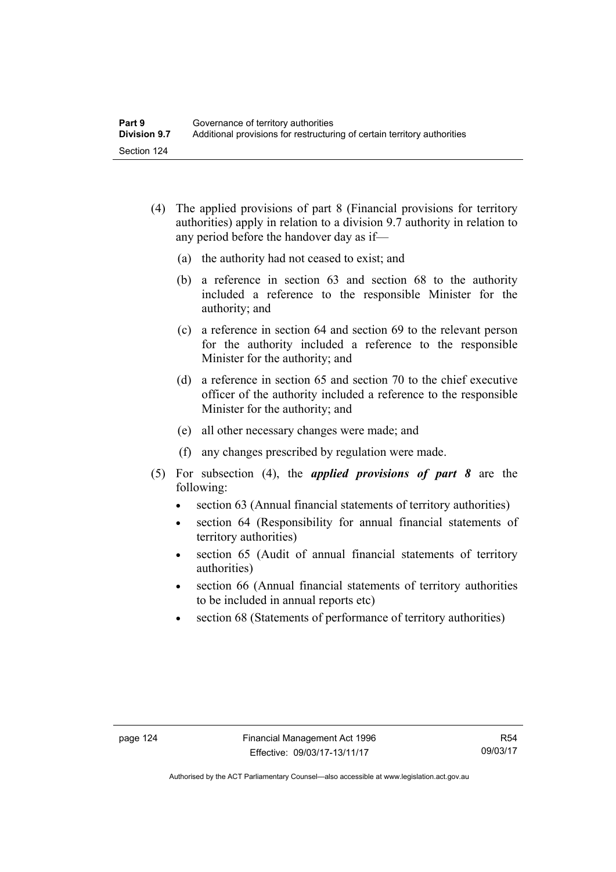- (4) The applied provisions of part 8 (Financial provisions for territory authorities) apply in relation to a division 9.7 authority in relation to any period before the handover day as if—
	- (a) the authority had not ceased to exist; and
	- (b) a reference in section 63 and section 68 to the authority included a reference to the responsible Minister for the authority; and
	- (c) a reference in section 64 and section 69 to the relevant person for the authority included a reference to the responsible Minister for the authority; and
	- (d) a reference in section 65 and section 70 to the chief executive officer of the authority included a reference to the responsible Minister for the authority; and
	- (e) all other necessary changes were made; and
	- (f) any changes prescribed by regulation were made.
- (5) For subsection (4), the *applied provisions of part 8* are the following:
	- section 63 (Annual financial statements of territory authorities)
	- section 64 (Responsibility for annual financial statements of territory authorities)
	- section 65 (Audit of annual financial statements of territory authorities)
	- section 66 (Annual financial statements of territory authorities to be included in annual reports etc)
	- section 68 (Statements of performance of territory authorities)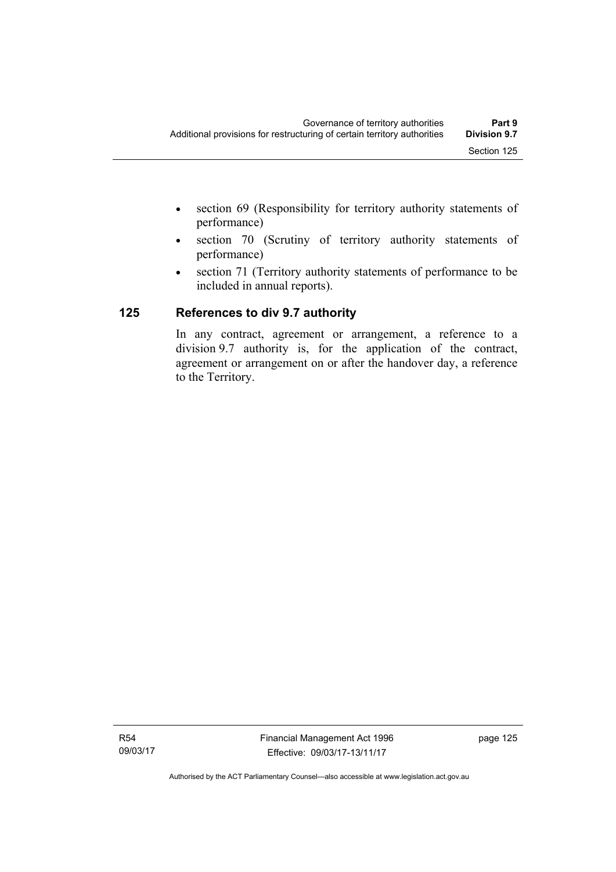- section 69 (Responsibility for territory authority statements of performance)
- section 70 (Scrutiny of territory authority statements of performance)
- section 71 (Territory authority statements of performance to be included in annual reports).

# **125 References to div 9.7 authority**

In any contract, agreement or arrangement, a reference to a division 9.7 authority is, for the application of the contract, agreement or arrangement on or after the handover day, a reference to the Territory.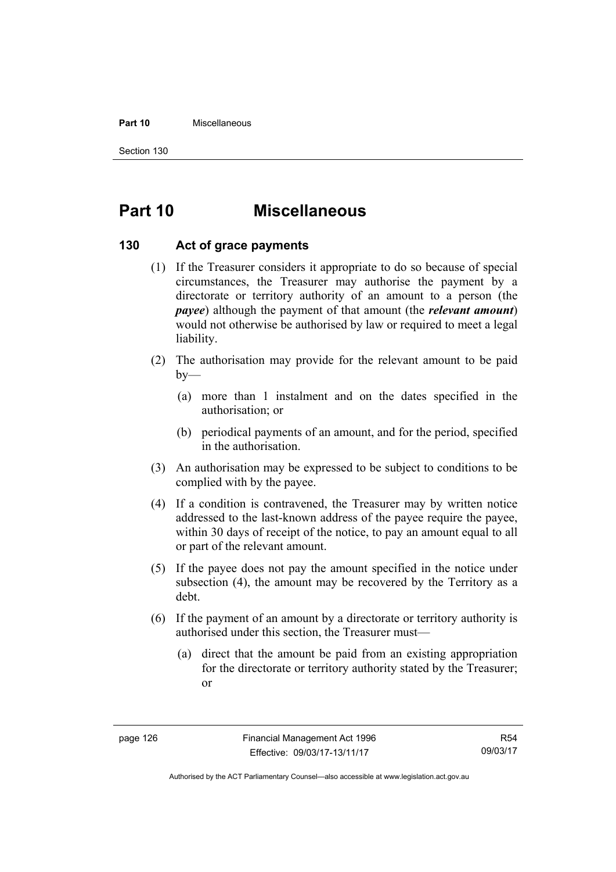#### **Part 10** Miscellaneous

Section 130

# **Part 10 Miscellaneous**

#### **130 Act of grace payments**

- (1) If the Treasurer considers it appropriate to do so because of special circumstances, the Treasurer may authorise the payment by a directorate or territory authority of an amount to a person (the *payee*) although the payment of that amount (the *relevant amount*) would not otherwise be authorised by law or required to meet a legal liability.
- (2) The authorisation may provide for the relevant amount to be paid  $by-$ 
	- (a) more than 1 instalment and on the dates specified in the authorisation; or
	- (b) periodical payments of an amount, and for the period, specified in the authorisation.
- (3) An authorisation may be expressed to be subject to conditions to be complied with by the payee.
- (4) If a condition is contravened, the Treasurer may by written notice addressed to the last-known address of the payee require the payee, within 30 days of receipt of the notice, to pay an amount equal to all or part of the relevant amount.
- (5) If the payee does not pay the amount specified in the notice under subsection (4), the amount may be recovered by the Territory as a debt.
- (6) If the payment of an amount by a directorate or territory authority is authorised under this section, the Treasurer must—
	- (a) direct that the amount be paid from an existing appropriation for the directorate or territory authority stated by the Treasurer; or

Authorised by the ACT Parliamentary Counsel—also accessible at www.legislation.act.gov.au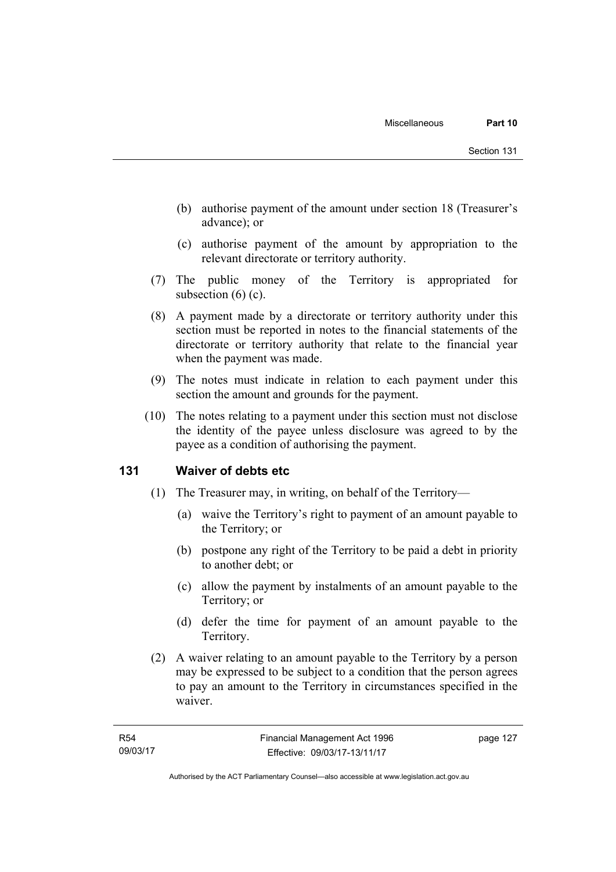- (b) authorise payment of the amount under section 18 (Treasurer's advance); or
- (c) authorise payment of the amount by appropriation to the relevant directorate or territory authority.
- (7) The public money of the Territory is appropriated for subsection  $(6)$  (c).
- (8) A payment made by a directorate or territory authority under this section must be reported in notes to the financial statements of the directorate or territory authority that relate to the financial year when the payment was made.
- (9) The notes must indicate in relation to each payment under this section the amount and grounds for the payment.
- (10) The notes relating to a payment under this section must not disclose the identity of the payee unless disclosure was agreed to by the payee as a condition of authorising the payment.

#### **131 Waiver of debts etc**

- (1) The Treasurer may, in writing, on behalf of the Territory—
	- (a) waive the Territory's right to payment of an amount payable to the Territory; or
	- (b) postpone any right of the Territory to be paid a debt in priority to another debt; or
	- (c) allow the payment by instalments of an amount payable to the Territory; or
	- (d) defer the time for payment of an amount payable to the Territory.
- (2) A waiver relating to an amount payable to the Territory by a person may be expressed to be subject to a condition that the person agrees to pay an amount to the Territory in circumstances specified in the waiver.

page 127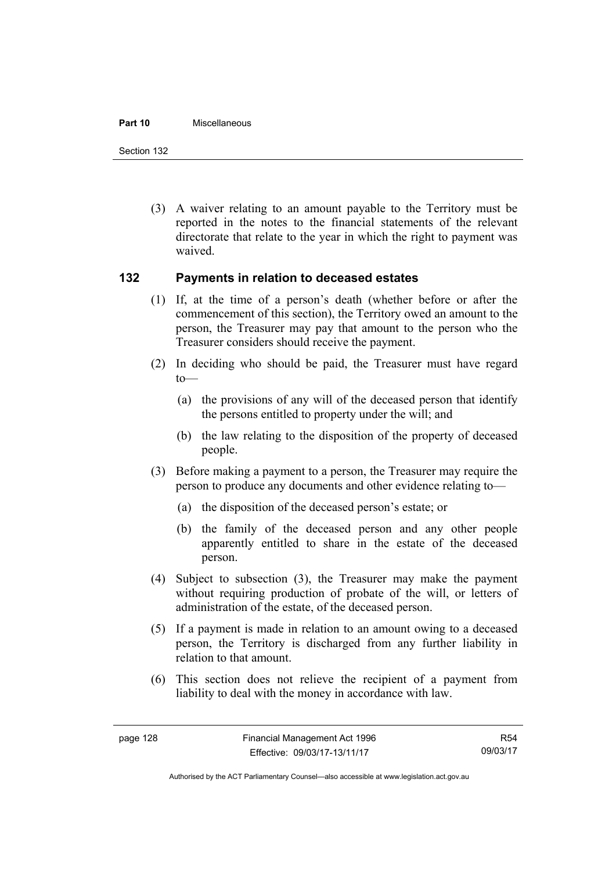#### **Part 10** Miscellaneous

Section 132

 (3) A waiver relating to an amount payable to the Territory must be reported in the notes to the financial statements of the relevant directorate that relate to the year in which the right to payment was waived.

#### **132 Payments in relation to deceased estates**

- (1) If, at the time of a person's death (whether before or after the commencement of this section), the Territory owed an amount to the person, the Treasurer may pay that amount to the person who the Treasurer considers should receive the payment.
- (2) In deciding who should be paid, the Treasurer must have regard  $to$ —
	- (a) the provisions of any will of the deceased person that identify the persons entitled to property under the will; and
	- (b) the law relating to the disposition of the property of deceased people.
- (3) Before making a payment to a person, the Treasurer may require the person to produce any documents and other evidence relating to—
	- (a) the disposition of the deceased person's estate; or
	- (b) the family of the deceased person and any other people apparently entitled to share in the estate of the deceased person.
- (4) Subject to subsection (3), the Treasurer may make the payment without requiring production of probate of the will, or letters of administration of the estate, of the deceased person.
- (5) If a payment is made in relation to an amount owing to a deceased person, the Territory is discharged from any further liability in relation to that amount.
- (6) This section does not relieve the recipient of a payment from liability to deal with the money in accordance with law.

R54 09/03/17

Authorised by the ACT Parliamentary Counsel—also accessible at www.legislation.act.gov.au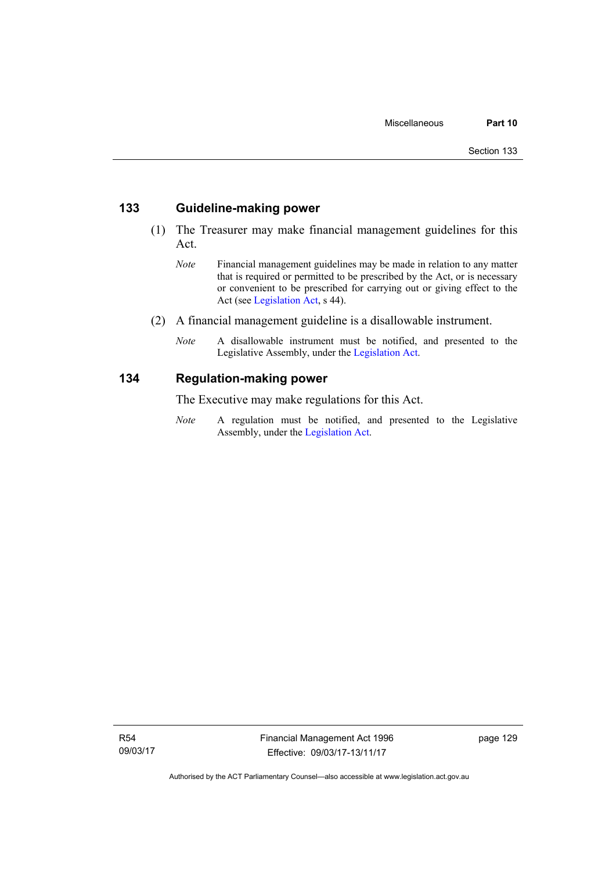#### **133 Guideline-making power**

- (1) The Treasurer may make financial management guidelines for this Act.
	- *Note* Financial management guidelines may be made in relation to any matter that is required or permitted to be prescribed by the Act, or is necessary or convenient to be prescribed for carrying out or giving effect to the Act (see [Legislation Act,](http://www.legislation.act.gov.au/a/2001-14) s 44).
- (2) A financial management guideline is a disallowable instrument.
	- *Note* A disallowable instrument must be notified, and presented to the Legislative Assembly, under the [Legislation Act.](http://www.legislation.act.gov.au/a/2001-14)

#### **134 Regulation-making power**

The Executive may make regulations for this Act.

*Note* A regulation must be notified, and presented to the Legislative Assembly, under the [Legislation Act](http://www.legislation.act.gov.au/a/2001-14).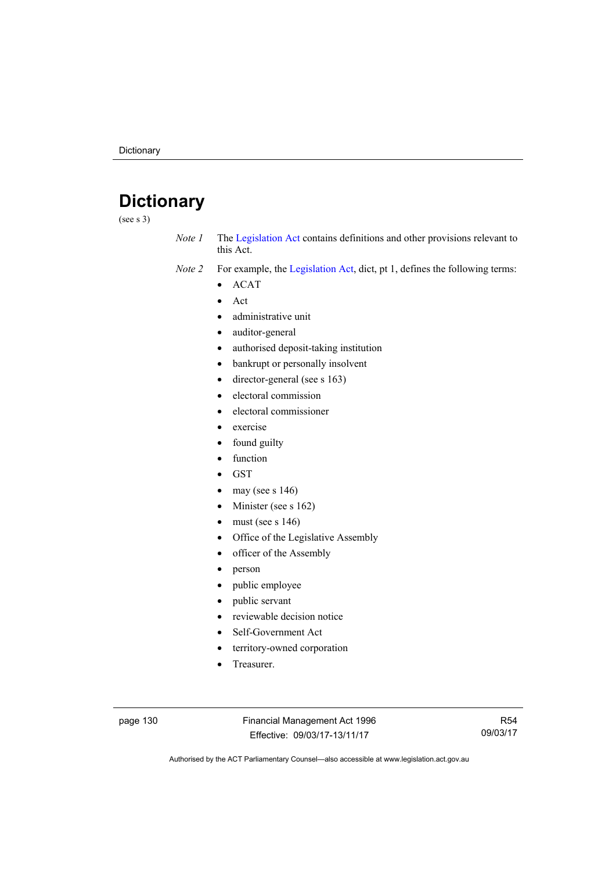# **Dictionary**

(see s 3)

- *Note 1* The [Legislation Act](http://www.legislation.act.gov.au/a/2001-14) contains definitions and other provisions relevant to this Act.
- *Note 2* For example, the [Legislation Act,](http://www.legislation.act.gov.au/a/2001-14) dict, pt 1, defines the following terms:
	- ACAT
	- Act
	- administrative unit
	- auditor-general
	- authorised deposit-taking institution
	- bankrupt or personally insolvent
	- $\bullet$  director-general (see s 163)
	- electoral commission
	- electoral commissioner
	- exercise
	- found guilty
	- function
	- **GST**
	- may (see s 146)
	- Minister (see s 162)
	- must (see s 146)
	- Office of the Legislative Assembly
	- officer of the Assembly
	- person
	- public employee
	- public servant
	- reviewable decision notice
	- Self-Government Act
	- territory-owned corporation
	- Treasurer.

page 130 Financial Management Act 1996 Effective: 09/03/17-13/11/17

R54 09/03/17

Authorised by the ACT Parliamentary Counsel—also accessible at www.legislation.act.gov.au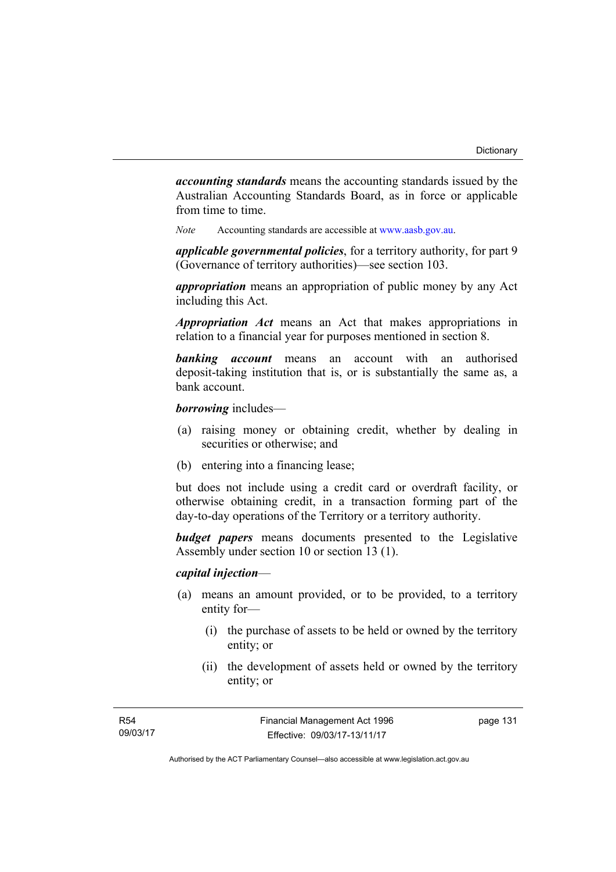*accounting standards* means the accounting standards issued by the Australian Accounting Standards Board, as in force or applicable from time to time.

*Note* Accounting standards are accessible at [www.aasb.gov.au](http://www.aasb.gov.au/).

*applicable governmental policies*, for a territory authority, for part 9 (Governance of territory authorities)—see section 103.

*appropriation* means an appropriation of public money by any Act including this Act.

*Appropriation Act* means an Act that makes appropriations in relation to a financial year for purposes mentioned in section 8.

*banking account* means an account with an authorised deposit-taking institution that is, or is substantially the same as, a bank account.

*borrowing* includes—

- (a) raising money or obtaining credit, whether by dealing in securities or otherwise; and
- (b) entering into a financing lease;

but does not include using a credit card or overdraft facility, or otherwise obtaining credit, in a transaction forming part of the day-to-day operations of the Territory or a territory authority.

*budget papers* means documents presented to the Legislative Assembly under section 10 or section 13 (1).

#### *capital injection*—

- (a) means an amount provided, or to be provided, to a territory entity for—
	- (i) the purchase of assets to be held or owned by the territory entity; or
	- (ii) the development of assets held or owned by the territory entity; or

page 131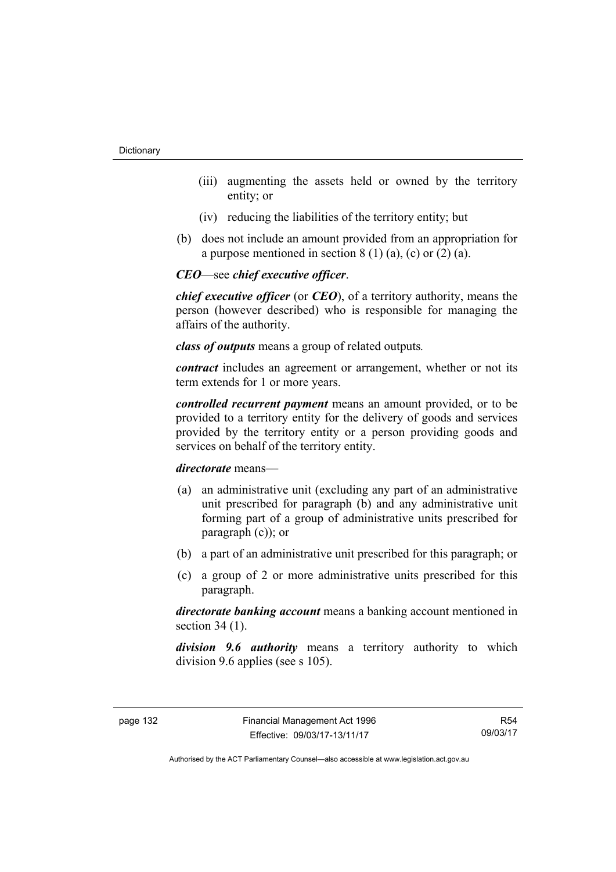- (iii) augmenting the assets held or owned by the territory entity; or
- (iv) reducing the liabilities of the territory entity; but
- (b) does not include an amount provided from an appropriation for a purpose mentioned in section  $8(1)(a)$ , (c) or  $(2)(a)$ .

#### *CEO*—see *chief executive officer*.

*chief executive officer* (or *CEO*), of a territory authority, means the person (however described) who is responsible for managing the affairs of the authority.

*class of outputs* means a group of related outputs*.*

*contract* includes an agreement or arrangement, whether or not its term extends for 1 or more years.

*controlled recurrent payment* means an amount provided, or to be provided to a territory entity for the delivery of goods and services provided by the territory entity or a person providing goods and services on behalf of the territory entity.

#### *directorate* means––

- (a) an administrative unit (excluding any part of an administrative unit prescribed for paragraph (b) and any administrative unit forming part of a group of administrative units prescribed for paragraph (c)); or
- (b) a part of an administrative unit prescribed for this paragraph; or
- (c) a group of 2 or more administrative units prescribed for this paragraph.

*directorate banking account* means a banking account mentioned in section 34 (1).

*division 9.6 authority* means a territory authority to which division 9.6 applies (see s 105).

R54 09/03/17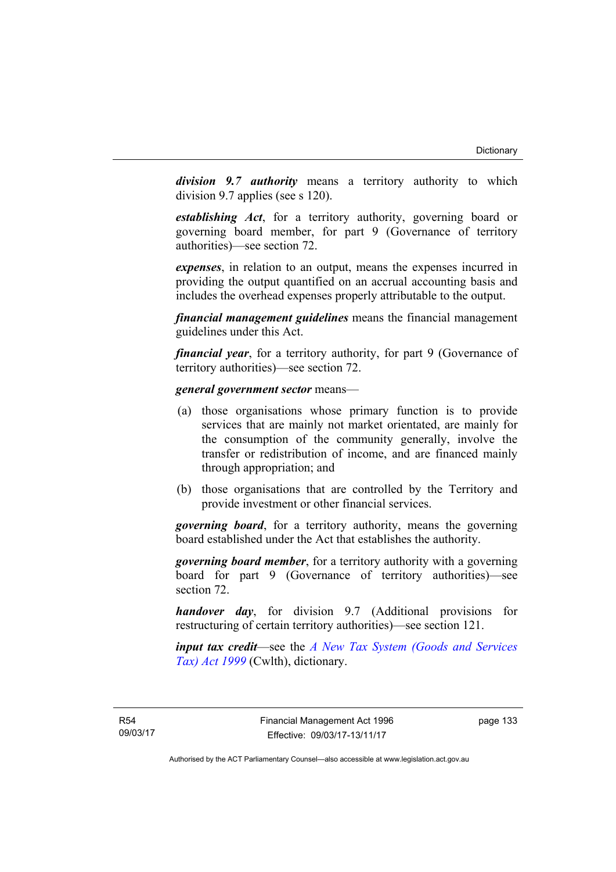*division 9.7 authority* means a territory authority to which division 9.7 applies (see s 120).

*establishing Act*, for a territory authority, governing board or governing board member, for part 9 (Governance of territory authorities)—see section 72.

*expenses*, in relation to an output, means the expenses incurred in providing the output quantified on an accrual accounting basis and includes the overhead expenses properly attributable to the output.

*financial management guidelines* means the financial management guidelines under this Act.

*financial year*, for a territory authority, for part 9 (Governance of territory authorities)—see section 72.

#### *general government sector* means—

- (a) those organisations whose primary function is to provide services that are mainly not market orientated, are mainly for the consumption of the community generally, involve the transfer or redistribution of income, and are financed mainly through appropriation; and
- (b) those organisations that are controlled by the Territory and provide investment or other financial services.

*governing board*, for a territory authority, means the governing board established under the Act that establishes the authority.

*governing board member*, for a territory authority with a governing board for part 9 (Governance of territory authorities)—see section 72.

*handover day*, for division 9.7 (Additional provisions for restructuring of certain territory authorities)—see section 121.

*input tax credit*—see the *[A New Tax System \(Goods and Services](http://www.comlaw.gov.au/Series/C2004A00446)  [Tax\) Act 1999](http://www.comlaw.gov.au/Series/C2004A00446)* (Cwlth), dictionary.

page 133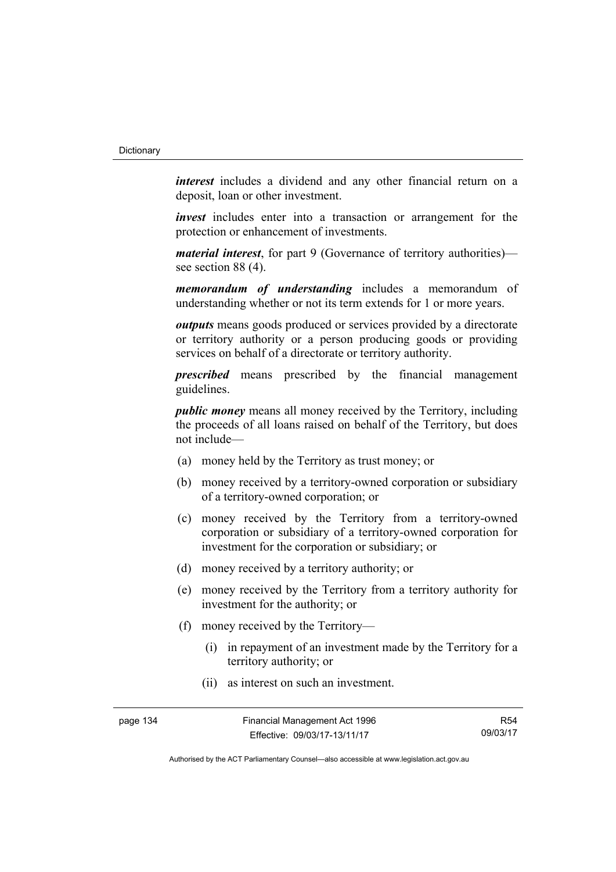*interest* includes a dividend and any other financial return on a deposit, loan or other investment.

*invest* includes enter into a transaction or arrangement for the protection or enhancement of investments.

*material interest*, for part 9 (Governance of territory authorities) see section 88 (4).

*memorandum of understanding* includes a memorandum of understanding whether or not its term extends for 1 or more years.

*outputs* means goods produced or services provided by a directorate or territory authority or a person producing goods or providing services on behalf of a directorate or territory authority.

*prescribed* means prescribed by the financial management guidelines.

*public money* means all money received by the Territory, including the proceeds of all loans raised on behalf of the Territory, but does not include—

- (a) money held by the Territory as trust money; or
- (b) money received by a territory-owned corporation or subsidiary of a territory-owned corporation; or
- (c) money received by the Territory from a territory-owned corporation or subsidiary of a territory-owned corporation for investment for the corporation or subsidiary; or
- (d) money received by a territory authority; or
- (e) money received by the Territory from a territory authority for investment for the authority; or
- (f) money received by the Territory—
	- (i) in repayment of an investment made by the Territory for a territory authority; or
	- (ii) as interest on such an investment.

R54 09/03/17

Authorised by the ACT Parliamentary Counsel—also accessible at www.legislation.act.gov.au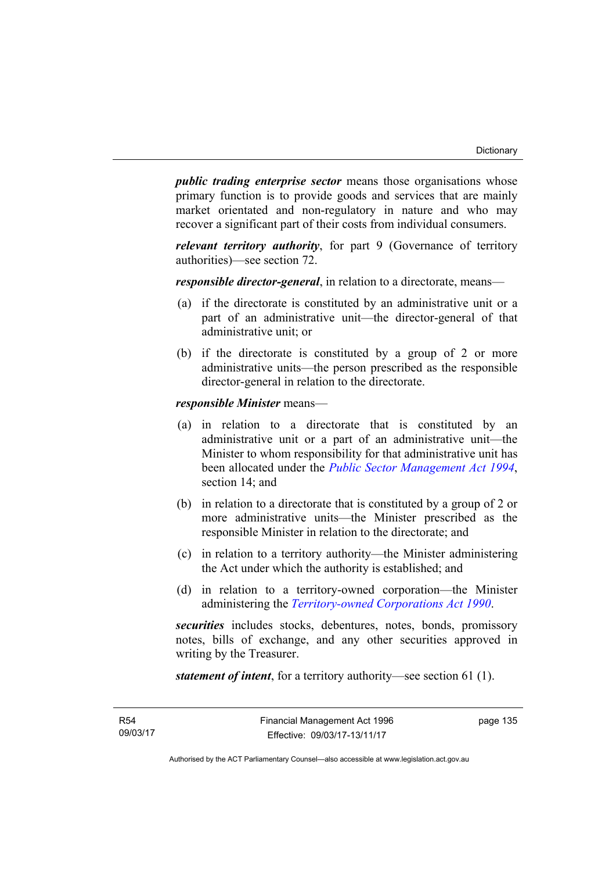*public trading enterprise sector* means those organisations whose primary function is to provide goods and services that are mainly market orientated and non-regulatory in nature and who may recover a significant part of their costs from individual consumers.

*relevant territory authority*, for part 9 (Governance of territory authorities)—see section 72.

*responsible director-general*, in relation to a directorate, means—

- (a) if the directorate is constituted by an administrative unit or a part of an administrative unit—the director-general of that administrative unit; or
- (b) if the directorate is constituted by a group of 2 or more administrative units—the person prescribed as the responsible director-general in relation to the directorate.

*responsible Minister* means—

- (a) in relation to a directorate that is constituted by an administrative unit or a part of an administrative unit—the Minister to whom responsibility for that administrative unit has been allocated under the *[Public Sector Management Act 1994](http://www.legislation.act.gov.au/a/1994-37)*, section 14; and
- (b) in relation to a directorate that is constituted by a group of 2 or more administrative units—the Minister prescribed as the responsible Minister in relation to the directorate; and
- (c) in relation to a territory authority—the Minister administering the Act under which the authority is established; and
- (d) in relation to a territory-owned corporation—the Minister administering the *[Territory-owned Corporations Act 1990](http://www.legislation.act.gov.au/a/1990-53)*.

*securities* includes stocks, debentures, notes, bonds, promissory notes, bills of exchange, and any other securities approved in writing by the Treasurer.

*statement of intent*, for a territory authority—see section 61 (1).

page 135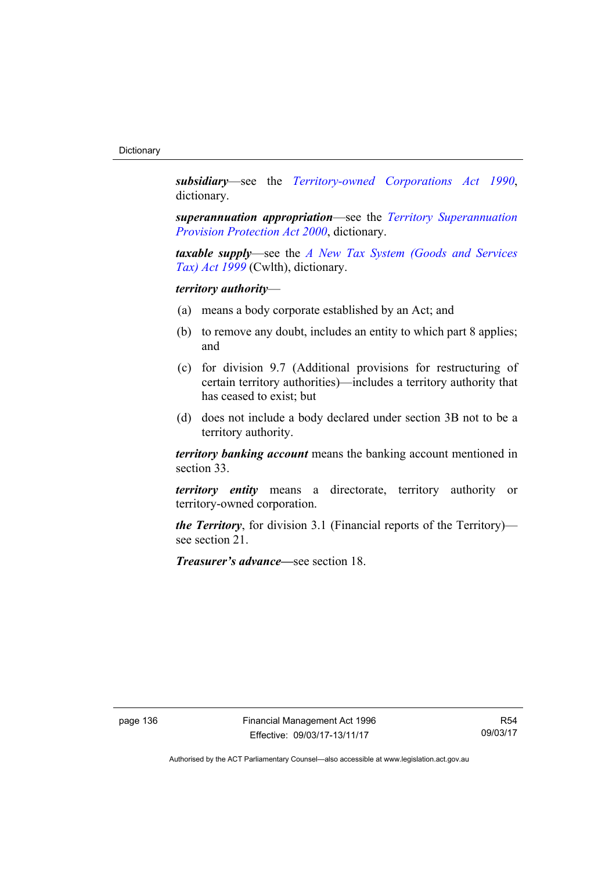*subsidiary*—see the *[Territory-owned Corporations Act 1990](http://www.legislation.act.gov.au/a/1990-53)*, dictionary.

*superannuation appropriation*—see the *[Territory Superannuation](http://www.legislation.act.gov.au/a/2000-21)  [Provision Protection Act 2000](http://www.legislation.act.gov.au/a/2000-21)*, dictionary.

*taxable supply*—see the *[A New Tax System \(Goods and Services](http://www.comlaw.gov.au/Series/C2004A00446)  [Tax\) Act 1999](http://www.comlaw.gov.au/Series/C2004A00446)* (Cwlth), dictionary.

### *territory authority*—

- (a) means a body corporate established by an Act; and
- (b) to remove any doubt, includes an entity to which part 8 applies; and
- (c) for division 9.7 (Additional provisions for restructuring of certain territory authorities)—includes a territory authority that has ceased to exist; but
- (d) does not include a body declared under section 3B not to be a territory authority.

*territory banking account* means the banking account mentioned in section 33.

*territory entity* means a directorate, territory authority or territory-owned corporation.

*the Territory*, for division 3.1 (Financial reports of the Territory) see section 21.

*Treasurer's advance—*see section 18.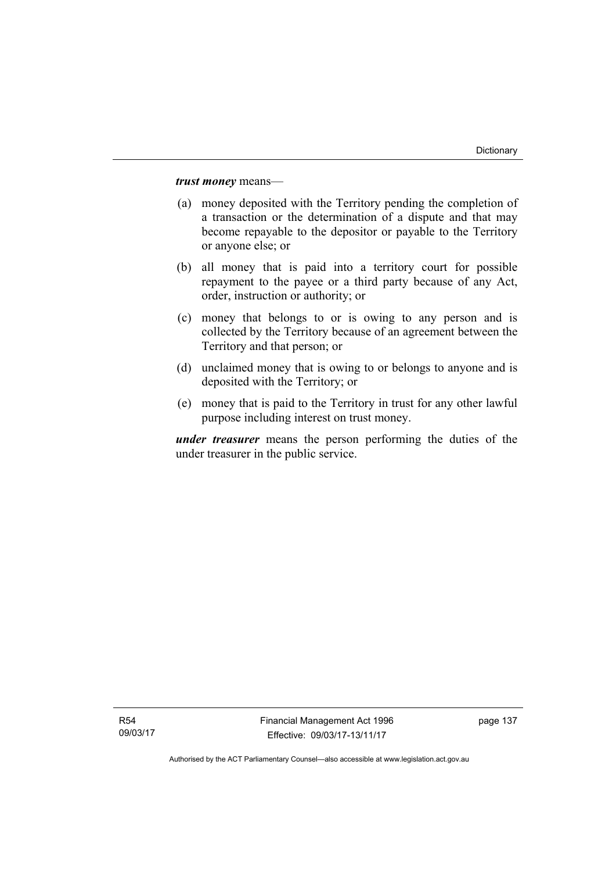*trust money* means—

- (a) money deposited with the Territory pending the completion of a transaction or the determination of a dispute and that may become repayable to the depositor or payable to the Territory or anyone else; or
- (b) all money that is paid into a territory court for possible repayment to the payee or a third party because of any Act, order, instruction or authority; or
- (c) money that belongs to or is owing to any person and is collected by the Territory because of an agreement between the Territory and that person; or
- (d) unclaimed money that is owing to or belongs to anyone and is deposited with the Territory; or
- (e) money that is paid to the Territory in trust for any other lawful purpose including interest on trust money.

*under treasurer* means the person performing the duties of the under treasurer in the public service.

Financial Management Act 1996 Effective: 09/03/17-13/11/17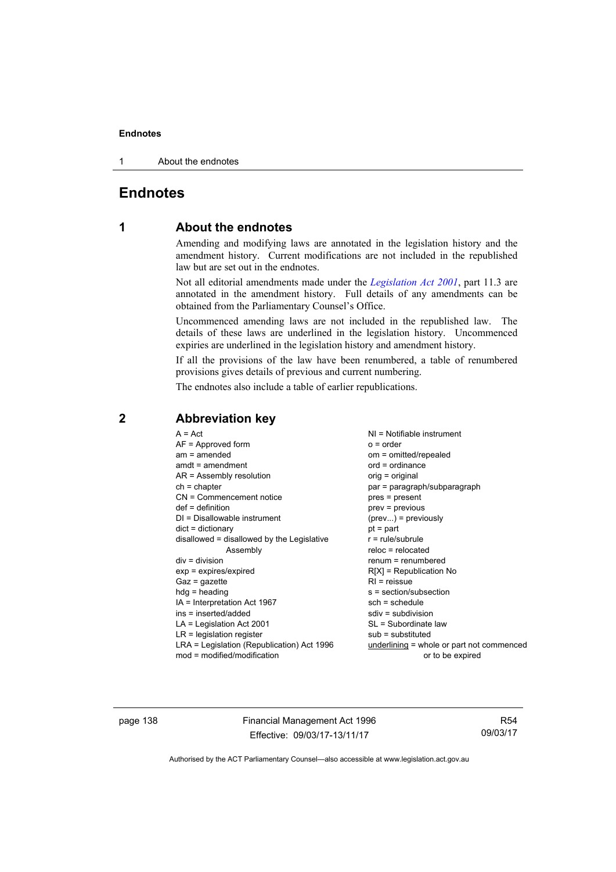1 About the endnotes

## **Endnotes**

### **1 About the endnotes**

Amending and modifying laws are annotated in the legislation history and the amendment history. Current modifications are not included in the republished law but are set out in the endnotes.

Not all editorial amendments made under the *[Legislation Act 2001](http://www.legislation.act.gov.au/a/2001-14)*, part 11.3 are annotated in the amendment history. Full details of any amendments can be obtained from the Parliamentary Counsel's Office.

Uncommenced amending laws are not included in the republished law. The details of these laws are underlined in the legislation history. Uncommenced expiries are underlined in the legislation history and amendment history.

If all the provisions of the law have been renumbered, a table of renumbered provisions gives details of previous and current numbering.

The endnotes also include a table of earlier republications.

| $NI = Notifiable$ instrument<br>$o = order$<br>om = omitted/repealed<br>$ord = ordinance$<br>orig = original<br>par = paragraph/subparagraph<br>pres = present<br>$prev = previous$<br>$(\text{prev})$ = previously<br>$pt = part$<br>$r = rule/subrule$<br>$reloc = relocated$<br>$renum = renumbered$<br>$R[X]$ = Republication No<br>$R1$ = reissue<br>s = section/subsection<br>$sch = schedule$<br>$sdiv = subdivision$ |
|------------------------------------------------------------------------------------------------------------------------------------------------------------------------------------------------------------------------------------------------------------------------------------------------------------------------------------------------------------------------------------------------------------------------------|
|                                                                                                                                                                                                                                                                                                                                                                                                                              |
| SL = Subordinate law<br>$sub =$ substituted<br>underlining = whole or part not commenced<br>or to be expired                                                                                                                                                                                                                                                                                                                 |
|                                                                                                                                                                                                                                                                                                                                                                                                                              |

### **2 Abbreviation key**

page 138 Financial Management Act 1996 Effective: 09/03/17-13/11/17

R54 09/03/17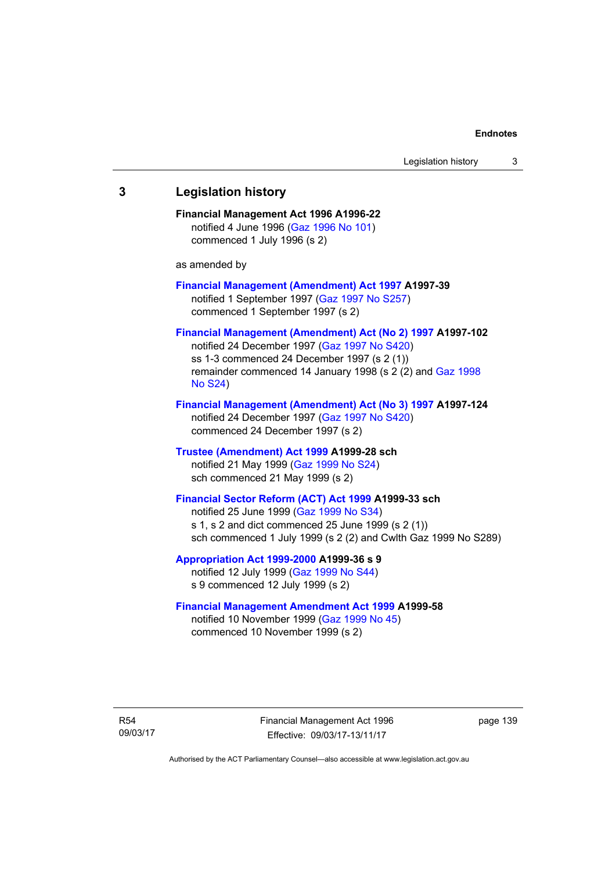# **3 Legislation history Financial Management Act 1996 A1996-22**  notified 4 June 1996 [\(Gaz 1996 No 101\)](http://www.legislation.act.gov.au/gaz/1996-101/default.asp) commenced 1 July 1996 (s 2) as amended by **[Financial Management \(Amendment\) Act 1997](http://www.legislation.act.gov.au/a/1997-39) A1997-39**  notified 1 September 1997 [\(Gaz 1997 No S257\)](http://www.legislation.act.gov.au/gaz/1997-S257/default.asp) commenced 1 September 1997 (s 2) **[Financial Management \(Amendment\) Act \(No 2\) 1997](http://www.legislation.act.gov.au/a/1997-102) A1997-102**  notified 24 December 1997 [\(Gaz 1997 No S420](http://www.legislation.act.gov.au/gaz/1997-S420/default.asp)) ss 1-3 commenced 24 December 1997 (s 2 (1)) remainder commenced 14 January 1998 (s 2 (2) and [Gaz 1998](http://www.legislation.act.gov.au/gaz/1998-S24/default.asp)  [No S24](http://www.legislation.act.gov.au/gaz/1998-S24/default.asp)) **[Financial Management \(Amendment\) Act \(No 3\) 1997](http://www.legislation.act.gov.au/a/1997-124) A1997-124**  notified 24 December 1997 [\(Gaz 1997 No S420](http://www.legislation.act.gov.au/gaz/1997-S420/default.asp)) commenced 24 December 1997 (s 2) **[Trustee \(Amendment\) Act 1999](http://www.legislation.act.gov.au/a/1999-28) A1999-28 sch**  notified 21 May 1999 ([Gaz 1999 No S24](http://www.legislation.act.gov.au/gaz/1999-S24/default.asp)) sch commenced 21 May 1999 (s 2) **[Financial Sector Reform \(ACT\) Act 1999](http://www.legislation.act.gov.au/a/1999-33) A1999-33 sch**  notified 25 June 1999 ([Gaz 1999 No S34](http://www.legislation.act.gov.au/gaz/1999-S34/default.asp)) s 1, s 2 and dict commenced 25 June 1999 (s 2 (1)) sch commenced 1 July 1999 (s 2 (2) and Cwlth Gaz 1999 No S289) **[Appropriation Act 1999-2000](http://www.legislation.act.gov.au/a/1999-36/default.asp) A1999-36 s 9**  notified 12 July 1999 ([Gaz 1999 No S44](http://www.legislation.act.gov.au/gaz/1999-S44/default.asp)) s 9 commenced 12 July 1999 (s 2) **[Financial Management Amendment Act 1999](http://www.legislation.act.gov.au/a/1999-58) A1999-58**  notified 10 November 1999 [\(Gaz 1999 No 45](http://www.legislation.act.gov.au/gaz/1999-45/default.asp))

commenced 10 November 1999 (s 2)

R54 09/03/17 Financial Management Act 1996 Effective: 09/03/17-13/11/17

page 139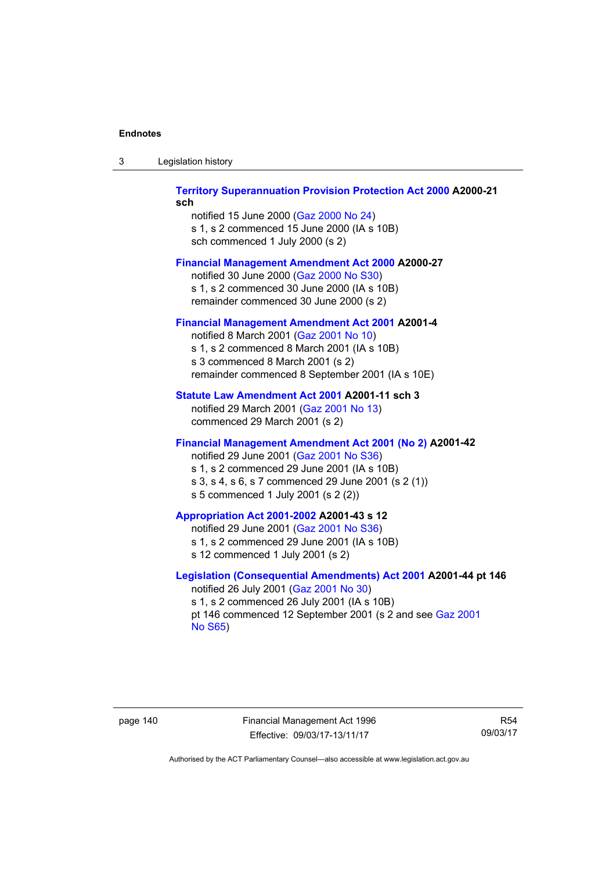| Legislation history<br>-3 |  |
|---------------------------|--|
|---------------------------|--|

### **[Territory Superannuation Provision Protection Act 2000](http://www.legislation.act.gov.au/a/2000-21) A2000-21 sch**

notified 15 June 2000 ([Gaz 2000 No 24\)](http://www.legislation.act.gov.au/gaz/2000-24/default.asp) s 1, s 2 commenced 15 June 2000 (IA s 10B) sch commenced 1 July 2000 (s 2)

### **[Financial Management Amendment Act 2000](http://www.legislation.act.gov.au/a/2000-27) A2000-27**

notified 30 June 2000 ([Gaz 2000 No S30](http://www.legislation.act.gov.au/gaz/2000-S30/default.asp)) s 1, s 2 commenced 30 June 2000 (IA s 10B) remainder commenced 30 June 2000 (s 2)

### **[Financial Management Amendment Act 2001](http://www.legislation.act.gov.au/a/2001-4) A2001-4**

notified 8 March 2001 [\(Gaz 2001 No 10](http://www.legislation.act.gov.au/gaz/2001-10/default.asp)) s 1, s 2 commenced 8 March 2001 (IA s 10B) s 3 commenced 8 March 2001 (s 2) remainder commenced 8 September 2001 (IA s 10E)

### **[Statute Law Amendment Act 2001](http://www.legislation.act.gov.au/a/2001-11) A2001-11 sch 3**

notified 29 March 2001 ([Gaz 2001 No 13\)](http://www.legislation.act.gov.au/gaz/2001-13/default.asp) commenced 29 March 2001 (s 2)

### **[Financial Management Amendment Act 2001 \(No 2\)](http://www.legislation.act.gov.au/a/2001-42) A2001-42**

notified 29 June 2001 ([Gaz 2001 No S36](http://www.legislation.act.gov.au/gaz/2001-S36/default.asp)) s 1, s 2 commenced 29 June 2001 (IA s 10B) s 3, s 4, s 6, s 7 commenced 29 June 2001 (s 2 (1)) s 5 commenced 1 July 2001 (s 2 (2))

## **[Appropriation Act 2001-2002](http://www.legislation.act.gov.au/a/2001-43/default.asp) A2001-43 s 12**

notified 29 June 2001 ([Gaz 2001 No S36](http://www.legislation.act.gov.au/gaz/2001-S36/default.asp)) s 1, s 2 commenced 29 June 2001 (IA s 10B) s 12 commenced 1 July 2001 (s 2)

### **[Legislation \(Consequential Amendments\) Act 2001](http://www.legislation.act.gov.au/a/2001-44) A2001-44 pt 146**  notified 26 July 2001 ([Gaz 2001 No 30\)](http://www.legislation.act.gov.au/gaz/2001-30/default.asp)

s 1, s 2 commenced 26 July 2001 (IA s 10B) pt 146 commenced 12 September 2001 (s 2 and see [Gaz 2001](http://www.legislation.act.gov.au/gaz/2001-S65/default.asp)  [No S65](http://www.legislation.act.gov.au/gaz/2001-S65/default.asp))

page 140 Financial Management Act 1996 Effective: 09/03/17-13/11/17

R54 09/03/17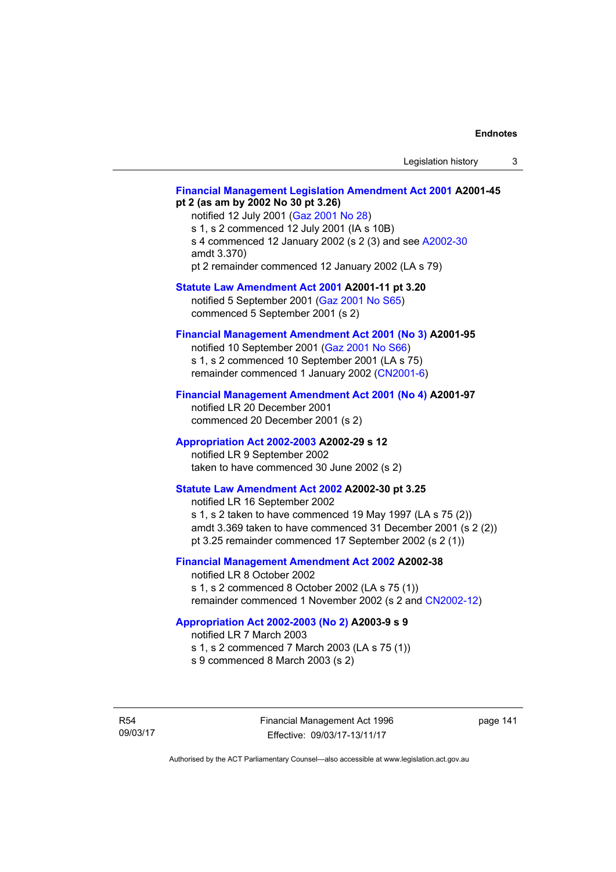### **[Financial Management Legislation Amendment Act 2001](http://www.legislation.act.gov.au/a/2001-45) A2001-45 pt 2 (as am by 2002 No 30 pt 3.26)**

notified 12 July 2001 ([Gaz 2001 No 28\)](http://www.legislation.act.gov.au/gaz/2001-28/default.asp) s 1, s 2 commenced 12 July 2001 (IA s 10B) s 4 commenced 12 January 2002 (s 2 (3) and see [A2002-30](http://www.legislation.act.gov.au/a/2002-30/default.asp) amdt 3.370) pt 2 remainder commenced 12 January 2002 (LA s 79)

### **[Statute Law Amendment Act 2001](http://www.legislation.act.gov.au/a/2001-11) A2001-11 pt 3.20**

notified 5 September 2001 [\(Gaz 2001 No S65\)](http://www.legislation.act.gov.au/gaz/2001-S65/default.asp) commenced 5 September 2001 (s 2)

### **[Financial Management Amendment Act 2001 \(No 3\)](http://www.legislation.act.gov.au/a/2001-95) A2001-95**

notified 10 September 2001 [\(Gaz 2001 No S66\)](http://www.legislation.act.gov.au/gaz/2001-S66/default.asp) s 1, s 2 commenced 10 September 2001 (LA s 75) remainder commenced 1 January 2002 [\(CN2001-6\)](http://www.legislation.act.gov.au/cn/2001-6/default.asp)

### **[Financial Management Amendment Act 2001 \(No 4\)](http://www.legislation.act.gov.au/a/2001-97) A2001-97**

notified LR 20 December 2001 commenced 20 December 2001 (s 2)

### **[Appropriation Act 2002-2003](http://www.legislation.act.gov.au/a/2002-29/default.asp) A2002-29 s 12**

notified LR 9 September 2002 taken to have commenced 30 June 2002 (s 2)

### **[Statute Law Amendment Act 2002](http://www.legislation.act.gov.au/a/2002-30) A2002-30 pt 3.25**

notified LR 16 September 2002 s 1, s 2 taken to have commenced 19 May 1997 (LA s 75 (2)) amdt 3.369 taken to have commenced 31 December 2001 (s 2 (2)) pt 3.25 remainder commenced 17 September 2002 (s 2 (1))

### **[Financial Management Amendment Act 2002](http://www.legislation.act.gov.au/a/2002-38) A2002-38**

notified LR 8 October 2002 s 1, s 2 commenced 8 October 2002 (LA s 75 (1)) remainder commenced 1 November 2002 (s 2 and [CN2002-12](http://www.legislation.act.gov.au/cn/2002-12/default.asp))

### **[Appropriation Act 2002-2003 \(No 2\)](http://www.legislation.act.gov.au/a/2003-9/default.asp) A2003-9 s 9**

notified LR 7 March 2003

s 1, s 2 commenced 7 March 2003 (LA s 75 (1))

s 9 commenced 8 March 2003 (s 2)

R54 09/03/17 page 141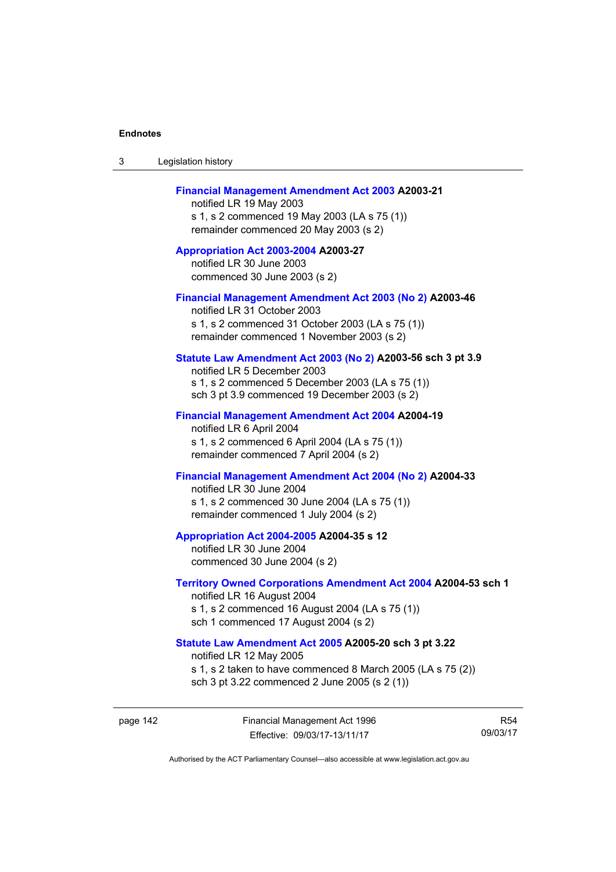| 3 | Legislation history |  |
|---|---------------------|--|
|---|---------------------|--|

### **[Financial Management Amendment Act 2003](http://www.legislation.act.gov.au/a/2003-21) A2003-21**

notified LR 19 May 2003 s 1, s 2 commenced 19 May 2003 (LA s 75 (1)) remainder commenced 20 May 2003 (s 2)

**[Appropriation Act 2003-2004](http://www.legislation.act.gov.au/a/2003-27/default.asp) A2003-27**  notified LR 30 June 2003 commenced 30 June 2003 (s 2)

#### **[Financial Management Amendment Act 2003 \(No 2\)](http://www.legislation.act.gov.au/a/2003-46) A2003-46**

notified LR 31 October 2003 s 1, s 2 commenced 31 October 2003 (LA s 75 (1)) remainder commenced 1 November 2003 (s 2)

### **[Statute Law Amendment Act 2003 \(No 2\)](http://www.legislation.act.gov.au/a/2003-56) A2003-56 sch 3 pt 3.9**

notified LR 5 December 2003 s 1, s 2 commenced 5 December 2003 (LA s 75 (1)) sch 3 pt 3.9 commenced 19 December 2003 (s 2)

#### **[Financial Management Amendment Act 2004](http://www.legislation.act.gov.au/a/2004-19) A2004-19**

notified LR 6 April 2004 s 1, s 2 commenced 6 April 2004 (LA s 75 (1)) remainder commenced 7 April 2004 (s 2)

### **[Financial Management Amendment Act 2004 \(No 2\)](http://www.legislation.act.gov.au/a/2004-33) A2004-33**

notified LR 30 June 2004 s 1, s 2 commenced 30 June 2004 (LA s 75 (1)) remainder commenced 1 July 2004 (s 2)

#### **[Appropriation Act 2004-2005](http://www.legislation.act.gov.au/a/2004-35/default.asp) A2004-35 s 12**

notified LR 30 June 2004 commenced 30 June 2004 (s 2)

#### **[Territory Owned Corporations Amendment Act 2004](http://www.legislation.act.gov.au/a/2004-53) A2004-53 sch 1**  notified LR 16 August 2004

s 1, s 2 commenced 16 August 2004 (LA s 75 (1)) sch 1 commenced 17 August 2004 (s 2)

### **[Statute Law Amendment Act 2005](http://www.legislation.act.gov.au/a/2005-20) A2005-20 sch 3 pt 3.22**

notified LR 12 May 2005 s 1, s 2 taken to have commenced 8 March 2005 (LA s 75 (2))

sch 3 pt 3.22 commenced 2 June 2005 (s 2 (1))

page 142 Financial Management Act 1996 Effective: 09/03/17-13/11/17

R54 09/03/17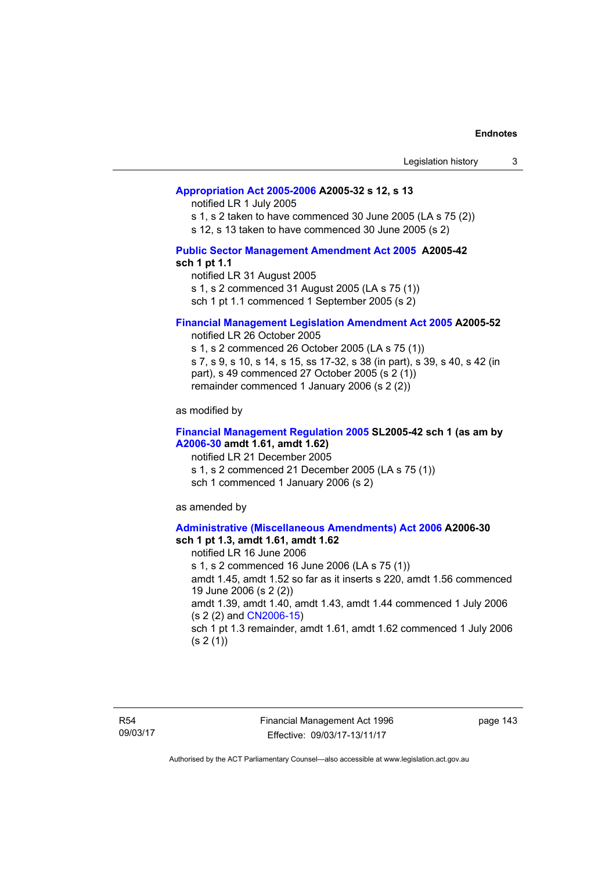### **[Appropriation Act 2005-2006](http://www.legislation.act.gov.au/a/2005-32/default.asp) A2005-32 s 12, s 13**

notified LR 1 July 2005

s 1, s 2 taken to have commenced 30 June 2005 (LA s 75 (2))

s 12, s 13 taken to have commenced 30 June 2005 (s 2)

### **[Public Sector Management Amendment Act 2005](http://www.legislation.act.gov.au/a/2005-42/default.asp) A2005-42 sch 1 pt 1.1**

notified LR 31 August 2005 s 1, s 2 commenced 31 August 2005 (LA s 75 (1)) sch 1 pt 1.1 commenced 1 September 2005 (s 2)

### **[Financial Management Legislation Amendment Act 2005](http://www.legislation.act.gov.au/a/2005-52) A2005-52**

notified LR 26 October 2005

s 1, s 2 commenced 26 October 2005 (LA s 75 (1)) s 7, s 9, s 10, s 14, s 15, ss 17-32, s 38 (in part), s 39, s 40, s 42 (in part), s 49 commenced 27 October 2005 (s 2 (1)) remainder commenced 1 January 2006 (s 2 (2))

as modified by

### **[Financial Management Regulation 2005](http://www.legislation.act.gov.au/sl/2005-42) SL2005-42 sch 1 (as am by [A2006-30](http://www.legislation.act.gov.au/a/2006-30) amdt 1.61, amdt 1.62)**

notified LR 21 December 2005 s 1, s 2 commenced 21 December 2005 (LA s 75 (1)) sch 1 commenced 1 January 2006 (s 2)

as amended by

#### **[Administrative \(Miscellaneous Amendments\) Act 2006](http://www.legislation.act.gov.au/a/2006-30) A2006-30 sch 1 pt 1.3, amdt 1.61, amdt 1.62**

notified LR 16 June 2006 s 1, s 2 commenced 16 June 2006 (LA s 75 (1)) amdt 1.45, amdt 1.52 so far as it inserts s 220, amdt 1.56 commenced 19 June 2006 (s 2 (2)) amdt 1.39, amdt 1.40, amdt 1.43, amdt 1.44 commenced 1 July 2006 (s 2 (2) and [CN2006-15](http://www.legislation.act.gov.au/cn/2006-15/default.asp)) sch 1 pt 1.3 remainder, amdt 1.61, amdt 1.62 commenced 1 July 2006  $(s 2(1))$ 

R54 09/03/17 Financial Management Act 1996 Effective: 09/03/17-13/11/17

page 143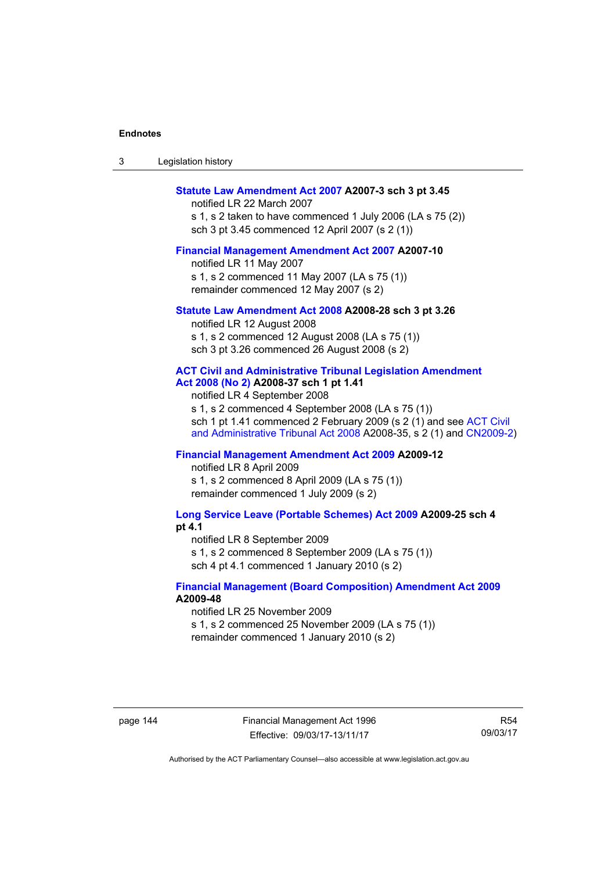| Legislation history<br>-3 |  |
|---------------------------|--|
|---------------------------|--|

### **[Statute Law Amendment Act 2007](http://www.legislation.act.gov.au/a/2007-3) A2007-3 sch 3 pt 3.45**

notified LR 22 March 2007 s 1, s 2 taken to have commenced 1 July 2006 (LA s 75 (2)) sch 3 pt 3.45 commenced 12 April 2007 (s 2 (1))

#### **[Financial Management Amendment Act 2007](http://www.legislation.act.gov.au/a/2007-10) A2007-10**

notified LR 11 May 2007 s 1, s 2 commenced 11 May 2007 (LA s 75 (1)) remainder commenced 12 May 2007 (s 2)

#### **[Statute Law Amendment Act 2008](http://www.legislation.act.gov.au/a/2008-28) A2008-28 sch 3 pt 3.26**

notified LR 12 August 2008 s 1, s 2 commenced 12 August 2008 (LA s 75 (1)) sch 3 pt 3.26 commenced 26 August 2008 (s 2)

### **[ACT Civil and Administrative Tribunal Legislation Amendment](http://www.legislation.act.gov.au/a/2008-37)**

**[Act 2008 \(No 2\)](http://www.legislation.act.gov.au/a/2008-37) A2008-37 sch 1 pt 1.41** 

notified LR 4 September 2008

s 1, s 2 commenced 4 September 2008 (LA s 75 (1)) sch 1 pt 1.41 commenced 2 February 2009 (s 2 (1) and see [ACT Civil](http://www.legislation.act.gov.au/a/2008-35)  [and Administrative Tribunal Act 2008](http://www.legislation.act.gov.au/a/2008-35) A2008-35, s 2 (1) and [CN2009-2](http://www.legislation.act.gov.au/cn/2009-2/default.asp))

### **[Financial Management Amendment Act 2009](http://www.legislation.act.gov.au/a/2009-12) A2009-12**

notified LR 8 April 2009

s 1, s 2 commenced 8 April 2009 (LA s 75 (1)) remainder commenced 1 July 2009 (s 2)

**[Long Service Leave \(Portable Schemes\) Act 2009](http://www.legislation.act.gov.au/a/2009-25) A2009-25 sch 4 pt 4.1** 

notified LR 8 September 2009

s 1, s 2 commenced 8 September 2009 (LA s 75 (1))

sch 4 pt 4.1 commenced 1 January 2010 (s 2)

### **[Financial Management \(Board Composition\) Amendment Act 2009](http://www.legislation.act.gov.au/a/2009-48) A2009-48**

notified LR 25 November 2009

s 1, s 2 commenced 25 November 2009 (LA s 75 (1))

remainder commenced 1 January 2010 (s 2)

page 144 Financial Management Act 1996 Effective: 09/03/17-13/11/17

R54 09/03/17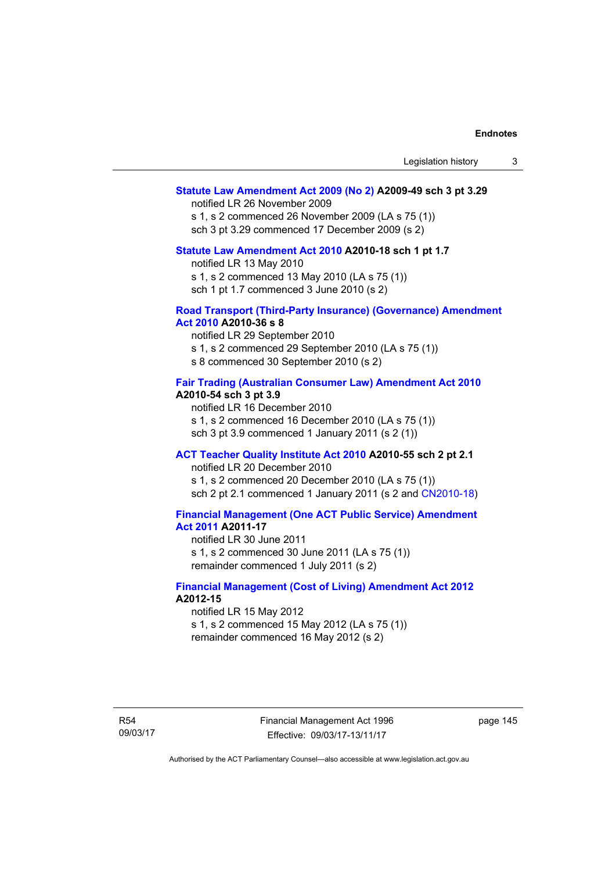### **[Statute Law Amendment Act 2009 \(No 2\)](http://www.legislation.act.gov.au/a/2009-49) A2009-49 sch 3 pt 3.29**

notified LR 26 November 2009

s 1, s 2 commenced 26 November 2009 (LA s 75 (1)) sch 3 pt 3.29 commenced 17 December 2009 (s 2)

#### **[Statute Law Amendment Act 2010](http://www.legislation.act.gov.au/a/2010-18) A2010-18 sch 1 pt 1.7**

notified LR 13 May 2010

s 1, s 2 commenced 13 May 2010 (LA s 75 (1))

sch 1 pt 1.7 commenced 3 June 2010 (s 2)

#### **[Road Transport \(Third-Party Insurance\) \(Governance\) Amendment](http://www.legislation.act.gov.au/a/2010-36)  [Act 2010](http://www.legislation.act.gov.au/a/2010-36) A2010-36 s 8**

notified LR 29 September 2010 s 1, s 2 commenced 29 September 2010 (LA s 75 (1)) s 8 commenced 30 September 2010 (s 2)

### **[Fair Trading \(Australian Consumer Law\) Amendment Act 2010](http://www.legislation.act.gov.au/a/2010-54) A2010-54 sch 3 pt 3.9**

notified LR 16 December 2010 s 1, s 2 commenced 16 December 2010 (LA s 75 (1)) sch 3 pt 3.9 commenced 1 January 2011 (s 2 (1))

### **[ACT Teacher Quality Institute Act 2010](http://www.legislation.act.gov.au/a/2010-55) A2010-55 sch 2 pt 2.1**

notified LR 20 December 2010

s 1, s 2 commenced 20 December 2010 (LA s 75 (1)) sch 2 pt 2.1 commenced 1 January 2011 (s 2 and [CN2010-18\)](http://www.legislation.act.gov.au/cn/2010-18/default.asp)

### **[Financial Management \(One ACT Public Service\) Amendment](http://www.legislation.act.gov.au/a/2011-17)  [Act 2011](http://www.legislation.act.gov.au/a/2011-17) A2011-17**

notified LR 30 June 2011

s 1, s 2 commenced 30 June 2011 (LA s 75 (1)) remainder commenced 1 July 2011 (s 2)

### **[Financial Management \(Cost of Living\) Amendment Act 2012](http://www.legislation.act.gov.au/a/2012-15) A2012-15**

notified LR 15 May 2012 s 1, s 2 commenced 15 May 2012 (LA s 75 (1)) remainder commenced 16 May 2012 (s 2)

R54 09/03/17 Financial Management Act 1996 Effective: 09/03/17-13/11/17

page 145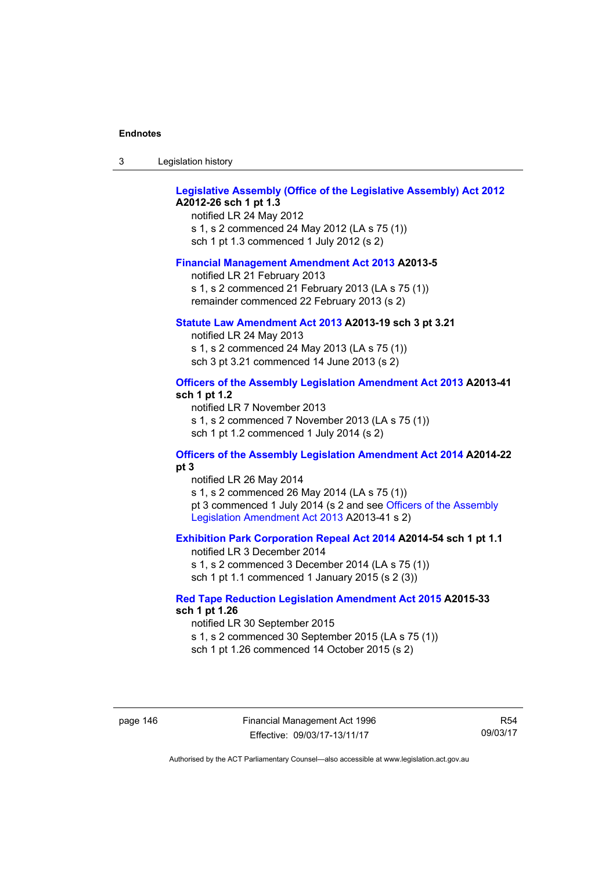| ు | Legislation history |  |
|---|---------------------|--|
|---|---------------------|--|

### **[Legislative Assembly \(Office of the Legislative Assembly\) Act 2012](http://www.legislation.act.gov.au/a/2012-26) A2012-26 sch 1 pt 1.3**

notified LR 24 May 2012 s 1, s 2 commenced 24 May 2012 (LA s 75 (1)) sch 1 pt 1.3 commenced 1 July 2012 (s 2)

#### **[Financial Management Amendment Act 2013](http://www.legislation.act.gov.au/a/2013-5/default.asp) A2013-5**

notified LR 21 February 2013 s 1, s 2 commenced 21 February 2013 (LA s 75 (1)) remainder commenced 22 February 2013 (s 2)

#### **[Statute Law Amendment Act 2013](http://www.legislation.act.gov.au/a/2013-19) A2013-19 sch 3 pt 3.21**

notified LR 24 May 2013 s 1, s 2 commenced 24 May 2013 (LA s 75 (1)) sch 3 pt 3.21 commenced 14 June 2013 (s 2)

### **[Officers of the Assembly Legislation Amendment Act 2013](http://www.legislation.act.gov.au/a/2013-41/default.asp) A2013-41 sch 1 pt 1.2**

notified LR 7 November 2013 s 1, s 2 commenced 7 November 2013 (LA s 75 (1)) sch 1 pt 1.2 commenced 1 July 2014 (s 2)

### **[Officers of the Assembly Legislation Amendment Act 2014](http://www.legislation.act.gov.au/a/2014-22/default.asp) A2014-22 pt 3**

notified LR 26 May 2014 s 1, s 2 commenced 26 May 2014 (LA s 75 (1)) pt 3 commenced 1 July 2014 (s 2 and see [Officers of the Assembly](http://www.legislation.act.gov.au/a/2013-41/default.asp)  [Legislation Amendment Act 2013](http://www.legislation.act.gov.au/a/2013-41/default.asp) A2013-41 s 2)

### **[Exhibition Park Corporation Repeal Act 2014](http://www.legislation.act.gov.au/a/2014-54/default.asp) A2014-54 sch 1 pt 1.1**

notified LR 3 December 2014 s 1, s 2 commenced 3 December 2014 (LA s 75 (1)) sch 1 pt 1.1 commenced 1 January 2015 (s 2 (3))

### **[Red Tape Reduction Legislation Amendment Act 2015](http://www.legislation.act.gov.au/a/2015-33/default.asp) A2015-33 sch 1 pt 1.26**

notified LR 30 September 2015 s 1, s 2 commenced 30 September 2015 (LA s 75 (1)) sch 1 pt 1.26 commenced 14 October 2015 (s 2)

page 146 Financial Management Act 1996 Effective: 09/03/17-13/11/17

R54 09/03/17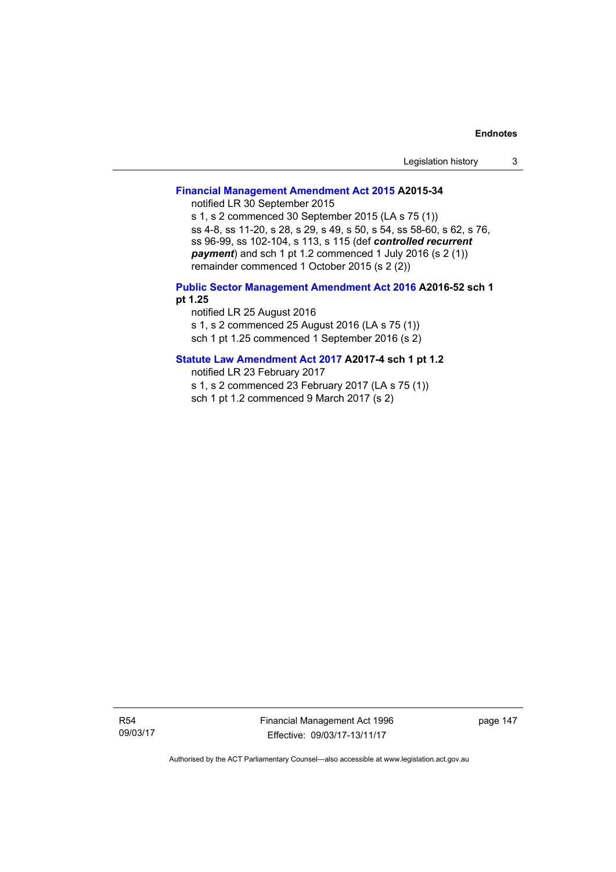| Legislation history |  |
|---------------------|--|
|---------------------|--|

### **[Financial Management Amendment Act 2015](http://www.legislation.act.gov.au/a/2015-34/default.asp) A2015-34**

notified LR 30 September 2015

s 1, s 2 commenced 30 September 2015 (LA s 75 (1)) ss 4-8, ss 11-20, s 28, s 29, s 49, s 50, s 54, ss 58-60, s 62, s 76, ss 96-99, ss 102-104, s 113, s 115 (def *controlled recurrent payment*) and sch 1 pt 1.2 commenced 1 July 2016 (s 2 (1)) remainder commenced 1 October 2015 (s 2 (2))

### **[Public Sector Management Amendment Act 2016](http://www.legislation.act.gov.au/a/2016-52/default.asp) A2016-52 sch 1 pt 1.25**

notified LR 25 August 2016 s 1, s 2 commenced 25 August 2016 (LA s 75 (1)) sch 1 pt 1.25 commenced 1 September 2016 (s 2)

### **[Statute Law Amendment Act 2017](http://www.legislation.act.gov.au/a/2017-4/default.asp) A2017-4 sch 1 pt 1.2**

notified LR 23 February 2017

s 1, s 2 commenced 23 February 2017 (LA s 75 (1))

sch 1 pt 1.2 commenced 9 March 2017 (s 2)

R54 09/03/17 Financial Management Act 1996 Effective: 09/03/17-13/11/17

page 147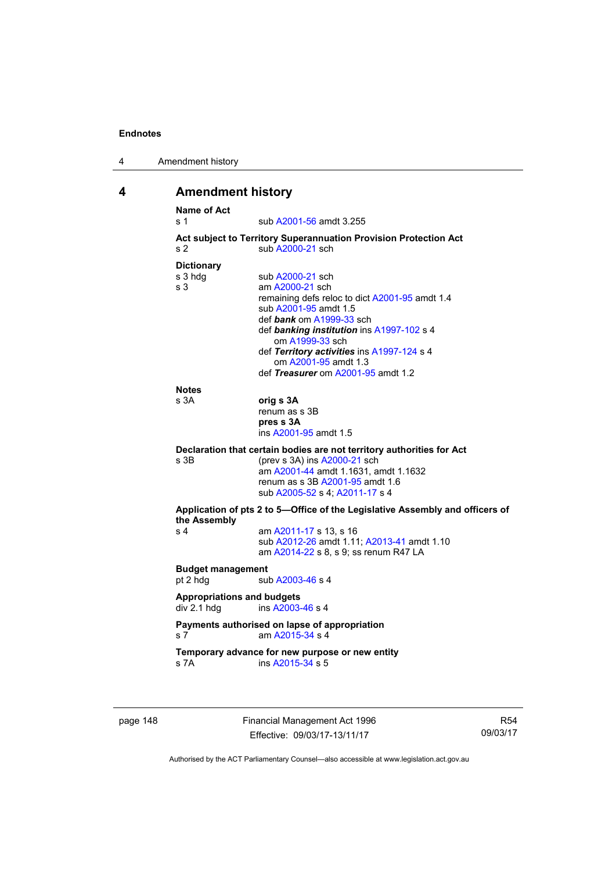| 4 | Amendment history |
|---|-------------------|
|---|-------------------|

# **4 Amendment history**

| s 1                                                                                                     | sub A2001-56 amdt 3.255                                                      |
|---------------------------------------------------------------------------------------------------------|------------------------------------------------------------------------------|
|                                                                                                         | Act subject to Territory Superannuation Provision Protection Act             |
| s <sub>2</sub>                                                                                          | sub A2000-21 sch                                                             |
| <b>Dictionary</b>                                                                                       |                                                                              |
| s 3 hdg                                                                                                 | sub A2000-21 sch                                                             |
| s <sub>3</sub>                                                                                          | am A2000-21 sch                                                              |
|                                                                                                         | remaining defs reloc to dict A2001-95 amdt 1.4                               |
|                                                                                                         | sub A2001-95 amdt 1.5                                                        |
|                                                                                                         | def bank om A1999-33 sch                                                     |
|                                                                                                         | def banking institution ins A1997-102 s 4<br>om A1999-33 sch                 |
|                                                                                                         | def Territory activities ins A1997-124 s 4                                   |
|                                                                                                         | om A2001-95 amdt 1.3                                                         |
|                                                                                                         | def Treasurer om A2001-95 amdt 1.2                                           |
| <b>Notes</b>                                                                                            |                                                                              |
| s 3A                                                                                                    | orig s 3A                                                                    |
|                                                                                                         | renum as s 3B                                                                |
|                                                                                                         | pres s 3A                                                                    |
|                                                                                                         | ins A2001-95 amdt 1.5                                                        |
|                                                                                                         | Declaration that certain bodies are not territory authorities for Act        |
|                                                                                                         |                                                                              |
|                                                                                                         |                                                                              |
|                                                                                                         | (prev s 3A) ins A2000-21 sch<br>am A2001-44 amdt 1.1631, amdt 1.1632         |
|                                                                                                         | renum as s 3B A2001-95 amdt 1.6                                              |
|                                                                                                         | sub A2005-52 s 4; A2011-17 s 4                                               |
|                                                                                                         | Application of pts 2 to 5-Office of the Legislative Assembly and officers of |
|                                                                                                         |                                                                              |
|                                                                                                         | am A2011-17 s 13, s 16<br>sub A2012-26 amdt 1.11; A2013-41 amdt 1.10         |
|                                                                                                         | am A2014-22 s 8, s 9; ss renum R47 LA                                        |
| $s$ 3B<br>the Assembly<br>s 4                                                                           |                                                                              |
|                                                                                                         | sub A2003-46 s 4                                                             |
|                                                                                                         |                                                                              |
|                                                                                                         | ins A2003-46 s 4                                                             |
|                                                                                                         | Payments authorised on lapse of appropriation                                |
|                                                                                                         | am A2015-34 s 4                                                              |
| <b>Budget management</b><br>pt 2 hdg<br><b>Appropriations and budgets</b><br>div 2.1 hdg<br>s 7<br>s 7A | Temporary advance for new purpose or new entity                              |

page 148 Financial Management Act 1996 Effective: 09/03/17-13/11/17

R54 09/03/17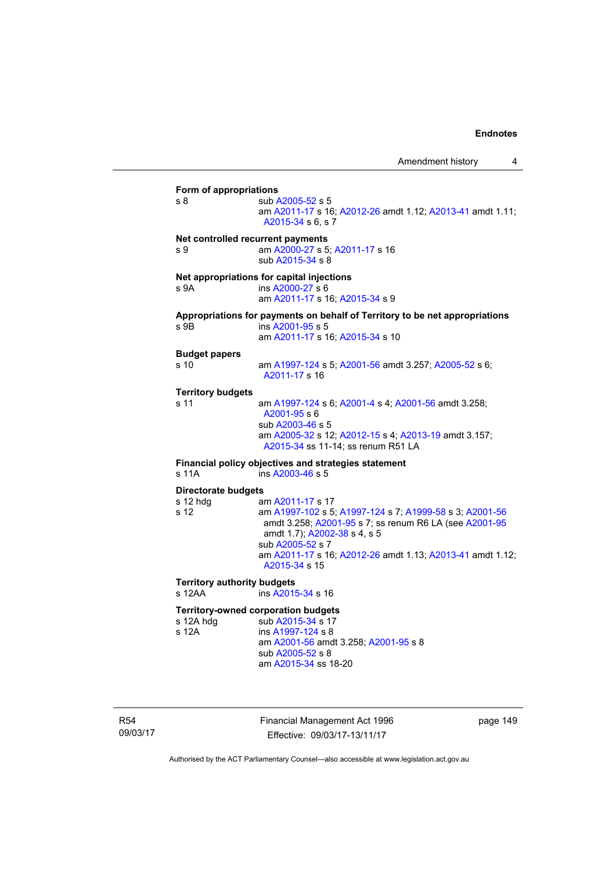**Form of appropriations**  s 8 sub [A2005-52](http://www.legislation.act.gov.au/a/2005-52) s 5 am [A2011-17](http://www.legislation.act.gov.au/a/2011-17) s 16; [A2012-26](http://www.legislation.act.gov.au/a/2012-26) amdt 1.12; [A2013-41](http://www.legislation.act.gov.au/a/2013-41/default.asp) amdt 1.11; [A2015-34](http://www.legislation.act.gov.au/a/2015-34/default.asp) s 6, s 7 **Net controlled recurrent payments** s 9 am [A2000-27](http://www.legislation.act.gov.au/a/2000-27) s 5; [A2011-17](http://www.legislation.act.gov.au/a/2011-17) s 16 sub [A2015-34](http://www.legislation.act.gov.au/a/2015-34/default.asp) s 8 **Net appropriations for capital injections** s 9A ins [A2000-27](http://www.legislation.act.gov.au/a/2000-27) s 6 am [A2011-17](http://www.legislation.act.gov.au/a/2011-17) s 16; [A2015-34](http://www.legislation.act.gov.au/a/2015-34/default.asp) s 9 **Appropriations for payments on behalf of Territory to be net appropriations**  s 9B ins [A2001-95](http://www.legislation.act.gov.au/a/2001-95) s 5 am [A2011-17](http://www.legislation.act.gov.au/a/2011-17) s 16; [A2015-34](http://www.legislation.act.gov.au/a/2015-34/default.asp) s 10 **Budget papers**  s 10 am [A1997-124](http://www.legislation.act.gov.au/a/1997-124) s 5; [A2001-56](http://www.legislation.act.gov.au/a/2001-56) amdt 3.257; [A2005-52](http://www.legislation.act.gov.au/a/2005-52) s 6; [A2011-17](http://www.legislation.act.gov.au/a/2011-17) s 16 **Territory budgets**  s 11 am [A1997-124](http://www.legislation.act.gov.au/a/1997-124) s 6; [A2001-4](http://www.legislation.act.gov.au/a/2001-4) s 4; [A2001-56](http://www.legislation.act.gov.au/a/2001-56) amdt 3.258; [A2001-95](http://www.legislation.act.gov.au/a/2001-95) s 6 sub [A2003-46](http://www.legislation.act.gov.au/a/2003-46) s 5 am [A2005-32](http://www.legislation.act.gov.au/a/2005-32) s 12; [A2012-15](http://www.legislation.act.gov.au/a/2012-15) s 4; [A2013-19](http://www.legislation.act.gov.au/a/2013-19) amdt 3.157; [A2015-34](http://www.legislation.act.gov.au/a/2015-34/default.asp) ss 11-14; ss renum R51 LA **Financial policy objectives and strategies statement**  s 11A ins [A2003-46](http://www.legislation.act.gov.au/a/2003-46) s 5 **Directorate budgets** s 12 hdg am [A2011-17](http://www.legislation.act.gov.au/a/2011-17) s 17 s 12 am [A1997-102](http://www.legislation.act.gov.au/a/1997-102) s 5; [A1997-124](http://www.legislation.act.gov.au/a/1997-124) s 7; [A1999-58](http://www.legislation.act.gov.au/a/1999-58) s 3; [A2001-56](http://www.legislation.act.gov.au/a/2001-56) amdt 3.258; [A2001-95](http://www.legislation.act.gov.au/a/2001-95) s 7; ss renum R6 LA (see [A2001-95](http://www.legislation.act.gov.au/a/2001-95) amdt 1.7); [A2002-38](http://www.legislation.act.gov.au/a/2002-38) s 4, s 5 sub [A2005-52](http://www.legislation.act.gov.au/a/2005-52) s 7 am [A2011-17](http://www.legislation.act.gov.au/a/2011-17) s 16; [A2012-26](http://www.legislation.act.gov.au/a/2012-26) amdt 1.13; [A2013-41](http://www.legislation.act.gov.au/a/2013-41/default.asp) amdt 1.12; [A2015-34](http://www.legislation.act.gov.au/a/2015-34/default.asp) s 15 **Territory authority budgets**  s 12AA ins [A2015-34](http://www.legislation.act.gov.au/a/2015-34/default.asp) s 16 **Territory-owned corporation budgets**  s 12A hdg sub [A2015-34](http://www.legislation.act.gov.au/a/2015-34/default.asp) s 17<br>s 12A s ins A1997-124 s 8  $ins A1997-124 s 8$  $ins A1997-124 s 8$  $ins A1997-124 s 8$  am [A2001-56](http://www.legislation.act.gov.au/a/2001-56) amdt 3.258; [A2001-95](http://www.legislation.act.gov.au/a/2001-95) s 8 sub [A2005-52](http://www.legislation.act.gov.au/a/2005-52) s 8 am [A2015-34](http://www.legislation.act.gov.au/a/2015-34/default.asp) ss 18-20

R54 09/03/17 Financial Management Act 1996 Effective: 09/03/17-13/11/17

page 149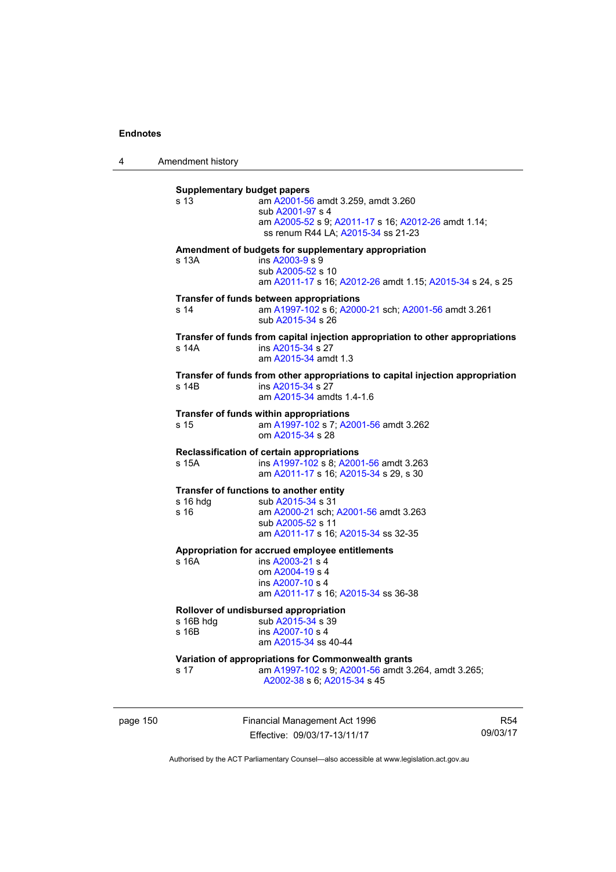4 Amendment history

| s <sub>13</sub>  | <b>Supplementary budget papers</b><br>am A2001-56 amdt 3.259, amdt 3.260<br>sub A2001-97 s 4      |
|------------------|---------------------------------------------------------------------------------------------------|
|                  | am A2005-52 s 9; A2011-17 s 16; A2012-26 amdt 1.14;<br>ss renum R44 LA: A2015-34 ss 21-23         |
|                  | Amendment of budgets for supplementary appropriation                                              |
| s 13A            | ins A2003-9 s 9<br>sub A2005-52 s 10<br>am A2011-17 s 16; A2012-26 amdt 1.15; A2015-34 s 24, s 25 |
|                  | Transfer of funds between appropriations                                                          |
| s <sub>14</sub>  | am A1997-102 s 6; A2000-21 sch; A2001-56 amdt 3.261<br>sub A2015-34 s 26                          |
|                  | Transfer of funds from capital injection appropriation to other appropriations                    |
| s 14A            | ins A2015-34 s 27<br>am A2015-34 amdt 1.3                                                         |
|                  | Transfer of funds from other appropriations to capital injection appropriation                    |
| s 14B            | ins A2015-34 s 27<br>am A2015-34 amdts 1.4-1.6                                                    |
|                  | Transfer of funds within appropriations                                                           |
| s 15             | am A1997-102 s 7; A2001-56 amdt 3.262<br>om A2015-34 s 28                                         |
|                  | Reclassification of certain appropriations                                                        |
| s 15A            | ins A1997-102 s 8; A2001-56 amdt 3.263<br>am A2011-17 s 16; A2015-34 s 29, s 30                   |
|                  | Transfer of functions to another entity                                                           |
| s 16 hdg<br>s 16 | sub A2015-34 s 31<br>am A2000-21 sch; A2001-56 amdt 3.263                                         |
|                  | sub A2005-52 s 11                                                                                 |
|                  | am A2011-17 s 16; A2015-34 ss 32-35                                                               |
|                  | Appropriation for accrued employee entitlements                                                   |
| s <sub>16A</sub> | ins A2003-21 s 4                                                                                  |
|                  | om A2004-19 s 4<br>ins A2007-10 s 4                                                               |
|                  | am A2011-17 s 16; A2015-34 ss 36-38                                                               |
|                  | Rollover of undisbursed appropriation                                                             |
| s 16B hdg        | sub A2015-34 s 39                                                                                 |
| $s$ 16B          | ins $A2007-10$ s 4<br>am A2015-34 ss 40-44                                                        |
|                  | Variation of appropriations for Commonwealth grants                                               |
|                  | am A1997-102 s 9; A2001-56 amdt 3.264, amdt 3.265;                                                |

page 150 Financial Management Act 1996 Effective: 09/03/17-13/11/17

R54 09/03/17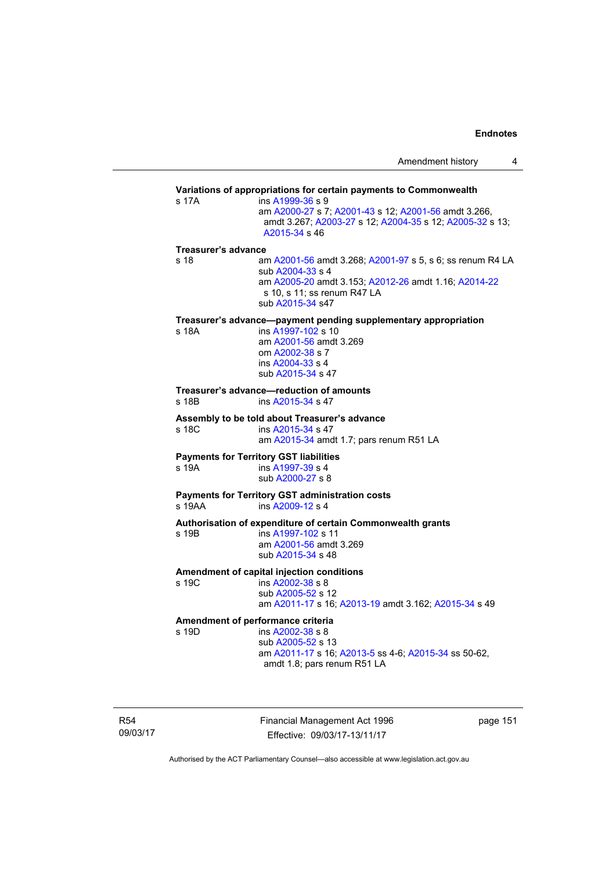|                             |                                                                                                                                                                                          | Amendment history | 4 |
|-----------------------------|------------------------------------------------------------------------------------------------------------------------------------------------------------------------------------------|-------------------|---|
|                             | Variations of appropriations for certain payments to Commonwealth                                                                                                                        |                   |   |
| s 17A                       | ins A1999-36 s 9<br>am A2000-27 s 7; A2001-43 s 12; A2001-56 amdt 3.266,<br>amdt 3.267; A2003-27 s 12; A2004-35 s 12; A2005-32 s 13;<br>A2015-34 s 46                                    |                   |   |
| Treasurer's advance<br>s 18 | am A2001-56 amdt 3.268; A2001-97 s 5, s 6; ss renum R4 LA<br>sub A2004-33 s 4<br>am A2005-20 amdt 3.153; A2012-26 amdt 1.16; A2014-22<br>s 10, s 11; ss renum R47 LA<br>sub A2015-34 s47 |                   |   |
| s 18A                       | Treasurer's advance—payment pending supplementary appropriation<br>ins A1997-102 s 10<br>am A2001-56 amdt 3.269<br>om A2002-38 s 7<br>ins A2004-33 s 4<br>sub A2015-34 s 47              |                   |   |
| s 18B                       | Treasurer's advance—reduction of amounts<br>ins A2015-34 s 47                                                                                                                            |                   |   |
| s 18C                       | Assembly to be told about Treasurer's advance<br>ins A2015-34 s 47<br>am A2015-34 amdt 1.7; pars renum R51 LA                                                                            |                   |   |
| s 19A                       | <b>Payments for Territory GST liabilities</b><br>ins A1997-39 s 4<br>sub A2000-27 s 8                                                                                                    |                   |   |
| s 19AA                      | <b>Payments for Territory GST administration costs</b><br>ins A2009-12 s 4                                                                                                               |                   |   |
| s 19B                       | Authorisation of expenditure of certain Commonwealth grants<br>ins A1997-102 s 11<br>am A2001-56 amdt 3.269<br>sub A2015-34 s 48                                                         |                   |   |
| s 19C                       | Amendment of capital injection conditions<br>ins A2002-38 s 8<br>sub A2005-52 s 12<br>am A2011-17 s 16; A2013-19 amdt 3.162; A2015-34 s 49                                               |                   |   |
| s 19D                       | Amendment of performance criteria<br>ins A2002-38 s 8<br>sub A2005-52 s 13<br>am A2011-17 s 16; A2013-5 ss 4-6; A2015-34 ss 50-62,<br>amdt 1.8; pars renum R51 LA                        |                   |   |

R54 09/03/17 Financial Management Act 1996 Effective: 09/03/17-13/11/17

page 151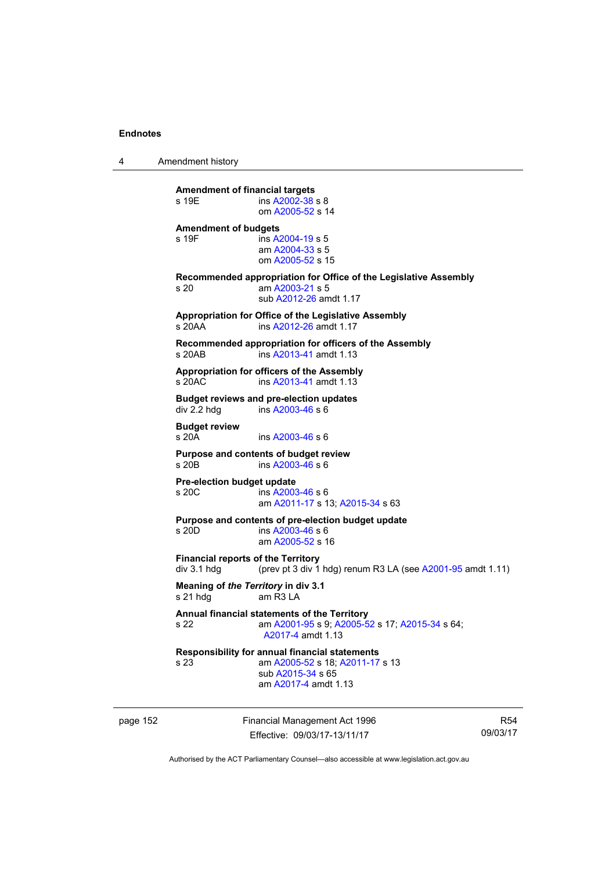4 Amendment history

| <b>Amendment of financial targets</b><br>s 19E             | ins A2002-38 s 8<br>om A2005-52 s 14                                                                                                  |
|------------------------------------------------------------|---------------------------------------------------------------------------------------------------------------------------------------|
| <b>Amendment of budgets</b><br>s 19F                       | ins A2004-19 s 5<br>am A2004-33 s 5<br>om A2005-52 s 15                                                                               |
| s 20                                                       | Recommended appropriation for Office of the Legislative Assembly<br>am A2003-21 s 5<br>sub A2012-26 amdt 1.17                         |
| s 20AA                                                     | Appropriation for Office of the Legislative Assembly<br>ins A2012-26 amdt 1.17                                                        |
| s 20AB                                                     | Recommended appropriation for officers of the Assembly<br>ins A2013-41 amdt 1.13                                                      |
| s 20AC                                                     | Appropriation for officers of the Assembly<br>ins A2013-41 amdt 1.13                                                                  |
| div 2.2 hdg                                                | <b>Budget reviews and pre-election updates</b><br>ins A2003-46 s 6                                                                    |
| <b>Budget review</b><br>s 20A                              | ins $A2003-46$ s 6                                                                                                                    |
| s 20B                                                      | Purpose and contents of budget review<br>ins A2003-46 s 6                                                                             |
| Pre-election budget update<br>s, 20C                       | ins A2003-46 s 6<br>am A2011-17 s 13; A2015-34 s 63                                                                                   |
| s 20D                                                      | Purpose and contents of pre-election budget update<br>ins A2003-46 s 6<br>am A2005-52 s 16                                            |
| <b>Financial reports of the Territory</b><br>$div$ 3.1 hdg | (prev pt 3 div 1 hdg) renum R3 LA (see A2001-95 amdt 1.11)                                                                            |
| Meaning of the Territory in div 3.1<br>s 21 hda            | am R3 LA                                                                                                                              |
| s 22                                                       | Annual financial statements of the Territory<br>am A2001-95 s 9; A2005-52 s 17; A2015-34 s 64;<br>A2017-4 amdt 1.13                   |
| s 23                                                       | <b>Responsibility for annual financial statements</b><br>am A2005-52 s 18; A2011-17 s 13<br>sub A2015-34 s 65<br>am A2017-4 amdt 1.13 |

page 152 Financial Management Act 1996 Effective: 09/03/17-13/11/17

R54 09/03/17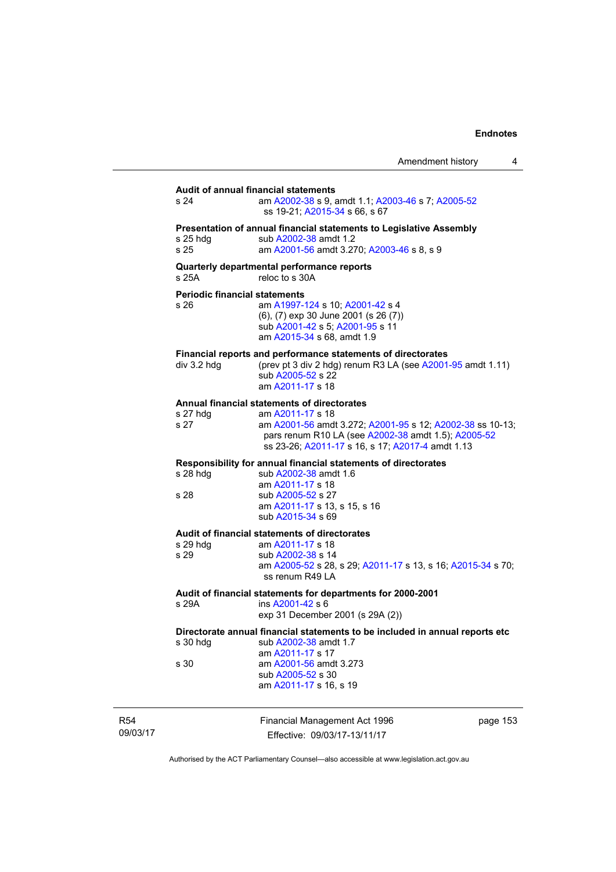| Amendment history |  |
|-------------------|--|
|-------------------|--|

### **Audit of annual financial statements**  s 24 am [A2002-38](http://www.legislation.act.gov.au/a/2002-38) s 9, amdt 1.1; [A2003-46](http://www.legislation.act.gov.au/a/2003-46) s 7; [A2005-52](http://www.legislation.act.gov.au/a/2005-52) ss 19-21; [A2015-34](http://www.legislation.act.gov.au/a/2015-34/default.asp) s 66, s 67 **Presentation of annual financial statements to Legislative Assembly**  s 25 hdg sub [A2002-38](http://www.legislation.act.gov.au/a/2002-38) amdt 1.2 s 25 am [A2001-56](http://www.legislation.act.gov.au/a/2001-56) amdt 3.270; [A2003-46](http://www.legislation.act.gov.au/a/2003-46) s 8, s 9 **Quarterly departmental performance reports**  s 25A reloc to s 30A **Periodic financial statements** s 26 am [A1997-124](http://www.legislation.act.gov.au/a/1997-124) s 10; [A2001-42](http://www.legislation.act.gov.au/a/2001-42) s 4 (6), (7) exp 30 June 2001 (s 26 (7)) sub [A2001-42](http://www.legislation.act.gov.au/a/2001-42) s 5; [A2001-95](http://www.legislation.act.gov.au/a/2001-95) s 11 am [A2015-34](http://www.legislation.act.gov.au/a/2015-34/default.asp) s 68, amdt 1.9 **Financial reports and performance statements of directorates**  div 3.2 hdg (prev pt 3 div 2 hdg) renum R3 LA (see  $A2001-95$  amdt 1.11) sub [A2005-52](http://www.legislation.act.gov.au/a/2005-52) s 22 am [A2011-17](http://www.legislation.act.gov.au/a/2011-17) s 18 **Annual financial statements of directorates**  s 27 hdg am [A2011-17](http://www.legislation.act.gov.au/a/2011-17) s 18<br>s 27 am A2001-56 amd am [A2001-56](http://www.legislation.act.gov.au/a/2001-56) amdt 3.272; [A2001-95](http://www.legislation.act.gov.au/a/2001-95) s 12; [A2002-38](http://www.legislation.act.gov.au/a/2002-38) ss 10-13; pars renum R10 LA (see [A2002-38](http://www.legislation.act.gov.au/a/2002-38) amdt 1.5); [A2005-52](http://www.legislation.act.gov.au/a/2005-52) ss 23-26; [A2011-17](http://www.legislation.act.gov.au/a/2011-17) s 16, s 17; [A2017-4](http://www.legislation.act.gov.au/a/2017-4/default.asp) amdt 1.13 **Responsibility for annual financial statements of directorates**  s 28 hdg sub [A2002-38](http://www.legislation.act.gov.au/a/2002-38) amdt 1.6 am [A2011-17](http://www.legislation.act.gov.au/a/2011-17) s 18 sub [A2005-52](http://www.legislation.act.gov.au/a/2005-52) s 27 am [A2011-17](http://www.legislation.act.gov.au/a/2011-17) s 13, s 15, s 16 sub [A2015-34](http://www.legislation.act.gov.au/a/2015-34/default.asp) s 69 **Audit of financial statements of directorates**  am [A2011-17](http://www.legislation.act.gov.au/a/2011-17) s 18 s 29 sub [A2002-38](http://www.legislation.act.gov.au/a/2002-38) s 14 am [A2005-52](http://www.legislation.act.gov.au/a/2005-52) s 28, s 29; [A2011-17](http://www.legislation.act.gov.au/a/2011-17) s 13, s 16; [A2015-34](http://www.legislation.act.gov.au/a/2015-34/default.asp) s 70; ss renum R49 LA **Audit of financial statements for departments for 2000-2001**  s 29A ins [A2001-42](http://www.legislation.act.gov.au/a/2001-42) s 6 exp 31 December 2001 (s 29A (2)) **Directorate annual financial statements to be included in annual reports etc**  s 30 hdg sub [A2002-38](http://www.legislation.act.gov.au/a/2002-38) amdt 1.7 am [A2011-17](http://www.legislation.act.gov.au/a/2011-17) s 17<br>am A2001-56 amd am [A2001-56](http://www.legislation.act.gov.au/a/2001-56) amdt 3.273 sub [A2005-52](http://www.legislation.act.gov.au/a/2005-52) s 30 am [A2011-17](http://www.legislation.act.gov.au/a/2011-17) s 16, s 19

R54 09/03/17 Financial Management Act 1996 Effective: 09/03/17-13/11/17

page 153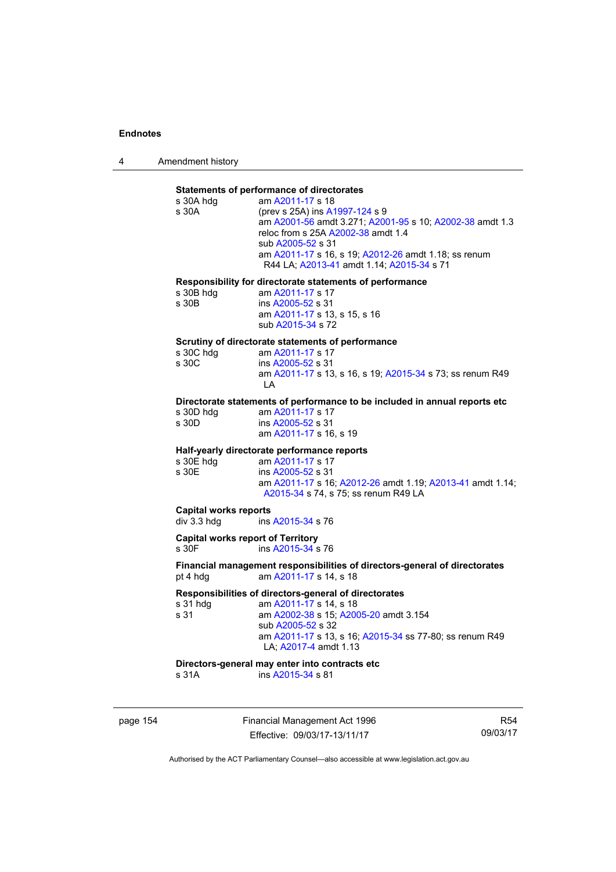4 Amendment history

### **Statements of performance of directorates**

|                                          | Statements Of performance Of unectorates                                   |  |  |  |
|------------------------------------------|----------------------------------------------------------------------------|--|--|--|
| s 30A hdg                                | am A2011-17 s 18                                                           |  |  |  |
| s 30A                                    | (prev s 25A) ins A1997-124 s 9                                             |  |  |  |
|                                          | am A2001-56 amdt 3.271; A2001-95 s 10; A2002-38 amdt 1.3                   |  |  |  |
|                                          | reloc from s 25A A2002-38 amdt 1.4                                         |  |  |  |
|                                          | sub A2005-52 s 31                                                          |  |  |  |
|                                          |                                                                            |  |  |  |
|                                          | am A2011-17 s 16, s 19; A2012-26 amdt 1.18; ss renum                       |  |  |  |
|                                          | R44 LA; A2013-41 amdt 1.14; A2015-34 s 71                                  |  |  |  |
|                                          |                                                                            |  |  |  |
|                                          | Responsibility for directorate statements of performance                   |  |  |  |
| s 30B hdg                                | am A2011-17 s 17                                                           |  |  |  |
| s 30 <sub>B</sub>                        | ins A2005-52 s 31                                                          |  |  |  |
|                                          | am A2011-17 s 13, s 15, s 16                                               |  |  |  |
|                                          | sub A2015-34 s 72                                                          |  |  |  |
|                                          |                                                                            |  |  |  |
|                                          | Scrutiny of directorate statements of performance                          |  |  |  |
| s 30C hdg                                | am A2011-17 s 17                                                           |  |  |  |
| s 30C                                    | ins A2005-52 s 31                                                          |  |  |  |
|                                          |                                                                            |  |  |  |
|                                          | am A2011-17 s 13, s 16, s 19; A2015-34 s 73; ss renum R49                  |  |  |  |
|                                          | LA                                                                         |  |  |  |
|                                          | Directorate statements of performance to be included in annual reports etc |  |  |  |
|                                          |                                                                            |  |  |  |
| s 30D hdg                                | am A2011-17 s 17                                                           |  |  |  |
| s 30D                                    | ins A2005-52 s 31                                                          |  |  |  |
|                                          | am A2011-17 s 16, s 19                                                     |  |  |  |
|                                          |                                                                            |  |  |  |
|                                          | Half-yearly directorate performance reports                                |  |  |  |
| s 30E hdg                                | am A2011-17 s 17                                                           |  |  |  |
| s 30E                                    | ins A2005-52 s 31                                                          |  |  |  |
|                                          | am A2011-17 s 16; A2012-26 amdt 1.19; A2013-41 amdt 1.14;                  |  |  |  |
|                                          | A2015-34 s 74, s 75; ss renum R49 LA                                       |  |  |  |
|                                          |                                                                            |  |  |  |
| <b>Capital works reports</b>             |                                                                            |  |  |  |
| div 3.3 hdg                              | ins A2015-34 s 76                                                          |  |  |  |
|                                          |                                                                            |  |  |  |
| <b>Capital works report of Territory</b> |                                                                            |  |  |  |
| s 30F                                    | ins A2015-34 s 76                                                          |  |  |  |
|                                          |                                                                            |  |  |  |
|                                          | Financial management responsibilities of directors-general of directorates |  |  |  |
| pt 4 hdg                                 | am A2011-17 s 14, s 18                                                     |  |  |  |
|                                          |                                                                            |  |  |  |
|                                          | Responsibilities of directors-general of directorates                      |  |  |  |
| s 31 hdg                                 | am A2011-17 s 14, s 18                                                     |  |  |  |
| s 31                                     | am A2002-38 s 15; A2005-20 amdt 3.154                                      |  |  |  |
|                                          | sub A2005-52 s 32                                                          |  |  |  |
|                                          | am A2011-17 s 13, s 16; A2015-34 ss 77-80; ss renum R49                    |  |  |  |
|                                          | LA; A2017-4 amdt 1.13                                                      |  |  |  |
|                                          |                                                                            |  |  |  |
|                                          | Directors-general may enter into contracts etc                             |  |  |  |
|                                          |                                                                            |  |  |  |

s 31A **ins A2015-34** s 81

page 154 Financial Management Act 1996 Effective: 09/03/17-13/11/17

R54 09/03/17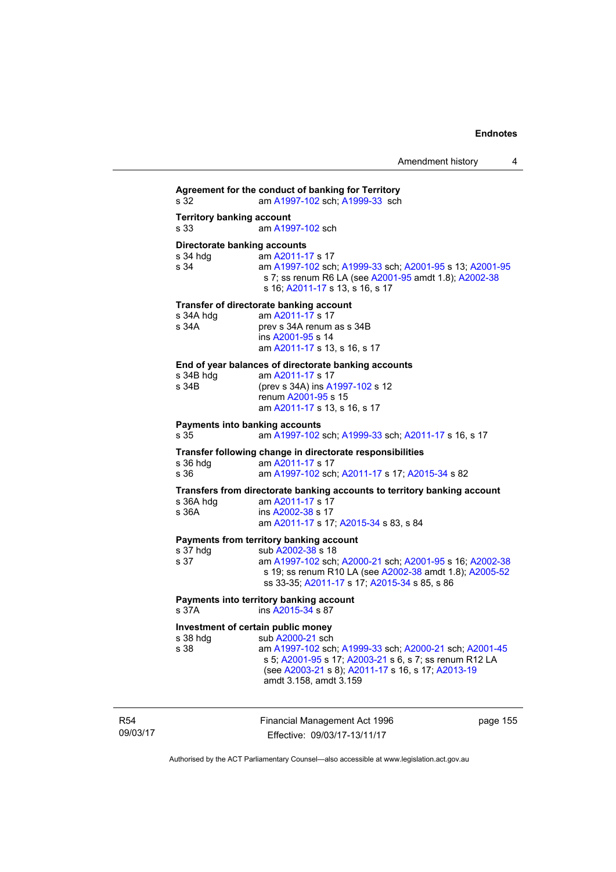**Agreement for the conduct of banking for Territory** s 32 am [A1997-102](http://www.legislation.act.gov.au/a/1997-102) sch; [A1999-33](http://www.legislation.act.gov.au/a/1999-33) sch **Territory banking account** s 33 am [A1997-102](http://www.legislation.act.gov.au/a/1997-102) sch **Directorate banking accounts**<br>s 34 hdg am A2011-1 am [A2011-17](http://www.legislation.act.gov.au/a/2011-17) s 17 s 34 am [A1997-102](http://www.legislation.act.gov.au/a/1997-102) sch; [A1999-33](http://www.legislation.act.gov.au/a/1999-33) sch; [A2001-95](http://www.legislation.act.gov.au/a/2001-95) s 13; [A2001-95](http://www.legislation.act.gov.au/a/2001-95) s 7; ss renum R6 LA (see [A2001-95](http://www.legislation.act.gov.au/a/2001-95) amdt 1.8); [A2002-38](http://www.legislation.act.gov.au/a/2002-38) s 16; [A2011-17](http://www.legislation.act.gov.au/a/2011-17) s 13, s 16, s 17 **Transfer of directorate banking account**  s 34A hdg am [A2011-17](http://www.legislation.act.gov.au/a/2011-17) s 17<br>s 34A **brev** s 34A renum prev s 34A renum as s 34B ins [A2001-95](http://www.legislation.act.gov.au/a/2001-95) s 14 am [A2011-17](http://www.legislation.act.gov.au/a/2011-17) s 13, s 16, s 17 **End of year balances of directorate banking accounts** s 34B hdg am [A2011-17](http://www.legislation.act.gov.au/a/2011-17) s 17 s 34B (prev s 34A) ins [A1997-102](http://www.legislation.act.gov.au/a/1997-102) s 12 renum [A2001-95](http://www.legislation.act.gov.au/a/2001-95) s 15 am [A2011-17](http://www.legislation.act.gov.au/a/2011-17) s 13, s 16, s 17 **Payments into banking accounts** s 35 am [A1997-102](http://www.legislation.act.gov.au/a/1997-102) sch; [A1999-33](http://www.legislation.act.gov.au/a/1999-33) sch; [A2011-17](http://www.legislation.act.gov.au/a/2011-17) s 16, s 17 **Transfer following change in directorate responsibilities** am [A2011-17](http://www.legislation.act.gov.au/a/2011-17) s 17 s 36 am [A1997-102](http://www.legislation.act.gov.au/a/1997-102) sch; [A2011-17](http://www.legislation.act.gov.au/a/2011-17) s 17; [A2015-34](http://www.legislation.act.gov.au/a/2015-34/default.asp) s 82 **Transfers from directorate banking accounts to territory banking account**  am [A2011-17](http://www.legislation.act.gov.au/a/2011-17) s 17 s 36A ins [A2002-38](http://www.legislation.act.gov.au/a/2002-38) s 17 am [A2011-17](http://www.legislation.act.gov.au/a/2011-17) s 17; [A2015-34](http://www.legislation.act.gov.au/a/2015-34/default.asp) s 83, s 84 **Payments from territory banking account**<br>s 37 hdg **b** 82002-38 s 18 s 37 hdg sub [A2002-38](http://www.legislation.act.gov.au/a/2002-38) s 18<br>s 37 am A1997-102 sch s 37 am [A1997-102](http://www.legislation.act.gov.au/a/1997-102) sch; [A2000-21](http://www.legislation.act.gov.au/a/2000-21) sch; [A2001-95](http://www.legislation.act.gov.au/a/2001-95) s 16; [A2002-38](http://www.legislation.act.gov.au/a/2002-38) s 19; ss renum R10 LA (see [A2002-38](http://www.legislation.act.gov.au/a/2002-38) amdt 1.8); [A2005-52](http://www.legislation.act.gov.au/a/2005-52) ss 33-35; [A2011-17](http://www.legislation.act.gov.au/a/2011-17) s 17; [A2015-34](http://www.legislation.act.gov.au/a/2015-34/default.asp) s 85, s 86 **Payments into territory banking account**  s 37A ins [A2015-34](http://www.legislation.act.gov.au/a/2015-34/default.asp) s 87 **Investment of certain public money**  s 38 hdg sub [A2000-21](http://www.legislation.act.gov.au/a/2000-21) sch s 38 am [A1997-102](http://www.legislation.act.gov.au/a/1997-102) sch; [A1999-33](http://www.legislation.act.gov.au/a/1999-33) sch; [A2000-21](http://www.legislation.act.gov.au/a/2000-21) sch; [A2001-45](http://www.legislation.act.gov.au/a/2001-45) s 5; [A2001-95](http://www.legislation.act.gov.au/a/2001-95) s 17; [A2003-21](http://www.legislation.act.gov.au/a/2003-21) s 6, s 7; ss renum R12 LA (see [A2003-21](http://www.legislation.act.gov.au/a/2003-21) s 8); [A2011-17](http://www.legislation.act.gov.au/a/2011-17) s 16, s 17; [A2013-19](http://www.legislation.act.gov.au/a/2013-19) amdt 3.158, amdt 3.159

R54 09/03/17 Financial Management Act 1996 Effective: 09/03/17-13/11/17

page 155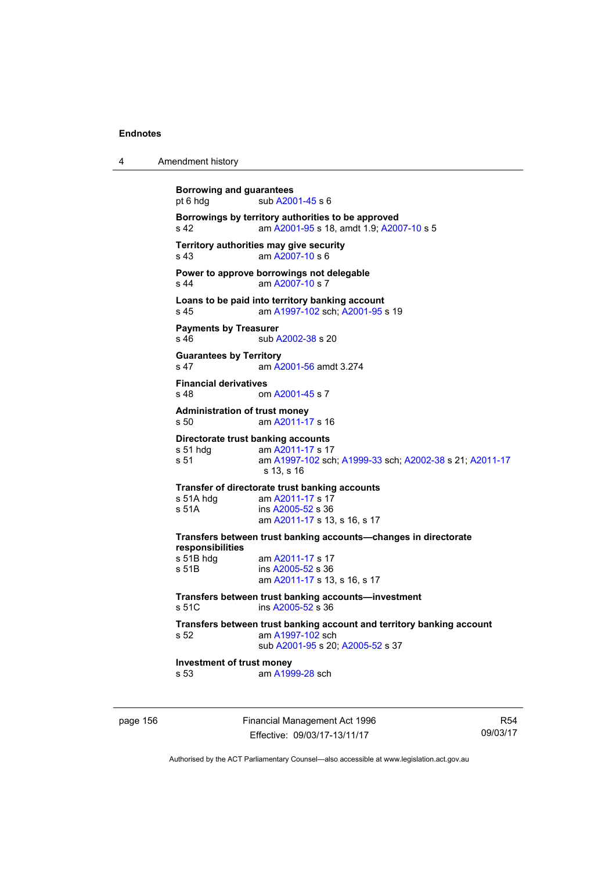| Amendment history |
|-------------------|

| <b>Borrowing and guarantees</b><br>pt 6 hdg     | sub A2001-45 s 6                                                                                                                |
|-------------------------------------------------|---------------------------------------------------------------------------------------------------------------------------------|
| s 42                                            | Borrowings by territory authorities to be approved<br>am A2001-95 s 18, amdt 1.9; A2007-10 s 5                                  |
| s 43                                            | Territory authorities may give security<br>am A2007-10 s 6                                                                      |
| s <sub>44</sub>                                 | Power to approve borrowings not delegable<br>am A2007-10 s 7                                                                    |
| s <sub>45</sub>                                 | Loans to be paid into territory banking account<br>am A1997-102 sch; A2001-95 s 19                                              |
| <b>Payments by Treasurer</b><br>$s$ 46          | sub A2002-38 s 20                                                                                                               |
| <b>Guarantees by Territory</b><br>s 47          | am A2001-56 amdt 3.274                                                                                                          |
| <b>Financial derivatives</b><br>s <sub>48</sub> | om A2001-45 s 7                                                                                                                 |
| <b>Administration of trust money</b><br>s, 50   | am A2011-17 s 16                                                                                                                |
| s 51 hdg<br>s 51                                | Directorate trust banking accounts<br>am A2011-17 s 17<br>am A1997-102 sch; A1999-33 sch; A2002-38 s 21; A2011-17<br>s 13, s 16 |
| s 51A hdg<br>s 51A                              | Transfer of directorate trust banking accounts<br>am A2011-17 s 17<br>ins A2005-52 s 36<br>am A2011-17 s 13, s 16, s 17         |
| responsibilities                                | Transfers between trust banking accounts-changes in directorate                                                                 |
| s 51B hdg<br>s 51B                              | am A2011-17 s 17<br>ins A2005-52 s 36<br>am A2011-17 s 13, s 16, s 17                                                           |
| s 51C                                           | Transfers between trust banking accounts—investment<br>ins A2005-52 s 36                                                        |
| s 52                                            | Transfers between trust banking account and territory banking account<br>am A1997-102 sch<br>sub A2001-95 s 20; A2005-52 s 37   |
| Investment of trust money<br>s 53               | am A1999-28 sch                                                                                                                 |
|                                                 |                                                                                                                                 |

page 156 **Financial Management Act 1996** Effective: 09/03/17-13/11/17

R54 09/03/17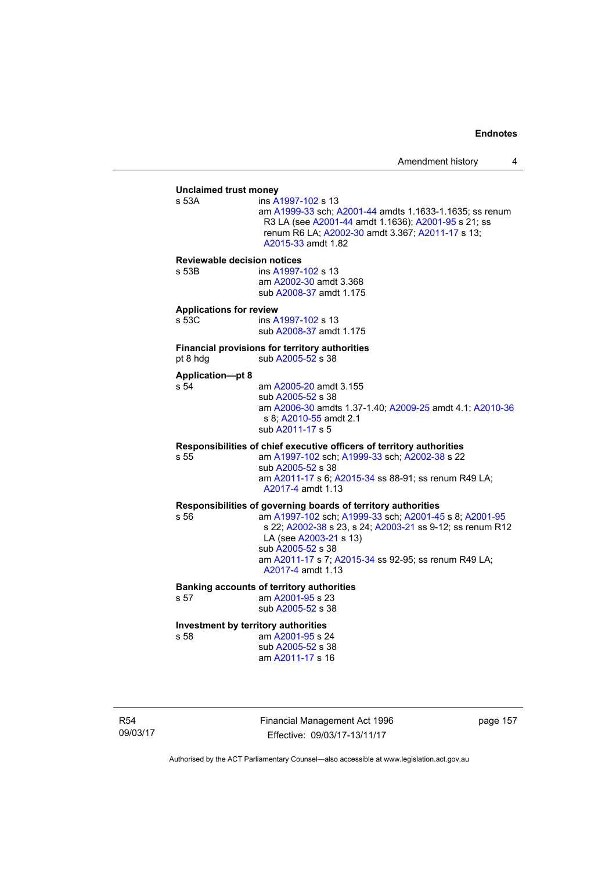### **Unclaimed trust money**  ins [A1997-102](http://www.legislation.act.gov.au/a/1997-102) s 13 am [A1999-33](http://www.legislation.act.gov.au/a/1999-33) sch; [A2001-44](http://www.legislation.act.gov.au/a/2001-44) amdts 1.1633-1.1635; ss renum R3 LA (see [A2001-44](http://www.legislation.act.gov.au/a/2001-44) amdt 1.1636); [A2001-95](http://www.legislation.act.gov.au/a/2001-95) s 21; ss renum R6 LA; [A2002-30](http://www.legislation.act.gov.au/a/2002-30) amdt 3.367; [A2011-17](http://www.legislation.act.gov.au/a/2011-17) s 13; [A2015-33](http://www.legislation.act.gov.au/a/2015-33/default.asp) amdt 1.82 **Reviewable decision notices**  s 53B ins [A1997-102](http://www.legislation.act.gov.au/a/1997-102) s 13 am [A2002-30](http://www.legislation.act.gov.au/a/2002-30) amdt 3.368 sub [A2008-37](http://www.legislation.act.gov.au/a/2008-37) amdt 1.175 **Applications for review**  s 53C ins [A1997-102](http://www.legislation.act.gov.au/a/1997-102) s 13 sub [A2008-37](http://www.legislation.act.gov.au/a/2008-37) amdt 1.175 **Financial provisions for territory authorities**  pt 8 hdg  $sub A2005-52$  s 38 **Application—pt 8**  s 54 am [A2005-20](http://www.legislation.act.gov.au/a/2005-20) amdt 3.155 sub [A2005-52](http://www.legislation.act.gov.au/a/2005-52) s 38 am [A2006-30](http://www.legislation.act.gov.au/a/2006-30) amdts 1.37-1.40; [A2009-25](http://www.legislation.act.gov.au/a/2009-25) amdt 4.1; [A2010-36](http://www.legislation.act.gov.au/a/2010-36) s 8; [A2010-55](http://www.legislation.act.gov.au/a/2010-55) amdt 2.1 sub [A2011-17](http://www.legislation.act.gov.au/a/2011-17) s 5 **Responsibilities of chief executive officers of territory authorities**  s 55 am [A1997-102](http://www.legislation.act.gov.au/a/1997-102) sch; [A1999-33](http://www.legislation.act.gov.au/a/1999-33) sch; [A2002-38](http://www.legislation.act.gov.au/a/2002-38) s 22 sub [A2005-52](http://www.legislation.act.gov.au/a/2005-52) s 38 am [A2011-17](http://www.legislation.act.gov.au/a/2011-17) s 6; [A2015-34](http://www.legislation.act.gov.au/a/2015-34/default.asp) ss 88-91; ss renum R49 LA; [A2017-4](http://www.legislation.act.gov.au/a/2017-4/default.asp) amdt 1.13 **Responsibilities of governing boards of territory authorities**  s 56 am [A1997-102](http://www.legislation.act.gov.au/a/1997-102) sch; [A1999-33](http://www.legislation.act.gov.au/a/1999-33) sch; [A2001-45](http://www.legislation.act.gov.au/a/2001-45) s 8; [A2001-95](http://www.legislation.act.gov.au/a/2001-95) s 22; [A2002-38](http://www.legislation.act.gov.au/a/2002-38) s 23, s 24; [A2003-21](http://www.legislation.act.gov.au/a/2003-21) ss 9-12; ss renum R12 LA (see [A2003-21](http://www.legislation.act.gov.au/a/2003-21) s 13) sub [A2005-52](http://www.legislation.act.gov.au/a/2005-52) s 38 am [A2011-17](http://www.legislation.act.gov.au/a/2011-17) s 7; [A2015-34](http://www.legislation.act.gov.au/a/2015-34/default.asp) ss 92-95; ss renum R49 LA; [A2017-4](http://www.legislation.act.gov.au/a/2017-4/default.asp) amdt 1.13 **Banking accounts of territory authorities**  s 57 am [A2001-95](http://www.legislation.act.gov.au/a/2001-95) s 23 sub [A2005-52](http://www.legislation.act.gov.au/a/2005-52) s 38 **Investment by territory authorities**  s 58 am [A2001-95](http://www.legislation.act.gov.au/a/2001-95) s 24 sub [A2005-52](http://www.legislation.act.gov.au/a/2005-52) s 38 am [A2011-17](http://www.legislation.act.gov.au/a/2011-17) s 16

R54 09/03/17 Financial Management Act 1996 Effective: 09/03/17-13/11/17

page 157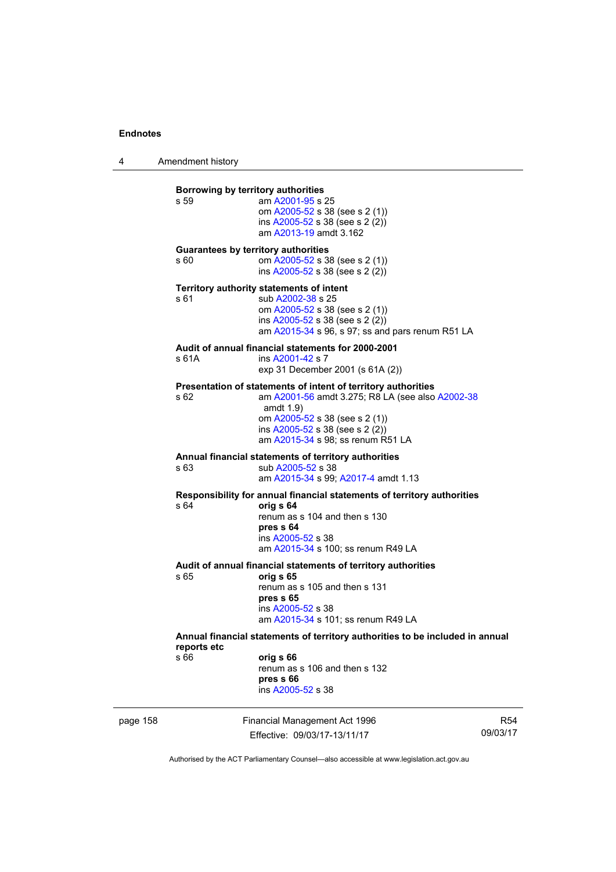4 Amendment history

|          | Borrowing by territory authorities<br>s 59 | am A2001-95 s 25<br>om A2005-52 s 38 (see s 2 (1))<br>ins $A2005-52$ s 38 (see s 2 (2))<br>am A2013-19 amdt 3.162                                                                                                                           |                        |
|----------|--------------------------------------------|---------------------------------------------------------------------------------------------------------------------------------------------------------------------------------------------------------------------------------------------|------------------------|
|          | s 60                                       | <b>Guarantees by territory authorities</b><br>om A2005-52 s 38 (see s 2 (1))<br>ins $A2005-52$ s 38 (see s 2 (2))                                                                                                                           |                        |
|          | s 61                                       | Territory authority statements of intent<br>sub A2002-38 s 25<br>om A2005-52 s 38 (see s 2 (1))<br>ins A2005-52 s 38 (see s 2 (2))<br>am A2015-34 s 96, s 97; ss and pars renum R51 LA                                                      |                        |
|          | s 61A                                      | Audit of annual financial statements for 2000-2001<br>ins A2001-42 s 7<br>exp 31 December 2001 (s 61A (2))                                                                                                                                  |                        |
|          | s 62                                       | Presentation of statements of intent of territory authorities<br>am A2001-56 amdt 3.275; R8 LA (see also A2002-38<br>amdt $1.9$ )<br>om A2005-52 s 38 (see s 2 (1))<br>ins A2005-52 s 38 (see s 2 (2))<br>am A2015-34 s 98; ss renum R51 LA |                        |
|          | s 63                                       | Annual financial statements of territory authorities<br>sub A2005-52 s 38<br>am A2015-34 s 99; A2017-4 amdt 1.13                                                                                                                            |                        |
|          | s 64                                       | Responsibility for annual financial statements of territory authorities<br>orig s 64<br>renum as s 104 and then s 130<br>pres s 64<br>ins A2005-52 s 38<br>am A2015-34 s 100; ss renum R49 LA                                               |                        |
|          | s 65                                       | Audit of annual financial statements of territory authorities<br>orig s 65<br>renum as s 105 and then s 131<br>pres s 65<br>ins A2005-52 s 38<br>am A2015-34 s 101; ss renum R49 LA                                                         |                        |
|          | reports etc<br>s 66                        | Annual financial statements of territory authorities to be included in annual<br>orig s 66<br>renum as s 106 and then s 132<br>pres s 66<br>ins A2005-52 s 38                                                                               |                        |
| page 158 |                                            | Financial Management Act 1996<br>Effective: 09/03/17-13/11/17                                                                                                                                                                               | <b>R54</b><br>09/03/17 |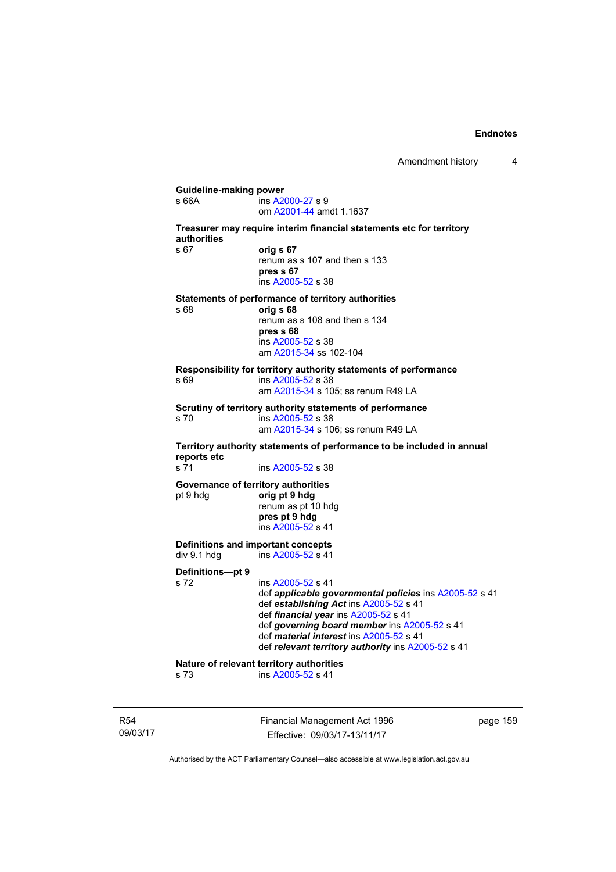### **Guideline-making power**  s 66A ins [A2000-27](http://www.legislation.act.gov.au/a/2000-27) s 9 om [A2001-44](http://www.legislation.act.gov.au/a/2001-44) amdt 1.1637 **Treasurer may require interim financial statements etc for territory authorities** s 67 **orig s 67**  renum as s 107 and then s 133 **pres s 67**  ins [A2005-52](http://www.legislation.act.gov.au/a/2005-52) s 38 **Statements of performance of territory authorities**  s 68 **orig s 68**  renum as s 108 and then s 134 **pres s 68**  ins [A2005-52](http://www.legislation.act.gov.au/a/2005-52) s 38 am [A2015-34](http://www.legislation.act.gov.au/a/2015-34/default.asp) ss 102-104 **Responsibility for territory authority statements of performance**  s 69 ins [A2005-52](http://www.legislation.act.gov.au/a/2005-52) s 38 am [A2015-34](http://www.legislation.act.gov.au/a/2015-34/default.asp) s 105; ss renum R49 LA **Scrutiny of territory authority statements of performance**  s 70 ins [A2005-52](http://www.legislation.act.gov.au/a/2005-52) s 38 am [A2015-34](http://www.legislation.act.gov.au/a/2015-34/default.asp) s 106; ss renum R49 LA **Territory authority statements of performance to be included in annual reports etc**  s 71 ins [A2005-52](http://www.legislation.act.gov.au/a/2005-52) s 38 **Governance of territory authorities**<br>
orig pt 9 hdg<br>
orig pt 9 hdg pt 9 hdg **orig pt 9 hdg**  renum as pt 10 hdg **pres pt 9 hdg**  ins [A2005-52](http://www.legislation.act.gov.au/a/2005-52) s 41 **Definitions and important concepts**  div 9.1 hdg ins [A2005-52](http://www.legislation.act.gov.au/a/2005-52) s 41 **Definitions—pt 9**  s 72 ins [A2005-52](http://www.legislation.act.gov.au/a/2005-52) s 41 def *applicable governmental policies* ins [A2005-52](http://www.legislation.act.gov.au/a/2005-52) s 41 def *establishing Act* ins [A2005-52](http://www.legislation.act.gov.au/a/2005-52) s 41 def *financial year* ins [A2005-52](http://www.legislation.act.gov.au/a/2005-52) s 41 def *governing board member* ins [A2005-52](http://www.legislation.act.gov.au/a/2005-52) s 41 def *material interest* ins [A2005-52](http://www.legislation.act.gov.au/a/2005-52) s 41 def *relevant territory authority* ins [A2005-52](http://www.legislation.act.gov.au/a/2005-52) s 41 **Nature of relevant territory authorities**<br>
s 73 ins A2005-52 s 41 ins [A2005-52](http://www.legislation.act.gov.au/a/2005-52) s 41

R54 09/03/17 Financial Management Act 1996 Effective: 09/03/17-13/11/17

page 159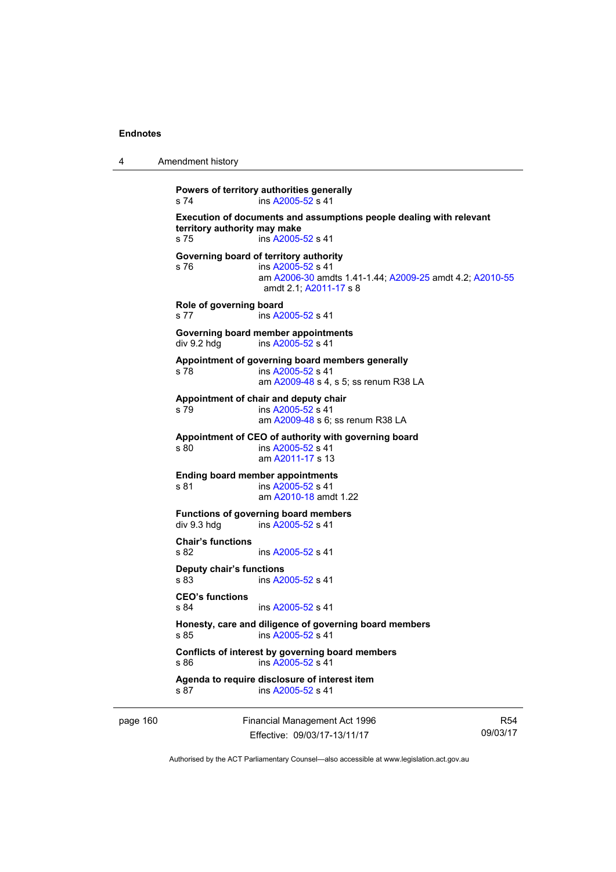| Amendment history |
|-------------------|

```
Powers of territory authorities generally 
s 74 ins A2005-52 s 41 
Execution of documents and assumptions people dealing with relevant 
territory authority may make 
s 75 ins A2005-52 s 41 
Governing board of territory authority 
s 76 ins A2005-52 s 41 
                am A2006-30 amdts 1.41-1.44; A2009-25 amdt 4.2; A2010-55
                amdt 2.1; A2011-17 s 8 
Role of governing board 
s 77 ins A2005-52 s 41 
Governing board member appointments 
A2005-52 s 41
Appointment of governing board members generally 
A2005-52 s 41
                am A2009-48 s 4, s 5; ss renum R38 LA 
Appointment of chair and deputy chair 
s 79 ins A2005-52 s 41 
                am A2009-48 s 6; ss renum R38 LA
Appointment of CEO of authority with governing board 
s 80 ins A2005-52 s 41 
                am A2011-17 s 13 
Ending board member appointments 
A2005-52 s 41
 am A2010-18 amdt 1.22
Functions of governing board members 
div 9.3 hdg ins \overline{A2005}-52 s 41
Chair's functions 
s 82 ins A2005-52 s 41 
Deputy chair's functions 
s 83 A2005-52 s 41
CEO's functions 
               A2005-52 s 41
Honesty, care and diligence of governing board members 
A2005-52 s 41
Conflicts of interest by governing board members 
s 86 ins A2005-52 s 41 
Agenda to require disclosure of interest item 
A2005-52 s 41
```
page 160 Financial Management Act 1996 Effective: 09/03/17-13/11/17

R54 09/03/17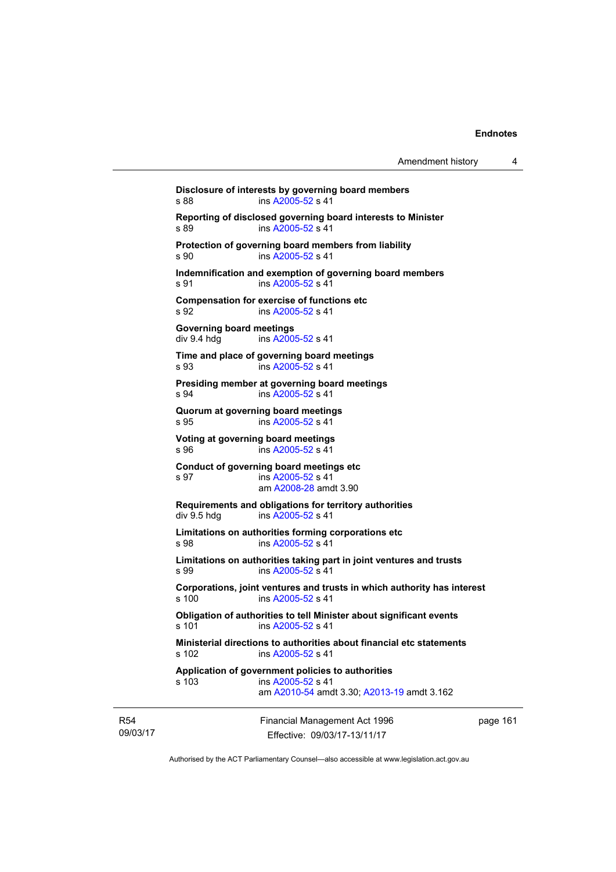Financial Management Act 1996 **Disclosure of interests by governing board members**  s 88 ins [A2005-52](http://www.legislation.act.gov.au/a/2005-52) s 41 **Reporting of disclosed governing board interests to Minister**  s 89 ins [A2005-52](http://www.legislation.act.gov.au/a/2005-52) s 41 **Protection of governing board members from liability**  s 90 ins [A2005-52](http://www.legislation.act.gov.au/a/2005-52) s 41 **Indemnification and exemption of governing board members**  s 91 ins [A2005-52](http://www.legislation.act.gov.au/a/2005-52) s 41 **Compensation for exercise of functions etc**  s 92 **ins [A2005-52](http://www.legislation.act.gov.au/a/2005-52) s 41 Governing board meetings**  div 9.4 hdg ins [A2005-52](http://www.legislation.act.gov.au/a/2005-52) s 41 **Time and place of governing board meetings**  s 93 ins [A2005-52](http://www.legislation.act.gov.au/a/2005-52) s 41 **Presiding member at governing board meetings**  s 94 ins [A2005-52](http://www.legislation.act.gov.au/a/2005-52) s 41 **Quorum at governing board meetings**  s 95 ins [A2005-52](http://www.legislation.act.gov.au/a/2005-52) s 41 **Voting at governing board meetings**  s 96 ins [A2005-52](http://www.legislation.act.gov.au/a/2005-52) s 41 **Conduct of governing board meetings etc**  s 97 ins [A2005-52](http://www.legislation.act.gov.au/a/2005-52) s 41 am [A2008-28](http://www.legislation.act.gov.au/a/2008-28) amdt 3.90 **Requirements and obligations for territory authorities**<br>div 9.5 hdg ins A2005-52 s 41 ins  $A2005 - 52$  s 41 **Limitations on authorities forming corporations etc**  s 98 ins [A2005-52](http://www.legislation.act.gov.au/a/2005-52) s 41 **Limitations on authorities taking part in joint ventures and trusts**  s 99 ins [A2005-52](http://www.legislation.act.gov.au/a/2005-52) s 41 **Corporations, joint ventures and trusts in which authority has interest**  s 100 ins [A2005-52](http://www.legislation.act.gov.au/a/2005-52) s 41 **Obligation of authorities to tell Minister about significant events**  s 101 ins [A2005-52](http://www.legislation.act.gov.au/a/2005-52) s 41 **Ministerial directions to authorities about financial etc statements**  s 102 ins [A2005-52](http://www.legislation.act.gov.au/a/2005-52) s 41 **Application of government policies to authorities**  s 103 ins [A2005-52](http://www.legislation.act.gov.au/a/2005-52) s 41 am [A2010-54](http://www.legislation.act.gov.au/a/2010-54) amdt 3.30; [A2013-19](http://www.legislation.act.gov.au/a/2013-19) amdt 3.162

R54 09/03/17

Effective: 09/03/17-13/11/17

page 161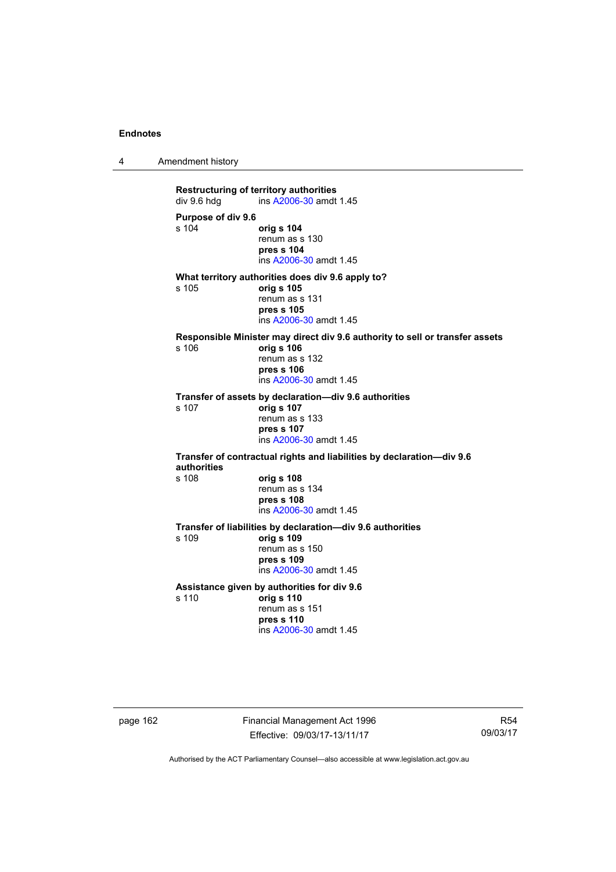4 Amendment history

**Restructuring of territory authorities**<br>div 9.6 hdg ins A2006-30 amdt ins [A2006-30](http://www.legislation.act.gov.au/a/2006-30) amdt 1.45 **Purpose of div 9.6**  s 104 **orig s 104** renum as s 130 **pres s 104**  ins [A2006-30](http://www.legislation.act.gov.au/a/2006-30) amdt 1.45 **What territory authorities does div 9.6 apply to?**  s 105 **orig s 105** renum as s 131 **pres s 105**  ins [A2006-30](http://www.legislation.act.gov.au/a/2006-30) amdt 1.45 **Responsible Minister may direct div 9.6 authority to sell or transfer assets**  s 106 **orig s 106** renum as s 132 **pres s 106**  ins [A2006-30](http://www.legislation.act.gov.au/a/2006-30) amdt 1.45 **Transfer of assets by declaration—div 9.6 authorities**  s 107 **orig s 107** renum as s 133 **pres s 107**  ins [A2006-30](http://www.legislation.act.gov.au/a/2006-30) amdt 1.45 **Transfer of contractual rights and liabilities by declaration—div 9.6 authorities**  s 108 **orig s 108** renum as s 134 **pres s 108**  ins [A2006-30](http://www.legislation.act.gov.au/a/2006-30) amdt 1.45 **Transfer of liabilities by declaration—div 9.6 authorities**  s 109 **orig s 109** renum as s 150 **pres s 109**  ins [A2006-30](http://www.legislation.act.gov.au/a/2006-30) amdt 1.45 **Assistance given by authorities for div 9.6**  s 110 **orig s 110** renum as s 151 **pres s 110**  ins [A2006-30](http://www.legislation.act.gov.au/a/2006-30) amdt 1.45

page 162 Financial Management Act 1996 Effective: 09/03/17-13/11/17

R54 09/03/17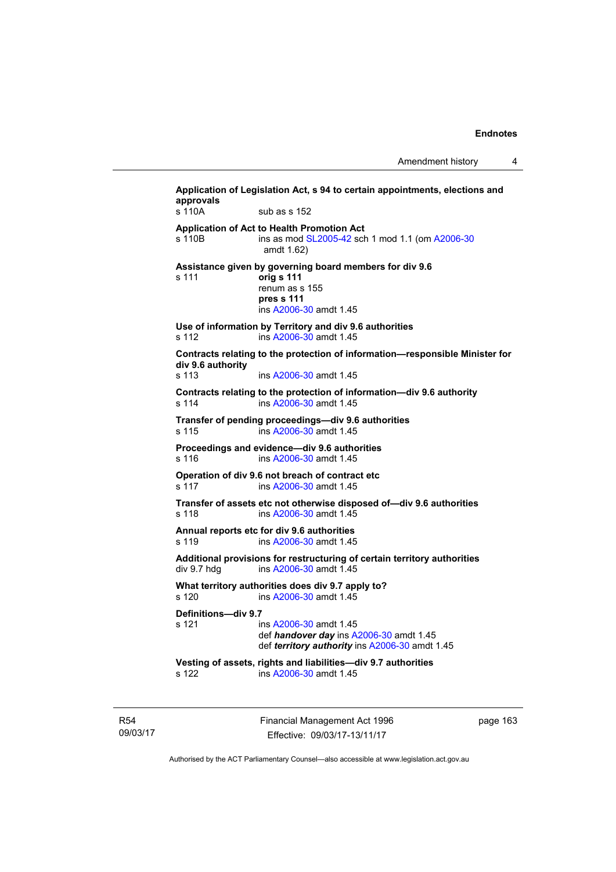Amendment history 4

| s 110A                       | sub as s 152                                                                                                                    |
|------------------------------|---------------------------------------------------------------------------------------------------------------------------------|
| s 110B                       | <b>Application of Act to Health Promotion Act</b><br>ins as mod SL2005-42 sch 1 mod 1.1 (om A2006-30<br>amdt 1.62)              |
| s 111                        | Assistance given by governing board members for div 9.6<br>orig s 111<br>renum as s 155<br>pres s 111<br>ins A2006-30 amdt 1.45 |
| s 112                        | Use of information by Territory and div 9.6 authorities<br>ins A2006-30 amdt 1.45                                               |
| div 9.6 authority<br>s 113   | Contracts relating to the protection of information-responsible Minister for<br>ins A2006-30 amdt 1.45                          |
| s 114                        | Contracts relating to the protection of information-div 9.6 authority<br>ins A2006-30 amdt 1.45                                 |
| s 115                        | Transfer of pending proceedings-div 9.6 authorities<br>ins A2006-30 amdt 1.45                                                   |
| s 116                        | Proceedings and evidence-div 9.6 authorities<br>ins A2006-30 amdt 1.45                                                          |
| s 117                        | Operation of div 9.6 not breach of contract etc<br>ins A2006-30 amdt 1.45                                                       |
| s 118                        | Transfer of assets etc not otherwise disposed of-div 9.6 authorities<br>ins A2006-30 amdt 1.45                                  |
| s 119                        | Annual reports etc for div 9.6 authorities<br>ins A2006-30 amdt 1.45                                                            |
| div 9.7 hdg                  | Additional provisions for restructuring of certain territory authorities<br>ins A2006-30 amdt 1.45                              |
| s 120                        | What territory authorities does div 9.7 apply to?<br>ins A2006-30 amdt 1.45                                                     |
| Definitions-div 9.7<br>s 121 | ins A2006-30 amdt 1.45<br>def handover day ins A2006-30 amdt 1.45<br>def territory authority ins A2006-30 amdt 1.45             |
| s 122                        | Vesting of assets, rights and liabilities-div 9.7 authorities<br>ins A2006-30 amdt 1.45                                         |

R54 09/03/17 Financial Management Act 1996 Effective: 09/03/17-13/11/17

page 163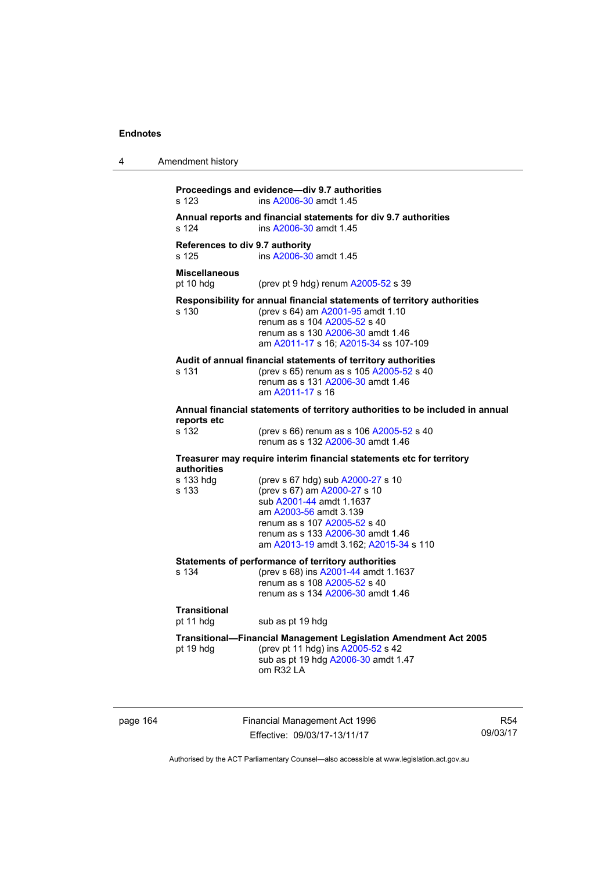| 4 | Amendment history                        |                                                                                                                                                                                                                                        |
|---|------------------------------------------|----------------------------------------------------------------------------------------------------------------------------------------------------------------------------------------------------------------------------------------|
|   | s 123                                    | Proceedings and evidence-div 9.7 authorities<br>ins A2006-30 amdt 1.45                                                                                                                                                                 |
|   | s 124                                    | Annual reports and financial statements for div 9.7 authorities<br>ins A2006-30 amdt 1.45                                                                                                                                              |
|   | References to div 9.7 authority<br>s 125 | ins A2006-30 amdt 1.45                                                                                                                                                                                                                 |
|   | <b>Miscellaneous</b><br>pt 10 hdg        | (prev pt 9 hdg) renum $A2005-52$ s 39                                                                                                                                                                                                  |
|   | s 130                                    | Responsibility for annual financial statements of territory authorities<br>(prev s 64) am A2001-95 amdt 1.10<br>renum as s 104 A2005-52 s 40<br>renum as s 130 A2006-30 amdt 1.46<br>am A2011-17 s 16; A2015-34 ss 107-109             |
|   | s 131                                    | Audit of annual financial statements of territory authorities<br>(prev s 65) renum as s 105 A2005-52 s 40<br>renum as s 131 A2006-30 amdt 1.46<br>am A2011-17 s 16                                                                     |
|   | reports etc                              | Annual financial statements of territory authorities to be included in annual                                                                                                                                                          |
|   | s 132                                    | (prev s 66) renum as s 106 A2005-52 s 40<br>renum as s 132 A2006-30 amdt 1.46                                                                                                                                                          |
|   | authorities                              | Treasurer may require interim financial statements etc for territory                                                                                                                                                                   |
|   | s 133 hdg<br>s 133                       | (prev s 67 hdg) sub A2000-27 s 10<br>(prev s 67) am A2000-27 s 10<br>sub A2001-44 amdt 1.1637<br>am A2003-56 amdt 3.139<br>renum as s 107 A2005-52 s 40<br>renum as s 133 A2006-30 amdt 1.46<br>am A2013-19 amdt 3.162; A2015-34 s 110 |
|   | s 134                                    | Statements of performance of territory authorities<br>(prev s 68) ins A2001-44 amdt 1.1637<br>renum as s 108 A2005-52 s 40<br>renum as s 134 A2006-30 amdt 1.46                                                                        |
|   | <b>Transitional</b><br>pt 11 hdg         | sub as pt 19 hdg                                                                                                                                                                                                                       |
|   | pt 19 hdg                                | Transitional-Financial Management Legislation Amendment Act 2005<br>(prev pt 11 hdg) ins A2005-52 s 42<br>sub as pt 19 hdg A2006-30 amdt 1.47<br>om R32 LA                                                                             |

page 164 Financial Management Act 1996 Effective: 09/03/17-13/11/17

R54 09/03/17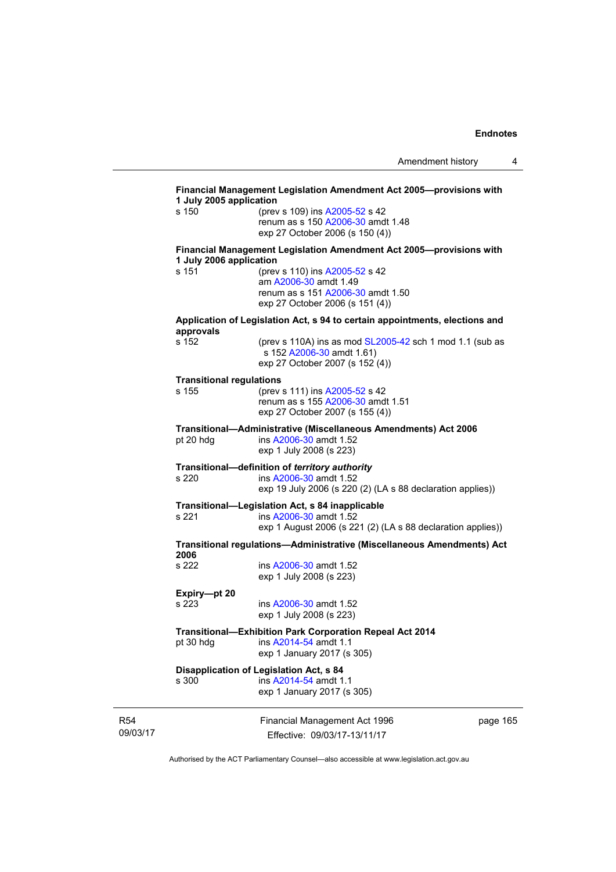|                                 | exp 1 January 2017 (s 305)<br>Disapplication of Legislation Act, s 84                                                                    |  |
|---------------------------------|------------------------------------------------------------------------------------------------------------------------------------------|--|
| pt 30 hdg                       | <b>Transitional-Exhibition Park Corporation Repeal Act 2014</b><br>ins A2014-54 amdt 1.1                                                 |  |
| Expiry-pt 20<br>s 223           | ins A2006-30 amdt 1.52<br>exp 1 July 2008 (s 223)                                                                                        |  |
| 2006<br>s 222                   | ins A2006-30 amdt 1.52<br>exp 1 July 2008 (s 223)                                                                                        |  |
|                                 | Transitional regulations—Administrative (Miscellaneous Amendments) Act                                                                   |  |
| s 221                           | Transitional-Legislation Act, s 84 inapplicable<br>ins A2006-30 amdt 1.52<br>exp 1 August 2006 (s 221 (2) (LA s 88 declaration applies)) |  |
| s 220                           | Transitional-definition of territory authority<br>ins A2006-30 amdt 1.52<br>exp 19 July 2006 (s 220 (2) (LA s 88 declaration applies))   |  |
| pt 20 hdg                       | Transitional-Administrative (Miscellaneous Amendments) Act 2006<br>ins A2006-30 amdt 1.52<br>exp 1 July 2008 (s 223)                     |  |
| s 155                           | (prev s 111) ins A2005-52 s 42<br>renum as s 155 A2006-30 amdt 1.51<br>exp 27 October 2007 (s 155 (4))                                   |  |
| <b>Transitional regulations</b> |                                                                                                                                          |  |
| s 152                           | (prev s 110A) ins as mod SL2005-42 sch 1 mod 1.1 (sub as<br>s 152 A2006-30 amdt 1.61)<br>exp 27 October 2007 (s 152 (4))                 |  |
| approvals                       | Application of Legislation Act, s 94 to certain appointments, elections and                                                              |  |
| s 151                           | (prev s 110) ins A2005-52 s 42<br>am A2006-30 amdt 1.49<br>renum as s 151 A2006-30 amdt 1.50<br>exp 27 October 2006 (s 151 (4))          |  |
| 1 July 2006 application         | Financial Management Legislation Amendment Act 2005--- provisions with                                                                   |  |
|                                 | renum as s 150 A2006-30 amdt 1.48<br>exp 27 October 2006 (s 150 (4))                                                                     |  |

R54 09/03/17

Effective: 09/03/17-13/11/17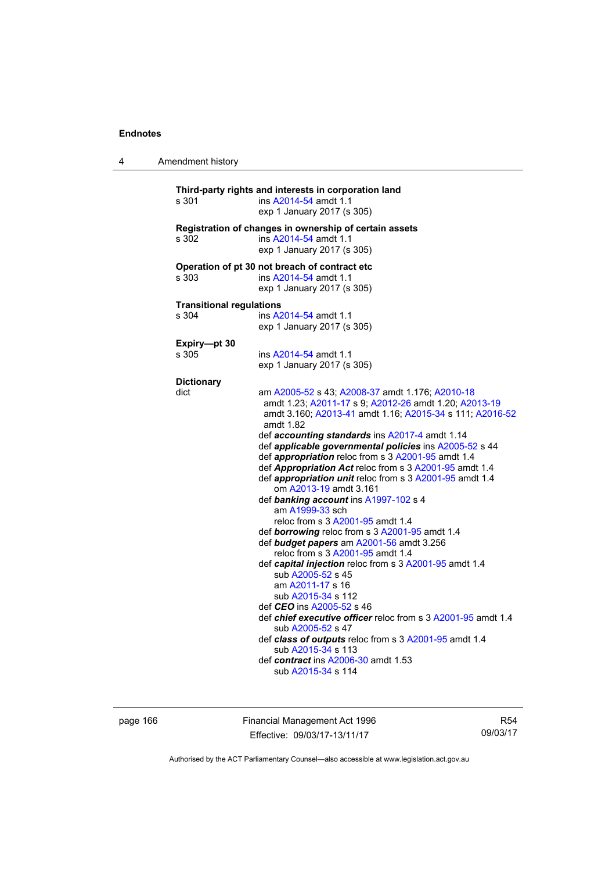| 4 | Amendment history                        |                                                                                                                                                                                                                                                                                                                                                                                                                                                                                                                                                                                                                                                                                                                                                                                                                                                                                                                                                                                                                                                                                                                                    |
|---|------------------------------------------|------------------------------------------------------------------------------------------------------------------------------------------------------------------------------------------------------------------------------------------------------------------------------------------------------------------------------------------------------------------------------------------------------------------------------------------------------------------------------------------------------------------------------------------------------------------------------------------------------------------------------------------------------------------------------------------------------------------------------------------------------------------------------------------------------------------------------------------------------------------------------------------------------------------------------------------------------------------------------------------------------------------------------------------------------------------------------------------------------------------------------------|
|   | s 301                                    | Third-party rights and interests in corporation land<br>ins A2014-54 amdt 1.1<br>exp 1 January 2017 (s 305)                                                                                                                                                                                                                                                                                                                                                                                                                                                                                                                                                                                                                                                                                                                                                                                                                                                                                                                                                                                                                        |
|   | s 302                                    | Registration of changes in ownership of certain assets<br>ins A2014-54 amdt 1.1<br>exp 1 January 2017 (s 305)                                                                                                                                                                                                                                                                                                                                                                                                                                                                                                                                                                                                                                                                                                                                                                                                                                                                                                                                                                                                                      |
|   | s 303                                    | Operation of pt 30 not breach of contract etc<br>ins A2014-54 amdt 1.1<br>exp 1 January 2017 (s 305)                                                                                                                                                                                                                                                                                                                                                                                                                                                                                                                                                                                                                                                                                                                                                                                                                                                                                                                                                                                                                               |
|   | <b>Transitional regulations</b><br>s 304 | ins A2014-54 amdt 1.1<br>exp 1 January 2017 (s 305)                                                                                                                                                                                                                                                                                                                                                                                                                                                                                                                                                                                                                                                                                                                                                                                                                                                                                                                                                                                                                                                                                |
|   | Expiry-pt 30<br>s 305                    | ins A2014-54 amdt 1.1<br>exp 1 January 2017 (s 305)                                                                                                                                                                                                                                                                                                                                                                                                                                                                                                                                                                                                                                                                                                                                                                                                                                                                                                                                                                                                                                                                                |
|   | <b>Dictionary</b>                        |                                                                                                                                                                                                                                                                                                                                                                                                                                                                                                                                                                                                                                                                                                                                                                                                                                                                                                                                                                                                                                                                                                                                    |
|   | dict                                     | am A2005-52 s 43; A2008-37 amdt 1.176; A2010-18<br>amdt 1.23; A2011-17 s 9; A2012-26 amdt 1.20; A2013-19<br>amdt 3.160; A2013-41 amdt 1.16; A2015-34 s 111; A2016-52<br>amdt 1.82<br>def accounting standards ins A2017-4 amdt 1.14<br>def applicable governmental policies ins A2005-52 s 44<br>def appropriation reloc from s 3 A2001-95 amdt 1.4<br>def Appropriation Act reloc from s 3 A2001-95 amdt 1.4<br>def appropriation unit reloc from s 3 A2001-95 amdt 1.4<br>om A2013-19 amdt 3.161<br>def banking account ins A1997-102 s 4<br>am A1999-33 sch<br>reloc from s 3 A2001-95 amdt 1.4<br>def borrowing reloc from s 3 A2001-95 amdt 1.4<br>def budget papers am A2001-56 amdt 3.256<br>reloc from s 3 A2001-95 amdt 1.4<br>def capital injection reloc from s 3 A2001-95 amdt 1.4<br>sub A2005-52 s 45<br>am A2011-17 s 16<br>sub A2015-34 s 112<br>def <i>CEO</i> ins A2005-52 s 46<br>def chief executive officer reloc from s 3 A2001-95 amdt 1.4<br>sub A2005-52 s 47<br>def class of outputs reloc from s 3 A2001-95 amdt 1.4<br>sub A2015-34 s 113<br>def contract ins A2006-30 amdt 1.53<br>sub A2015-34 s 114 |

page 166 **Financial Management Act 1996** Effective: 09/03/17-13/11/17

R54 09/03/17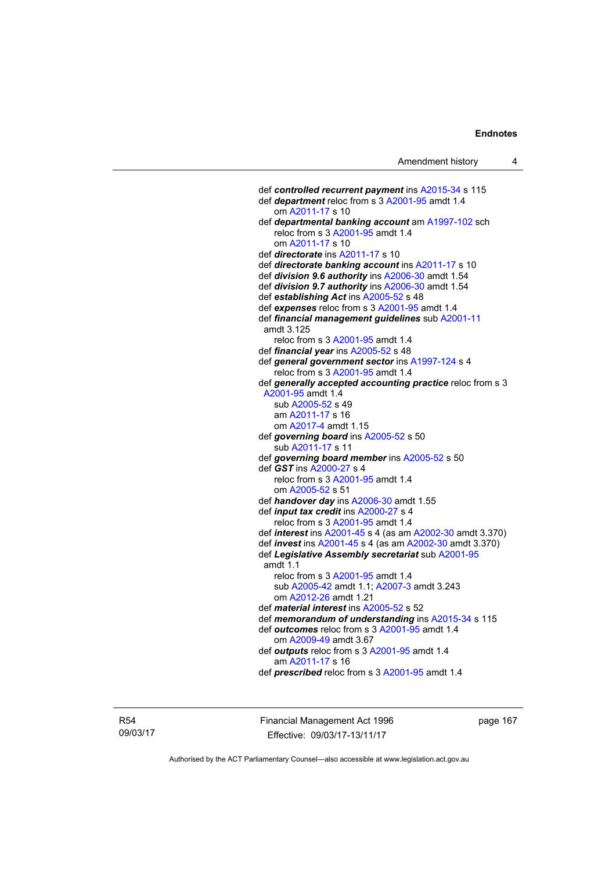def *controlled recurrent payment* ins [A2015-34](http://www.legislation.act.gov.au/a/2015-34/default.asp) s 115 def *department* reloc from s 3 [A2001-95](http://www.legislation.act.gov.au/a/2001-95) amdt 1.4 om [A2011-17](http://www.legislation.act.gov.au/a/2011-17) s 10 def *departmental banking account* am [A1997-102](http://www.legislation.act.gov.au/a/1997-102) sch reloc from s 3 [A2001-95](http://www.legislation.act.gov.au/a/2001-95) amdt 1.4 om [A2011-17](http://www.legislation.act.gov.au/a/2011-17) s 10 def *directorate* ins [A2011-17](http://www.legislation.act.gov.au/a/2011-17) s 10 def *directorate banking account* ins [A2011-17](http://www.legislation.act.gov.au/a/2011-17) s 10 def *division 9.6 authority* ins [A2006-30](http://www.legislation.act.gov.au/a/2006-30) amdt 1.54 def *division 9.7 authority* ins [A2006-30](http://www.legislation.act.gov.au/a/2006-30) amdt 1.54 def *establishing Act* ins [A2005-52](http://www.legislation.act.gov.au/a/2005-52) s 48 def *expenses* reloc from s 3 [A2001-95](http://www.legislation.act.gov.au/a/2001-95) amdt 1.4 def *financial management guidelines* sub [A2001-11](http://www.legislation.act.gov.au/a/2001-11) amdt 3.125 reloc from s 3 [A2001-95](http://www.legislation.act.gov.au/a/2001-95) amdt 1.4 def *financial year* ins [A2005-52](http://www.legislation.act.gov.au/a/2005-52) s 48 def *general government sector* ins [A1997-124](http://www.legislation.act.gov.au/a/1997-124) s 4 reloc from s 3 [A2001-95](http://www.legislation.act.gov.au/a/2001-95) amdt 1.4 def *generally accepted accounting practice* reloc from s 3 [A2001-95](http://www.legislation.act.gov.au/a/2001-95) amdt 1.4 sub [A2005-52](http://www.legislation.act.gov.au/a/2005-52) s 49 am [A2011-17](http://www.legislation.act.gov.au/a/2011-17) s 16 om [A2017-4](http://www.legislation.act.gov.au/a/2017-4/default.asp) amdt 1.15 def *governing board* ins [A2005-52](http://www.legislation.act.gov.au/a/2005-52) s 50 sub [A2011-17](http://www.legislation.act.gov.au/a/2011-17) s 11 def *governing board member* ins [A2005-52](http://www.legislation.act.gov.au/a/2005-52) s 50 def *GST* ins [A2000-27](http://www.legislation.act.gov.au/a/2000-27) s 4 reloc from s 3 [A2001-95](http://www.legislation.act.gov.au/a/2001-95) amdt 1.4 om [A2005-52](http://www.legislation.act.gov.au/a/2005-52) s 51 def *handover day* ins [A2006-30](http://www.legislation.act.gov.au/a/2006-30) amdt 1.55 def *input tax credit* ins [A2000-27](http://www.legislation.act.gov.au/a/2000-27) s 4 reloc from s 3 [A2001-95](http://www.legislation.act.gov.au/a/2001-95) amdt 1.4 def *interest* ins [A2001-45](http://www.legislation.act.gov.au/a/2001-45) s 4 (as am [A2002-30](http://www.legislation.act.gov.au/a/2002-30) amdt 3.370) def *invest* ins [A2001-45](http://www.legislation.act.gov.au/a/2001-45) s 4 (as am [A2002-30](http://www.legislation.act.gov.au/a/2002-30) amdt 3.370) def *Legislative Assembly secretariat* sub [A2001-95](http://www.legislation.act.gov.au/a/2001-95) amdt 1.1 reloc from s 3 [A2001-95](http://www.legislation.act.gov.au/a/2001-95) amdt 1.4 sub [A2005-42](http://www.legislation.act.gov.au/a/2005-42) amdt 1.1; [A2007-3](http://www.legislation.act.gov.au/a/2007-3) amdt 3.243 om [A2012-26](http://www.legislation.act.gov.au/a/2012-26) amdt 1.21 def *material interest* ins [A2005-52](http://www.legislation.act.gov.au/a/2005-52) s 52 def *memorandum of understanding* ins [A2015-34](http://www.legislation.act.gov.au/a/2015-34/default.asp) s 115 def *outcomes* reloc from s 3 [A2001-95](http://www.legislation.act.gov.au/a/2001-95) amdt 1.4 om [A2009-49](http://www.legislation.act.gov.au/a/2009-49) amdt 3.67 def *outputs* reloc from s 3 [A2001-95](http://www.legislation.act.gov.au/a/2001-95) amdt 1.4 am [A2011-17](http://www.legislation.act.gov.au/a/2011-17) s 16 def *prescribed* reloc from s 3 [A2001-95](http://www.legislation.act.gov.au/a/2001-95) amdt 1.4

R54 09/03/17 Financial Management Act 1996 Effective: 09/03/17-13/11/17

page 167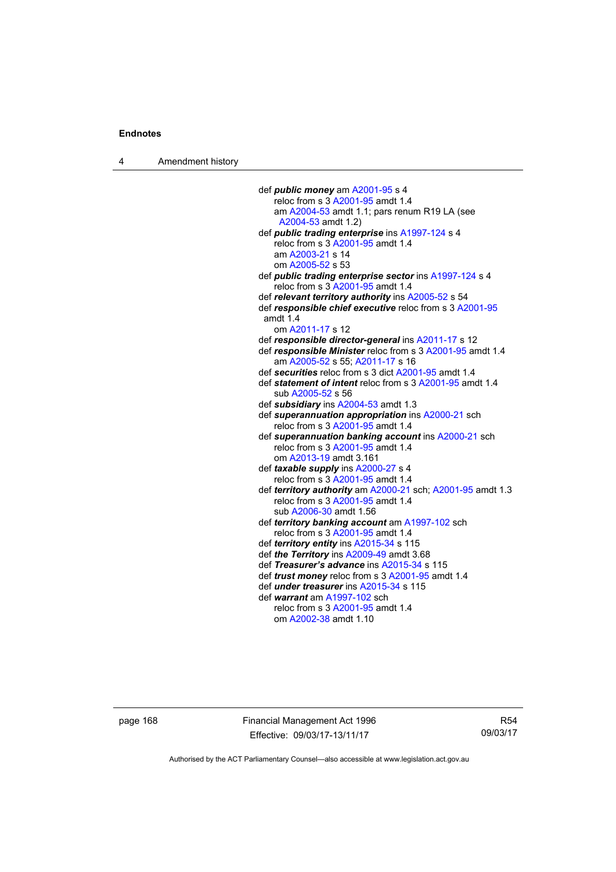4 Amendment history

 def *public money* am [A2001-95](http://www.legislation.act.gov.au/a/2001-95) s 4 reloc from  $s$  3 [A2001-95](http://www.legislation.act.gov.au/a/2001-95) amdt 1.4 am [A2004-53](http://www.legislation.act.gov.au/a/2004-53) amdt 1.1; pars renum R19 LA (see [A2004-53](http://www.legislation.act.gov.au/a/2004-53) amdt 1.2) def *public trading enterprise* ins [A1997-124](http://www.legislation.act.gov.au/a/1997-124) s 4 reloc from s 3 [A2001-95](http://www.legislation.act.gov.au/a/2001-95) amdt 1.4 am [A2003-21](http://www.legislation.act.gov.au/a/2003-21) s 14 om [A2005-52](http://www.legislation.act.gov.au/a/2005-52) s 53 def *public trading enterprise sector* ins [A1997-124](http://www.legislation.act.gov.au/a/1997-124) s 4 reloc from s 3 [A2001-95](http://www.legislation.act.gov.au/a/2001-95) amdt 1.4 def *relevant territory authority* ins [A2005-52](http://www.legislation.act.gov.au/a/2005-52) s 54 def *responsible chief executive* reloc from s 3 [A2001-95](http://www.legislation.act.gov.au/a/2001-95) amdt 1.4 om [A2011-17](http://www.legislation.act.gov.au/a/2011-17) s 12 def *responsible director-general* ins [A2011-17](http://www.legislation.act.gov.au/a/2011-17) s 12 def *responsible Minister* reloc from s 3 [A2001-95](http://www.legislation.act.gov.au/a/2001-95) amdt 1.4 am [A2005-52](http://www.legislation.act.gov.au/a/2005-52) s 55; [A2011-17](http://www.legislation.act.gov.au/a/2011-17) s 16 def *securities* reloc from s 3 dict [A2001-95](http://www.legislation.act.gov.au/a/2001-95) amdt 1.4 def *statement of intent* reloc from s 3 [A2001-95](http://www.legislation.act.gov.au/a/2001-95) amdt 1.4 sub [A2005-52](http://www.legislation.act.gov.au/a/2005-52) s 56 def *subsidiary* ins [A2004-53](http://www.legislation.act.gov.au/a/2004-53) amdt 1.3 def *superannuation appropriation* ins [A2000-21](http://www.legislation.act.gov.au/a/2000-21) sch reloc from s 3 [A2001-95](http://www.legislation.act.gov.au/a/2001-95) amdt 1.4 def *superannuation banking account* ins [A2000-21](http://www.legislation.act.gov.au/a/2000-21) sch reloc from s 3 [A2001-95](http://www.legislation.act.gov.au/a/2001-95) amdt 1.4 om [A2013-19](http://www.legislation.act.gov.au/a/2013-19) amdt 3.161 def *taxable supply* ins [A2000-27](http://www.legislation.act.gov.au/a/2000-27) s 4 reloc from s 3 [A2001-95](http://www.legislation.act.gov.au/a/2001-95) amdt 1.4 def *territory authority* am [A2000-21](http://www.legislation.act.gov.au/a/2000-21) sch; [A2001-95](http://www.legislation.act.gov.au/a/2001-95) amdt 1.3 reloc from s 3 [A2001-95](http://www.legislation.act.gov.au/a/2001-95) amdt 1.4 sub [A2006-30](http://www.legislation.act.gov.au/a/2006-30) amdt 1.56 def *territory banking account* am [A1997-102](http://www.legislation.act.gov.au/a/1997-102) sch reloc from s 3 [A2001-95](http://www.legislation.act.gov.au/a/2001-95) amdt 1.4 def *territory entity* ins [A2015-34](http://www.legislation.act.gov.au/a/2015-34/default.asp) s 115 def *the Territory* ins [A2009-49](http://www.legislation.act.gov.au/a/2009-49) amdt 3.68 def *Treasurer's advance* ins [A2015-34](http://www.legislation.act.gov.au/a/2015-34/default.asp) s 115 def *trust money* reloc from s 3 [A2001-95](http://www.legislation.act.gov.au/a/2001-95) amdt 1.4 def *under treasurer* ins [A2015-34](http://www.legislation.act.gov.au/a/2015-34/default.asp) s 115 def *warrant* am [A1997-102](http://www.legislation.act.gov.au/a/1997-102) sch reloc from s 3 [A2001-95](http://www.legislation.act.gov.au/a/2001-95) amdt 1.4 om [A2002-38](http://www.legislation.act.gov.au/a/2002-38) amdt 1.10

page 168 Financial Management Act 1996 Effective: 09/03/17-13/11/17

R54 09/03/17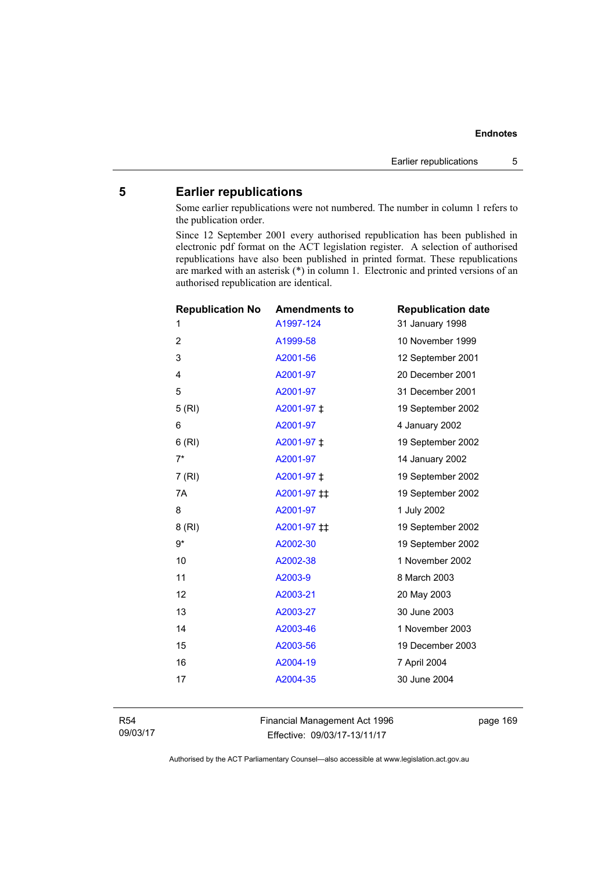### **5 Earlier republications**

Some earlier republications were not numbered. The number in column 1 refers to the publication order.

Since 12 September 2001 every authorised republication has been published in electronic pdf format on the ACT legislation register. A selection of authorised republications have also been published in printed format. These republications are marked with an asterisk (\*) in column 1. Electronic and printed versions of an authorised republication are identical.

| <b>Republication No</b> | <b>Amendments to</b> | <b>Republication date</b> |
|-------------------------|----------------------|---------------------------|
| 1                       | A1997-124            | 31 January 1998           |
| $\overline{2}$          | A1999-58             | 10 November 1999          |
| 3                       | A2001-56             | 12 September 2001         |
| 4                       | A2001-97             | 20 December 2001          |
| 5                       | A2001-97             | 31 December 2001          |
| 5(RI)                   | A2001-97 ‡           | 19 September 2002         |
| 6                       | A2001-97             | 4 January 2002            |
| 6(RI)                   | A2001-97 ‡           | 19 September 2002         |
| $7^*$                   | A2001-97             | 14 January 2002           |
| 7(RI)                   | A2001-97 ‡           | 19 September 2002         |
| 7A                      | A2001-97 ‡‡          | 19 September 2002         |
| 8                       | A2001-97             | 1 July 2002               |
| 8(RI)                   | A2001-97 #           | 19 September 2002         |
| $9*$                    | A2002-30             | 19 September 2002         |
| 10                      | A2002-38             | 1 November 2002           |
| 11                      | A2003-9              | 8 March 2003              |
| 12                      | A2003-21             | 20 May 2003               |
| 13                      | A2003-27             | 30 June 2003              |
| 14                      | A2003-46             | 1 November 2003           |
| 15                      | A2003-56             | 19 December 2003          |
| 16                      | A2004-19             | 7 April 2004              |
| 17                      | A2004-35             | 30 June 2004              |
|                         |                      |                           |

R54 09/03/17 Financial Management Act 1996 Effective: 09/03/17-13/11/17

page 169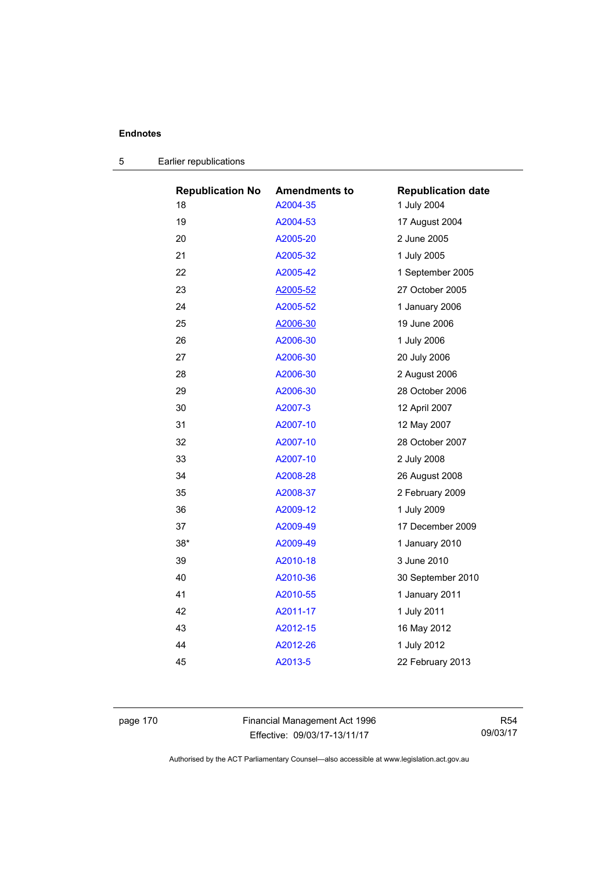| <b>Republication No</b> | <b>Amendments to</b> | <b>Republication date</b> |
|-------------------------|----------------------|---------------------------|
| 18                      | A2004-35             | 1 July 2004               |
| 19                      | A2004-53             | 17 August 2004            |
| 20                      | A2005-20             | 2 June 2005               |
| 21                      | A2005-32             | 1 July 2005               |
| 22                      | A2005-42             | 1 September 2005          |
| 23                      | A2005-52             | 27 October 2005           |
| 24                      | A2005-52             | 1 January 2006            |
| 25                      | A2006-30             | 19 June 2006              |
| 26                      | A2006-30             | 1 July 2006               |
| 27                      | A2006-30             | 20 July 2006              |
| 28                      | A2006-30             | 2 August 2006             |
| 29                      | A2006-30             | 28 October 2006           |
| 30                      | A2007-3              | 12 April 2007             |
| 31                      | A2007-10             | 12 May 2007               |
| 32                      | A2007-10             | 28 October 2007           |
| 33                      | A2007-10             | 2 July 2008               |
| 34                      | A2008-28             | 26 August 2008            |
| 35                      | A2008-37             | 2 February 2009           |
| 36                      | A2009-12             | 1 July 2009               |
| 37                      | A2009-49             | 17 December 2009          |
| 38*                     | A2009-49             | 1 January 2010            |
| 39                      | A2010-18             | 3 June 2010               |
| 40                      | A2010-36             | 30 September 2010         |
| 41                      | A2010-55             | 1 January 2011            |
| 42                      | A2011-17             | 1 July 2011               |
| 43                      | A2012-15             | 16 May 2012               |
| 44                      | A2012-26             | 1 July 2012               |
| 45                      | A2013-5              | 22 February 2013          |
|                         |                      |                           |

|  | Earlier republications |  |
|--|------------------------|--|
|--|------------------------|--|

page 170 **Financial Management Act 1996** Effective: 09/03/17-13/11/17

R54 09/03/17